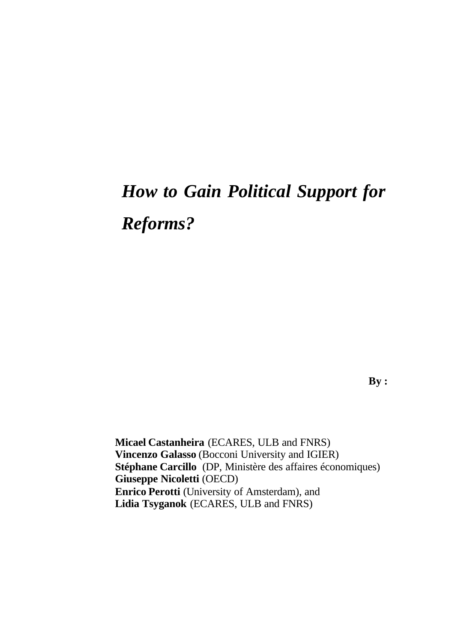# *How to Gain Political Support for Reforms?*

**By :**

**Micael Castanheira** (ECARES, ULB and FNRS) **Vincenzo Galasso** (Bocconi University and IGIER) **Stéphane Carcillo** (DP, Ministère des affaires économiques) **Giuseppe Nicoletti** (OECD) **Enrico Perotti** (University of Amsterdam), and **Lidia Tsyganok** (ECARES, ULB and FNRS)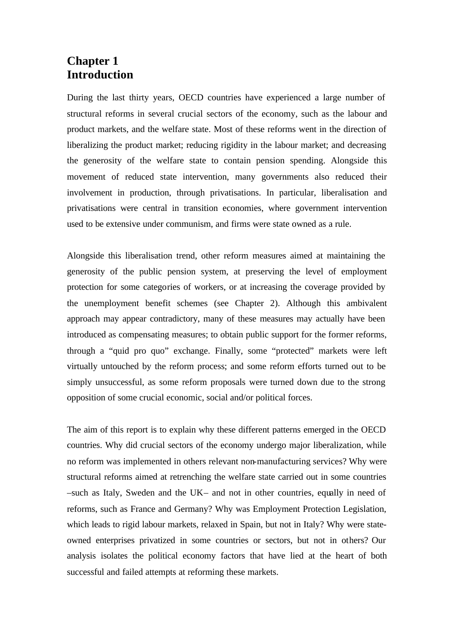### **Chapter 1 Introduction**

During the last thirty years, OECD countries have experienced a large number of structural reforms in several crucial sectors of the economy, such as the labour and product markets, and the welfare state. Most of these reforms went in the direction of liberalizing the product market; reducing rigidity in the labour market; and decreasing the generosity of the welfare state to contain pension spending. Alongside this movement of reduced state intervention, many governments also reduced their involvement in production, through privatisations. In particular, liberalisation and privatisations were central in transition economies, where government intervention used to be extensive under communism, and firms were state owned as a rule.

Alongside this liberalisation trend, other reform measures aimed at maintaining the generosity of the public pension system, at preserving the level of employment protection for some categories of workers, or at increasing the coverage provided by the unemployment benefit schemes (see Chapter 2). Although this ambivalent approach may appear contradictory, many of these measures may actually have been introduced as compensating measures; to obtain public support for the former reforms, through a "quid pro quo" exchange. Finally, some "protected" markets were left virtually untouched by the reform process; and some reform efforts turned out to be simply unsuccessful, as some reform proposals were turned down due to the strong opposition of some crucial economic, social and/or political forces.

The aim of this report is to explain why these different patterns emerged in the OECD countries. Why did crucial sectors of the economy undergo major liberalization, while no reform was implemented in others relevant non-manufacturing services? Why were structural reforms aimed at retrenching the welfare state carried out in some countries –such as Italy, Sweden and the UK– and not in other countries, equally in need of reforms, such as France and Germany? Why was Employment Protection Legislation, which leads to rigid labour markets, relaxed in Spain, but not in Italy? Why were stateowned enterprises privatized in some countries or sectors, but not in others? Our analysis isolates the political economy factors that have lied at the heart of both successful and failed attempts at reforming these markets.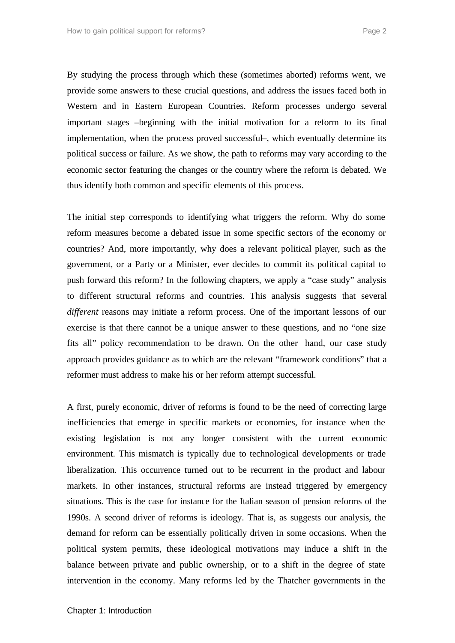By studying the process through which these (sometimes aborted) reforms went, we provide some answers to these crucial questions, and address the issues faced both in Western and in Eastern European Countries. Reform processes undergo several important stages –beginning with the initial motivation for a reform to its final implementation, when the process proved successful–, which eventually determine its political success or failure. As we show, the path to reforms may vary according to the economic sector featuring the changes or the country where the reform is debated. We thus identify both common and specific elements of this process.

The initial step corresponds to identifying what triggers the reform. Why do some reform measures become a debated issue in some specific sectors of the economy or countries? And, more importantly, why does a relevant political player, such as the government, or a Party or a Minister, ever decides to commit its political capital to push forward this reform? In the following chapters, we apply a "case study" analysis to different structural reforms and countries. This analysis suggests that several *different* reasons may initiate a reform process. One of the important lessons of our exercise is that there cannot be a unique answer to these questions, and no "one size fits all" policy recommendation to be drawn. On the other hand, our case study approach provides guidance as to which are the relevant "framework conditions" that a reformer must address to make his or her reform attempt successful.

A first, purely economic, driver of reforms is found to be the need of correcting large inefficiencies that emerge in specific markets or economies, for instance when the existing legislation is not any longer consistent with the current economic environment. This mismatch is typically due to technological developments or trade liberalization. This occurrence turned out to be recurrent in the product and labour markets. In other instances, structural reforms are instead triggered by emergency situations. This is the case for instance for the Italian season of pension reforms of the 1990s. A second driver of reforms is ideology. That is, as suggests our analysis, the demand for reform can be essentially politically driven in some occasions. When the political system permits, these ideological motivations may induce a shift in the balance between private and public ownership, or to a shift in the degree of state intervention in the economy. Many reforms led by the Thatcher governments in the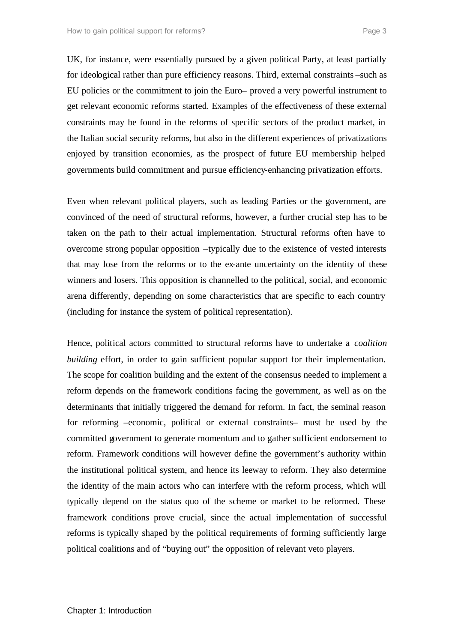UK, for instance, were essentially pursued by a given political Party, at least partially for ideological rather than pure efficiency reasons. Third, external constraints –such as EU policies or the commitment to join the Euro– proved a very powerful instrument to get relevant economic reforms started. Examples of the effectiveness of these external constraints may be found in the reforms of specific sectors of the product market, in the Italian social security reforms, but also in the different experiences of privatizations enjoyed by transition economies, as the prospect of future EU membership helped governments build commitment and pursue efficiency-enhancing privatization efforts.

Even when relevant political players, such as leading Parties or the government, are convinced of the need of structural reforms, however, a further crucial step has to be taken on the path to their actual implementation. Structural reforms often have to overcome strong popular opposition –typically due to the existence of vested interests that may lose from the reforms or to the ex-ante uncertainty on the identity of these winners and losers. This opposition is channelled to the political, social, and economic arena differently, depending on some characteristics that are specific to each country (including for instance the system of political representation).

Hence, political actors committed to structural reforms have to undertake a *coalition building* effort, in order to gain sufficient popular support for their implementation. The scope for coalition building and the extent of the consensus needed to implement a reform depends on the framework conditions facing the government, as well as on the determinants that initially triggered the demand for reform. In fact, the seminal reason for reforming –economic, political or external constraints– must be used by the committed government to generate momentum and to gather sufficient endorsement to reform. Framework conditions will however define the government's authority within the institutional political system, and hence its leeway to reform. They also determine the identity of the main actors who can interfere with the reform process, which will typically depend on the status quo of the scheme or market to be reformed. These framework conditions prove crucial, since the actual implementation of successful reforms is typically shaped by the political requirements of forming sufficiently large political coalitions and of "buying out" the opposition of relevant veto players.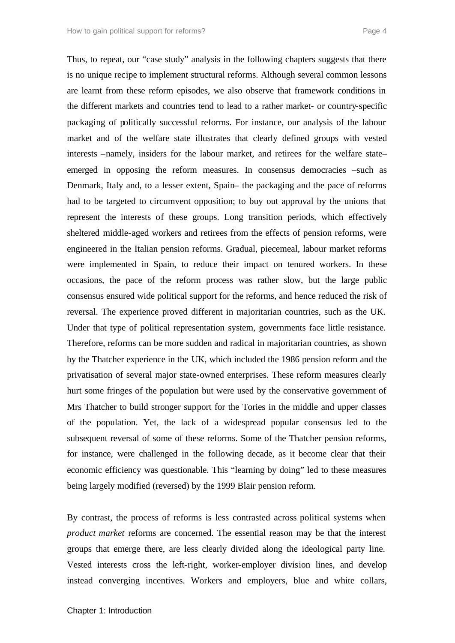Thus, to repeat, our "case study" analysis in the following chapters suggests that there is no unique recipe to implement structural reforms. Although several common lessons are learnt from these reform episodes, we also observe that framework conditions in the different markets and countries tend to lead to a rather market- or country-specific packaging of politically successful reforms. For instance, our analysis of the labour market and of the welfare state illustrates that clearly defined groups with vested interests –namely, insiders for the labour market, and retirees for the welfare state– emerged in opposing the reform measures. In consensus democracies –such as Denmark, Italy and, to a lesser extent, Spain– the packaging and the pace of reforms had to be targeted to circumvent opposition; to buy out approval by the unions that represent the interests of these groups. Long transition periods, which effectively sheltered middle-aged workers and retirees from the effects of pension reforms, were engineered in the Italian pension reforms. Gradual, piecemeal, labour market reforms were implemented in Spain, to reduce their impact on tenured workers. In these occasions, the pace of the reform process was rather slow, but the large public consensus ensured wide political support for the reforms, and hence reduced the risk of reversal. The experience proved different in majoritarian countries, such as the UK. Under that type of political representation system, governments face little resistance. Therefore, reforms can be more sudden and radical in majoritarian countries, as shown by the Thatcher experience in the UK, which included the 1986 pension reform and the privatisation of several major state-owned enterprises. These reform measures clearly hurt some fringes of the population but were used by the conservative government of Mrs Thatcher to build stronger support for the Tories in the middle and upper classes of the population. Yet, the lack of a widespread popular consensus led to the subsequent reversal of some of these reforms. Some of the Thatcher pension reforms, for instance, were challenged in the following decade, as it become clear that their economic efficiency was questionable. This "learning by doing" led to these measures being largely modified (reversed) by the 1999 Blair pension reform.

By contrast, the process of reforms is less contrasted across political systems when *product market* reforms are concerned. The essential reason may be that the interest groups that emerge there, are less clearly divided along the ideological party line. Vested interests cross the left-right, worker-employer division lines, and develop instead converging incentives. Workers and employers, blue and white collars,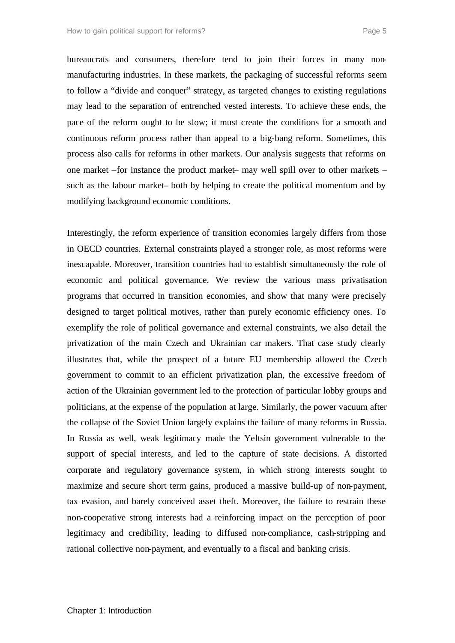bureaucrats and consumers, therefore tend to join their forces in many nonmanufacturing industries. In these markets, the packaging of successful reforms seem to follow a "divide and conquer" strategy, as targeted changes to existing regulations may lead to the separation of entrenched vested interests. To achieve these ends, the pace of the reform ought to be slow; it must create the conditions for a smooth and continuous reform process rather than appeal to a big-bang reform. Sometimes, this process also calls for reforms in other markets. Our analysis suggests that reforms on one market –for instance the product market– may well spill over to other markets – such as the labour market– both by helping to create the political momentum and by modifying background economic conditions.

Interestingly, the reform experience of transition economies largely differs from those in OECD countries. External constraints played a stronger role, as most reforms were inescapable. Moreover, transition countries had to establish simultaneously the role of economic and political governance. We review the various mass privatisation programs that occurred in transition economies, and show that many were precisely designed to target political motives, rather than purely economic efficiency ones. To exemplify the role of political governance and external constraints, we also detail the privatization of the main Czech and Ukrainian car makers. That case study clearly illustrates that, while the prospect of a future EU membership allowed the Czech government to commit to an efficient privatization plan, the excessive freedom of action of the Ukrainian government led to the protection of particular lobby groups and politicians, at the expense of the population at large. Similarly, the power vacuum after the collapse of the Soviet Union largely explains the failure of many reforms in Russia. In Russia as well, weak legitimacy made the Yeltsin government vulnerable to the support of special interests, and led to the capture of state decisions. A distorted corporate and regulatory governance system, in which strong interests sought to maximize and secure short term gains, produced a massive build-up of non-payment, tax evasion, and barely conceived asset theft. Moreover, the failure to restrain these non-cooperative strong interests had a reinforcing impact on the perception of poor legitimacy and credibility, leading to diffused non-compliance, cash-stripping and rational collective non-payment, and eventually to a fiscal and banking crisis.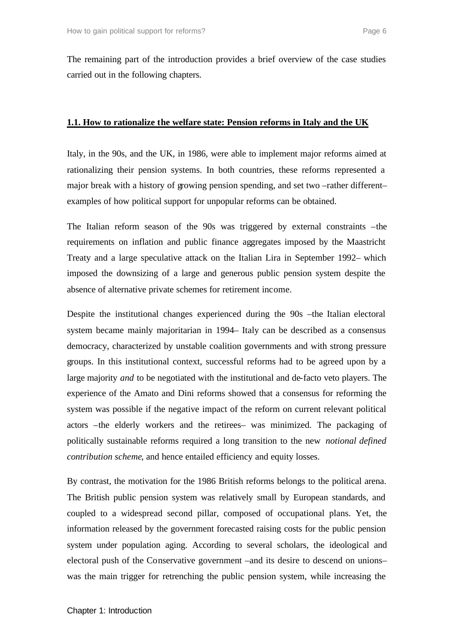The remaining part of the introduction provides a brief overview of the case studies carried out in the following chapters.

#### **1.1. How to rationalize the welfare state: Pension reforms in Italy and the UK**

Italy, in the 90s, and the UK, in 1986, were able to implement major reforms aimed at rationalizing their pension systems. In both countries, these reforms represented a major break with a history of growing pension spending, and set two –rather different– examples of how political support for unpopular reforms can be obtained.

The Italian reform season of the 90s was triggered by external constraints –the requirements on inflation and public finance aggregates imposed by the Maastricht Treaty and a large speculative attack on the Italian Lira in September 1992– which imposed the downsizing of a large and generous public pension system despite the absence of alternative private schemes for retirement income.

Despite the institutional changes experienced during the 90s –the Italian electoral system became mainly majoritarian in 1994– Italy can be described as a consensus democracy, characterized by unstable coalition governments and with strong pressure groups. In this institutional context, successful reforms had to be agreed upon by a large majority *and* to be negotiated with the institutional and de-facto veto players. The experience of the Amato and Dini reforms showed that a consensus for reforming the system was possible if the negative impact of the reform on current relevant political actors –the elderly workers and the retirees– was minimized. The packaging of politically sustainable reforms required a long transition to the new *notional defined contribution scheme*, and hence entailed efficiency and equity losses.

By contrast, the motivation for the 1986 British reforms belongs to the political arena. The British public pension system was relatively small by European standards, and coupled to a widespread second pillar, composed of occupational plans. Yet, the information released by the government forecasted raising costs for the public pension system under population aging. According to several scholars, the ideological and electoral push of the Conservative government –and its desire to descend on unions– was the main trigger for retrenching the public pension system, while increasing the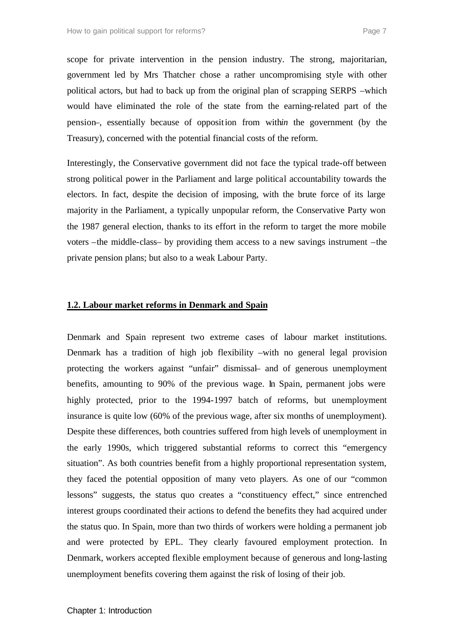scope for private intervention in the pension industry. The strong, majoritarian, government led by Mrs Thatcher chose a rather uncompromising style with other political actors, but had to back up from the original plan of scrapping SERPS –which would have eliminated the role of the state from the earning-related part of the pension–, essentially because of opposition from with*in* the government (by the Treasury), concerned with the potential financial costs of the reform.

Interestingly, the Conservative government did not face the typical trade-off between strong political power in the Parliament and large political accountability towards the electors. In fact, despite the decision of imposing, with the brute force of its large majority in the Parliament, a typically unpopular reform, the Conservative Party won the 1987 general election, thanks to its effort in the reform to target the more mobile voters –the middle-class– by providing them access to a new savings instrument –the private pension plans; but also to a weak Labour Party.

#### **1.2. Labour market reforms in Denmark and Spain**

Denmark and Spain represent two extreme cases of labour market institutions. Denmark has a tradition of high job flexibility –with no general legal provision protecting the workers against "unfair" dismissal– and of generous unemployment benefits, amounting to 90% of the previous wage. In Spain, permanent jobs were highly protected, prior to the 1994-1997 batch of reforms, but unemployment insurance is quite low (60% of the previous wage, after six months of unemployment). Despite these differences, both countries suffered from high levels of unemployment in the early 1990s, which triggered substantial reforms to correct this "emergency situation". As both countries benefit from a highly proportional representation system, they faced the potential opposition of many veto players. As one of our "common lessons" suggests, the status quo creates a "constituency effect," since entrenched interest groups coordinated their actions to defend the benefits they had acquired under the status quo. In Spain, more than two thirds of workers were holding a permanent job and were protected by EPL. They clearly favoured employment protection. In Denmark, workers accepted flexible employment because of generous and long-lasting unemployment benefits covering them against the risk of losing of their job.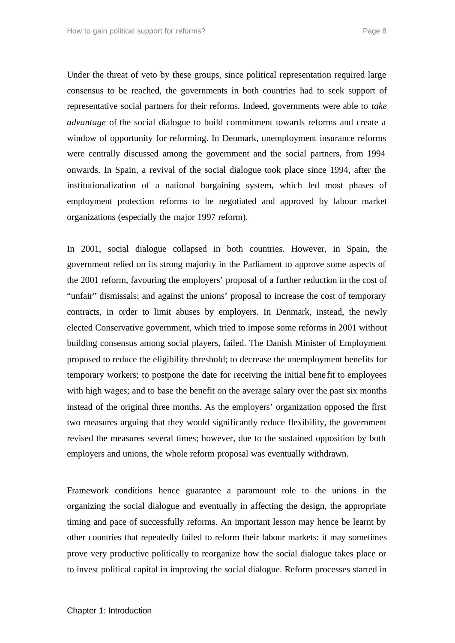Under the threat of veto by these groups, since political representation required large consensus to be reached, the governments in both countries had to seek support of representative social partners for their reforms. Indeed, governments were able to *take advantage* of the social dialogue to build commitment towards reforms and create a window of opportunity for reforming. In Denmark, unemployment insurance reforms were centrally discussed among the government and the social partners, from 1994 onwards. In Spain, a revival of the social dialogue took place since 1994, after the institutionalization of a national bargaining system, which led most phases of employment protection reforms to be negotiated and approved by labour market organizations (especially the major 1997 reform).

In 2001, social dialogue collapsed in both countries. However, in Spain, the government relied on its strong majority in the Parliament to approve some aspects of the 2001 reform, favouring the employers' proposal of a further reduction in the cost of "unfair" dismissals; and against the unions' proposal to increase the cost of temporary contracts, in order to limit abuses by employers. In Denmark, instead, the newly elected Conservative government, which tried to impose some reforms in 2001 without building consensus among social players, failed. The Danish Minister of Employment proposed to reduce the eligibility threshold; to decrease the unemployment benefits for temporary workers; to postpone the date for receiving the initial bene fit to employees with high wages; and to base the benefit on the average salary over the past six months instead of the original three months. As the employers' organization opposed the first two measures arguing that they would significantly reduce flexibility, the government revised the measures several times; however, due to the sustained opposition by both employers and unions, the whole reform proposal was eventually withdrawn.

Framework conditions hence guarantee a paramount role to the unions in the organizing the social dialogue and eventually in affecting the design, the appropriate timing and pace of successfully reforms. An important lesson may hence be learnt by other countries that repeatedly failed to reform their labour markets: it may sometimes prove very productive politically to reorganize how the social dialogue takes place or to invest political capital in improving the social dialogue. Reform processes started in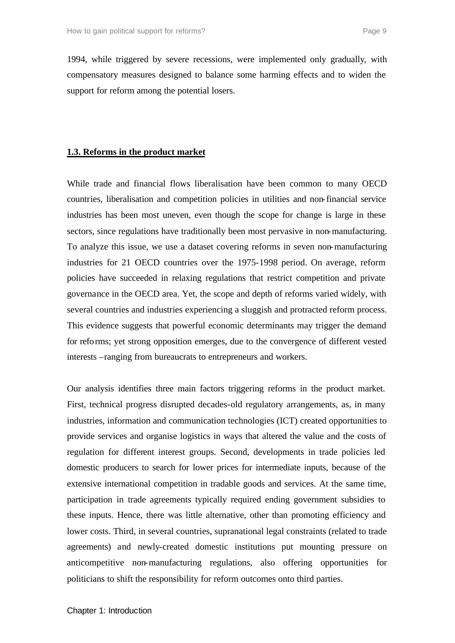1994, while triggered by severe recessions, were implemented only gradually, with compensatory measures designed to balance some harming effects and to widen the support for reform among the potential losers.

#### **1.3. Reforms in the product market**

While trade and financial flows liberalisation have been common to many OECD countries, liberalisation and competition policies in utilities and non-financial service industries has been most uneven, even though the scope for change is large in these sectors, since regulations have traditionally been most pervasive in non-manufacturing. To analyze this issue, we use a dataset covering reforms in seven non-manufacturing industries for 21 OECD countries over the 1975-1998 period. On average, reform policies have succeeded in relaxing regulations that restrict competition and private governance in the OECD area. Yet, the scope and depth of reforms varied widely, with several countries and industries experiencing a sluggish and protracted reform process. This evidence suggests that powerful economic determinants may trigger the demand for reforms; yet strong opposition emerges, due to the convergence of different vested interests –ranging from bureaucrats to entrepreneurs and workers.

Our analysis identifies three main factors triggering reforms in the product market. First, technical progress disrupted decades-old regulatory arrangements, as, in many industries, information and communication technologies (ICT) created opportunities to provide services and organise logistics in ways that altered the value and the costs of regulation for different interest groups. Second, developments in trade policies led domestic producers to search for lower prices for intermediate inputs, because of the extensive international competition in tradable goods and services. At the same time, participation in trade agreements typically required ending government subsidies to these inputs. Hence, there was little alternative, other than promoting efficiency and lower costs. Third, in several countries, supranational legal constraints (related to trade agreements) and newly-created domestic institutions put mounting pressure on anticompetitive non-manufacturing regulations, also offering opportunities for politicians to shift the responsibility for reform outcomes onto third parties.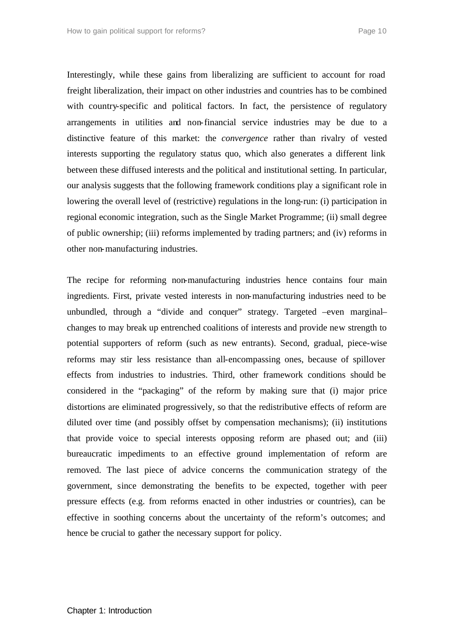Interestingly, while these gains from liberalizing are sufficient to account for road freight liberalization, their impact on other industries and countries has to be combined with country-specific and political factors. In fact, the persistence of regulatory arrangements in utilities and non-financial service industries may be due to a distinctive feature of this market: the *convergence* rather than rivalry of vested interests supporting the regulatory status quo, which also generates a different link between these diffused interests and the political and institutional setting. In particular, our analysis suggests that the following framework conditions play a significant role in lowering the overall level of (restrictive) regulations in the long-run: (i) participation in regional economic integration, such as the Single Market Programme; (ii) small degree of public ownership; (iii) reforms implemented by trading partners; and (iv) reforms in other non-manufacturing industries.

The recipe for reforming non-manufacturing industries hence contains four main ingredients. First, private vested interests in non-manufacturing industries need to be unbundled, through a "divide and conquer" strategy. Targeted –even marginal– changes to may break up entrenched coalitions of interests and provide new strength to potential supporters of reform (such as new entrants). Second, gradual, piece-wise reforms may stir less resistance than all-encompassing ones, because of spillover effects from industries to industries. Third, other framework conditions should be considered in the "packaging" of the reform by making sure that (i) major price distortions are eliminated progressively, so that the redistributive effects of reform are diluted over time (and possibly offset by compensation mechanisms); (ii) institutions that provide voice to special interests opposing reform are phased out; and (iii) bureaucratic impediments to an effective ground implementation of reform are removed. The last piece of advice concerns the communication strategy of the government, since demonstrating the benefits to be expected, together with peer pressure effects (e.g. from reforms enacted in other industries or countries), can be effective in soothing concerns about the uncertainty of the reform's outcomes; and hence be crucial to gather the necessary support for policy.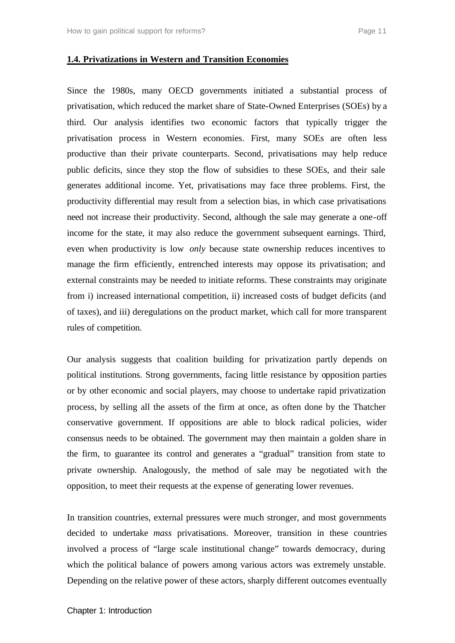#### **1.4. Privatizations in Western and Transition Economies**

Since the 1980s, many OECD governments initiated a substantial process of privatisation, which reduced the market share of State-Owned Enterprises (SOEs) by a third. Our analysis identifies two economic factors that typically trigger the privatisation process in Western economies. First, many SOEs are often less productive than their private counterparts. Second, privatisations may help reduce public deficits, since they stop the flow of subsidies to these SOEs, and their sale generates additional income. Yet, privatisations may face three problems. First, the productivity differential may result from a selection bias, in which case privatisations need not increase their productivity. Second, although the sale may generate a one-off income for the state, it may also reduce the government subsequent earnings. Third, even when productivity is low *only* because state ownership reduces incentives to manage the firm efficiently, entrenched interests may oppose its privatisation; and external constraints may be needed to initiate reforms. These constraints may originate from i) increased international competition, ii) increased costs of budget deficits (and of taxes), and iii) deregulations on the product market, which call for more transparent rules of competition.

Our analysis suggests that coalition building for privatization partly depends on political institutions. Strong governments, facing little resistance by opposition parties or by other economic and social players, may choose to undertake rapid privatization process, by selling all the assets of the firm at once, as often done by the Thatcher conservative government. If oppositions are able to block radical policies, wider consensus needs to be obtained. The government may then maintain a golden share in the firm, to guarantee its control and generates a "gradual" transition from state to private ownership. Analogously, the method of sale may be negotiated with the opposition, to meet their requests at the expense of generating lower revenues.

In transition countries, external pressures were much stronger, and most governments decided to undertake *mass* privatisations. Moreover, transition in these countries involved a process of "large scale institutional change" towards democracy, during which the political balance of powers among various actors was extremely unstable. Depending on the relative power of these actors, sharply different outcomes eventually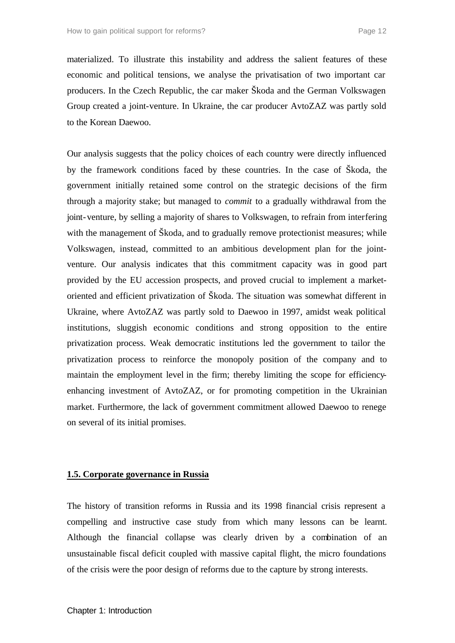materialized. To illustrate this instability and address the salient features of these economic and political tensions, we analyse the privatisation of two important car producers. In the Czech Republic, the car maker Škoda and the German Volkswagen Group created a joint-venture. In Ukraine, the car producer AvtoZAZ was partly sold to the Korean Daewoo.

Our analysis suggests that the policy choices of each country were directly influenced by the framework conditions faced by these countries. In the case of Škoda, the government initially retained some control on the strategic decisions of the firm through a majority stake; but managed to *commit* to a gradually withdrawal from the joint-venture, by selling a majority of shares to Volkswagen, to refrain from interfering with the management of Škoda, and to gradually remove protectionist measures; while Volkswagen, instead, committed to an ambitious development plan for the jointventure. Our analysis indicates that this commitment capacity was in good part provided by the EU accession prospects, and proved crucial to implement a marketoriented and efficient privatization of Škoda. The situation was somewhat different in Ukraine, where AvtoZAZ was partly sold to Daewoo in 1997, amidst weak political institutions, sluggish economic conditions and strong opposition to the entire privatization process. Weak democratic institutions led the government to tailor the privatization process to reinforce the monopoly position of the company and to maintain the employment level in the firm; thereby limiting the scope for efficiencyenhancing investment of AvtoZAZ, or for promoting competition in the Ukrainian market. Furthermore, the lack of government commitment allowed Daewoo to renege on several of its initial promises.

#### **1.5. Corporate governance in Russia**

The history of transition reforms in Russia and its 1998 financial crisis represent a compelling and instructive case study from which many lessons can be learnt. Although the financial collapse was clearly driven by a combination of an unsustainable fiscal deficit coupled with massive capital flight, the micro foundations of the crisis were the poor design of reforms due to the capture by strong interests.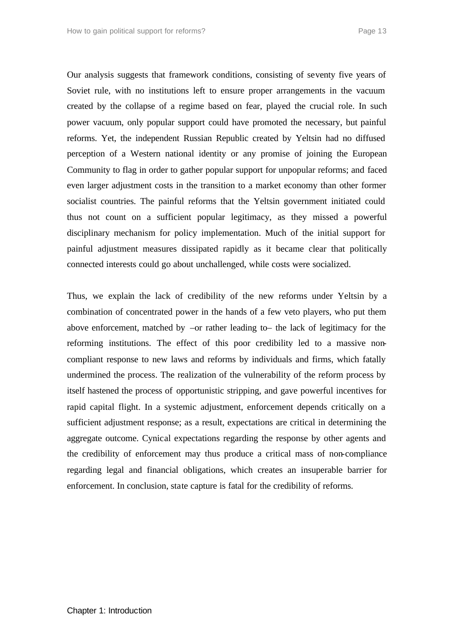Our analysis suggests that framework conditions, consisting of seventy five years of Soviet rule, with no institutions left to ensure proper arrangements in the vacuum created by the collapse of a regime based on fear, played the crucial role. In such power vacuum, only popular support could have promoted the necessary, but painful reforms. Yet, the independent Russian Republic created by Yeltsin had no diffused perception of a Western national identity or any promise of joining the European Community to flag in order to gather popular support for unpopular reforms; and faced even larger adjustment costs in the transition to a market economy than other former socialist countries. The painful reforms that the Yeltsin government initiated could thus not count on a sufficient popular legitimacy, as they missed a powerful disciplinary mechanism for policy implementation. Much of the initial support for painful adjustment measures dissipated rapidly as it became clear that politically connected interests could go about unchallenged, while costs were socialized.

Thus, we explain the lack of credibility of the new reforms under Yeltsin by a combination of concentrated power in the hands of a few veto players, who put them above enforcement, matched by –or rather leading to– the lack of legitimacy for the reforming institutions. The effect of this poor credibility led to a massive noncompliant response to new laws and reforms by individuals and firms, which fatally undermined the process. The realization of the vulnerability of the reform process by itself hastened the process of opportunistic stripping, and gave powerful incentives for rapid capital flight. In a systemic adjustment, enforcement depends critically on a sufficient adjustment response; as a result, expectations are critical in determining the aggregate outcome. Cynical expectations regarding the response by other agents and the credibility of enforcement may thus produce a critical mass of non-compliance regarding legal and financial obligations, which creates an insuperable barrier for enforcement. In conclusion, state capture is fatal for the credibility of reforms.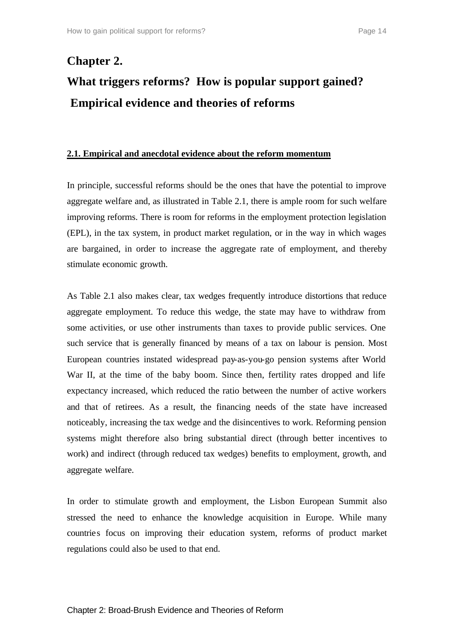# **Chapter 2. What triggers reforms? How is popular support gained? Empirical evidence and theories of reforms**

#### **2.1. Empirical and anecdotal evidence about the reform momentum**

In principle, successful reforms should be the ones that have the potential to improve aggregate welfare and, as illustrated in Table 2.1, there is ample room for such welfare improving reforms. There is room for reforms in the employment protection legislation (EPL), in the tax system, in product market regulation, or in the way in which wages are bargained, in order to increase the aggregate rate of employment, and thereby stimulate economic growth.

As Table 2.1 also makes clear, tax wedges frequently introduce distortions that reduce aggregate employment. To reduce this wedge, the state may have to withdraw from some activities, or use other instruments than taxes to provide public services. One such service that is generally financed by means of a tax on labour is pension. Most European countries instated widespread pay-as-you-go pension systems after World War II, at the time of the baby boom. Since then, fertility rates dropped and life expectancy increased, which reduced the ratio between the number of active workers and that of retirees. As a result, the financing needs of the state have increased noticeably, increasing the tax wedge and the disincentives to work. Reforming pension systems might therefore also bring substantial direct (through better incentives to work) and indirect (through reduced tax wedges) benefits to employment, growth, and aggregate welfare.

In order to stimulate growth and employment, the Lisbon European Summit also stressed the need to enhance the knowledge acquisition in Europe. While many countries focus on improving their education system, reforms of product market regulations could also be used to that end.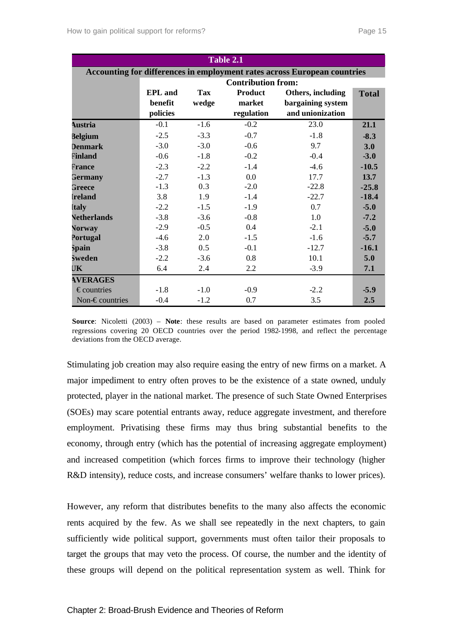| Table 2.1                                                                |                           |            |                |                   |              |  |
|--------------------------------------------------------------------------|---------------------------|------------|----------------|-------------------|--------------|--|
| Accounting for differences in employment rates across European countries |                           |            |                |                   |              |  |
|                                                                          | <b>Contribution from:</b> |            |                |                   |              |  |
|                                                                          | <b>EPL</b> and            | <b>Tax</b> | <b>Product</b> | Others, including | <b>Total</b> |  |
|                                                                          | benefit                   | wedge      | market         | bargaining system |              |  |
|                                                                          | policies                  |            | regulation     | and unionization  |              |  |
| <b>Austria</b>                                                           | $-0.1$                    | $-1.6$     | $-0.2$         | 23.0              | 21.1         |  |
| <b>Belgium</b>                                                           | $-2.5$                    | $-3.3$     | $-0.7$         | $-1.8$            | $-8.3$       |  |
| <b>Denmark</b>                                                           | $-3.0$                    | $-3.0$     | $-0.6$         | 9.7               | 3.0          |  |
| Finland                                                                  | $-0.6$                    | $-1.8$     | $-0.2$         | $-0.4$            | $-3.0$       |  |
| France                                                                   | $-2.3$                    | $-2.2$     | $-1.4$         | $-4.6$            | $-10.5$      |  |
| Germany                                                                  | $-2.7$                    | $-1.3$     | 0.0            | 17.7              | 13.7         |  |
| Greece                                                                   | $-1.3$                    | 0.3        | $-2.0$         | $-22.8$           | $-25.8$      |  |
| <b>Ireland</b>                                                           | 3.8                       | 1.9        | $-1.4$         | $-22.7$           | $-18.4$      |  |
| <b>Italy</b>                                                             | $-2.2$                    | $-1.5$     | $-1.9$         | 0.7               | $-5.0$       |  |
| <b>Netherlands</b>                                                       | $-3.8$                    | $-3.6$     | $-0.8$         | 1.0               | $-7.2$       |  |
| <b>Norway</b>                                                            | $-2.9$                    | $-0.5$     | 0.4            | $-2.1$            | $-5.0$       |  |
| Portugal                                                                 | $-4.6$                    | 2.0        | $-1.5$         | $-1.6$            | $-5.7$       |  |
| Spain                                                                    | $-3.8$                    | 0.5        | $-0.1$         | $-12.7$           | $-16.1$      |  |
| <b>Sweden</b>                                                            | $-2.2$                    | $-3.6$     | 0.8            | 10.1              | 5.0          |  |
| UK                                                                       | 6.4                       | 2.4        | 2.2            | $-3.9$            | 7.1          |  |
| <b>AVERAGES</b>                                                          |                           |            |                |                   |              |  |
| $\epsilon$ countries                                                     | $-1.8$                    | $-1.0$     | $-0.9$         | $-2.2$            | $-5.9$       |  |
| Non- $\epsilon$ countries                                                | $-0.4$                    | $-1.2$     | 0.7            | 3.5               | 2.5          |  |

**Source**: Nicoletti (2003) – **Note**: these results are based on parameter estimates from pooled regressions covering 20 OECD countries over the period 1982-1998, and reflect the percentage deviations from the OECD average.

Stimulating job creation may also require easing the entry of new firms on a market. A major impediment to entry often proves to be the existence of a state owned, unduly protected, player in the national market. The presence of such State Owned Enterprises (SOEs) may scare potential entrants away, reduce aggregate investment, and therefore employment. Privatising these firms may thus bring substantial benefits to the economy, through entry (which has the potential of increasing aggregate employment) and increased competition (which forces firms to improve their technology (higher R&D intensity), reduce costs, and increase consumers' welfare thanks to lower prices).

However, any reform that distributes benefits to the many also affects the economic rents acquired by the few. As we shall see repeatedly in the next chapters, to gain sufficiently wide political support, governments must often tailor their proposals to target the groups that may veto the process. Of course, the number and the identity of these groups will depend on the political representation system as well. Think for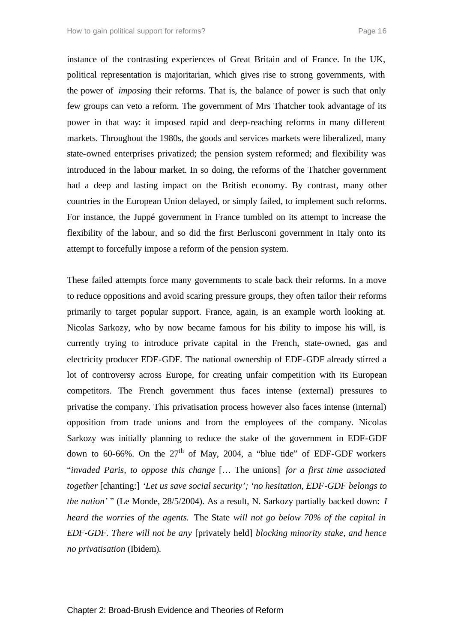instance of the contrasting experiences of Great Britain and of France. In the UK, political representation is majoritarian, which gives rise to strong governments, with the power of *imposing* their reforms. That is, the balance of power is such that only few groups can veto a reform. The government of Mrs Thatcher took advantage of its power in that way: it imposed rapid and deep-reaching reforms in many different markets. Throughout the 1980s, the goods and services markets were liberalized, many state-owned enterprises privatized; the pension system reformed; and flexibility was introduced in the labour market. In so doing, the reforms of the Thatcher government had a deep and lasting impact on the British economy. By contrast, many other countries in the European Union delayed, or simply failed, to implement such reforms. For instance, the Juppé government in France tumbled on its attempt to increase the flexibility of the labour, and so did the first Berlusconi government in Italy onto its attempt to forcefully impose a reform of the pension system.

These failed attempts force many governments to scale back their reforms. In a move to reduce oppositions and avoid scaring pressure groups, they often tailor their reforms primarily to target popular support. France, again, is an example worth looking at. Nicolas Sarkozy, who by now became famous for his ability to impose his will, is currently trying to introduce private capital in the French, state-owned, gas and electricity producer EDF-GDF. The national ownership of EDF-GDF already stirred a lot of controversy across Europe, for creating unfair competition with its European competitors. The French government thus faces intense (external) pressures to privatise the company. This privatisation process however also faces intense (internal) opposition from trade unions and from the employees of the company. Nicolas Sarkozy was initially planning to reduce the stake of the government in EDF-GDF down to 60-66%. On the  $27<sup>th</sup>$  of May, 2004, a "blue tide" of EDF-GDF workers "*invaded Paris, to oppose this change* [… The unions] *for a first time associated together* [chanting:] *'Let us save social security'; 'no hesitation, EDF-GDF belongs to the nation'* " (Le Monde, 28/5/2004). As a result, N. Sarkozy partially backed down: *I heard the worries of the agents.* The State *will not go below 70% of the capital in EDF-GDF. There will not be any* [privately held] *blocking minority stake, and hence no privatisation* (Ibidem)*.*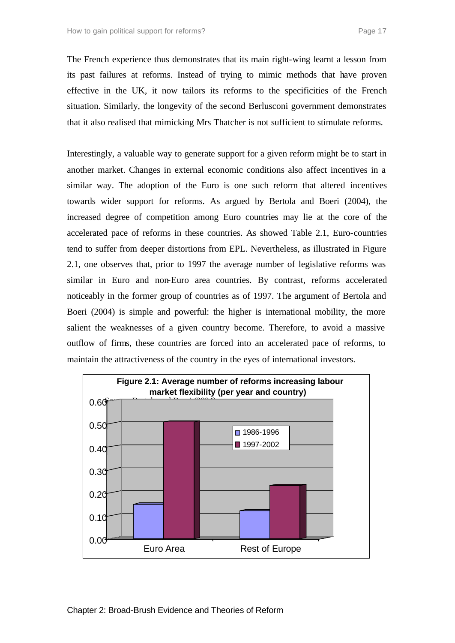The French experience thus demonstrates that its main right-wing learnt a lesson from its past failures at reforms. Instead of trying to mimic methods that have proven effective in the UK, it now tailors its reforms to the specificities of the French situation. Similarly, the longevity of the second Berlusconi government demonstrates that it also realised that mimicking Mrs Thatcher is not sufficient to stimulate reforms.

Interestingly, a valuable way to generate support for a given reform might be to start in another market. Changes in external economic conditions also affect incentives in a similar way. The adoption of the Euro is one such reform that altered incentives towards wider support for reforms. As argued by Bertola and Boeri (2004), the increased degree of competition among Euro countries may lie at the core of the accelerated pace of reforms in these countries. As showed Table 2.1, Euro-countries tend to suffer from deeper distortions from EPL. Nevertheless, as illustrated in Figure 2.1, one observes that, prior to 1997 the average number of legislative reforms was similar in Euro and non-Euro area countries. By contrast, reforms accelerated noticeably in the former group of countries as of 1997. The argument of Bertola and Boeri (2004) is simple and powerful: the higher is international mobility, the more salient the weaknesses of a given country become. Therefore, to avoid a massive outflow of firms, these countries are forced into an accelerated pace of reforms, to maintain the attractiveness of the country in the eyes of international investors.

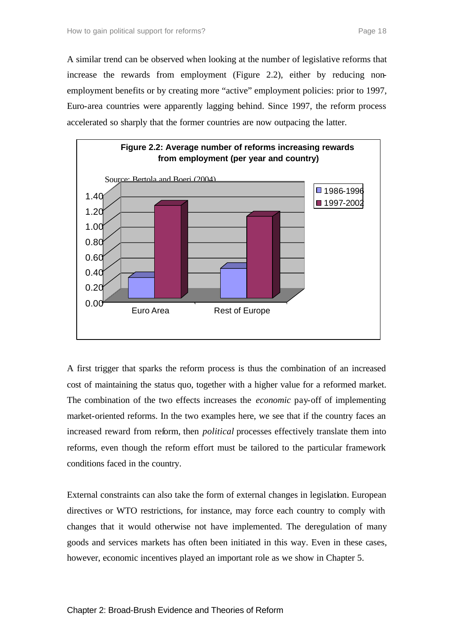A similar trend can be observed when looking at the number of legislative reforms that increase the rewards from employment (Figure 2.2), either by reducing nonemployment benefits or by creating more "active" employment policies: prior to 1997, Euro-area countries were apparently lagging behind. Since 1997, the reform process accelerated so sharply that the former countries are now outpacing the latter.



A first trigger that sparks the reform process is thus the combination of an increased cost of maintaining the status quo, together with a higher value for a reformed market. The combination of the two effects increases the *economic* pay-off of implementing market-oriented reforms. In the two examples here, we see that if the country faces an increased reward from reform, then *political* processes effectively translate them into reforms, even though the reform effort must be tailored to the particular framework conditions faced in the country.

External constraints can also take the form of external changes in legislation. European directives or WTO restrictions, for instance, may force each country to comply with changes that it would otherwise not have implemented. The deregulation of many goods and services markets has often been initiated in this way. Even in these cases, however, economic incentives played an important role as we show in Chapter 5.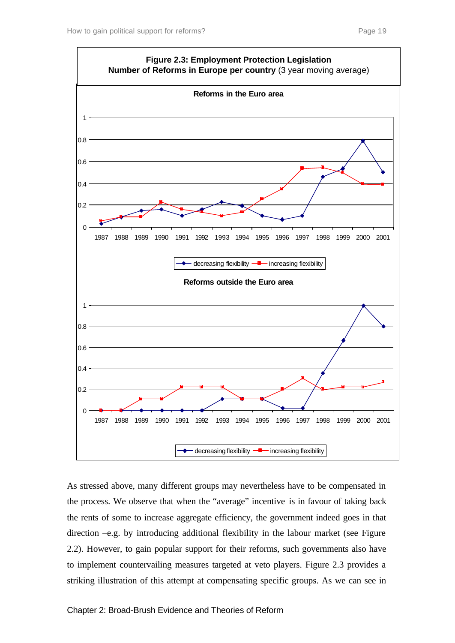

As stressed above, many different groups may nevertheless have to be compensated in the process. We observe that when the "average" incentive is in favour of taking back the rents of some to increase aggregate efficiency, the government indeed goes in that direction –e.g. by introducing additional flexibility in the labour market (see Figure 2.2). However, to gain popular support for their reforms, such governments also have to implement countervailing measures targeted at veto players. Figure 2.3 provides a striking illustration of this attempt at compensating specific groups. As we can see in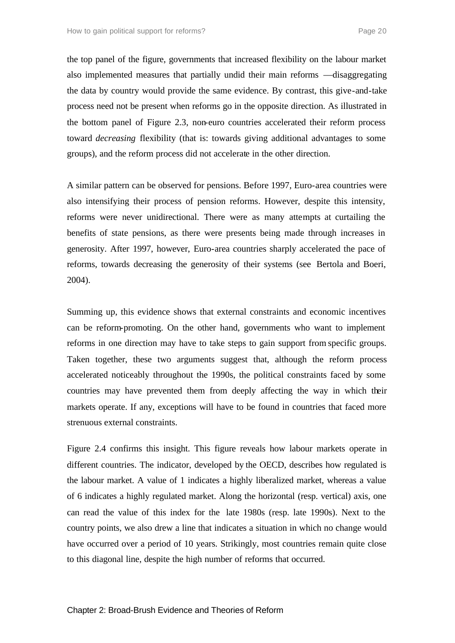the top panel of the figure, governments that increased flexibility on the labour market also implemented measures that partially undid their main reforms ––disaggregating the data by country would provide the same evidence. By contrast, this give-and-take process need not be present when reforms go in the opposite direction. As illustrated in the bottom panel of Figure 2.3, non-euro countries accelerated their reform process toward *decreasing* flexibility (that is: towards giving additional advantages to some groups), and the reform process did not accelerate in the other direction.

A similar pattern can be observed for pensions. Before 1997, Euro-area countries were also intensifying their process of pension reforms. However, despite this intensity, reforms were never unidirectional. There were as many attempts at curtailing the benefits of state pensions, as there were presents being made through increases in generosity. After 1997, however, Euro-area countries sharply accelerated the pace of reforms, towards decreasing the generosity of their systems (see Bertola and Boeri, 2004).

Summing up, this evidence shows that external constraints and economic incentives can be reform-promoting. On the other hand, governments who want to implement reforms in one direction may have to take steps to gain support from specific groups. Taken together, these two arguments suggest that, although the reform process accelerated noticeably throughout the 1990s, the political constraints faced by some countries may have prevented them from deeply affecting the way in which their markets operate. If any, exceptions will have to be found in countries that faced more strenuous external constraints.

Figure 2.4 confirms this insight. This figure reveals how labour markets operate in different countries. The indicator, developed by the OECD, describes how regulated is the labour market. A value of 1 indicates a highly liberalized market, whereas a value of 6 indicates a highly regulated market. Along the horizontal (resp. vertical) axis, one can read the value of this index for the late 1980s (resp. late 1990s). Next to the country points, we also drew a line that indicates a situation in which no change would have occurred over a period of 10 years. Strikingly, most countries remain quite close to this diagonal line, despite the high number of reforms that occurred.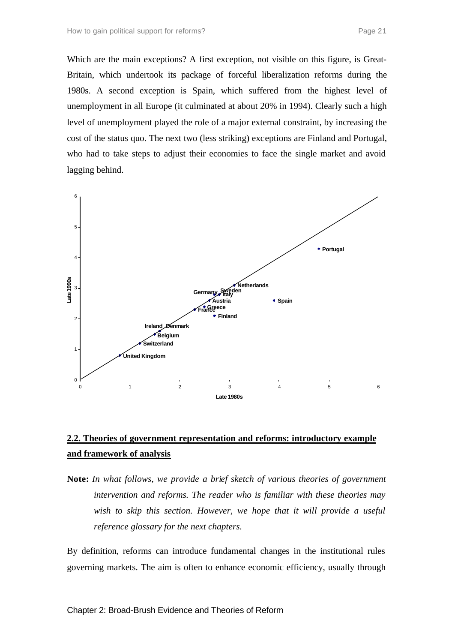Which are the main exceptions? A first exception, not visible on this figure, is Great-Britain, which undertook its package of forceful liberalization reforms during the 1980s. A second exception is Spain, which suffered from the highest level of unemployment in all Europe (it culminated at about 20% in 1994). Clearly such a high level of unemployment played the role of a major external constraint, by increasing the cost of the status quo. The next two (less striking) exceptions are Finland and Portugal, who had to take steps to adjust their economies to face the single market and avoid lagging behind.



### **2.2. Theories of government representation and reforms: introductory example and framework of analysis**

**Note:** *In what follows, we provide a brief sketch of various theories of government intervention and reforms. The reader who is familiar with these theories may wish to skip this section. However, we hope that it will provide a useful reference glossary for the next chapters.*

By definition, reforms can introduce fundamental changes in the institutional rules governing markets. The aim is often to enhance economic efficiency, usually through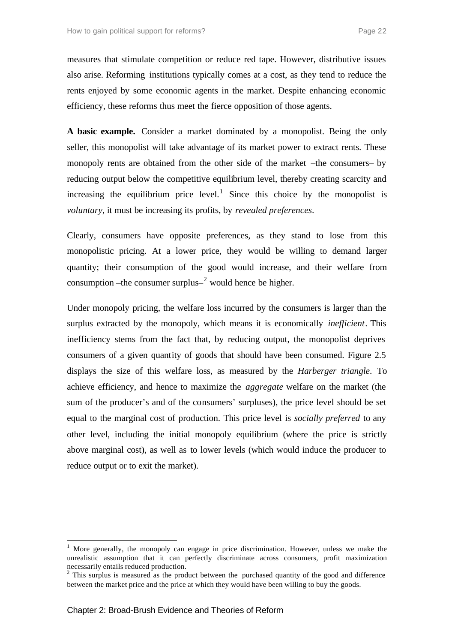measures that stimulate competition or reduce red tape. However, distributive issues also arise. Reforming institutions typically comes at a cost, as they tend to reduce the rents enjoyed by some economic agents in the market. Despite enhancing economic efficiency, these reforms thus meet the fierce opposition of those agents.

**A basic example.** Consider a market dominated by a monopolist. Being the only seller, this monopolist will take advantage of its market power to extract rents. These monopoly rents are obtained from the other side of the market –the consumers– by reducing output below the competitive equilibrium level, thereby creating scarcity and increasing the equilibrium price level.<sup>1</sup> Since this choice by the monopolist is *voluntary*, it must be increasing its profits, by *revealed preferences*.

Clearly, consumers have opposite preferences, as they stand to lose from this monopolistic pricing. At a lower price, they would be willing to demand larger quantity; their consumption of the good would increase, and their welfare from consumption – the consumer surplus– $^2$  would hence be higher.

Under monopoly pricing, the welfare loss incurred by the consumers is larger than the surplus extracted by the monopoly, which means it is economically *inefficient*. This inefficiency stems from the fact that, by reducing output, the monopolist deprives consumers of a given quantity of goods that should have been consumed. Figure 2.5 displays the size of this welfare loss, as measured by the *Harberger triangle*. To achieve efficiency, and hence to maximize the *aggregate* welfare on the market (the sum of the producer's and of the consumers' surpluses), the price level should be set equal to the marginal cost of production. This price level is *socially preferred* to any other level, including the initial monopoly equilibrium (where the price is strictly above marginal cost), as well as to lower levels (which would induce the producer to reduce output or to exit the market).

l

 $<sup>1</sup>$  More generally, the monopoly can engage in price discrimination. However, unless we make the</sup> unrealistic assumption that it can perfectly discriminate across consumers, profit maximization necessarily entails reduced production.

 $2$  This surplus is measured as the product between the purchased quantity of the good and difference between the market price and the price at which they would have been willing to buy the goods.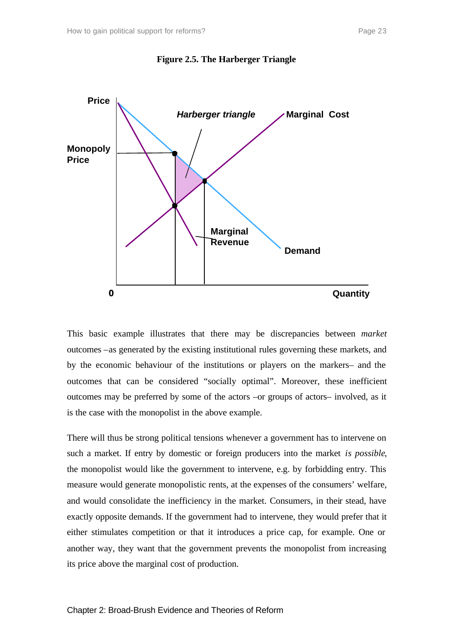



This basic example illustrates that there may be discrepancies between *market* outcomes –as generated by the existing institutional rules governing these markets, and by the economic behaviour of the institutions or players on the markers– and the outcomes that can be considered "socially optimal". Moreover, these inefficient outcomes may be preferred by some of the actors –or groups of actors– involved, as it is the case with the monopolist in the above example.

There will thus be strong political tensions whenever a government has to intervene on such a market. If entry by domestic or foreign producers into the market *is possible*, the monopolist would like the government to intervene, e.g. by forbidding entry. This measure would generate monopolistic rents, at the expenses of the consumers' welfare, and would consolidate the inefficiency in the market. Consumers, in their stead, have exactly opposite demands. If the government had to intervene, they would prefer that it either stimulates competition or that it introduces a price cap, for example. One or another way, they want that the government prevents the monopolist from increasing its price above the marginal cost of production.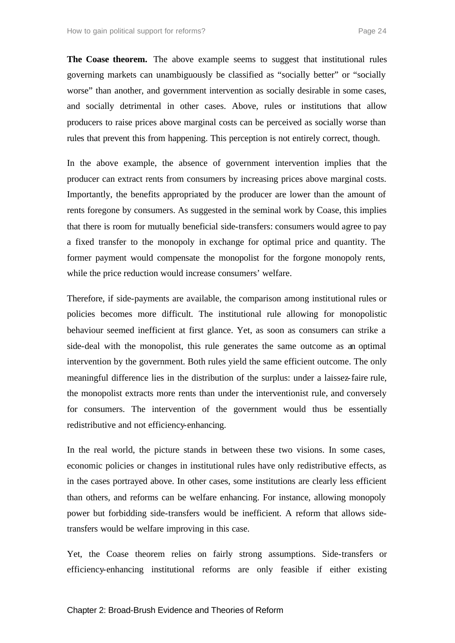**The Coase theorem.** The above example seems to suggest that institutional rules governing markets can unambiguously be classified as "socially better" or "socially worse" than another, and government intervention as socially desirable in some cases, and socially detrimental in other cases. Above, rules or institutions that allow producers to raise prices above marginal costs can be perceived as socially worse than rules that prevent this from happening. This perception is not entirely correct, though.

In the above example, the absence of government intervention implies that the producer can extract rents from consumers by increasing prices above marginal costs. Importantly, the benefits appropriated by the producer are lower than the amount of rents foregone by consumers. As suggested in the seminal work by Coase, this implies that there is room for mutually beneficial side-transfers: consumers would agree to pay a fixed transfer to the monopoly in exchange for optimal price and quantity. The former payment would compensate the monopolist for the forgone monopoly rents, while the price reduction would increase consumers' welfare.

Therefore, if side-payments are available, the comparison among institutional rules or policies becomes more difficult. The institutional rule allowing for monopolistic behaviour seemed inefficient at first glance. Yet, as soon as consumers can strike a side-deal with the monopolist, this rule generates the same outcome as an optimal intervention by the government. Both rules yield the same efficient outcome. The only meaningful difference lies in the distribution of the surplus: under a laissez-faire rule, the monopolist extracts more rents than under the interventionist rule, and conversely for consumers. The intervention of the government would thus be essentially redistributive and not efficiency-enhancing.

In the real world, the picture stands in between these two visions. In some cases, economic policies or changes in institutional rules have only redistributive effects, as in the cases portrayed above. In other cases, some institutions are clearly less efficient than others, and reforms can be welfare enhancing. For instance, allowing monopoly power but forbidding side-transfers would be inefficient. A reform that allows sidetransfers would be welfare improving in this case.

Yet, the Coase theorem relies on fairly strong assumptions. Side-transfers or efficiency-enhancing institutional reforms are only feasible if either existing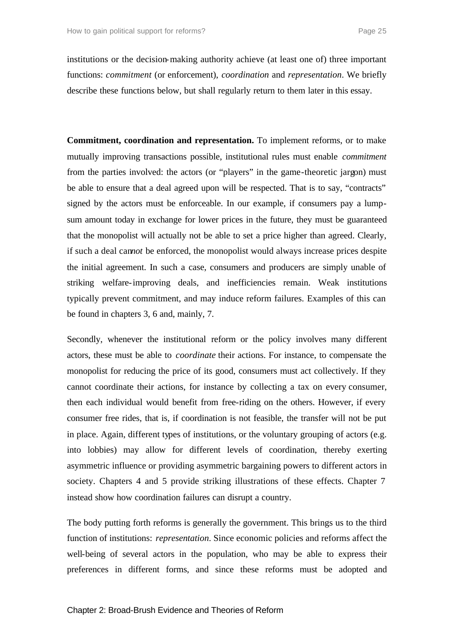institutions or the decision-making authority achieve (at least one of) three important functions: *commitment* (or enforcement), *coordination* and *representation*. We briefly describe these functions below, but shall regularly return to them later in this essay.

**Commitment, coordination and representation.** To implement reforms, or to make mutually improving transactions possible, institutional rules must enable *commitment* from the parties involved: the actors (or "players" in the game-theoretic jargon) must be able to ensure that a deal agreed upon will be respected. That is to say, "contracts" signed by the actors must be enforceable. In our example, if consumers pay a lumpsum amount today in exchange for lower prices in the future, they must be guaranteed that the monopolist will actually not be able to set a price higher than agreed. Clearly, if such a deal can*not* be enforced, the monopolist would always increase prices despite the initial agreement. In such a case, consumers and producers are simply unable of striking welfare-improving deals, and inefficiencies remain. Weak institutions typically prevent commitment, and may induce reform failures. Examples of this can be found in chapters 3, 6 and, mainly, 7.

Secondly, whenever the institutional reform or the policy involves many different actors, these must be able to *coordinate* their actions. For instance, to compensate the monopolist for reducing the price of its good, consumers must act collectively. If they cannot coordinate their actions, for instance by collecting a tax on every consumer, then each individual would benefit from free-riding on the others. However, if every consumer free rides, that is, if coordination is not feasible, the transfer will not be put in place. Again, different types of institutions, or the voluntary grouping of actors (e.g. into lobbies) may allow for different levels of coordination, thereby exerting asymmetric influence or providing asymmetric bargaining powers to different actors in society. Chapters 4 and 5 provide striking illustrations of these effects. Chapter 7 instead show how coordination failures can disrupt a country.

The body putting forth reforms is generally the government. This brings us to the third function of institutions: *representation*. Since economic policies and reforms affect the well-being of several actors in the population, who may be able to express their preferences in different forms, and since these reforms must be adopted and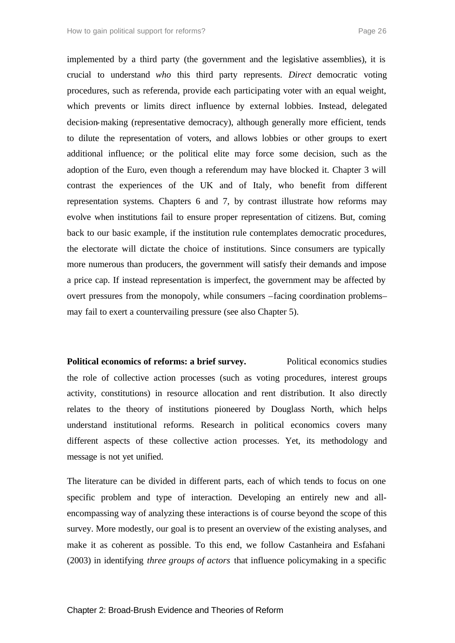implemented by a third party (the government and the legislative assemblies), it is crucial to understand *who* this third party represents. *Direct* democratic voting procedures, such as referenda, provide each participating voter with an equal weight, which prevents or limits direct influence by external lobbies. Instead, delegated decision-making (representative democracy), although generally more efficient, tends to dilute the representation of voters, and allows lobbies or other groups to exert additional influence; or the political elite may force some decision, such as the adoption of the Euro, even though a referendum may have blocked it. Chapter 3 will contrast the experiences of the UK and of Italy, who benefit from different representation systems. Chapters 6 and 7, by contrast illustrate how reforms may evolve when institutions fail to ensure proper representation of citizens. But, coming back to our basic example, if the institution rule contemplates democratic procedures, the electorate will dictate the choice of institutions. Since consumers are typically more numerous than producers, the government will satisfy their demands and impose a price cap. If instead representation is imperfect, the government may be affected by overt pressures from the monopoly, while consumers –facing coordination problems– may fail to exert a countervailing pressure (see also Chapter 5).

**Political economics of reforms: a brief survey.** Political economics studies the role of collective action processes (such as voting procedures, interest groups activity, constitutions) in resource allocation and rent distribution. It also directly relates to the theory of institutions pioneered by Douglass North, which helps understand institutional reforms. Research in political economics covers many different aspects of these collective action processes. Yet, its methodology and message is not yet unified.

The literature can be divided in different parts, each of which tends to focus on one specific problem and type of interaction. Developing an entirely new and allencompassing way of analyzing these interactions is of course beyond the scope of this survey. More modestly, our goal is to present an overview of the existing analyses, and make it as coherent as possible. To this end, we follow Castanheira and Esfahani (2003) in identifying *three groups of actors* that influence policymaking in a specific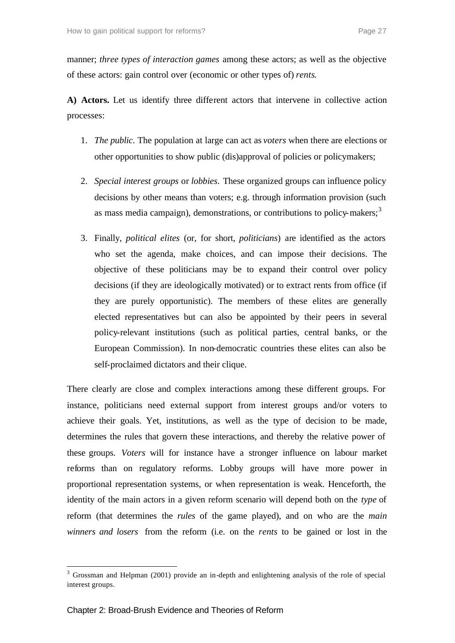manner; *three types of interaction games* among these actors; as well as the objective of these actors: gain control over (economic or other types of) *rents*.

**A) Actors.** Let us identify three different actors that intervene in collective action processes:

- 1. *The public*. The population at large can act as *voters* when there are elections or other opportunities to show public (dis)approval of policies or policymakers;
- 2. *Special interest groups* or *lobbies*. These organized groups can influence policy decisions by other means than voters; e.g. through information provision (such as mass media campaign), demonstrations, or contributions to policy-makers;<sup>3</sup>
- 3. Finally, *political elites* (or, for short, *politicians*) are identified as the actors who set the agenda, make choices, and can impose their decisions. The objective of these politicians may be to expand their control over policy decisions (if they are ideologically motivated) or to extract rents from office (if they are purely opportunistic). The members of these elites are generally elected representatives but can also be appointed by their peers in several policy-relevant institutions (such as political parties, central banks, or the European Commission). In non-democratic countries these elites can also be self-proclaimed dictators and their clique.

There clearly are close and complex interactions among these different groups. For instance, politicians need external support from interest groups and/or voters to achieve their goals. Yet, institutions, as well as the type of decision to be made, determines the rules that govern these interactions, and thereby the relative power of these groups. *Voters* will for instance have a stronger influence on labour market reforms than on regulatory reforms. Lobby groups will have more power in proportional representation systems, or when representation is weak. Henceforth, the identity of the main actors in a given reform scenario will depend both on the *type* of reform (that determines the *rules* of the game played), and on who are the *main winners and losers* from the reform (i.e. on the *rents* to be gained or lost in the

l

<sup>&</sup>lt;sup>3</sup> Grossman and Helpman (2001) provide an in-depth and enlightening analysis of the role of special interest groups.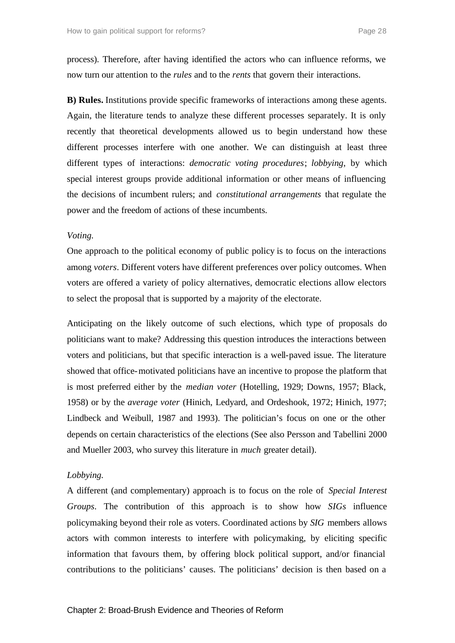process). Therefore, after having identified the actors who can influence reforms, we now turn our attention to the *rules* and to the *rents* that govern their interactions.

**B) Rules.** Institutions provide specific frameworks of interactions among these agents. Again, the literature tends to analyze these different processes separately. It is only recently that theoretical developments allowed us to begin understand how these different processes interfere with one another. We can distinguish at least three different types of interactions: *democratic voting procedures*; *lobbying*, by which special interest groups provide additional information or other means of influencing the decisions of incumbent rulers; and *constitutional arrangements* that regulate the power and the freedom of actions of these incumbents.

#### *Voting.*

One approach to the political economy of public policy is to focus on the interactions among *voters*. Different voters have different preferences over policy outcomes. When voters are offered a variety of policy alternatives, democratic elections allow electors to select the proposal that is supported by a majority of the electorate.

Anticipating on the likely outcome of such elections, which type of proposals do politicians want to make? Addressing this question introduces the interactions between voters and politicians, but that specific interaction is a well-paved issue. The literature showed that office-motivated politicians have an incentive to propose the platform that is most preferred either by the *median voter* (Hotelling, 1929; Downs, 1957; Black, 1958) or by the *average voter* (Hinich, Ledyard, and Ordeshook, 1972; Hinich, 1977; Lindbeck and Weibull, 1987 and 1993). The politician's focus on one or the other depends on certain characteristics of the elections (See also Persson and Tabellini 2000 and Mueller 2003, who survey this literature in *much* greater detail).

#### *Lobbying.*

A different (and complementary) approach is to focus on the role of *Special Interest Groups*. The contribution of this approach is to show how *SIGs* influence policymaking beyond their role as voters. Coordinated actions by *SIG* members allows actors with common interests to interfere with policymaking, by eliciting specific information that favours them, by offering block political support, and/or financial contributions to the politicians' causes. The politicians' decision is then based on a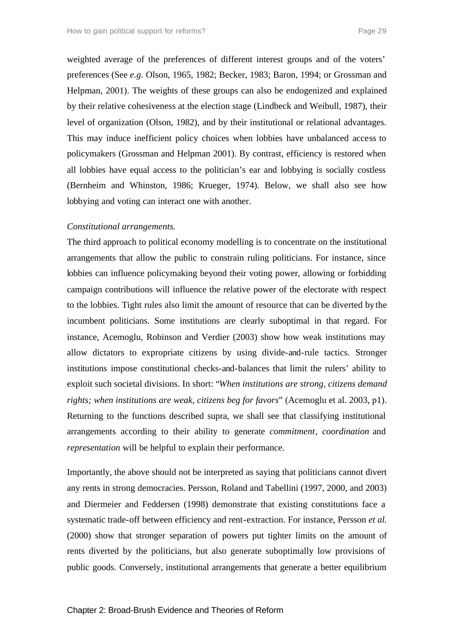weighted average of the preferences of different interest groups and of the voters' preferences (See *e.g.* Olson, 1965, 1982; Becker, 1983; Baron, 1994; or Grossman and Helpman, 2001). The weights of these groups can also be endogenized and explained by their relative cohesiveness at the election stage (Lindbeck and Weibull, 1987), their level of organization (Olson, 1982), and by their institutional or relational advantages. This may induce inefficient policy choices when lobbies have unbalanced access to policymakers (Grossman and Helpman 2001). By contrast, efficiency is restored when all lobbies have equal access to the politician's ear and lobbying is socially costless (Bernheim and Whinston, 1986; Krueger, 1974). Below, we shall also see how lobbying and voting can interact one with another.

#### *Constitutional arrangements*.

The third approach to political economy modelling is to concentrate on the institutional arrangements that allow the public to constrain ruling politicians. For instance, since lobbies can influence policymaking beyond their voting power, allowing or forbidding campaign contributions will influence the relative power of the electorate with respect to the lobbies. Tight rules also limit the amount of resource that can be diverted by the incumbent politicians. Some institutions are clearly suboptimal in that regard. For instance, Acemoglu, Robinson and Verdier (2003) show how weak institutions may allow dictators to expropriate citizens by using divide-and-rule tactics. Stronger institutions impose constitutional checks-and-balances that limit the rulers' ability to exploit such societal divisions. In short: "*When institutions are strong, citizens demand rights; when institutions are weak, citizens beg for favors*" (Acemoglu et al. 2003, p1). Returning to the functions described supra, we shall see that classifying institutional arrangements according to their ability to generate *commitment*, *coordination* and *representation* will be helpful to explain their performance.

Importantly, the above should not be interpreted as saying that politicians cannot divert any rents in strong democracies. Persson, Roland and Tabellini (1997, 2000, and 2003) and Diermeier and Feddersen (1998) demonstrate that existing constitutions face a systematic trade-off between efficiency and rent-extraction. For instance, Persson *et al.*  (2000) show that stronger separation of powers put tighter limits on the amount of rents diverted by the politicians, but also generate suboptimally low provisions of public goods. Conversely, institutional arrangements that generate a better equilibrium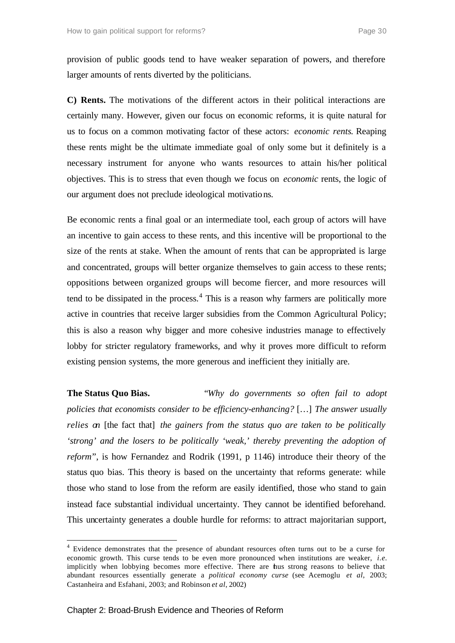provision of public goods tend to have weaker separation of powers, and therefore larger amounts of rents diverted by the politicians.

**C) Rents.** The motivations of the different actors in their political interactions are certainly many. However, given our focus on economic reforms, it is quite natural for us to focus on a common motivating factor of these actors: *economic rents*. Reaping these rents might be the ultimate immediate goal of only some but it definitely is a necessary instrument for anyone who wants resources to attain his/her political objectives. This is to stress that even though we focus on *economic* rents, the logic of our argument does not preclude ideological motivations.

Be economic rents a final goal or an intermediate tool, each group of actors will have an incentive to gain access to these rents, and this incentive will be proportional to the size of the rents at stake. When the amount of rents that can be appropriated is large and concentrated, groups will better organize themselves to gain access to these rents; oppositions between organized groups will become fiercer, and more resources will tend to be dissipated in the process. $4$  This is a reason why farmers are politically more active in countries that receive larger subsidies from the Common Agricultural Policy; this is also a reason why bigger and more cohesive industries manage to effectively lobby for stricter regulatory frameworks, and why it proves more difficult to reform existing pension systems, the more generous and inefficient they initially are.

**The Status Quo Bias.** "*Why do governments so often fail to adopt policies that economists consider to be efficiency-enhancing?* […] *The answer usually relies on* [the fact that] *the gainers from the status quo are taken to be politically 'strong' and the losers to be politically 'weak,' thereby preventing the adoption of reform*", is how Fernandez and Rodrik (1991, p 1146) introduce their theory of the status quo bias. This theory is based on the uncertainty that reforms generate: while those who stand to lose from the reform are easily identified, those who stand to gain instead face substantial individual uncertainty. They cannot be identified beforehand. This uncertainty generates a double hurdle for reforms: to attract majoritarian support,

l

<sup>&</sup>lt;sup>4</sup> Evidence demonstrates that the presence of abundant resources often turns out to be a curse for economic growth. This curse tends to be even more pronounced when institutions are weaker, *i.e.* implicitly when lobbying becomes more effective. There are thus strong reasons to believe that abundant resources essentially generate a *political economy curse* (see Acemoglu *et al*, 2003; Castanheira and Esfahani, 2003; and Robinson *et al*, 2002)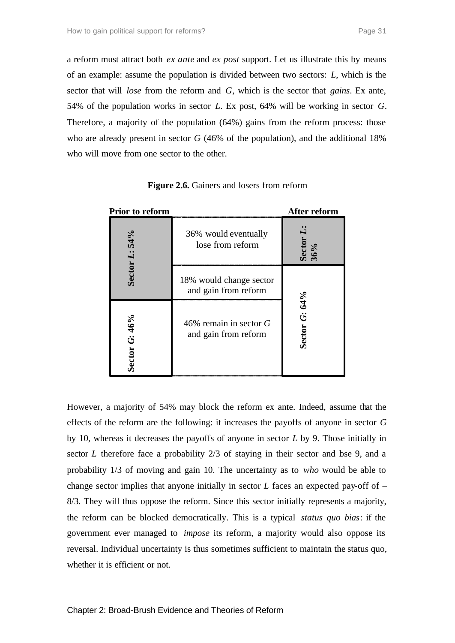a reform must attract both *ex ante* and *ex post* support. Let us illustrate this by means of an example: assume the population is divided between two sectors: *L*, which is the sector that will *lose* from the reform and *G*, which is the sector that *gains*. Ex ante, 54% of the population works in sector *L*. Ex post, 64% will be working in sector *G*. Therefore, a majority of the population (64%) gains from the reform process: those who are already present in sector *G* (46% of the population), and the additional 18% who will move from one sector to the other.

| Prior to reform        |                                                  | After reform               |
|------------------------|--------------------------------------------------|----------------------------|
| 54%                    | 36% would eventually<br>lose from reform         | Secto<br>36%               |
| Sector L:              | 18% would change sector<br>and gain from reform  |                            |
| G:46%<br><b>Sector</b> | 46% remain in sector $G$<br>and gain from reform | 64%<br>تَ<br><b>Sector</b> |

Figure 2.6. Gainers and losers from reform

However, a majority of 54% may block the reform ex ante. Indeed, assume that the effects of the reform are the following: it increases the payoffs of anyone in sector *G* by 10, whereas it decreases the payoffs of anyone in sector *L* by 9. Those initially in sector *L* therefore face a probability 2/3 of staying in their sector and bse 9, and a probability 1/3 of moving and gain 10. The uncertainty as to *who* would be able to change sector implies that anyone initially in sector *L* faces an expected pay-off of – 8/3. They will thus oppose the reform. Since this sector initially represents a majority, the reform can be blocked democratically. This is a typical *status quo bias*: if the government ever managed to *impose* its reform, a majority would also oppose its reversal. Individual uncertainty is thus sometimes sufficient to maintain the status quo, whether it is efficient or not.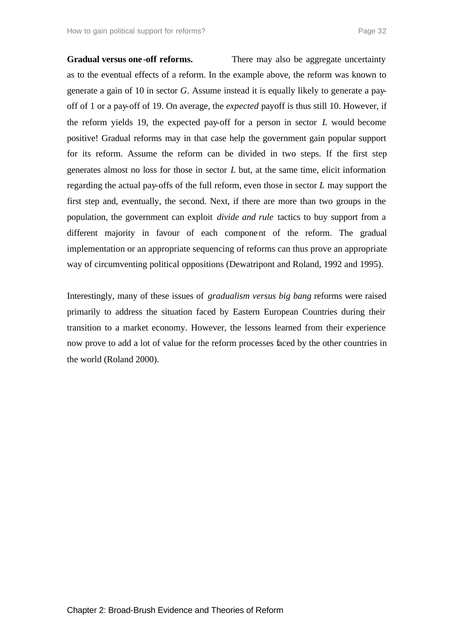**Gradual versus one -off reforms.** There may also be aggregate uncertainty as to the eventual effects of a reform. In the example above, the reform was known to generate a gain of 10 in sector *G*. Assume instead it is equally likely to generate a payoff of 1 or a pay-off of 19. On average, the *expected* payoff is thus still 10. However, if the reform yields 19, the expected pay-off for a person in sector *L* would become positive! Gradual reforms may in that case help the government gain popular support for its reform. Assume the reform can be divided in two steps. If the first step generates almost no loss for those in sector *L* but, at the same time, elicit information regarding the actual pay-offs of the full reform, even those in sector *L* may support the first step and, eventually, the second. Next, if there are more than two groups in the population, the government can exploit *divide and rule* tactics to buy support from a different majority in favour of each component of the reform. The gradual implementation or an appropriate sequencing of reforms can thus prove an appropriate way of circumventing political oppositions (Dewatripont and Roland, 1992 and 1995).

Interestingly, many of these issues of *gradualism versus big bang* reforms were raised primarily to address the situation faced by Eastern European Countries during their transition to a market economy. However, the lessons learned from their experience now prove to add a lot of value for the reform processes faced by the other countries in the world (Roland 2000).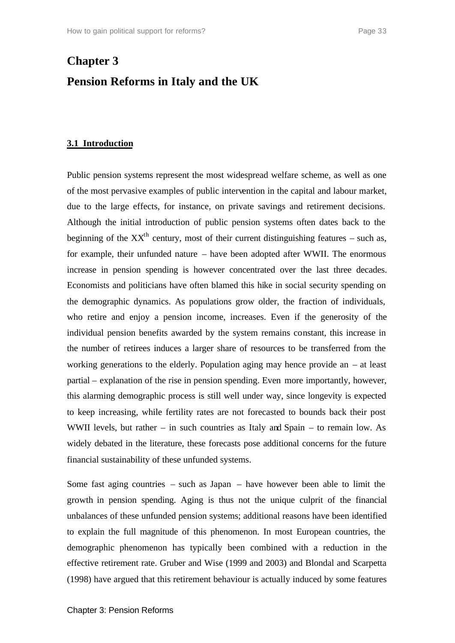## **Chapter 3 Pension Reforms in Italy and the UK**

#### **3.1 Introduction**

Public pension systems represent the most widespread welfare scheme, as well as one of the most pervasive examples of public intervention in the capital and labour market, due to the large effects, for instance, on private savings and retirement decisions. Although the initial introduction of public pension systems often dates back to the beginning of the  $XX<sup>th</sup>$  century, most of their current distinguishing features – such as, for example, their unfunded nature – have been adopted after WWII. The enormous increase in pension spending is however concentrated over the last three decades. Economists and politicians have often blamed this hike in social security spending on the demographic dynamics. As populations grow older, the fraction of individuals, who retire and enjoy a pension income, increases. Even if the generosity of the individual pension benefits awarded by the system remains constant, this increase in the number of retirees induces a larger share of resources to be transferred from the working generations to the elderly. Population aging may hence provide an – at least partial – explanation of the rise in pension spending. Even more importantly, however, this alarming demographic process is still well under way, since longevity is expected to keep increasing, while fertility rates are not forecasted to bounds back their post WWII levels, but rather – in such countries as Italy and Spain – to remain low. As widely debated in the literature, these forecasts pose additional concerns for the future financial sustainability of these unfunded systems.

Some fast aging countries – such as Japan – have however been able to limit the growth in pension spending. Aging is thus not the unique culprit of the financial unbalances of these unfunded pension systems; additional reasons have been identified to explain the full magnitude of this phenomenon. In most European countries, the demographic phenomenon has typically been combined with a reduction in the effective retirement rate. Gruber and Wise (1999 and 2003) and Blondal and Scarpetta (1998) have argued that this retirement behaviour is actually induced by some features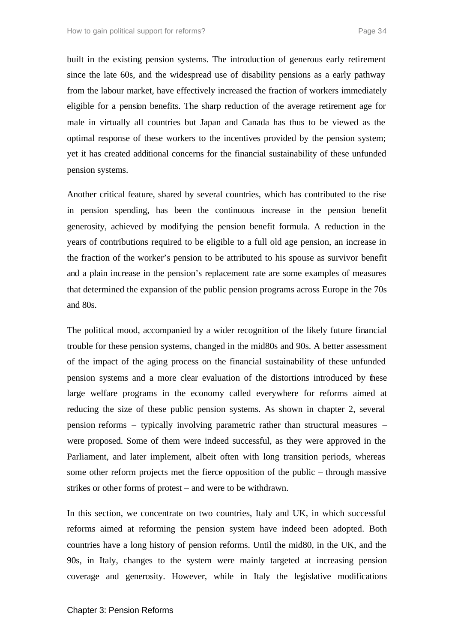built in the existing pension systems. The introduction of generous early retirement since the late 60s, and the widespread use of disability pensions as a early pathway from the labour market, have effectively increased the fraction of workers immediately eligible for a pension benefits. The sharp reduction of the average retirement age for male in virtually all countries but Japan and Canada has thus to be viewed as the optimal response of these workers to the incentives provided by the pension system; yet it has created additional concerns for the financial sustainability of these unfunded pension systems.

Another critical feature, shared by several countries, which has contributed to the rise in pension spending, has been the continuous increase in the pension benefit generosity, achieved by modifying the pension benefit formula. A reduction in the years of contributions required to be eligible to a full old age pension, an increase in the fraction of the worker's pension to be attributed to his spouse as survivor benefit and a plain increase in the pension's replacement rate are some examples of measures that determined the expansion of the public pension programs across Europe in the 70s and 80s.

The political mood, accompanied by a wider recognition of the likely future financial trouble for these pension systems, changed in the mid80s and 90s. A better assessment of the impact of the aging process on the financial sustainability of these unfunded pension systems and a more clear evaluation of the distortions introduced by these large welfare programs in the economy called everywhere for reforms aimed at reducing the size of these public pension systems. As shown in chapter 2, several pension reforms – typically involving parametric rather than structural measures – were proposed. Some of them were indeed successful, as they were approved in the Parliament, and later implement, albeit often with long transition periods, whereas some other reform projects met the fierce opposition of the public – through massive strikes or other forms of protest – and were to be withdrawn.

In this section, we concentrate on two countries, Italy and UK, in which successful reforms aimed at reforming the pension system have indeed been adopted. Both countries have a long history of pension reforms. Until the mid80, in the UK, and the 90s, in Italy, changes to the system were mainly targeted at increasing pension coverage and generosity. However, while in Italy the legislative modifications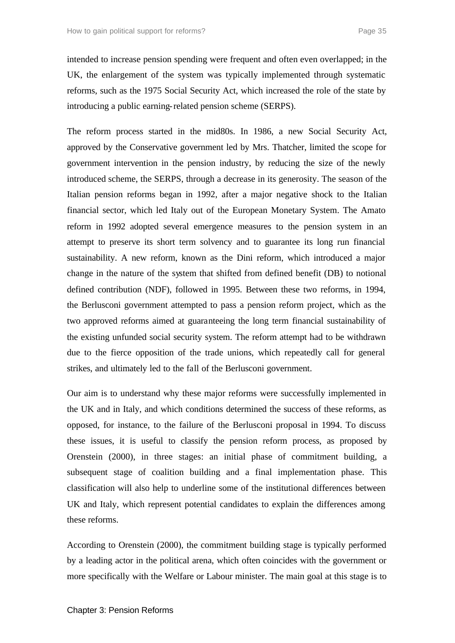intended to increase pension spending were frequent and often even overlapped; in the UK, the enlargement of the system was typically implemented through systematic reforms, such as the 1975 Social Security Act, which increased the role of the state by introducing a public earning-related pension scheme (SERPS).

The reform process started in the mid80s. In 1986, a new Social Security Act, approved by the Conservative government led by Mrs. Thatcher, limited the scope for government intervention in the pension industry, by reducing the size of the newly introduced scheme, the SERPS, through a decrease in its generosity. The season of the Italian pension reforms began in 1992, after a major negative shock to the Italian financial sector, which led Italy out of the European Monetary System. The Amato reform in 1992 adopted several emergence measures to the pension system in an attempt to preserve its short term solvency and to guarantee its long run financial sustainability. A new reform, known as the Dini reform, which introduced a major change in the nature of the system that shifted from defined benefit (DB) to notional defined contribution (NDF), followed in 1995. Between these two reforms, in 1994, the Berlusconi government attempted to pass a pension reform project, which as the two approved reforms aimed at guaranteeing the long term financial sustainability of the existing unfunded social security system. The reform attempt had to be withdrawn due to the fierce opposition of the trade unions, which repeatedly call for general strikes, and ultimately led to the fall of the Berlusconi government.

Our aim is to understand why these major reforms were successfully implemented in the UK and in Italy, and which conditions determined the success of these reforms, as opposed, for instance, to the failure of the Berlusconi proposal in 1994. To discuss these issues, it is useful to classify the pension reform process, as proposed by Orenstein (2000), in three stages: an initial phase of commitment building, a subsequent stage of coalition building and a final implementation phase. This classification will also help to underline some of the institutional differences between UK and Italy, which represent potential candidates to explain the differences among these reforms.

According to Orenstein (2000), the commitment building stage is typically performed by a leading actor in the political arena, which often coincides with the government or more specifically with the Welfare or Labour minister. The main goal at this stage is to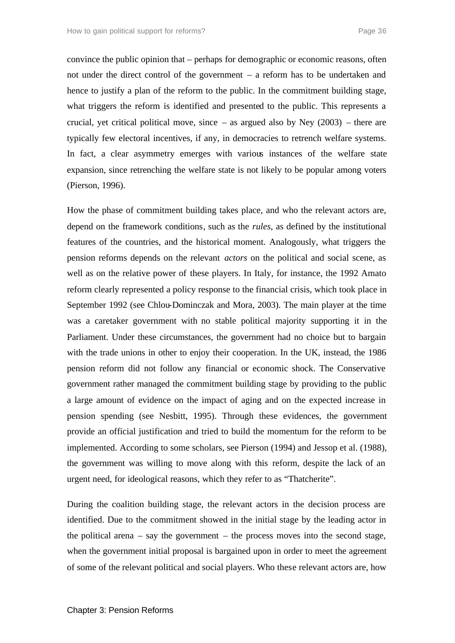convince the public opinion that – perhaps for demographic or economic reasons, often not under the direct control of the government – a reform has to be undertaken and hence to justify a plan of the reform to the public. In the commitment building stage, what triggers the reform is identified and presented to the public. This represents a crucial, yet critical political move, since  $-$  as argued also by Ney (2003)  $-$  there are typically few electoral incentives, if any, in democracies to retrench welfare systems. In fact, a clear asymmetry emerges with various instances of the welfare state expansion, since retrenching the welfare state is not likely to be popular among voters (Pierson, 1996).

How the phase of commitment building takes place, and who the relevant actors are, depend on the framework conditions, such as the *rules*, as defined by the institutional features of the countries, and the historical moment. Analogously, what triggers the pension reforms depends on the relevant *actors* on the political and social scene, as well as on the relative power of these players. In Italy, for instance, the 1992 Amato reform clearly represented a policy response to the financial crisis, which took place in September 1992 (see Chlou-Dominczak and Mora, 2003). The main player at the time was a caretaker government with no stable political majority supporting it in the Parliament. Under these circumstances, the government had no choice but to bargain with the trade unions in other to enjoy their cooperation. In the UK, instead, the 1986 pension reform did not follow any financial or economic shock. The Conservative government rather managed the commitment building stage by providing to the public a large amount of evidence on the impact of aging and on the expected increase in pension spending (see Nesbitt, 1995). Through these evidences, the government provide an official justification and tried to build the momentum for the reform to be implemented. According to some scholars, see Pierson (1994) and Jessop et al. (1988), the government was willing to move along with this reform, despite the lack of an urgent need, for ideological reasons, which they refer to as "Thatcherite".

During the coalition building stage, the relevant actors in the decision process are identified. Due to the commitment showed in the initial stage by the leading actor in the political arena – say the government – the process moves into the second stage, when the government initial proposal is bargained upon in order to meet the agreement of some of the relevant political and social players. Who these relevant actors are, how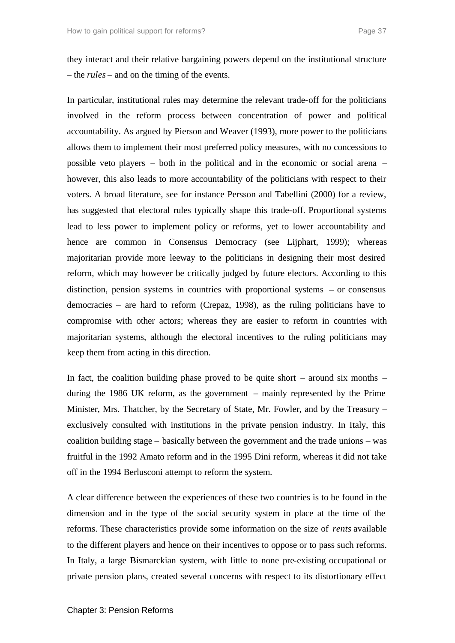they interact and their relative bargaining powers depend on the institutional structure – the *rules* – and on the timing of the events.

In particular, institutional rules may determine the relevant trade-off for the politicians involved in the reform process between concentration of power and political accountability. As argued by Pierson and Weaver (1993), more power to the politicians allows them to implement their most preferred policy measures, with no concessions to possible veto players – both in the political and in the economic or social arena – however, this also leads to more accountability of the politicians with respect to their voters. A broad literature, see for instance Persson and Tabellini (2000) for a review, has suggested that electoral rules typically shape this trade-off. Proportional systems lead to less power to implement policy or reforms, yet to lower accountability and hence are common in Consensus Democracy (see Lijphart, 1999); whereas majoritarian provide more leeway to the politicians in designing their most desired reform, which may however be critically judged by future electors. According to this distinction, pension systems in countries with proportional systems – or consensus democracies – are hard to reform (Crepaz, 1998), as the ruling politicians have to compromise with other actors; whereas they are easier to reform in countries with majoritarian systems, although the electoral incentives to the ruling politicians may keep them from acting in this direction.

In fact, the coalition building phase proved to be quite short – around six months – during the 1986 UK reform, as the government – mainly represented by the Prime Minister, Mrs. Thatcher, by the Secretary of State, Mr. Fowler, and by the Treasury – exclusively consulted with institutions in the private pension industry. In Italy, this coalition building stage – basically between the government and the trade unions – was fruitful in the 1992 Amato reform and in the 1995 Dini reform, whereas it did not take off in the 1994 Berlusconi attempt to reform the system.

A clear difference between the experiences of these two countries is to be found in the dimension and in the type of the social security system in place at the time of the reforms. These characteristics provide some information on the size of *rents* available to the different players and hence on their incentives to oppose or to pass such reforms. In Italy, a large Bismarckian system, with little to none pre-existing occupational or private pension plans, created several concerns with respect to its distortionary effect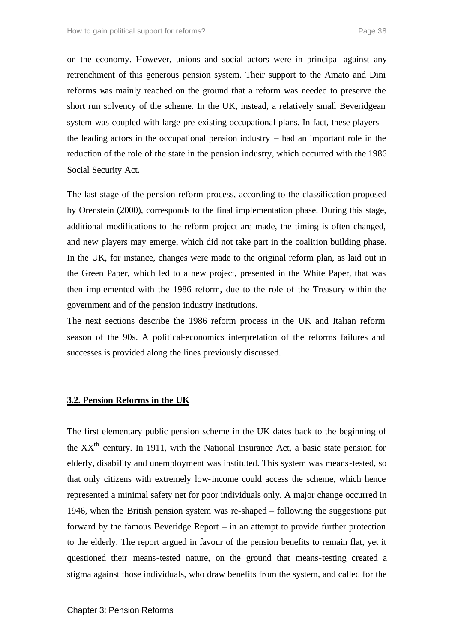on the economy. However, unions and social actors were in principal against any retrenchment of this generous pension system. Their support to the Amato and Dini reforms was mainly reached on the ground that a reform was needed to preserve the short run solvency of the scheme. In the UK, instead, a relatively small Beveridgean system was coupled with large pre-existing occupational plans. In fact, these players – the leading actors in the occupational pension industry – had an important role in the reduction of the role of the state in the pension industry, which occurred with the 1986 Social Security Act.

The last stage of the pension reform process, according to the classification proposed by Orenstein (2000), corresponds to the final implementation phase. During this stage, additional modifications to the reform project are made, the timing is often changed, and new players may emerge, which did not take part in the coalition building phase. In the UK, for instance, changes were made to the original reform plan, as laid out in the Green Paper, which led to a new project, presented in the White Paper, that was then implemented with the 1986 reform, due to the role of the Treasury within the government and of the pension industry institutions.

The next sections describe the 1986 reform process in the UK and Italian reform season of the 90s. A political-economics interpretation of the reforms failures and successes is provided along the lines previously discussed.

# **3.2. Pension Reforms in the UK**

The first elementary public pension scheme in the UK dates back to the beginning of the  $XX<sup>th</sup>$  century. In 1911, with the National Insurance Act, a basic state pension for elderly, disability and unemployment was instituted. This system was means-tested, so that only citizens with extremely low-income could access the scheme, which hence represented a minimal safety net for poor individuals only. A major change occurred in 1946, when the British pension system was re-shaped – following the suggestions put forward by the famous Beveridge Report – in an attempt to provide further protection to the elderly. The report argued in favour of the pension benefits to remain flat, yet it questioned their means-tested nature, on the ground that means-testing created a stigma against those individuals, who draw benefits from the system, and called for the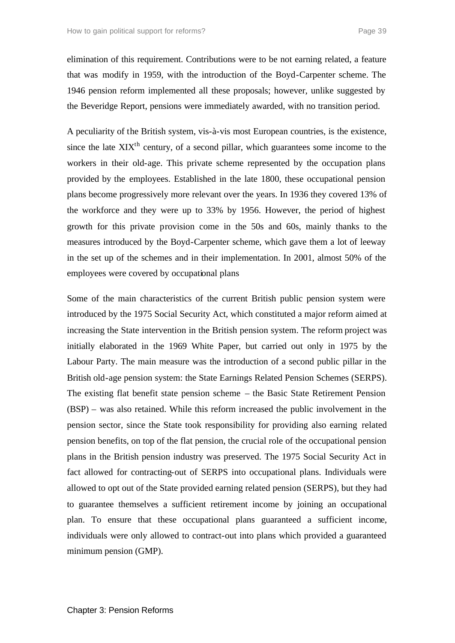elimination of this requirement. Contributions were to be not earning related, a feature that was modify in 1959, with the introduction of the Boyd-Carpenter scheme. The 1946 pension reform implemented all these proposals; however, unlike suggested by the Beveridge Report, pensions were immediately awarded, with no transition period.

A peculiarity of the British system, vis-à-vis most European countries, is the existence, since the late  $XIX<sup>th</sup>$  century, of a second pillar, which guarantees some income to the workers in their old-age. This private scheme represented by the occupation plans provided by the employees. Established in the late 1800, these occupational pension plans become progressively more relevant over the years. In 1936 they covered 13% of the workforce and they were up to 33% by 1956. However, the period of highest growth for this private provision come in the 50s and 60s, mainly thanks to the measures introduced by the Boyd-Carpenter scheme, which gave them a lot of leeway in the set up of the schemes and in their implementation. In 2001, almost 50% of the employees were covered by occupational plans

Some of the main characteristics of the current British public pension system were introduced by the 1975 Social Security Act, which constituted a major reform aimed at increasing the State intervention in the British pension system. The reform project was initially elaborated in the 1969 White Paper, but carried out only in 1975 by the Labour Party. The main measure was the introduction of a second public pillar in the British old-age pension system: the State Earnings Related Pension Schemes (SERPS). The existing flat benefit state pension scheme – the Basic State Retirement Pension (BSP) – was also retained. While this reform increased the public involvement in the pension sector, since the State took responsibility for providing also earning related pension benefits, on top of the flat pension, the crucial role of the occupational pension plans in the British pension industry was preserved. The 1975 Social Security Act in fact allowed for contracting-out of SERPS into occupational plans. Individuals were allowed to opt out of the State provided earning related pension (SERPS), but they had to guarantee themselves a sufficient retirement income by joining an occupational plan. To ensure that these occupational plans guaranteed a sufficient income, individuals were only allowed to contract-out into plans which provided a guaranteed minimum pension (GMP).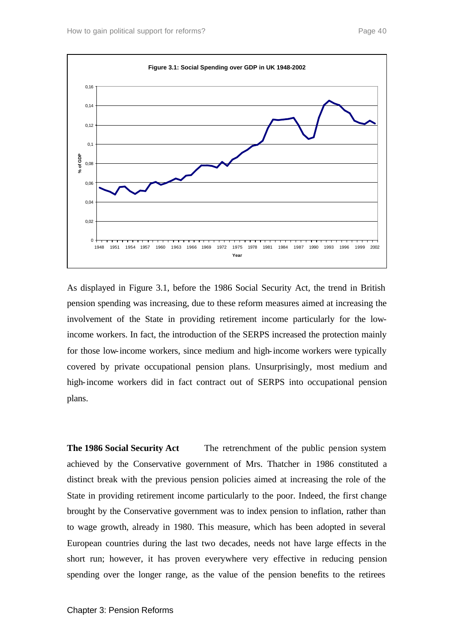

As displayed in Figure 3.1, before the 1986 Social Security Act, the trend in British pension spending was increasing, due to these reform measures aimed at increasing the involvement of the State in providing retirement income particularly for the lowincome workers. In fact, the introduction of the SERPS increased the protection mainly for those low-income workers, since medium and high-income workers were typically covered by private occupational pension plans. Unsurprisingly, most medium and high-income workers did in fact contract out of SERPS into occupational pension plans.

**The 1986 Social Security Act** The retrenchment of the public pension system achieved by the Conservative government of Mrs. Thatcher in 1986 constituted a distinct break with the previous pension policies aimed at increasing the role of the State in providing retirement income particularly to the poor. Indeed, the first change brought by the Conservative government was to index pension to inflation, rather than to wage growth, already in 1980. This measure, which has been adopted in several European countries during the last two decades, needs not have large effects in the short run; however, it has proven everywhere very effective in reducing pension spending over the longer range, as the value of the pension benefits to the retirees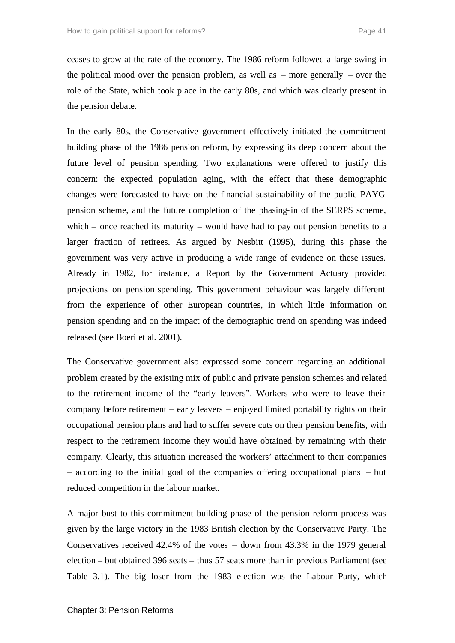ceases to grow at the rate of the economy. The 1986 reform followed a large swing in the political mood over the pension problem, as well as – more generally – over the role of the State, which took place in the early 80s, and which was clearly present in the pension debate.

In the early 80s, the Conservative government effectively initiated the commitment building phase of the 1986 pension reform, by expressing its deep concern about the future level of pension spending. Two explanations were offered to justify this concern: the expected population aging, with the effect that these demographic changes were forecasted to have on the financial sustainability of the public PAYG pension scheme, and the future completion of the phasing-in of the SERPS scheme, which – once reached its maturity – would have had to pay out pension benefits to a larger fraction of retirees. As argued by Nesbitt (1995), during this phase the government was very active in producing a wide range of evidence on these issues. Already in 1982, for instance, a Report by the Government Actuary provided projections on pension spending. This government behaviour was largely different from the experience of other European countries, in which little information on pension spending and on the impact of the demographic trend on spending was indeed released (see Boeri et al. 2001).

The Conservative government also expressed some concern regarding an additional problem created by the existing mix of public and private pension schemes and related to the retirement income of the "early leavers". Workers who were to leave their company before retirement – early leavers – enjoyed limited portability rights on their occupational pension plans and had to suffer severe cuts on their pension benefits, with respect to the retirement income they would have obtained by remaining with their company. Clearly, this situation increased the workers' attachment to their companies – according to the initial goal of the companies offering occupational plans – but reduced competition in the labour market.

A major bust to this commitment building phase of the pension reform process was given by the large victory in the 1983 British election by the Conservative Party. The Conservatives received 42.4% of the votes – down from 43.3% in the 1979 general election – but obtained 396 seats – thus 57 seats more than in previous Parliament (see Table 3.1). The big loser from the 1983 election was the Labour Party, which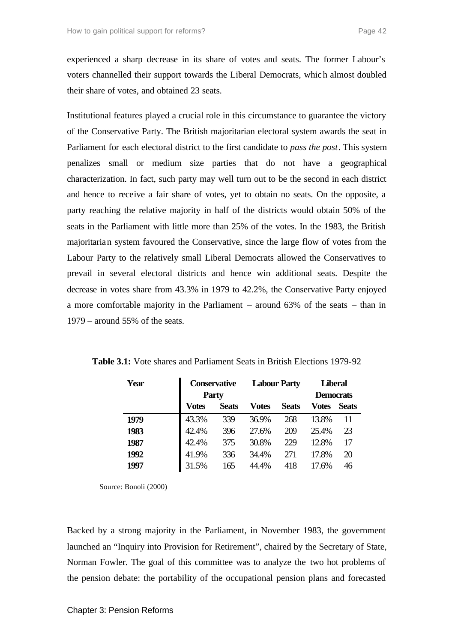experienced a sharp decrease in its share of votes and seats. The former Labour's voters channelled their support towards the Liberal Democrats, which almost doubled their share of votes, and obtained 23 seats.

Institutional features played a crucial role in this circumstance to guarantee the victory of the Conservative Party. The British majoritarian electoral system awards the seat in Parliament for each electoral district to the first candidate to *pass the post*. This system penalizes small or medium size parties that do not have a geographical characterization. In fact, such party may well turn out to be the second in each district and hence to receive a fair share of votes, yet to obtain no seats. On the opposite, a party reaching the relative majority in half of the districts would obtain 50% of the seats in the Parliament with little more than 25% of the votes. In the 1983, the British majoritarian system favoured the Conservative, since the large flow of votes from the Labour Party to the relatively small Liberal Democrats allowed the Conservatives to prevail in several electoral districts and hence win additional seats. Despite the decrease in votes share from 43.3% in 1979 to 42.2%, the Conservative Party enjoyed a more comfortable majority in the Parliament – around 63% of the seats – than in 1979 – around 55% of the seats.

| Year | <b>Conservative</b> |              | <b>Labour Party</b> |              | <b>Liberal</b>   |       |
|------|---------------------|--------------|---------------------|--------------|------------------|-------|
|      | <b>Party</b>        |              |                     |              | <b>Democrats</b> |       |
|      | Votes               | <b>Seats</b> | Votes               | <b>Seats</b> | Votes            | Seats |
| 1979 | 43.3%               | 339          | 36.9%               | 268          | 13.8%            | 11    |
| 1983 | 42.4%               | 396          | 27.6%               | 209          | 25.4%            | 23    |
| 1987 | 42.4%               | 375          | 30.8%               | 229          | 12.8%            | 17    |
| 1992 | 41.9%               | 336          | 34.4%               | 271          | 17.8%            | 20    |
| 1997 | 31.5%               | 165          | 44.4%               | 418          | 17.6%            | 46    |

**Table 3.1:** Vote shares and Parliament Seats in British Elections 1979-92

Source: Bonoli (2000)

Backed by a strong majority in the Parliament, in November 1983, the government launched an "Inquiry into Provision for Retirement", chaired by the Secretary of State, Norman Fowler. The goal of this committee was to analyze the two hot problems of the pension debate: the portability of the occupational pension plans and forecasted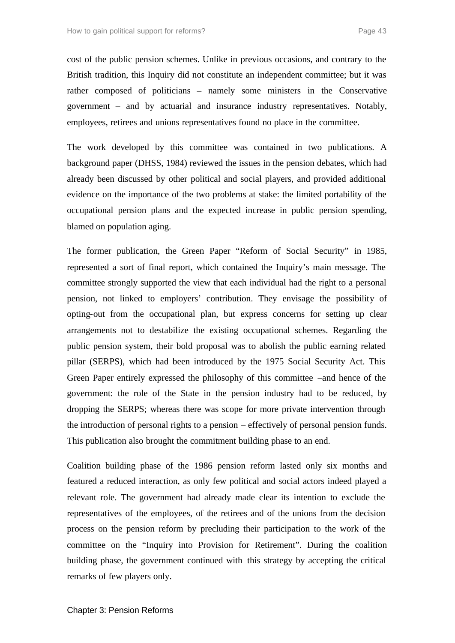cost of the public pension schemes. Unlike in previous occasions, and contrary to the British tradition, this Inquiry did not constitute an independent committee; but it was rather composed of politicians – namely some ministers in the Conservative government – and by actuarial and insurance industry representatives. Notably, employees, retirees and unions representatives found no place in the committee.

The work developed by this committee was contained in two publications. A background paper (DHSS, 1984) reviewed the issues in the pension debates, which had already been discussed by other political and social players, and provided additional evidence on the importance of the two problems at stake: the limited portability of the occupational pension plans and the expected increase in public pension spending, blamed on population aging.

The former publication, the Green Paper "Reform of Social Security" in 1985, represented a sort of final report, which contained the Inquiry's main message. The committee strongly supported the view that each individual had the right to a personal pension, not linked to employers' contribution. They envisage the possibility of opting-out from the occupational plan, but express concerns for setting up clear arrangements not to destabilize the existing occupational schemes. Regarding the public pension system, their bold proposal was to abolish the public earning related pillar (SERPS), which had been introduced by the 1975 Social Security Act. This Green Paper entirely expressed the philosophy of this committee –and hence of the government: the role of the State in the pension industry had to be reduced, by dropping the SERPS; whereas there was scope for more private intervention through the introduction of personal rights to a pension – effectively of personal pension funds. This publication also brought the commitment building phase to an end.

Coalition building phase of the 1986 pension reform lasted only six months and featured a reduced interaction, as only few political and social actors indeed played a relevant role. The government had already made clear its intention to exclude the representatives of the employees, of the retirees and of the unions from the decision process on the pension reform by precluding their participation to the work of the committee on the "Inquiry into Provision for Retirement". During the coalition building phase, the government continued with this strategy by accepting the critical remarks of few players only.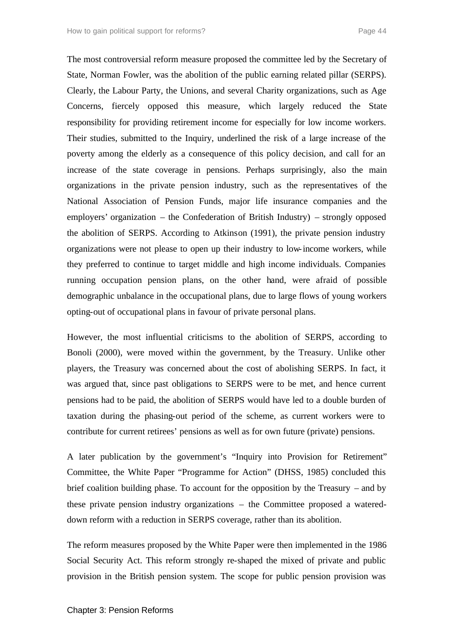The most controversial reform measure proposed the committee led by the Secretary of State, Norman Fowler, was the abolition of the public earning related pillar (SERPS). Clearly, the Labour Party, the Unions, and several Charity organizations, such as Age Concerns, fiercely opposed this measure, which largely reduced the State responsibility for providing retirement income for especially for low income workers. Their studies, submitted to the Inquiry, underlined the risk of a large increase of the poverty among the elderly as a consequence of this policy decision, and call for an increase of the state coverage in pensions. Perhaps surprisingly, also the main organizations in the private pension industry, such as the representatives of the National Association of Pension Funds, major life insurance companies and the employers' organization – the Confederation of British Industry) – strongly opposed the abolition of SERPS. According to Atkinson (1991), the private pension industry organizations were not please to open up their industry to low-income workers, while they preferred to continue to target middle and high income individuals. Companies running occupation pension plans, on the other hand, were afraid of possible demographic unbalance in the occupational plans, due to large flows of young workers opting-out of occupational plans in favour of private personal plans.

However, the most influential criticisms to the abolition of SERPS, according to Bonoli (2000), were moved within the government, by the Treasury. Unlike other players, the Treasury was concerned about the cost of abolishing SERPS. In fact, it was argued that, since past obligations to SERPS were to be met, and hence current pensions had to be paid, the abolition of SERPS would have led to a double burden of taxation during the phasing-out period of the scheme, as current workers were to contribute for current retirees' pensions as well as for own future (private) pensions.

A later publication by the government's "Inquiry into Provision for Retirement" Committee, the White Paper "Programme for Action" (DHSS, 1985) concluded this brief coalition building phase. To account for the opposition by the Treasury – and by these private pension industry organizations – the Committee proposed a watereddown reform with a reduction in SERPS coverage, rather than its abolition.

The reform measures proposed by the White Paper were then implemented in the 1986 Social Security Act. This reform strongly re-shaped the mixed of private and public provision in the British pension system. The scope for public pension provision was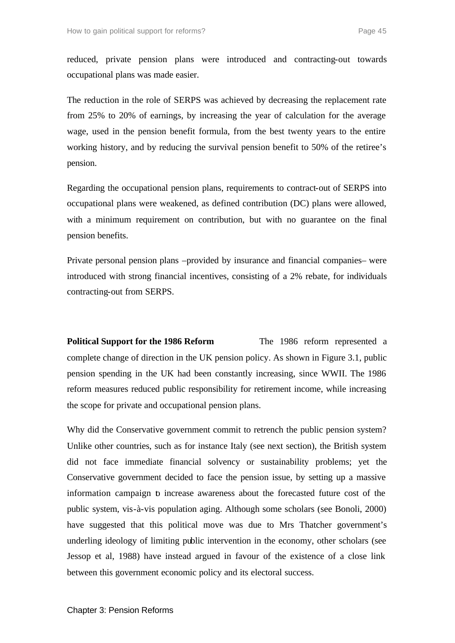reduced, private pension plans were introduced and contracting-out towards occupational plans was made easier.

The reduction in the role of SERPS was achieved by decreasing the replacement rate from 25% to 20% of earnings, by increasing the year of calculation for the average wage, used in the pension benefit formula, from the best twenty years to the entire working history, and by reducing the survival pension benefit to 50% of the retiree's pension.

Regarding the occupational pension plans, requirements to contract-out of SERPS into occupational plans were weakened, as defined contribution (DC) plans were allowed, with a minimum requirement on contribution, but with no guarantee on the final pension benefits.

Private personal pension plans –provided by insurance and financial companies– were introduced with strong financial incentives, consisting of a 2% rebate, for individuals contracting-out from SERPS.

**Political Support for the 1986 Reform** The 1986 reform represented a complete change of direction in the UK pension policy. As shown in Figure 3.1, public pension spending in the UK had been constantly increasing, since WWII. The 1986 reform measures reduced public responsibility for retirement income, while increasing the scope for private and occupational pension plans.

Why did the Conservative government commit to retrench the public pension system? Unlike other countries, such as for instance Italy (see next section), the British system did not face immediate financial solvency or sustainability problems; yet the Conservative government decided to face the pension issue, by setting up a massive information campaign to increase awareness about the forecasted future cost of the public system, vis-à-vis population aging. Although some scholars (see Bonoli, 2000) have suggested that this political move was due to Mrs Thatcher government's underling ideology of limiting public intervention in the economy, other scholars (see Jessop et al, 1988) have instead argued in favour of the existence of a close link between this government economic policy and its electoral success.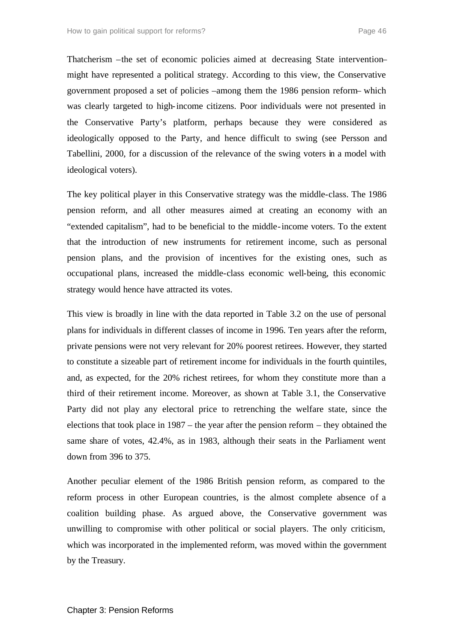Thatcherism –the set of economic policies aimed at decreasing State intervention– might have represented a political strategy. According to this view, the Conservative government proposed a set of policies –among them the 1986 pension reform– which was clearly targeted to high-income citizens. Poor individuals were not presented in the Conservative Party's platform, perhaps because they were considered as ideologically opposed to the Party, and hence difficult to swing (see Persson and Tabellini, 2000, for a discussion of the relevance of the swing voters in a model with ideological voters).

The key political player in this Conservative strategy was the middle-class. The 1986 pension reform, and all other measures aimed at creating an economy with an "extended capitalism", had to be beneficial to the middle-income voters. To the extent that the introduction of new instruments for retirement income, such as personal pension plans, and the provision of incentives for the existing ones, such as occupational plans, increased the middle-class economic well-being, this economic strategy would hence have attracted its votes.

This view is broadly in line with the data reported in Table 3.2 on the use of personal plans for individuals in different classes of income in 1996. Ten years after the reform, private pensions were not very relevant for 20% poorest retirees. However, they started to constitute a sizeable part of retirement income for individuals in the fourth quintiles, and, as expected, for the 20% richest retirees, for whom they constitute more than a third of their retirement income. Moreover, as shown at Table 3.1, the Conservative Party did not play any electoral price to retrenching the welfare state, since the elections that took place in 1987 – the year after the pension reform – they obtained the same share of votes, 42.4%, as in 1983, although their seats in the Parliament went down from 396 to 375.

Another peculiar element of the 1986 British pension reform, as compared to the reform process in other European countries, is the almost complete absence of a coalition building phase. As argued above, the Conservative government was unwilling to compromise with other political or social players. The only criticism, which was incorporated in the implemented reform, was moved within the government by the Treasury.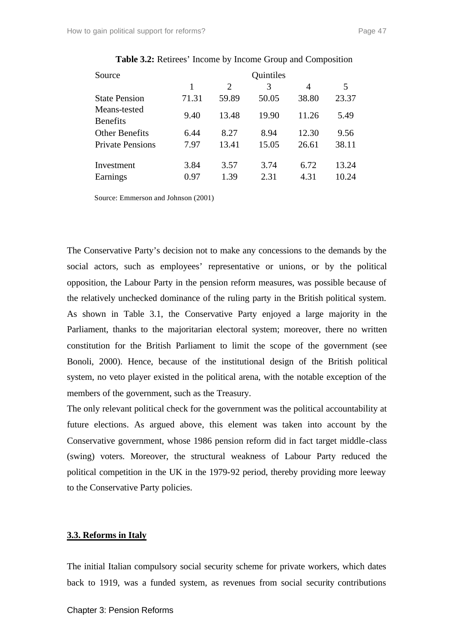| Source                          |       |       | Quintiles |       |       |
|---------------------------------|-------|-------|-----------|-------|-------|
|                                 | 1     | 2     | 3         | 4     | 5     |
| <b>State Pension</b>            | 71.31 | 59.89 | 50.05     | 38.80 | 23.37 |
| Means-tested<br><b>Benefits</b> | 9.40  | 13.48 | 19.90     | 11.26 | 5.49  |
| <b>Other Benefits</b>           | 6.44  | 8.27  | 8.94      | 12.30 | 9.56  |
| <b>Private Pensions</b>         | 7.97  | 13.41 | 15.05     | 26.61 | 38.11 |
| Investment                      | 3.84  | 3.57  | 3.74      | 6.72  | 13.24 |
| Earnings                        | 0.97  | 1.39  | 2.31      | 4.31  | 10.24 |

**Table 3.2:** Retirees' Income by Income Group and Composition

Source: Emmerson and Johnson (2001)

The Conservative Party's decision not to make any concessions to the demands by the social actors, such as employees' representative or unions, or by the political opposition, the Labour Party in the pension reform measures, was possible because of the relatively unchecked dominance of the ruling party in the British political system. As shown in Table 3.1, the Conservative Party enjoyed a large majority in the Parliament, thanks to the majoritarian electoral system; moreover, there no written constitution for the British Parliament to limit the scope of the government (see Bonoli, 2000). Hence, because of the institutional design of the British political system, no veto player existed in the political arena, with the notable exception of the members of the government, such as the Treasury.

The only relevant political check for the government was the political accountability at future elections. As argued above, this element was taken into account by the Conservative government, whose 1986 pension reform did in fact target middle-class (swing) voters. Moreover, the structural weakness of Labour Party reduced the political competition in the UK in the 1979-92 period, thereby providing more leeway to the Conservative Party policies.

# **3.3. Reforms in Italy**

The initial Italian compulsory social security scheme for private workers, which dates back to 1919, was a funded system, as revenues from social security contributions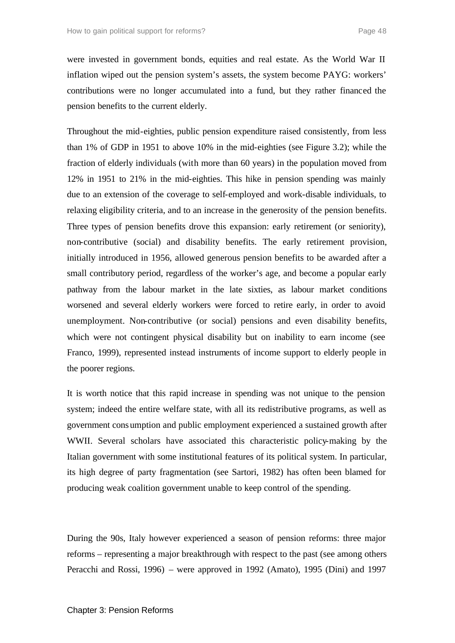were invested in government bonds, equities and real estate. As the World War II inflation wiped out the pension system's assets, the system become PAYG: workers' contributions were no longer accumulated into a fund, but they rather financed the pension benefits to the current elderly.

Throughout the mid-eighties, public pension expenditure raised consistently, from less than 1% of GDP in 1951 to above 10% in the mid-eighties (see Figure 3.2); while the fraction of elderly individuals (with more than 60 years) in the population moved from 12% in 1951 to 21% in the mid-eighties. This hike in pension spending was mainly due to an extension of the coverage to self-employed and work-disable individuals, to relaxing eligibility criteria, and to an increase in the generosity of the pension benefits. Three types of pension benefits drove this expansion: early retirement (or seniority), non-contributive (social) and disability benefits. The early retirement provision, initially introduced in 1956, allowed generous pension benefits to be awarded after a small contributory period, regardless of the worker's age, and become a popular early pathway from the labour market in the late sixties, as labour market conditions worsened and several elderly workers were forced to retire early, in order to avoid unemployment. Non-contributive (or social) pensions and even disability benefits, which were not contingent physical disability but on inability to earn income (see Franco, 1999), represented instead instruments of income support to elderly people in the poorer regions.

It is worth notice that this rapid increase in spending was not unique to the pension system; indeed the entire welfare state, with all its redistributive programs, as well as government consumption and public employment experienced a sustained growth after WWII. Several scholars have associated this characteristic policy-making by the Italian government with some institutional features of its political system. In particular, its high degree of party fragmentation (see Sartori, 1982) has often been blamed for producing weak coalition government unable to keep control of the spending.

During the 90s, Italy however experienced a season of pension reforms: three major reforms – representing a major breakthrough with respect to the past (see among others Peracchi and Rossi, 1996) – were approved in 1992 (Amato), 1995 (Dini) and 1997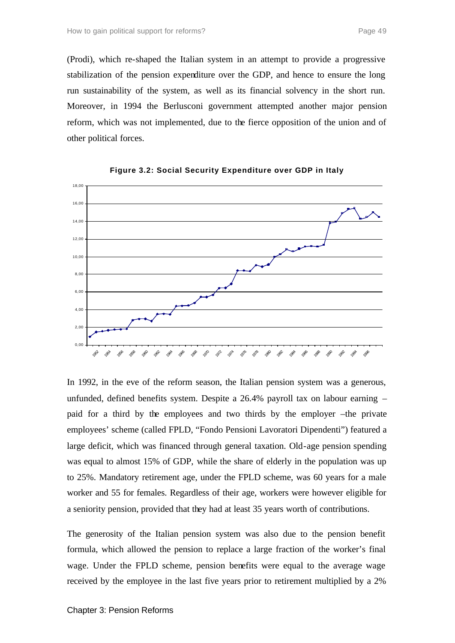(Prodi), which re-shaped the Italian system in an attempt to provide a progressive stabilization of the pension expenditure over the GDP, and hence to ensure the long run sustainability of the system, as well as its financial solvency in the short run. Moreover, in 1994 the Berlusconi government attempted another major pension reform, which was not implemented, due to the fierce opposition of the union and of other political forces.





In 1992, in the eve of the reform season, the Italian pension system was a generous, unfunded, defined benefits system. Despite a 26.4% payroll tax on labour earning – paid for a third by the employees and two thirds by the employer –the private employees' scheme (called FPLD, "Fondo Pensioni Lavoratori Dipendenti") featured a large deficit, which was financed through general taxation. Old-age pension spending was equal to almost 15% of GDP, while the share of elderly in the population was up to 25%. Mandatory retirement age, under the FPLD scheme, was 60 years for a male worker and 55 for females. Regardless of their age, workers were however eligible for a seniority pension, provided that they had at least 35 years worth of contributions.

The generosity of the Italian pension system was also due to the pension benefit formula, which allowed the pension to replace a large fraction of the worker's final wage. Under the FPLD scheme, pension benefits were equal to the average wage received by the employee in the last five years prior to retirement multiplied by a 2%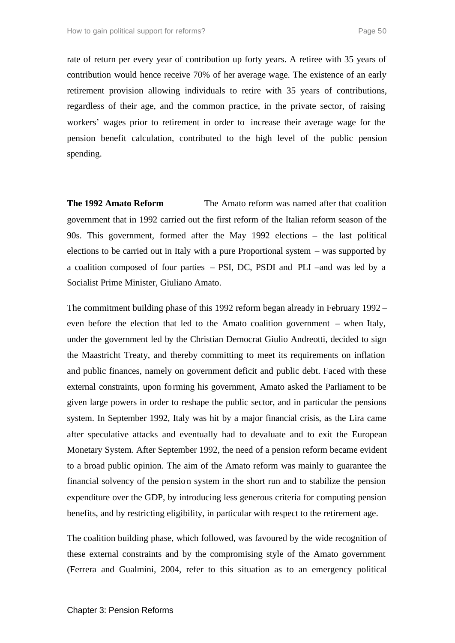rate of return per every year of contribution up forty years. A retiree with 35 years of contribution would hence receive 70% of her average wage. The existence of an early retirement provision allowing individuals to retire with 35 years of contributions, regardless of their age, and the common practice, in the private sector, of raising workers' wages prior to retirement in order to increase their average wage for the pension benefit calculation, contributed to the high level of the public pension spending.

**The 1992 Amato Reform** The Amato reform was named after that coalition government that in 1992 carried out the first reform of the Italian reform season of the 90s. This government, formed after the May 1992 elections – the last political elections to be carried out in Italy with a pure Proportional system – was supported by a coalition composed of four parties – PSI, DC, PSDI and PLI –and was led by a Socialist Prime Minister, Giuliano Amato.

The commitment building phase of this 1992 reform began already in February 1992 – even before the election that led to the Amato coalition government – when Italy, under the government led by the Christian Democrat Giulio Andreotti, decided to sign the Maastricht Treaty, and thereby committing to meet its requirements on inflation and public finances, namely on government deficit and public debt. Faced with these external constraints, upon forming his government, Amato asked the Parliament to be given large powers in order to reshape the public sector, and in particular the pensions system. In September 1992, Italy was hit by a major financial crisis, as the Lira came after speculative attacks and eventually had to devaluate and to exit the European Monetary System. After September 1992, the need of a pension reform became evident to a broad public opinion. The aim of the Amato reform was mainly to guarantee the financial solvency of the pension system in the short run and to stabilize the pension expenditure over the GDP, by introducing less generous criteria for computing pension benefits, and by restricting eligibility, in particular with respect to the retirement age.

The coalition building phase, which followed, was favoured by the wide recognition of these external constraints and by the compromising style of the Amato government (Ferrera and Gualmini, 2004, refer to this situation as to an emergency political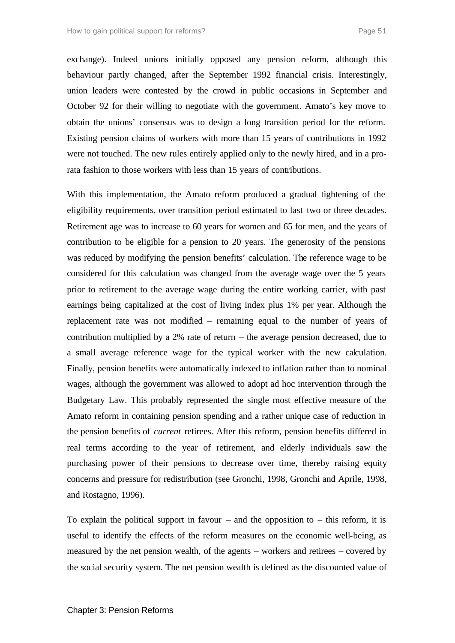exchange). Indeed unions initially opposed any pension reform, although this behaviour partly changed, after the September 1992 financial crisis. Interestingly, union leaders were contested by the crowd in public occasions in September and October 92 for their willing to negotiate with the government. Amato's key move to obtain the unions' consensus was to design a long transition period for the reform. Existing pension claims of workers with more than 15 years of contributions in 1992 were not touched. The new rules entirely applied only to the newly hired, and in a prorata fashion to those workers with less than 15 years of contributions.

With this implementation, the Amato reform produced a gradual tightening of the eligibility requirements, over transition period estimated to last two or three decades. Retirement age was to increase to 60 years for women and 65 for men, and the years of contribution to be eligible for a pension to 20 years. The generosity of the pensions was reduced by modifying the pension benefits' calculation. The reference wage to be considered for this calculation was changed from the average wage over the 5 years prior to retirement to the average wage during the entire working carrier, with past earnings being capitalized at the cost of living index plus 1% per year. Although the replacement rate was not modified – remaining equal to the number of years of contribution multiplied by a 2% rate of return – the average pension decreased, due to a small average reference wage for the typical worker with the new calculation. Finally, pension benefits were automatically indexed to inflation rather than to nominal wages, although the government was allowed to adopt ad hoc intervention through the Budgetary Law. This probably represented the single most effective measure of the Amato reform in containing pension spending and a rather unique case of reduction in the pension benefits of *current* retirees. After this reform, pension benefits differed in real terms according to the year of retirement, and elderly individuals saw the purchasing power of their pensions to decrease over time, thereby raising equity concerns and pressure for redistribution (see Gronchi, 1998, Gronchi and Aprile, 1998, and Rostagno, 1996).

To explain the political support in favour – and the opposition to – this reform, it is useful to identify the effects of the reform measures on the economic well-being, as measured by the net pension wealth, of the agents – workers and retirees – covered by the social security system. The net pension wealth is defined as the discounted value of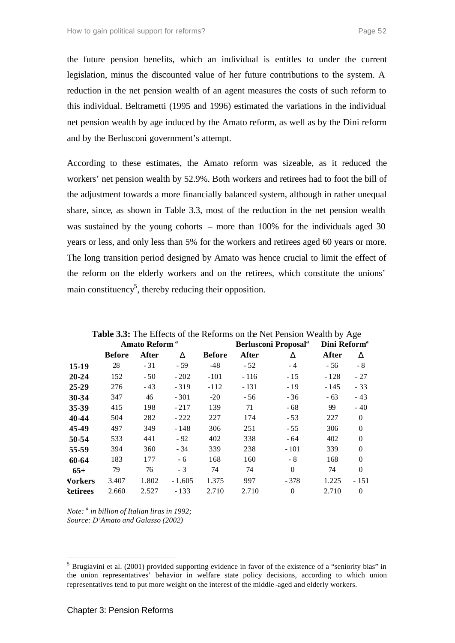the future pension benefits, which an individual is entitles to under the current legislation, minus the discounted value of her future contributions to the system. A reduction in the net pension wealth of an agent measures the costs of such reform to this individual. Beltrametti (1995 and 1996) estimated the variations in the individual net pension wealth by age induced by the Amato reform, as well as by the Dini reform and by the Berlusconi government's attempt.

According to these estimates, the Amato reform was sizeable, as it reduced the workers' net pension wealth by 52.9%. Both workers and retirees had to foot the bill of the adjustment towards a more financially balanced system, although in rather unequal share, since, as shown in Table 3.3, most of the reduction in the net pension wealth was sustained by the young cohorts – more than 100% for the individuals aged 30 years or less, and only less than 5% for the workers and retirees aged 60 years or more. The long transition period designed by Amato was hence crucial to limit the effect of the reform on the elderly workers and on the retirees, which constitute the unions' main constituency<sup>5</sup>, thereby reducing their opposition.

|                |                           |       |          |               |              | <b>Table 3.3:</b> The Effects of the Reforms on the Net Pension Wealth by Age |        |                          |  |
|----------------|---------------------------|-------|----------|---------------|--------------|-------------------------------------------------------------------------------|--------|--------------------------|--|
|                | Amato Reform <sup>a</sup> |       |          |               |              | <b>Berlusconi Proposal</b> <sup>a</sup>                                       |        | Dini Reform <sup>a</sup> |  |
|                | <b>Before</b>             | After | D        | <b>Before</b> | <b>After</b> | D                                                                             | After  | D                        |  |
| 15-19          | 28                        | $-31$ | - 59     | -48           | $-52$        | $-4$                                                                          | - 56   | $-8$                     |  |
| $20 - 24$      | 152                       | $-50$ | $-202$   | $-101$        | $-116$       | $-15$                                                                         | $-128$ | $-27$                    |  |
| $25 - 29$      | 276                       | $-43$ | $-319$   | $-112$        | $-131$       | $-19$                                                                         | - 145  | $-33$                    |  |
| 30-34          | 347                       | 46    | $-301$   | $-20$         | - 56         | $-36$                                                                         | $-63$  | $-43$                    |  |
| 35-39          | 415                       | 198   | $-217$   | 139           | 71           | - 68                                                                          | 99     | $-40$                    |  |
| 40-44          | 504                       | 282   | $-222$   | 227           | 174          | $-53$                                                                         | 227    | $\theta$                 |  |
| 45-49          | 497                       | 349   | - 148    | 306           | 251          | $-55$                                                                         | 306    | $\theta$                 |  |
| 50-54          | 533                       | 441   | $-92$    | 402           | 338          | $-64$                                                                         | 402    | $\theta$                 |  |
| 55-59          | 394                       | 360   | - 34     | 339           | 238          | - 101                                                                         | 339    | $\theta$                 |  |
| 60-64          | 183                       | 177   | - 6      | 168           | 160          | - 8                                                                           | 168    | $\theta$                 |  |
| $65+$          | 79                        | 76    | $-3$     | 74            | 74           | $\Omega$                                                                      | 74     | $\theta$                 |  |
| <b>Vorkers</b> | 3.407                     | 1.802 | $-1.605$ | 1.375         | 997          | $-378$                                                                        | 1.225  | - 151                    |  |
| Retirees       | 2.660                     | 2.527 | $-133$   | 2.710         | 2.710        | $\Omega$                                                                      | 2.710  | $\theta$                 |  |

*Note: <sup>a</sup> in billion of Italian liras in 1992; Source: D'Amato and Galasso (2002)*

l

<sup>&</sup>lt;sup>5</sup> Brugiavini et al. (2001) provided supporting evidence in favor of the existence of a "seniority bias" in the union representatives' behavior in welfare state policy decisions, according to which union representatives tend to put more weight on the interest of the middle -aged and elderly workers.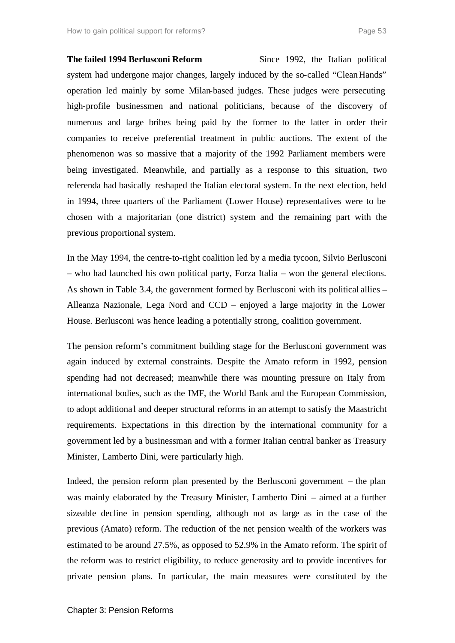**The failed 1994 Berlusconi Reform** Since 1992, the Italian political system had undergone major changes, largely induced by the so-called "Clean Hands" operation led mainly by some Milan-based judges. These judges were persecuting high-profile businessmen and national politicians, because of the discovery of numerous and large bribes being paid by the former to the latter in order their companies to receive preferential treatment in public auctions. The extent of the phenomenon was so massive that a majority of the 1992 Parliament members were being investigated. Meanwhile, and partially as a response to this situation, two referenda had basically reshaped the Italian electoral system. In the next election, held in 1994, three quarters of the Parliament (Lower House) representatives were to be chosen with a majoritarian (one district) system and the remaining part with the previous proportional system.

In the May 1994, the centre-to-right coalition led by a media tycoon, Silvio Berlusconi – who had launched his own political party, Forza Italia – won the general elections. As shown in Table 3.4, the government formed by Berlusconi with its political allies – Alleanza Nazionale, Lega Nord and CCD – enjoyed a large majority in the Lower House. Berlusconi was hence leading a potentially strong, coalition government.

The pension reform's commitment building stage for the Berlusconi government was again induced by external constraints. Despite the Amato reform in 1992, pension spending had not decreased; meanwhile there was mounting pressure on Italy from international bodies, such as the IMF, the World Bank and the European Commission, to adopt additiona l and deeper structural reforms in an attempt to satisfy the Maastricht requirements. Expectations in this direction by the international community for a government led by a businessman and with a former Italian central banker as Treasury Minister, Lamberto Dini, were particularly high.

Indeed, the pension reform plan presented by the Berlusconi government – the plan was mainly elaborated by the Treasury Minister, Lamberto Dini – aimed at a further sizeable decline in pension spending, although not as large as in the case of the previous (Amato) reform. The reduction of the net pension wealth of the workers was estimated to be around 27.5%, as opposed to 52.9% in the Amato reform. The spirit of the reform was to restrict eligibility, to reduce generosity and to provide incentives for private pension plans. In particular, the main measures were constituted by the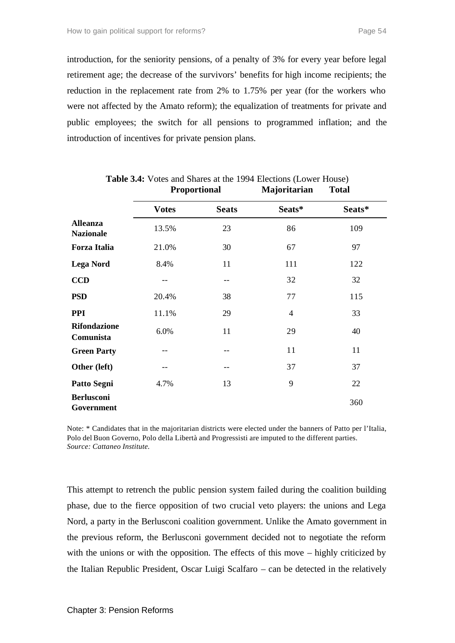introduction, for the seniority pensions, of a penalty of 3% for every year before legal retirement age; the decrease of the survivors' benefits for high income recipients; the reduction in the replacement rate from 2% to 1.75% per year (for the workers who were not affected by the Amato reform); the equalization of treatments for private and public employees; the switch for all pensions to programmed inflation; and the introduction of incentives for private pension plans.

|                                     | Proportional |              | Majoritarian   | <b>Total</b> |  |
|-------------------------------------|--------------|--------------|----------------|--------------|--|
|                                     | <b>Votes</b> | <b>Seats</b> | Seats*         | Seats*       |  |
| <b>Alleanza</b><br><b>Nazionale</b> | 13.5%        | 23           | 86             | 109          |  |
| <b>Forza Italia</b>                 | 21.0%        | 30           | 67             | 97           |  |
| <b>Lega Nord</b>                    | 8.4%         | 11           | 111            | 122          |  |
| <b>CCD</b>                          |              | $- -$        | 32             | 32           |  |
| <b>PSD</b>                          | 20.4%        | 38           | 77             | 115          |  |
| <b>PPI</b>                          | 11.1%        | 29           | $\overline{4}$ | 33           |  |
| <b>Rifondazione</b><br>Comunista    | 6.0%         | 11           | 29             | 40           |  |
| <b>Green Party</b>                  | --           | --           | 11             | 11           |  |
| Other (left)                        | --           | $- -$        | 37             | 37           |  |
| Patto Segni                         | 4.7%         | 13           | 9              | 22           |  |
| <b>Berlusconi</b><br>Government     |              |              |                | 360          |  |

**Table 3.4:** Votes and Shares at the 1994 Elections (Lower House)

Note: \* Candidates that in the majoritarian districts were elected under the banners of Patto per l'Italia, Polo del Buon Governo, Polo della Libertà and Progressisti are imputed to the different parties. *Source: Cattaneo Institute.*

This attempt to retrench the public pension system failed during the coalition building phase, due to the fierce opposition of two crucial veto players: the unions and Lega Nord, a party in the Berlusconi coalition government. Unlike the Amato government in the previous reform, the Berlusconi government decided not to negotiate the reform with the unions or with the opposition. The effects of this move – highly criticized by the Italian Republic President, Oscar Luigi Scalfaro – can be detected in the relatively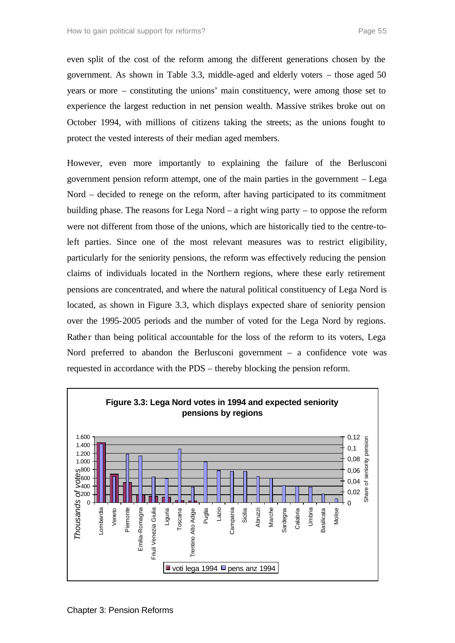even split of the cost of the reform among the different generations chosen by the government. As shown in Table 3.3, middle-aged and elderly voters – those aged 50 years or more – constituting the unions' main constituency, were among those set to experience the largest reduction in net pension wealth. Massive strikes broke out on October 1994, with millions of citizens taking the streets; as the unions fought to protect the vested interests of their median aged members.

However, even more importantly to explaining the failure of the Berlusconi government pension reform attempt, one of the main parties in the government – Lega Nord – decided to renege on the reform, after having participated to its commitment building phase. The reasons for Lega Nord – a right wing party – to oppose the reform were not different from those of the unions, which are historically tied to the centre-toleft parties. Since one of the most relevant measures was to restrict eligibility, particularly for the seniority pensions, the reform was effectively reducing the pension claims of individuals located in the Northern regions, where these early retirement pensions are concentrated, and where the natural political constituency of Lega Nord is located, as shown in Figure 3.3, which displays expected share of seniority pension over the 1995-2005 periods and the number of voted for the Lega Nord by regions. Rather than being political accountable for the loss of the reform to its voters, Lega Nord preferred to abandon the Berlusconi government – a confidence vote was requested in accordance with the PDS – thereby blocking the pension reform.

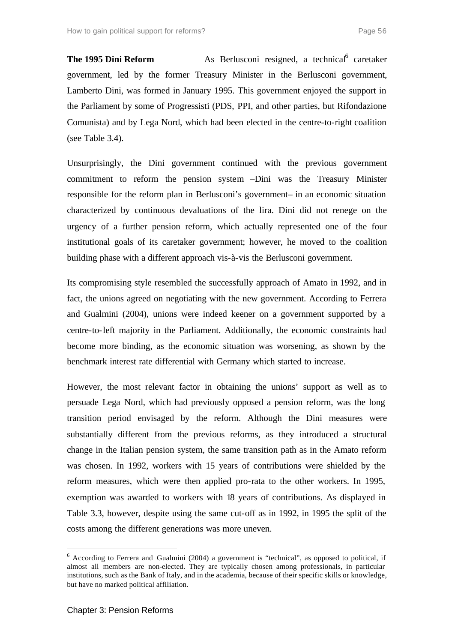**The 1995 Dini Reform** As Berlusconi resigned, a technical<sup>6</sup> caretaker government, led by the former Treasury Minister in the Berlusconi government, Lamberto Dini, was formed in January 1995. This government enjoyed the support in the Parliament by some of Progressisti (PDS, PPI, and other parties, but Rifondazione Comunista) and by Lega Nord, which had been elected in the centre-to-right coalition (see Table 3.4).

Unsurprisingly, the Dini government continued with the previous government commitment to reform the pension system –Dini was the Treasury Minister responsible for the reform plan in Berlusconi's government– in an economic situation characterized by continuous devaluations of the lira. Dini did not renege on the urgency of a further pension reform, which actually represented one of the four institutional goals of its caretaker government; however, he moved to the coalition building phase with a different approach vis-à-vis the Berlusconi government.

Its compromising style resembled the successfully approach of Amato in 1992, and in fact, the unions agreed on negotiating with the new government. According to Ferrera and Gualmini (2004), unions were indeed keener on a government supported by a centre-to-left majority in the Parliament. Additionally, the economic constraints had become more binding, as the economic situation was worsening, as shown by the benchmark interest rate differential with Germany which started to increase.

However, the most relevant factor in obtaining the unions' support as well as to persuade Lega Nord, which had previously opposed a pension reform, was the long transition period envisaged by the reform. Although the Dini measures were substantially different from the previous reforms, as they introduced a structural change in the Italian pension system, the same transition path as in the Amato reform was chosen. In 1992, workers with 15 years of contributions were shielded by the reform measures, which were then applied pro-rata to the other workers. In 1995, exemption was awarded to workers with 18 years of contributions. As displayed in Table 3.3, however, despite using the same cut-off as in 1992, in 1995 the split of the costs among the different generations was more uneven.

l

 $6$  According to Ferrera and Gualmini (2004) a government is "technical", as opposed to political, if almost all members are non-elected. They are typically chosen among professionals, in particular institutions, such as the Bank of Italy, and in the academia, because of their specific skills or knowledge, but have no marked political affiliation.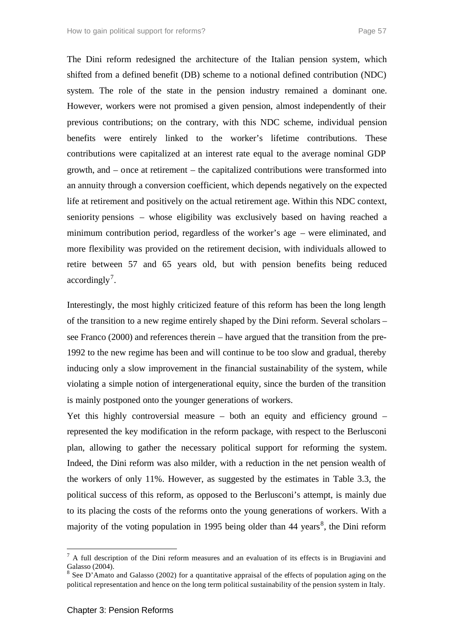The Dini reform redesigned the architecture of the Italian pension system, which shifted from a defined benefit (DB) scheme to a notional defined contribution (NDC) system. The role of the state in the pension industry remained a dominant one. However, workers were not promised a given pension, almost independently of their previous contributions; on the contrary, with this NDC scheme, individual pension benefits were entirely linked to the worker's lifetime contributions. These contributions were capitalized at an interest rate equal to the average nominal GDP growth, and – once at retirement – the capitalized contributions were transformed into an annuity through a conversion coefficient, which depends negatively on the expected life at retirement and positively on the actual retirement age. Within this NDC context, seniority pensions – whose eligibility was exclusively based on having reached a minimum contribution period, regardless of the worker's age – were eliminated, and more flexibility was provided on the retirement decision, with individuals allowed to retire between 57 and 65 years old, but with pension benefits being reduced  $accordingly<sup>7</sup>$ .

Interestingly, the most highly criticized feature of this reform has been the long length of the transition to a new regime entirely shaped by the Dini reform. Several scholars – see Franco (2000) and references therein – have argued that the transition from the pre-1992 to the new regime has been and will continue to be too slow and gradual, thereby inducing only a slow improvement in the financial sustainability of the system, while violating a simple notion of intergenerational equity, since the burden of the transition is mainly postponed onto the younger generations of workers.

Yet this highly controversial measure – both an equity and efficiency ground – represented the key modification in the reform package, with respect to the Berlusconi plan, allowing to gather the necessary political support for reforming the system. Indeed, the Dini reform was also milder, with a reduction in the net pension wealth of the workers of only 11%. However, as suggested by the estimates in Table 3.3, the political success of this reform, as opposed to the Berlusconi's attempt, is mainly due to its placing the costs of the reforms onto the young generations of workers. With a majority of the voting population in 1995 being older than  $44$  years<sup>8</sup>, the Dini reform

l

 $<sup>7</sup>$  A full description of the Dini reform measures and an evaluation of its effects is in Brugiavini and</sup> Galasso (2004).

<sup>8</sup> See D'Amato and Galasso (2002) for a quantitative appraisal of the effects of population aging on the political representation and hence on the long term political sustainability of the pension system in Italy.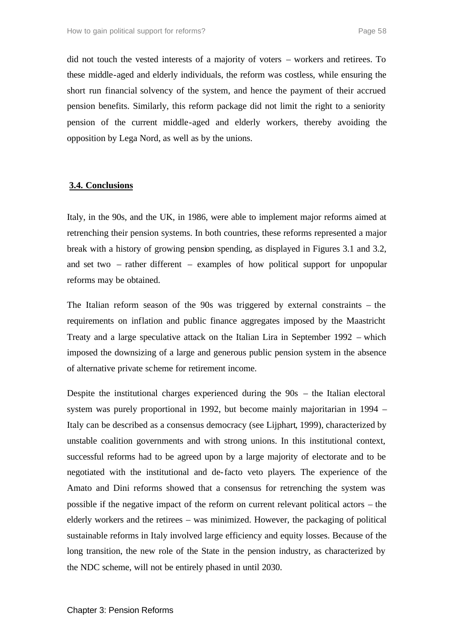did not touch the vested interests of a majority of voters – workers and retirees. To these middle-aged and elderly individuals, the reform was costless, while ensuring the short run financial solvency of the system, and hence the payment of their accrued pension benefits. Similarly, this reform package did not limit the right to a seniority pension of the current middle-aged and elderly workers, thereby avoiding the opposition by Lega Nord, as well as by the unions.

#### **3.4. Conclusions**

Italy, in the 90s, and the UK, in 1986, were able to implement major reforms aimed at retrenching their pension systems. In both countries, these reforms represented a major break with a history of growing pension spending, as displayed in Figures 3.1 and 3.2, and set two – rather different – examples of how political support for unpopular reforms may be obtained.

The Italian reform season of the 90s was triggered by external constraints – the requirements on inflation and public finance aggregates imposed by the Maastricht Treaty and a large speculative attack on the Italian Lira in September 1992 – which imposed the downsizing of a large and generous public pension system in the absence of alternative private scheme for retirement income.

Despite the institutional charges experienced during the 90s – the Italian electoral system was purely proportional in 1992, but become mainly majoritarian in 1994 – Italy can be described as a consensus democracy (see Lijphart, 1999), characterized by unstable coalition governments and with strong unions. In this institutional context, successful reforms had to be agreed upon by a large majority of electorate and to be negotiated with the institutional and de-facto veto players. The experience of the Amato and Dini reforms showed that a consensus for retrenching the system was possible if the negative impact of the reform on current relevant political actors – the elderly workers and the retirees – was minimized. However, the packaging of political sustainable reforms in Italy involved large efficiency and equity losses. Because of the long transition, the new role of the State in the pension industry, as characterized by the NDC scheme, will not be entirely phased in until 2030.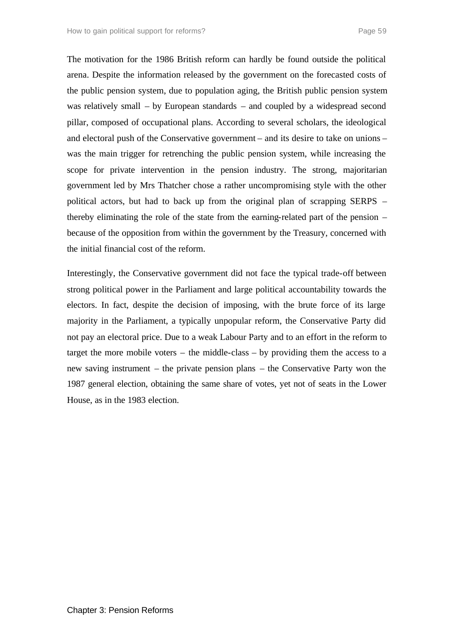The motivation for the 1986 British reform can hardly be found outside the political arena. Despite the information released by the government on the forecasted costs of the public pension system, due to population aging, the British public pension system was relatively small – by European standards – and coupled by a widespread second pillar, composed of occupational plans. According to several scholars, the ideological and electoral push of the Conservative government – and its desire to take on unions – was the main trigger for retrenching the public pension system, while increasing the scope for private intervention in the pension industry. The strong, majoritarian government led by Mrs Thatcher chose a rather uncompromising style with the other political actors, but had to back up from the original plan of scrapping SERPS – thereby eliminating the role of the state from the earning-related part of the pension – because of the opposition from within the government by the Treasury, concerned with the initial financial cost of the reform.

Interestingly, the Conservative government did not face the typical trade-off between strong political power in the Parliament and large political accountability towards the electors. In fact, despite the decision of imposing, with the brute force of its large majority in the Parliament, a typically unpopular reform, the Conservative Party did not pay an electoral price. Due to a weak Labour Party and to an effort in the reform to target the more mobile voters – the middle-class – by providing them the access to a new saving instrument – the private pension plans – the Conservative Party won the 1987 general election, obtaining the same share of votes, yet not of seats in the Lower House, as in the 1983 election.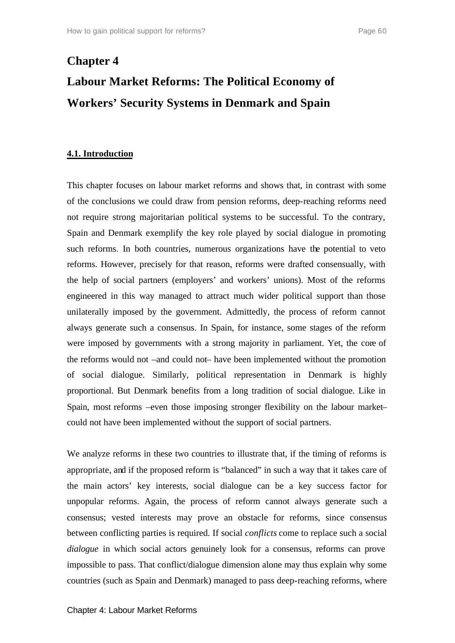# **Chapter 4 Labour Market Reforms: The Political Economy of Workers' Security Systems in Denmark and Spain**

### **4.1. Introduction**

This chapter focuses on labour market reforms and shows that, in contrast with some of the conclusions we could draw from pension reforms, deep-reaching reforms need not require strong majoritarian political systems to be successful. To the contrary, Spain and Denmark exemplify the key role played by social dialogue in promoting such reforms. In both countries, numerous organizations have the potential to veto reforms. However, precisely for that reason, reforms were drafted consensually, with the help of social partners (employers' and workers' unions). Most of the reforms engineered in this way managed to attract much wider political support than those unilaterally imposed by the government. Admittedly, the process of reform cannot always generate such a consensus. In Spain, for instance, some stages of the reform were imposed by governments with a strong majority in parliament. Yet, the core of the reforms would not –and could not– have been implemented without the promotion of social dialogue. Similarly, political representation in Denmark is highly proportional. But Denmark benefits from a long tradition of social dialogue. Like in Spain, most reforms –even those imposing stronger flexibility on the labour market– could not have been implemented without the support of social partners.

We analyze reforms in these two countries to illustrate that, if the timing of reforms is appropriate, and if the proposed reform is "balanced" in such a way that it takes care of the main actors' key interests, social dialogue can be a key success factor for unpopular reforms. Again, the process of reform cannot always generate such a consensus; vested interests may prove an obstacle for reforms, since consensus between conflicting parties is required. If social *conflicts* come to replace such a social *dialogue* in which social actors genuinely look for a consensus, reforms can prove impossible to pass. That conflict/dialogue dimension alone may thus explain why some countries (such as Spain and Denmark) managed to pass deep-reaching reforms, where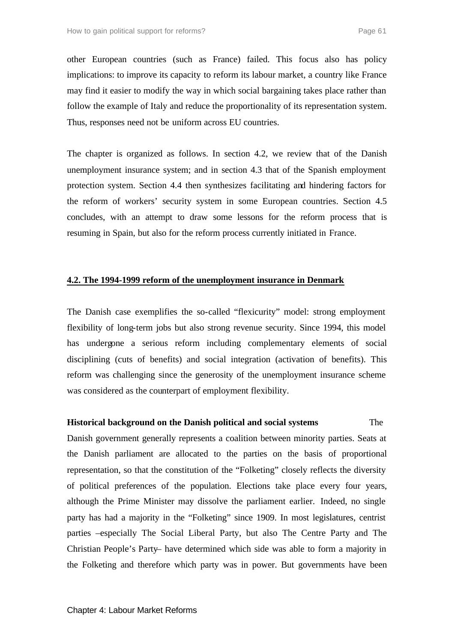other European countries (such as France) failed. This focus also has policy implications: to improve its capacity to reform its labour market, a country like France may find it easier to modify the way in which social bargaining takes place rather than follow the example of Italy and reduce the proportionality of its representation system. Thus, responses need not be uniform across EU countries.

The chapter is organized as follows. In section 4.2, we review that of the Danish unemployment insurance system; and in section 4.3 that of the Spanish employment protection system. Section 4.4 then synthesizes facilitating and hindering factors for the reform of workers' security system in some European countries. Section 4.5 concludes, with an attempt to draw some lessons for the reform process that is resuming in Spain, but also for the reform process currently initiated in France.

# **4.2. The 1994-1999 reform of the unemployment insurance in Denmark**

The Danish case exemplifies the so-called "flexicurity" model: strong employment flexibility of long-term jobs but also strong revenue security. Since 1994, this model has undergone a serious reform including complementary elements of social disciplining (cuts of benefits) and social integration (activation of benefits). This reform was challenging since the generosity of the unemployment insurance scheme was considered as the counterpart of employment flexibility.

# **Historical background on the Danish political and social systems** The

Danish government generally represents a coalition between minority parties. Seats at the Danish parliament are allocated to the parties on the basis of proportional representation, so that the constitution of the "Folketing" closely reflects the diversity of political preferences of the population. Elections take place every four years, although the Prime Minister may dissolve the parliament earlier. Indeed, no single party has had a majority in the "Folketing" since 1909. In most legislatures, centrist parties –especially The Social Liberal Party, but also The Centre Party and The Christian People's Party– have determined which side was able to form a majority in the Folketing and therefore which party was in power. But governments have been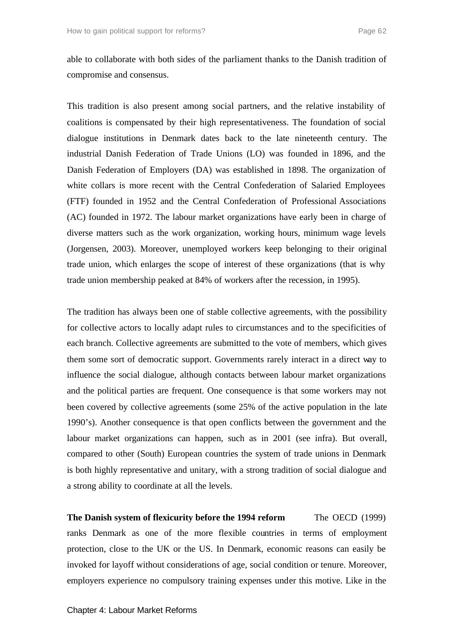able to collaborate with both sides of the parliament thanks to the Danish tradition of compromise and consensus.

This tradition is also present among social partners, and the relative instability of coalitions is compensated by their high representativeness. The foundation of social dialogue institutions in Denmark dates back to the late nineteenth century. The industrial Danish Federation of Trade Unions (LO) was founded in 1896, and the Danish Federation of Employers (DA) was established in 1898. The organization of white collars is more recent with the Central Confederation of Salaried Employees (FTF) founded in 1952 and the Central Confederation of Professional Associations (AC) founded in 1972. The labour market organizations have early been in charge of diverse matters such as the work organization, working hours, minimum wage levels (Jorgensen, 2003). Moreover, unemployed workers keep belonging to their original trade union, which enlarges the scope of interest of these organizations (that is why trade union membership peaked at 84% of workers after the recession, in 1995).

The tradition has always been one of stable collective agreements, with the possibility for collective actors to locally adapt rules to circumstances and to the specificities of each branch. Collective agreements are submitted to the vote of members, which gives them some sort of democratic support. Governments rarely interact in a direct way to influence the social dialogue, although contacts between labour market organizations and the political parties are frequent. One consequence is that some workers may not been covered by collective agreements (some 25% of the active population in the late 1990's). Another consequence is that open conflicts between the government and the labour market organizations can happen, such as in 2001 (see infra). But overall, compared to other (South) European countries the system of trade unions in Denmark is both highly representative and unitary, with a strong tradition of social dialogue and a strong ability to coordinate at all the levels.

**The Danish system of flexicurity before the 1994 reform** The OECD (1999) ranks Denmark as one of the more flexible countries in terms of employment protection, close to the UK or the US. In Denmark, economic reasons can easily be invoked for layoff without considerations of age, social condition or tenure. Moreover, employers experience no compulsory training expenses under this motive. Like in the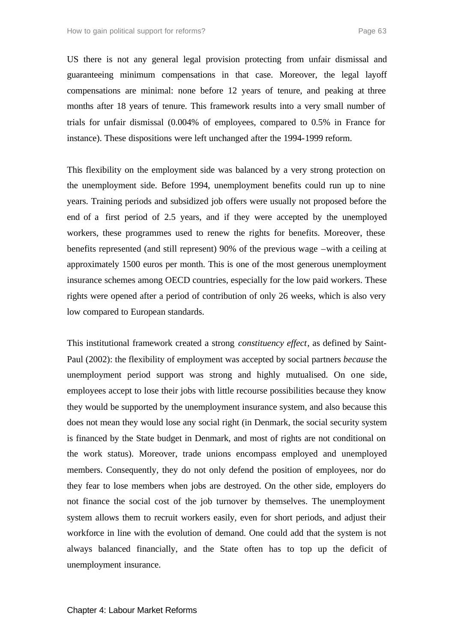US there is not any general legal provision protecting from unfair dismissal and guaranteeing minimum compensations in that case. Moreover, the legal layoff compensations are minimal: none before 12 years of tenure, and peaking at three months after 18 years of tenure. This framework results into a very small number of trials for unfair dismissal (0.004% of employees, compared to 0.5% in France for instance). These dispositions were left unchanged after the 1994-1999 reform.

This flexibility on the employment side was balanced by a very strong protection on the unemployment side. Before 1994, unemployment benefits could run up to nine years. Training periods and subsidized job offers were usually not proposed before the end of a first period of 2.5 years, and if they were accepted by the unemployed workers, these programmes used to renew the rights for benefits. Moreover, these benefits represented (and still represent) 90% of the previous wage –with a ceiling at approximately 1500 euros per month. This is one of the most generous unemployment insurance schemes among OECD countries, especially for the low paid workers. These rights were opened after a period of contribution of only 26 weeks, which is also very low compared to European standards.

This institutional framework created a strong *constituency effect*, as defined by Saint-Paul (2002): the flexibility of employment was accepted by social partners *because* the unemployment period support was strong and highly mutualised. On one side, employees accept to lose their jobs with little recourse possibilities because they know they would be supported by the unemployment insurance system, and also because this does not mean they would lose any social right (in Denmark, the social security system is financed by the State budget in Denmark, and most of rights are not conditional on the work status). Moreover, trade unions encompass employed and unemployed members. Consequently, they do not only defend the position of employees, nor do they fear to lose members when jobs are destroyed. On the other side, employers do not finance the social cost of the job turnover by themselves. The unemployment system allows them to recruit workers easily, even for short periods, and adjust their workforce in line with the evolution of demand. One could add that the system is not always balanced financially, and the State often has to top up the deficit of unemployment insurance.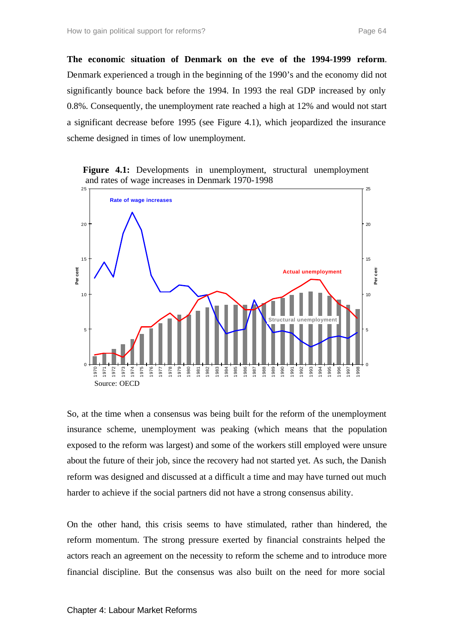**The economic situation of Denmark on the eve of the 1994-1999 reform**. Denmark experienced a trough in the beginning of the 1990's and the economy did not significantly bounce back before the 1994. In 1993 the real GDP increased by only 0.8%. Consequently, the unemployment rate reached a high at 12% and would not start a significant decrease before 1995 (see Figure 4.1), which jeopardized the insurance scheme designed in times of low unemployment.

**Figure 4.1:** Developments in unemployment, structural unemployment and rates of wage increases in Denmark 1970-1998



So, at the time when a consensus was being built for the reform of the unemployment insurance scheme, unemployment was peaking (which means that the population exposed to the reform was largest) and some of the workers still employed were unsure about the future of their job, since the recovery had not started yet. As such, the Danish reform was designed and discussed at a difficult a time and may have turned out much harder to achieve if the social partners did not have a strong consensus ability.

On the other hand, this crisis seems to have stimulated, rather than hindered, the reform momentum. The strong pressure exerted by financial constraints helped the actors reach an agreement on the necessity to reform the scheme and to introduce more financial discipline. But the consensus was also built on the need for more social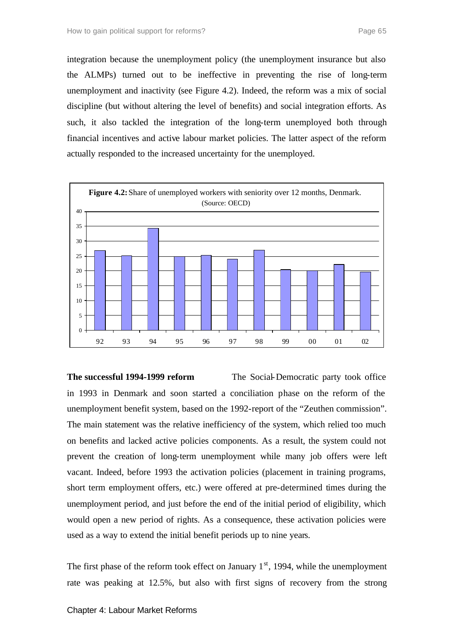integration because the unemployment policy (the unemployment insurance but also the ALMPs) turned out to be ineffective in preventing the rise of long-term unemployment and inactivity (see Figure 4.2). Indeed, the reform was a mix of social discipline (but without altering the level of benefits) and social integration efforts. As such, it also tackled the integration of the long-term unemployed both through financial incentives and active labour market policies. The latter aspect of the reform actually responded to the increased uncertainty for the unemployed.



**The successful 1994-1999 reform** The Social-Democratic party took office in 1993 in Denmark and soon started a conciliation phase on the reform of the unemployment benefit system, based on the 1992-report of the "Zeuthen commission". The main statement was the relative inefficiency of the system, which relied too much on benefits and lacked active policies components. As a result, the system could not prevent the creation of long-term unemployment while many job offers were left vacant. Indeed, before 1993 the activation policies (placement in training programs, short term employment offers, etc.) were offered at pre-determined times during the unemployment period, and just before the end of the initial period of eligibility, which would open a new period of rights. As a consequence, these activation policies were used as a way to extend the initial benefit periods up to nine years.

The first phase of the reform took effect on January  $1<sup>st</sup>$ , 1994, while the unemployment rate was peaking at 12.5%, but also with first signs of recovery from the strong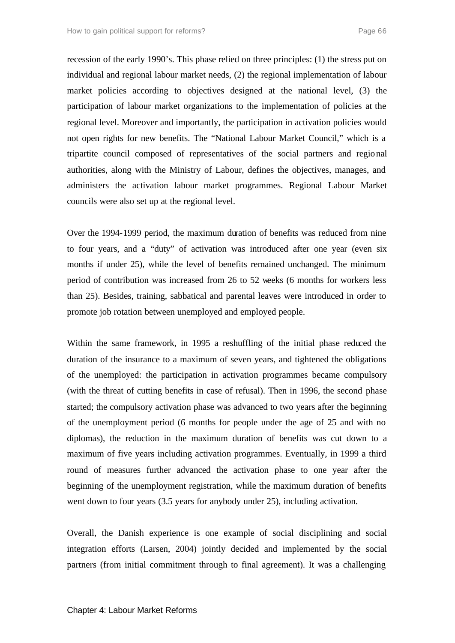recession of the early 1990's. This phase relied on three principles: (1) the stress put on individual and regional labour market needs, (2) the regional implementation of labour market policies according to objectives designed at the national level, (3) the participation of labour market organizations to the implementation of policies at the regional level. Moreover and importantly, the participation in activation policies would not open rights for new benefits. The "National Labour Market Council," which is a tripartite council composed of representatives of the social partners and regional authorities, along with the Ministry of Labour, defines the objectives, manages, and administers the activation labour market programmes. Regional Labour Market councils were also set up at the regional level.

Over the 1994-1999 period, the maximum duration of benefits was reduced from nine to four years, and a "duty" of activation was introduced after one year (even six months if under 25), while the level of benefits remained unchanged. The minimum period of contribution was increased from 26 to 52 weeks (6 months for workers less than 25). Besides, training, sabbatical and parental leaves were introduced in order to promote job rotation between unemployed and employed people.

Within the same framework, in 1995 a reshuffling of the initial phase reduced the duration of the insurance to a maximum of seven years, and tightened the obligations of the unemployed: the participation in activation programmes became compulsory (with the threat of cutting benefits in case of refusal). Then in 1996, the second phase started; the compulsory activation phase was advanced to two years after the beginning of the unemployment period (6 months for people under the age of 25 and with no diplomas), the reduction in the maximum duration of benefits was cut down to a maximum of five years including activation programmes. Eventually, in 1999 a third round of measures further advanced the activation phase to one year after the beginning of the unemployment registration, while the maximum duration of benefits went down to four years (3.5 years for anybody under 25), including activation.

Overall, the Danish experience is one example of social disciplining and social integration efforts (Larsen, 2004) jointly decided and implemented by the social partners (from initial commitment through to final agreement). It was a challenging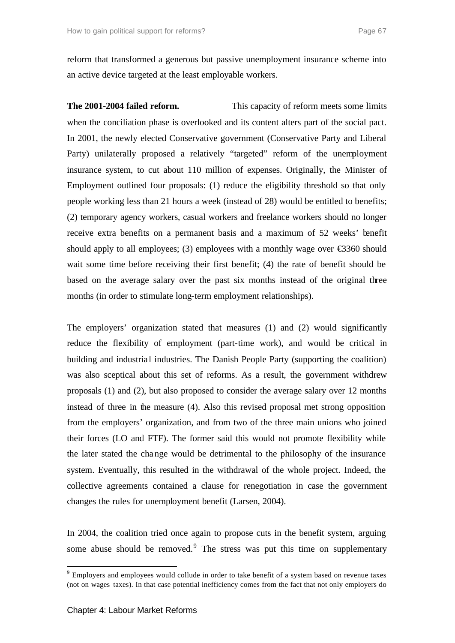reform that transformed a generous but passive unemployment insurance scheme into an active device targeted at the least employable workers.

**The 2001-2004 failed reform.** This capacity of reform meets some limits when the conciliation phase is overlooked and its content alters part of the social pact. In 2001, the newly elected Conservative government (Conservative Party and Liberal Party) unilaterally proposed a relatively "targeted" reform of the unemployment insurance system, to cut about 110 million of expenses. Originally, the Minister of Employment outlined four proposals: (1) reduce the eligibility threshold so that only people working less than 21 hours a week (instead of 28) would be entitled to benefits; (2) temporary agency workers, casual workers and freelance workers should no longer receive extra benefits on a permanent basis and a maximum of 52 weeks' benefit should apply to all employees; (3) employees with a monthly wage over  $\epsilon$ 360 should wait some time before receiving their first benefit; (4) the rate of benefit should be based on the average salary over the past six months instead of the original three months (in order to stimulate long-term employment relationships).

The employers' organization stated that measures (1) and (2) would significantly reduce the flexibility of employment (part-time work), and would be critical in building and industrial industries. The Danish People Party (supporting the coalition) was also sceptical about this set of reforms. As a result, the government withdrew proposals (1) and (2), but also proposed to consider the average salary over 12 months instead of three in the measure (4). Also this revised proposal met strong opposition from the employers' organization, and from two of the three main unions who joined their forces (LO and FTF). The former said this would not promote flexibility while the later stated the change would be detrimental to the philosophy of the insurance system. Eventually, this resulted in the withdrawal of the whole project. Indeed, the collective agreements contained a clause for renegotiation in case the government changes the rules for unemployment benefit (Larsen, 2004).

In 2004, the coalition tried once again to propose cuts in the benefit system, arguing some abuse should be removed.<sup>9</sup> The stress was put this time on supplementary

l

<sup>&</sup>lt;sup>9</sup> Employers and employees would collude in order to take benefit of a system based on revenue taxes (not on wages taxes). In that case potential inefficiency comes from the fact that not only employers do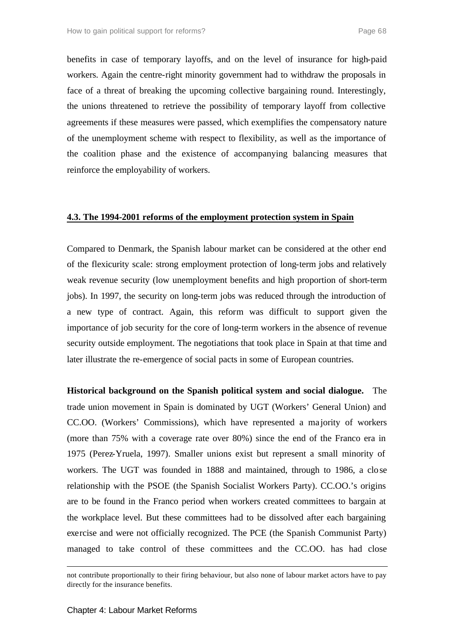benefits in case of temporary layoffs, and on the level of insurance for high-paid workers. Again the centre-right minority government had to withdraw the proposals in face of a threat of breaking the upcoming collective bargaining round. Interestingly, the unions threatened to retrieve the possibility of temporary layoff from collective agreements if these measures were passed, which exemplifies the compensatory nature of the unemployment scheme with respect to flexibility, as well as the importance of the coalition phase and the existence of accompanying balancing measures that reinforce the employability of workers.

# **4.3. The 1994-2001 reforms of the employment protection system in Spain**

Compared to Denmark, the Spanish labour market can be considered at the other end of the flexicurity scale: strong employment protection of long-term jobs and relatively weak revenue security (low unemployment benefits and high proportion of short-term jobs). In 1997, the security on long-term jobs was reduced through the introduction of a new type of contract. Again, this reform was difficult to support given the importance of job security for the core of long-term workers in the absence of revenue security outside employment. The negotiations that took place in Spain at that time and later illustrate the re-emergence of social pacts in some of European countries.

**Historical background on the Spanish political system and social dialogue.** The trade union movement in Spain is dominated by UGT (Workers' General Union) and CC.OO. (Workers' Commissions), which have represented a ma jority of workers (more than 75% with a coverage rate over 80%) since the end of the Franco era in 1975 (Perez-Yruela, 1997). Smaller unions exist but represent a small minority of workers. The UGT was founded in 1888 and maintained, through to 1986, a close relationship with the PSOE (the Spanish Socialist Workers Party). CC.OO.'s origins are to be found in the Franco period when workers created committees to bargain at the workplace level. But these committees had to be dissolved after each bargaining exercise and were not officially recognized. The PCE (the Spanish Communist Party) managed to take control of these committees and the CC.OO. has had close

l

not contribute proportionally to their firing behaviour, but also none of labour market actors have to pay directly for the insurance benefits.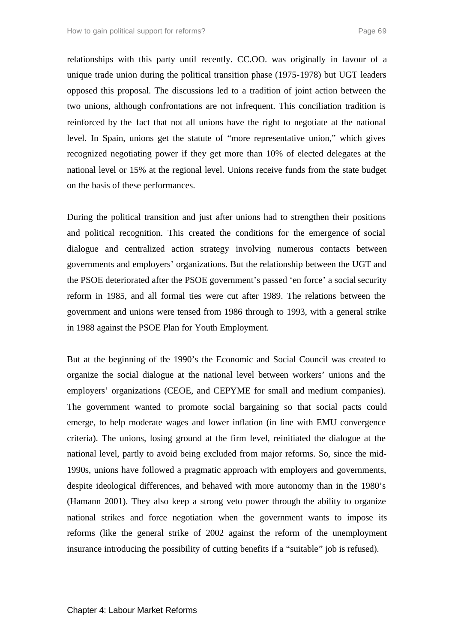relationships with this party until recently. CC.OO. was originally in favour of a unique trade union during the political transition phase (1975-1978) but UGT leaders opposed this proposal. The discussions led to a tradition of joint action between the two unions, although confrontations are not infrequent. This conciliation tradition is reinforced by the fact that not all unions have the right to negotiate at the national level. In Spain, unions get the statute of "more representative union," which gives recognized negotiating power if they get more than 10% of elected delegates at the national level or 15% at the regional level. Unions receive funds from the state budget on the basis of these performances.

During the political transition and just after unions had to strengthen their positions and political recognition. This created the conditions for the emergence of social dialogue and centralized action strategy involving numerous contacts between governments and employers' organizations. But the relationship between the UGT and the PSOE deteriorated after the PSOE government's passed 'en force' a social security reform in 1985, and all formal ties were cut after 1989. The relations between the government and unions were tensed from 1986 through to 1993, with a general strike in 1988 against the PSOE Plan for Youth Employment.

But at the beginning of the 1990's the Economic and Social Council was created to organize the social dialogue at the national level between workers' unions and the employers' organizations (CEOE, and CEPYME for small and medium companies). The government wanted to promote social bargaining so that social pacts could emerge, to help moderate wages and lower inflation (in line with EMU convergence criteria). The unions, losing ground at the firm level, reinitiated the dialogue at the national level, partly to avoid being excluded from major reforms. So, since the mid-1990s, unions have followed a pragmatic approach with employers and governments, despite ideological differences, and behaved with more autonomy than in the 1980's (Hamann 2001). They also keep a strong veto power through the ability to organize national strikes and force negotiation when the government wants to impose its reforms (like the general strike of 2002 against the reform of the unemployment insurance introducing the possibility of cutting benefits if a "suitable" job is refused).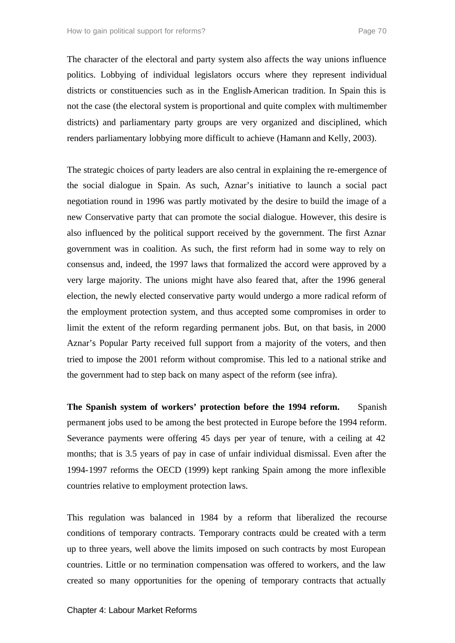The character of the electoral and party system also affects the way unions influence politics. Lobbying of individual legislators occurs where they represent individual districts or constituencies such as in the English-American tradition. In Spain this is not the case (the electoral system is proportional and quite complex with multimember districts) and parliamentary party groups are very organized and disciplined, which renders parliamentary lobbying more difficult to achieve (Hamann and Kelly, 2003).

The strategic choices of party leaders are also central in explaining the re-emergence of the social dialogue in Spain. As such, Aznar's initiative to launch a social pact negotiation round in 1996 was partly motivated by the desire to build the image of a new Conservative party that can promote the social dialogue. However, this desire is also influenced by the political support received by the government. The first Aznar government was in coalition. As such, the first reform had in some way to rely on consensus and, indeed, the 1997 laws that formalized the accord were approved by a very large majority. The unions might have also feared that, after the 1996 general election, the newly elected conservative party would undergo a more radical reform of the employment protection system, and thus accepted some compromises in order to limit the extent of the reform regarding permanent jobs. But, on that basis, in 2000 Aznar's Popular Party received full support from a majority of the voters, and then tried to impose the 2001 reform without compromise. This led to a national strike and the government had to step back on many aspect of the reform (see infra).

**The Spanish system of workers' protection before the 1994 reform.** Spanish permanent jobs used to be among the best protected in Europe before the 1994 reform. Severance payments were offering 45 days per year of tenure, with a ceiling at 42 months; that is 3.5 years of pay in case of unfair individual dismissal. Even after the 1994-1997 reforms the OECD (1999) kept ranking Spain among the more inflexible countries relative to employment protection laws.

This regulation was balanced in 1984 by a reform that liberalized the recourse conditions of temporary contracts. Temporary contracts could be created with a term up to three years, well above the limits imposed on such contracts by most European countries. Little or no termination compensation was offered to workers, and the law created so many opportunities for the opening of temporary contracts that actually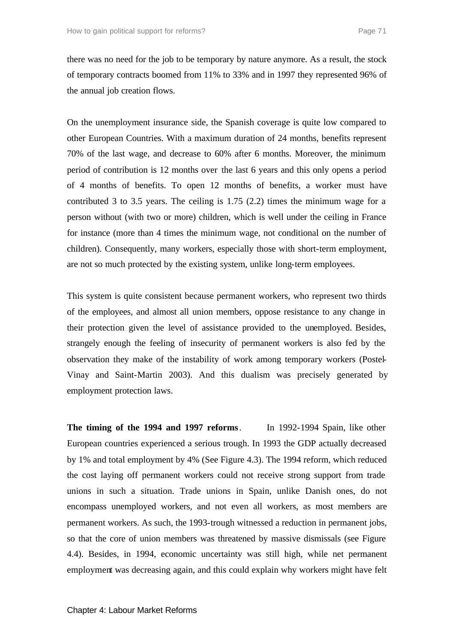there was no need for the job to be temporary by nature anymore. As a result, the stock of temporary contracts boomed from 11% to 33% and in 1997 they represented 96% of the annual job creation flows.

On the unemployment insurance side, the Spanish coverage is quite low compared to other European Countries. With a maximum duration of 24 months, benefits represent 70% of the last wage, and decrease to 60% after 6 months. Moreover, the minimum period of contribution is 12 months over the last 6 years and this only opens a period of 4 months of benefits. To open 12 months of benefits, a worker must have contributed 3 to 3.5 years. The ceiling is 1.75 (2.2) times the minimum wage for a person without (with two or more) children, which is well under the ceiling in France for instance (more than 4 times the minimum wage, not conditional on the number of children). Consequently, many workers, especially those with short-term employment, are not so much protected by the existing system, unlike long-term employees.

This system is quite consistent because permanent workers, who represent two thirds of the employees, and almost all union members, oppose resistance to any change in their protection given the level of assistance provided to the unemployed. Besides, strangely enough the feeling of insecurity of permanent workers is also fed by the observation they make of the instability of work among temporary workers (Postel-Vinay and Saint-Martin 2003). And this dualism was precisely generated by employment protection laws.

**The timing of the 1994 and 1997 reforms**. In 1992-1994 Spain, like other European countries experienced a serious trough. In 1993 the GDP actually decreased by 1% and total employment by 4% (See Figure 4.3). The 1994 reform, which reduced the cost laying off permanent workers could not receive strong support from trade unions in such a situation. Trade unions in Spain, unlike Danish ones, do not encompass unemployed workers, and not even all workers, as most members are permanent workers. As such, the 1993-trough witnessed a reduction in permanent jobs, so that the core of union members was threatened by massive dismissals (see Figure 4.4). Besides, in 1994, economic uncertainty was still high, while net permanent employment was decreasing again, and this could explain why workers might have felt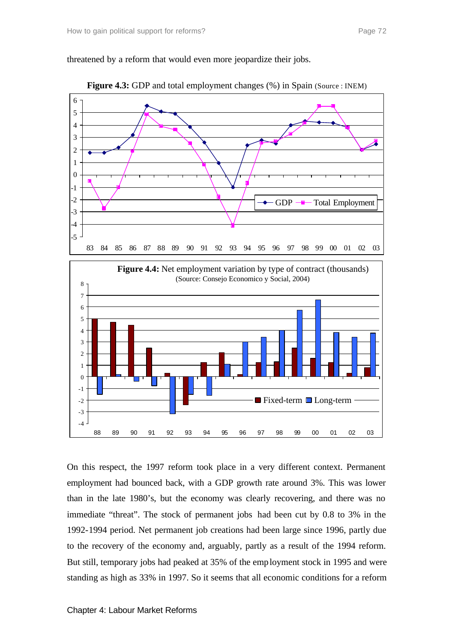threatened by a reform that would even more jeopardize their jobs.



**Figure 4.3:** GDP and total employment changes (%) in Spain (Source : INEM)



On this respect, the 1997 reform took place in a very different context. Permanent employment had bounced back, with a GDP growth rate around 3%. This was lower than in the late 1980's, but the economy was clearly recovering, and there was no immediate "threat". The stock of permanent jobs had been cut by 0.8 to 3% in the 1992-1994 period. Net permanent job creations had been large since 1996, partly due to the recovery of the economy and, arguably, partly as a result of the 1994 reform. But still, temporary jobs had peaked at 35% of the employment stock in 1995 and were standing as high as 33% in 1997. So it seems that all economic conditions for a reform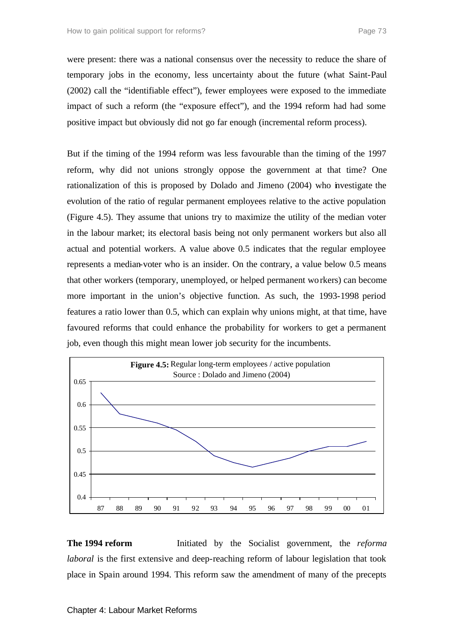were present: there was a national consensus over the necessity to reduce the share of temporary jobs in the economy, less uncertainty about the future (what Saint-Paul (2002) call the "identifiable effect"), fewer employees were exposed to the immediate impact of such a reform (the "exposure effect"), and the 1994 reform had had some positive impact but obviously did not go far enough (incremental reform process).

But if the timing of the 1994 reform was less favourable than the timing of the 1997 reform, why did not unions strongly oppose the government at that time? One rationalization of this is proposed by Dolado and Jimeno (2004) who investigate the evolution of the ratio of regular permanent employees relative to the active population (Figure 4.5). They assume that unions try to maximize the utility of the median voter in the labour market; its electoral basis being not only permanent workers but also all actual and potential workers. A value above 0.5 indicates that the regular employee represents a median-voter who is an insider. On the contrary, a value below 0.5 means that other workers (temporary, unemployed, or helped permanent workers) can become more important in the union's objective function. As such, the 1993-1998 period features a ratio lower than 0.5, which can explain why unions might, at that time, have favoured reforms that could enhance the probability for workers to get a permanent job, even though this might mean lower job security for the incumbents.



**The 1994 reform** Initiated by the Socialist government, the *reforma laboral* is the first extensive and deep-reaching reform of labour legislation that took place in Spain around 1994. This reform saw the amendment of many of the precepts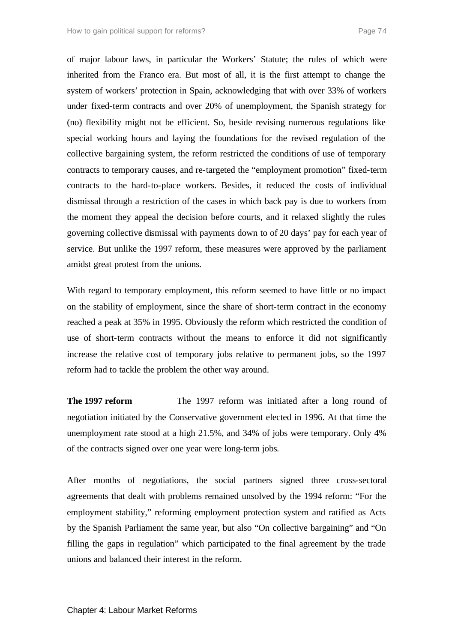of major labour laws, in particular the Workers' Statute; the rules of which were inherited from the Franco era. But most of all, it is the first attempt to change the system of workers' protection in Spain, acknowledging that with over 33% of workers under fixed-term contracts and over 20% of unemployment, the Spanish strategy for (no) flexibility might not be efficient. So, beside revising numerous regulations like special working hours and laying the foundations for the revised regulation of the collective bargaining system, the reform restricted the conditions of use of temporary contracts to temporary causes, and re-targeted the "employment promotion" fixed-term contracts to the hard-to-place workers. Besides, it reduced the costs of individual dismissal through a restriction of the cases in which back pay is due to workers from the moment they appeal the decision before courts, and it relaxed slightly the rules governing collective dismissal with payments down to of 20 days' pay for each year of service. But unlike the 1997 reform, these measures were approved by the parliament amidst great protest from the unions.

With regard to temporary employment, this reform seemed to have little or no impact on the stability of employment, since the share of short-term contract in the economy reached a peak at 35% in 1995. Obviously the reform which restricted the condition of use of short-term contracts without the means to enforce it did not significantly increase the relative cost of temporary jobs relative to permanent jobs, so the 1997 reform had to tackle the problem the other way around.

**The 1997 reform** The 1997 reform was initiated after a long round of negotiation initiated by the Conservative government elected in 1996. At that time the unemployment rate stood at a high 21.5%, and 34% of jobs were temporary. Only 4% of the contracts signed over one year were long-term jobs*.*

After months of negotiations, the social partners signed three cross-sectoral agreements that dealt with problems remained unsolved by the 1994 reform: "For the employment stability," reforming employment protection system and ratified as Acts by the Spanish Parliament the same year, but also "On collective bargaining" and "On filling the gaps in regulation" which participated to the final agreement by the trade unions and balanced their interest in the reform.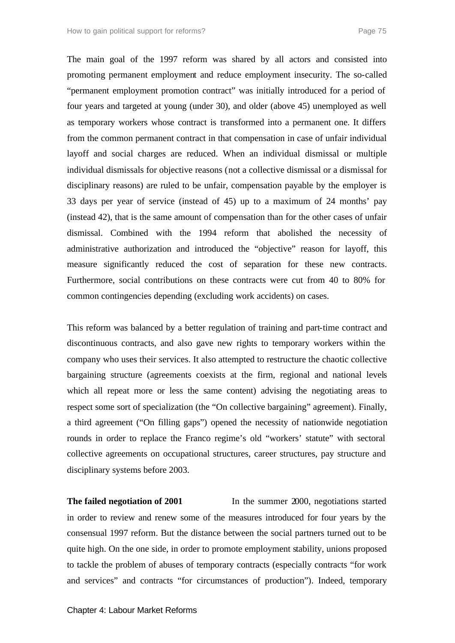The main goal of the 1997 reform was shared by all actors and consisted into promoting permanent employment and reduce employment insecurity. The so-called "permanent employment promotion contract" was initially introduced for a period of four years and targeted at young (under 30), and older (above 45) unemployed as well as temporary workers whose contract is transformed into a permanent one. It differs from the common permanent contract in that compensation in case of unfair individual layoff and social charges are reduced. When an individual dismissal or multiple individual dismissals for objective reasons (not a collective dismissal or a dismissal for disciplinary reasons) are ruled to be unfair, compensation payable by the employer is 33 days per year of service (instead of 45) up to a maximum of 24 months' pay (instead 42), that is the same amount of compensation than for the other cases of unfair dismissal. Combined with the 1994 reform that abolished the necessity of administrative authorization and introduced the "objective" reason for layoff, this measure significantly reduced the cost of separation for these new contracts. Furthermore, social contributions on these contracts were cut from 40 to 80% for common contingencies depending (excluding work accidents) on cases.

This reform was balanced by a better regulation of training and part-time contract and discontinuous contracts, and also gave new rights to temporary workers within the company who uses their services. It also attempted to restructure the chaotic collective bargaining structure (agreements coexists at the firm, regional and national levels which all repeat more or less the same content) advising the negotiating areas to respect some sort of specialization (the "On collective bargaining" agreement). Finally, a third agreement ("On filling gaps") opened the necessity of nationwide negotiation rounds in order to replace the Franco regime's old "workers' statute" with sectoral collective agreements on occupational structures, career structures, pay structure and disciplinary systems before 2003.

**The failed negotiation of 2001** In the summer 2000, negotiations started in order to review and renew some of the measures introduced for four years by the consensual 1997 reform. But the distance between the social partners turned out to be quite high. On the one side, in order to promote employment stability, unions proposed to tackle the problem of abuses of temporary contracts (especially contracts "for work and services" and contracts "for circumstances of production"). Indeed, temporary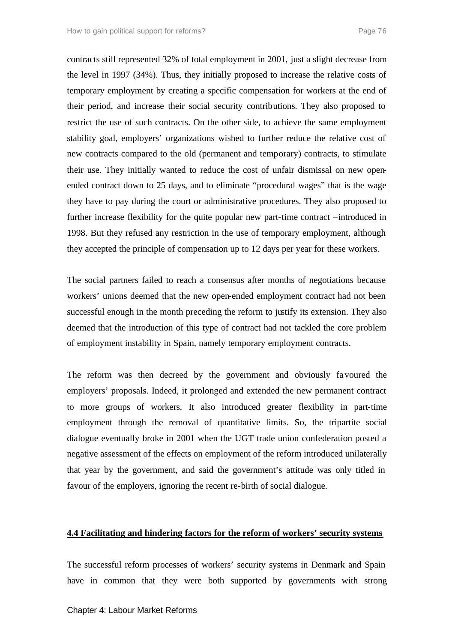contracts still represented 32% of total employment in 2001, just a slight decrease from the level in 1997 (34%). Thus, they initially proposed to increase the relative costs of temporary employment by creating a specific compensation for workers at the end of their period, and increase their social security contributions. They also proposed to restrict the use of such contracts. On the other side, to achieve the same employment stability goal, employers' organizations wished to further reduce the relative cost of new contracts compared to the old (permanent and temporary) contracts, to stimulate their use. They initially wanted to reduce the cost of unfair dismissal on new openended contract down to 25 days, and to eliminate "procedural wages" that is the wage they have to pay during the court or administrative procedures. They also proposed to further increase flexibility for the quite popular new part-time contract –introduced in 1998. But they refused any restriction in the use of temporary employment, although they accepted the principle of compensation up to 12 days per year for these workers.

The social partners failed to reach a consensus after months of negotiations because workers' unions deemed that the new open-ended employment contract had not been successful enough in the month preceding the reform to justify its extension. They also deemed that the introduction of this type of contract had not tackled the core problem of employment instability in Spain, namely temporary employment contracts.

The reform was then decreed by the government and obviously favoured the employers' proposals. Indeed, it prolonged and extended the new permanent contract to more groups of workers. It also introduced greater flexibility in part-time employment through the removal of quantitative limits. So, the tripartite social dialogue eventually broke in 2001 when the UGT trade union confederation posted a negative assessment of the effects on employment of the reform introduced unilaterally that year by the government, and said the government's attitude was only titled in favour of the employers, ignoring the recent re-birth of social dialogue.

#### **4.4 Facilitating and hindering factors for the reform of workers' security systems**

The successful reform processes of workers' security systems in Denmark and Spain have in common that they were both supported by governments with strong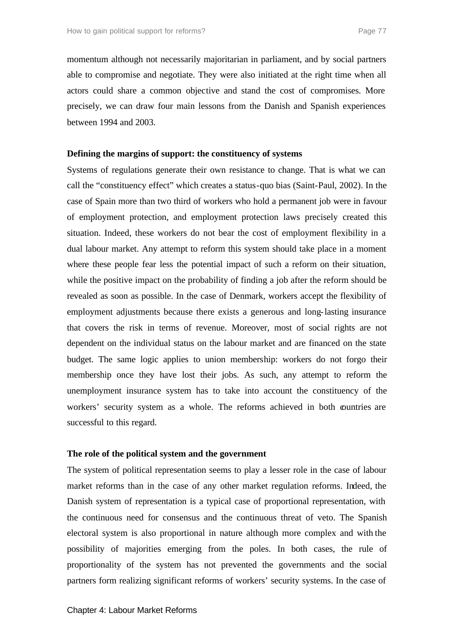momentum although not necessarily majoritarian in parliament, and by social partners able to compromise and negotiate. They were also initiated at the right time when all actors could share a common objective and stand the cost of compromises. More precisely, we can draw four main lessons from the Danish and Spanish experiences between 1994 and 2003.

#### **Defining the margins of support: the constituency of systems**

Systems of regulations generate their own resistance to change. That is what we can call the "constituency effect" which creates a status-quo bias (Saint-Paul, 2002). In the case of Spain more than two third of workers who hold a permanent job were in favour of employment protection, and employment protection laws precisely created this situation. Indeed, these workers do not bear the cost of employment flexibility in a dual labour market. Any attempt to reform this system should take place in a moment where these people fear less the potential impact of such a reform on their situation, while the positive impact on the probability of finding a job after the reform should be revealed as soon as possible. In the case of Denmark, workers accept the flexibility of employment adjustments because there exists a generous and long-lasting insurance that covers the risk in terms of revenue. Moreover, most of social rights are not dependent on the individual status on the labour market and are financed on the state budget. The same logic applies to union membership: workers do not forgo their membership once they have lost their jobs. As such, any attempt to reform the unemployment insurance system has to take into account the constituency of the workers' security system as a whole. The reforms achieved in both countries are successful to this regard.

#### **The role of the political system and the government**

The system of political representation seems to play a lesser role in the case of labour market reforms than in the case of any other market regulation reforms. Indeed, the Danish system of representation is a typical case of proportional representation, with the continuous need for consensus and the continuous threat of veto. The Spanish electoral system is also proportional in nature although more complex and with the possibility of majorities emerging from the poles. In both cases, the rule of proportionality of the system has not prevented the governments and the social partners form realizing significant reforms of workers' security systems. In the case of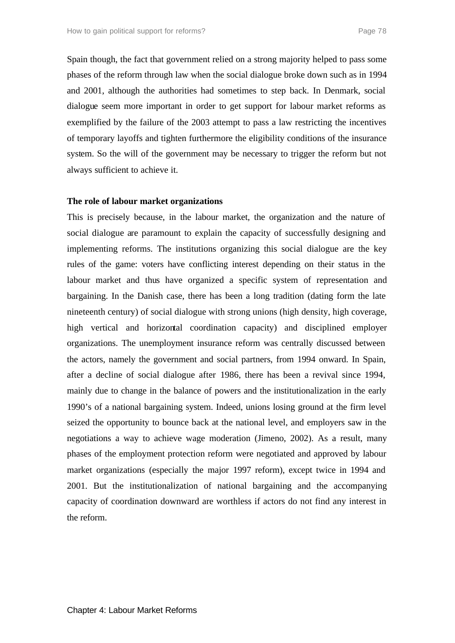Spain though, the fact that government relied on a strong majority helped to pass some phases of the reform through law when the social dialogue broke down such as in 1994 and 2001, although the authorities had sometimes to step back. In Denmark, social dialogue seem more important in order to get support for labour market reforms as exemplified by the failure of the 2003 attempt to pass a law restricting the incentives of temporary layoffs and tighten furthermore the eligibility conditions of the insurance system. So the will of the government may be necessary to trigger the reform but not always sufficient to achieve it.

#### **The role of labour market organizations**

This is precisely because, in the labour market, the organization and the nature of social dialogue are paramount to explain the capacity of successfully designing and implementing reforms. The institutions organizing this social dialogue are the key rules of the game: voters have conflicting interest depending on their status in the labour market and thus have organized a specific system of representation and bargaining. In the Danish case, there has been a long tradition (dating form the late nineteenth century) of social dialogue with strong unions (high density, high coverage, high vertical and horizontal coordination capacity) and disciplined employer organizations. The unemployment insurance reform was centrally discussed between the actors, namely the government and social partners, from 1994 onward. In Spain, after a decline of social dialogue after 1986, there has been a revival since 1994, mainly due to change in the balance of powers and the institutionalization in the early 1990's of a national bargaining system. Indeed, unions losing ground at the firm level seized the opportunity to bounce back at the national level, and employers saw in the negotiations a way to achieve wage moderation (Jimeno, 2002). As a result, many phases of the employment protection reform were negotiated and approved by labour market organizations (especially the major 1997 reform), except twice in 1994 and 2001. But the institutionalization of national bargaining and the accompanying capacity of coordination downward are worthless if actors do not find any interest in the reform.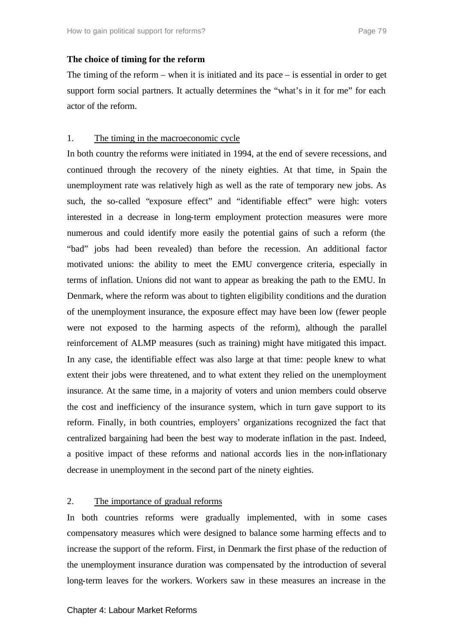## **The choice of timing for the reform**

The timing of the reform  $-$  when it is initiated and its pace  $-$  is essential in order to get support form social partners. It actually determines the "what's in it for me" for each actor of the reform.

## 1. The timing in the macroeconomic cycle

In both country the reforms were initiated in 1994, at the end of severe recessions, and continued through the recovery of the ninety eighties. At that time, in Spain the unemployment rate was relatively high as well as the rate of temporary new jobs. As such, the so-called "exposure effect" and "identifiable effect" were high: voters interested in a decrease in long-term employment protection measures were more numerous and could identify more easily the potential gains of such a reform (the "bad" jobs had been revealed) than before the recession. An additional factor motivated unions: the ability to meet the EMU convergence criteria, especially in terms of inflation. Unions did not want to appear as breaking the path to the EMU. In Denmark, where the reform was about to tighten eligibility conditions and the duration of the unemployment insurance, the exposure effect may have been low (fewer people were not exposed to the harming aspects of the reform), although the parallel reinforcement of ALMP measures (such as training) might have mitigated this impact. In any case, the identifiable effect was also large at that time: people knew to what extent their jobs were threatened, and to what extent they relied on the unemployment insurance. At the same time, in a majority of voters and union members could observe the cost and inefficiency of the insurance system, which in turn gave support to its reform. Finally, in both countries, employers' organizations recognized the fact that centralized bargaining had been the best way to moderate inflation in the past. Indeed, a positive impact of these reforms and national accords lies in the non-inflationary decrease in unemployment in the second part of the ninety eighties.

# 2. The importance of gradual reforms

In both countries reforms were gradually implemented, with in some cases compensatory measures which were designed to balance some harming effects and to increase the support of the reform. First, in Denmark the first phase of the reduction of the unemployment insurance duration was compensated by the introduction of several long-term leaves for the workers. Workers saw in these measures an increase in the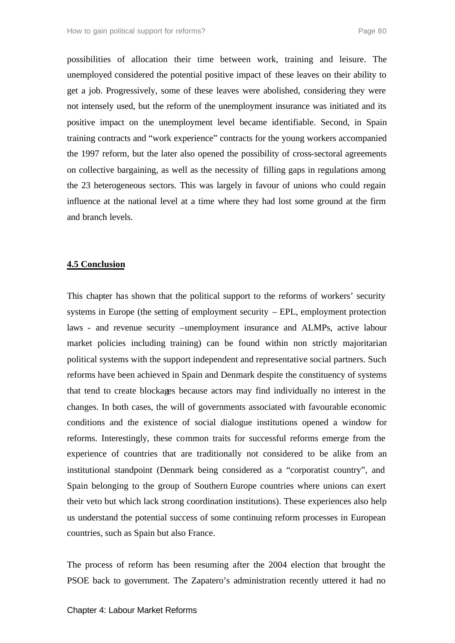possibilities of allocation their time between work, training and leisure. The unemployed considered the potential positive impact of these leaves on their ability to get a job. Progressively, some of these leaves were abolished, considering they were not intensely used, but the reform of the unemployment insurance was initiated and its positive impact on the unemployment level became identifiable. Second, in Spain training contracts and "work experience" contracts for the young workers accompanied the 1997 reform, but the later also opened the possibility of cross-sectoral agreements on collective bargaining, as well as the necessity of filling gaps in regulations among the 23 heterogeneous sectors. This was largely in favour of unions who could regain influence at the national level at a time where they had lost some ground at the firm and branch levels.

#### **4.5 Conclusion**

This chapter has shown that the political support to the reforms of workers' security systems in Europe (the setting of employment security – EPL, employment protection laws - and revenue security –unemployment insurance and ALMPs, active labour market policies including training) can be found within non strictly majoritarian political systems with the support independent and representative social partners. Such reforms have been achieved in Spain and Denmark despite the constituency of systems that tend to create blockages because actors may find individually no interest in the changes. In both cases, the will of governments associated with favourable economic conditions and the existence of social dialogue institutions opened a window for reforms. Interestingly, these common traits for successful reforms emerge from the experience of countries that are traditionally not considered to be alike from an institutional standpoint (Denmark being considered as a "corporatist country", and Spain belonging to the group of Southern Europe countries where unions can exert their veto but which lack strong coordination institutions). These experiences also help us understand the potential success of some continuing reform processes in European countries, such as Spain but also France.

The process of reform has been resuming after the 2004 election that brought the PSOE back to government. The Zapatero's administration recently uttered it had no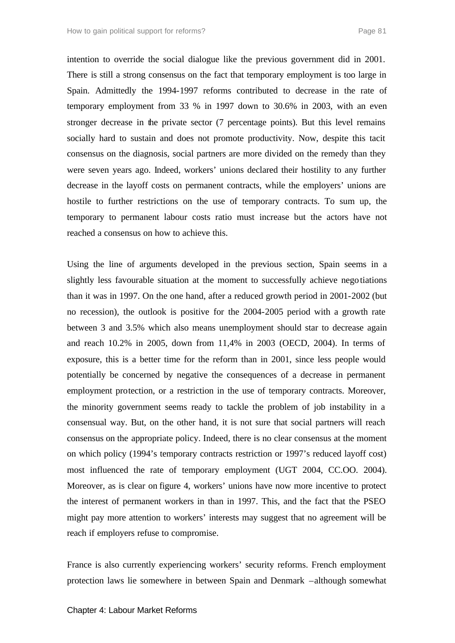intention to override the social dialogue like the previous government did in 2001. There is still a strong consensus on the fact that temporary employment is too large in Spain. Admittedly the 1994-1997 reforms contributed to decrease in the rate of temporary employment from 33 % in 1997 down to 30.6% in 2003, with an even stronger decrease in the private sector (7 percentage points). But this level remains socially hard to sustain and does not promote productivity. Now, despite this tacit consensus on the diagnosis, social partners are more divided on the remedy than they were seven years ago. Indeed, workers' unions declared their hostility to any further decrease in the layoff costs on permanent contracts, while the employers' unions are hostile to further restrictions on the use of temporary contracts. To sum up, the temporary to permanent labour costs ratio must increase but the actors have not reached a consensus on how to achieve this.

Using the line of arguments developed in the previous section, Spain seems in a slightly less favourable situation at the moment to successfully achieve negotiations than it was in 1997. On the one hand, after a reduced growth period in 2001-2002 (but no recession), the outlook is positive for the 2004-2005 period with a growth rate between 3 and 3.5% which also means unemployment should star to decrease again and reach 10.2% in 2005, down from 11,4% in 2003 (OECD, 2004). In terms of exposure, this is a better time for the reform than in 2001, since less people would potentially be concerned by negative the consequences of a decrease in permanent employment protection, or a restriction in the use of temporary contracts. Moreover, the minority government seems ready to tackle the problem of job instability in a consensual way. But, on the other hand, it is not sure that social partners will reach consensus on the appropriate policy. Indeed, there is no clear consensus at the moment on which policy (1994's temporary contracts restriction or 1997's reduced layoff cost) most influenced the rate of temporary employment (UGT 2004, CC.OO. 2004). Moreover, as is clear on figure 4, workers' unions have now more incentive to protect the interest of permanent workers in than in 1997. This, and the fact that the PSEO might pay more attention to workers' interests may suggest that no agreement will be reach if employers refuse to compromise.

France is also currently experiencing workers' security reforms. French employment protection laws lie somewhere in between Spain and Denmark –although somewhat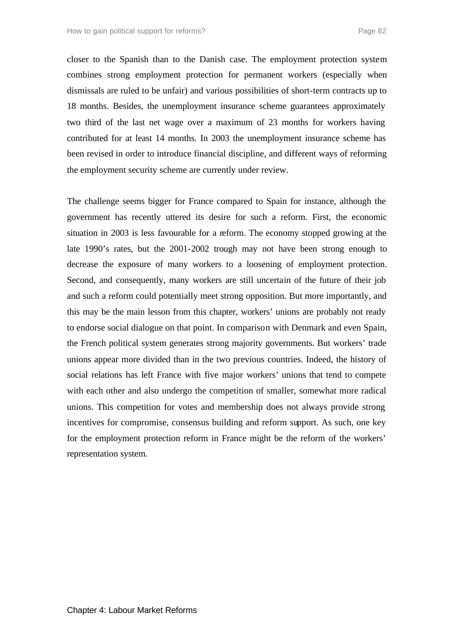closer to the Spanish than to the Danish case. The employment protection system combines strong employment protection for permanent workers (especially when dismissals are ruled to be unfair) and various possibilities of short-term contracts up to 18 months. Besides, the unemployment insurance scheme guarantees approximately two third of the last net wage over a maximum of 23 months for workers having contributed for at least 14 months. In 2003 the unemployment insurance scheme has been revised in order to introduce financial discipline, and different ways of reforming the employment security scheme are currently under review.

The challenge seems bigger for France compared to Spain for instance, although the government has recently uttered its desire for such a reform. First, the economic situation in 2003 is less favourable for a reform. The economy stopped growing at the late 1990's rates, but the 2001-2002 trough may not have been strong enough to decrease the exposure of many workers to a loosening of employment protection. Second, and consequently, many workers are still uncertain of the future of their job and such a reform could potentially meet strong opposition. But more importantly, and this may be the main lesson from this chapter, workers' unions are probably not ready to endorse social dialogue on that point. In comparison with Denmark and even Spain, the French political system generates strong majority governments. But workers' trade unions appear more divided than in the two previous countries. Indeed, the history of social relations has left France with five major workers' unions that tend to compete with each other and also undergo the competition of smaller, somewhat more radical unions. This competition for votes and membership does not always provide strong incentives for compromise, consensus building and reform support. As such, one key for the employment protection reform in France might be the reform of the workers' representation system.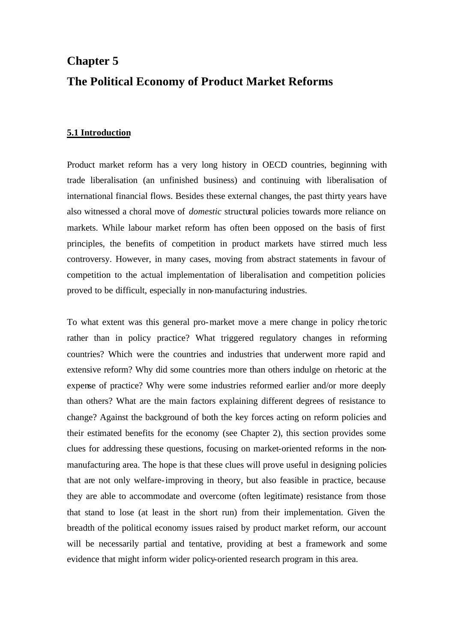# **Chapter 5 The Political Economy of Product Market Reforms**

## **5.1 Introduction**

Product market reform has a very long history in OECD countries, beginning with trade liberalisation (an unfinished business) and continuing with liberalisation of international financial flows. Besides these external changes, the past thirty years have also witnessed a choral move of *domestic* structural policies towards more reliance on markets. While labour market reform has often been opposed on the basis of first principles, the benefits of competition in product markets have stirred much less controversy. However, in many cases, moving from abstract statements in favour of competition to the actual implementation of liberalisation and competition policies proved to be difficult, especially in non-manufacturing industries.

To what extent was this general pro-market move a mere change in policy rhe toric rather than in policy practice? What triggered regulatory changes in reforming countries? Which were the countries and industries that underwent more rapid and extensive reform? Why did some countries more than others indulge on rhetoric at the expense of practice? Why were some industries reformed earlier and/or more deeply than others? What are the main factors explaining different degrees of resistance to change? Against the background of both the key forces acting on reform policies and their estimated benefits for the economy (see Chapter 2), this section provides some clues for addressing these questions, focusing on market-oriented reforms in the nonmanufacturing area. The hope is that these clues will prove useful in designing policies that are not only welfare-improving in theory, but also feasible in practice, because they are able to accommodate and overcome (often legitimate) resistance from those that stand to lose (at least in the short run) from their implementation. Given the breadth of the political economy issues raised by product market reform, our account will be necessarily partial and tentative, providing at best a framework and some evidence that might inform wider policy-oriented research program in this area.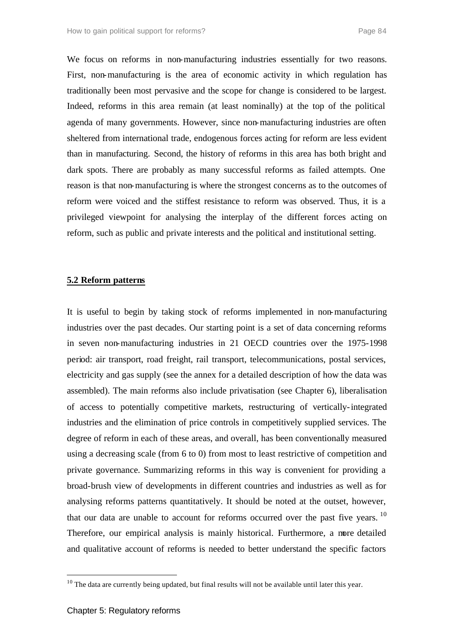We focus on reforms in non-manufacturing industries essentially for two reasons. First, non-manufacturing is the area of economic activity in which regulation has traditionally been most pervasive and the scope for change is considered to be largest. Indeed, reforms in this area remain (at least nominally) at the top of the political agenda of many governments. However, since non-manufacturing industries are often sheltered from international trade, endogenous forces acting for reform are less evident than in manufacturing. Second, the history of reforms in this area has both bright and dark spots. There are probably as many successful reforms as failed attempts. One reason is that non-manufacturing is where the strongest concerns as to the outcomes of reform were voiced and the stiffest resistance to reform was observed. Thus, it is a privileged viewpoint for analysing the interplay of the different forces acting on reform, such as public and private interests and the political and institutional setting.

## **5.2 Reform patterns**

It is useful to begin by taking stock of reforms implemented in non-manufacturing industries over the past decades. Our starting point is a set of data concerning reforms in seven non-manufacturing industries in 21 OECD countries over the 1975-1998 period: air transport, road freight, rail transport, telecommunications, postal services, electricity and gas supply (see the annex for a detailed description of how the data was assembled). The main reforms also include privatisation (see Chapter 6), liberalisation of access to potentially competitive markets, restructuring of vertically-integrated industries and the elimination of price controls in competitively supplied services. The degree of reform in each of these areas, and overall, has been conventionally measured using a decreasing scale (from 6 to 0) from most to least restrictive of competition and private governance. Summarizing reforms in this way is convenient for providing a broad-brush view of developments in different countries and industries as well as for analysing reforms patterns quantitatively. It should be noted at the outset, however, that our data are unable to account for reforms occurred over the past five years.<sup>10</sup> Therefore, our empirical analysis is mainly historical. Furthermore, a more detailed and qualitative account of reforms is needed to better understand the specific factors

<sup>&</sup>lt;sup>10</sup> The data are currently being updated, but final results will not be available until later this year.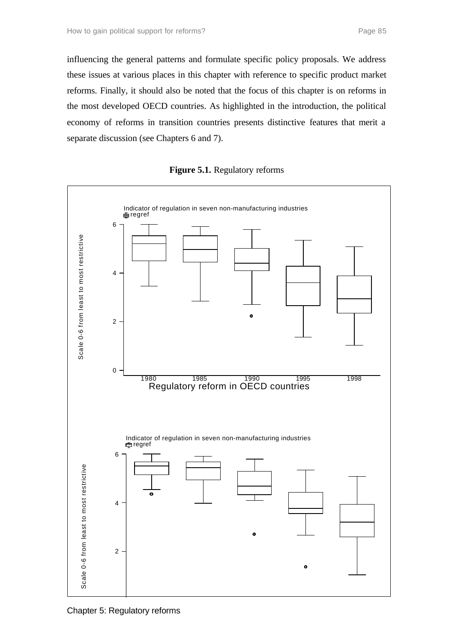influencing the general patterns and formulate specific policy proposals. We address these issues at various places in this chapter with reference to specific product market reforms. Finally, it should also be noted that the focus of this chapter is on reforms in the most developed OECD countries. As highlighted in the introduction, the political economy of reforms in transition countries presents distinctive features that merit a separate discussion (see Chapters 6 and 7).



**Figure 5.1.** Regulatory reforms

Chapter 5: Regulatory reforms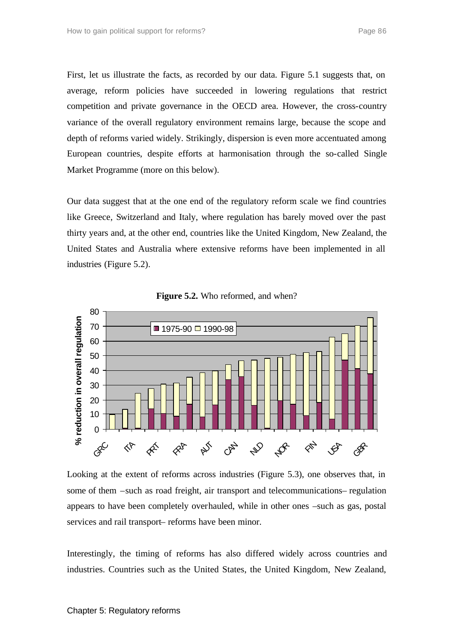First, let us illustrate the facts, as recorded by our data. Figure 5.1 suggests that, on average, reform policies have succeeded in lowering regulations that restrict competition and private governance in the OECD area. However, the cross-country variance of the overall regulatory environment remains large, because the scope and depth of reforms varied widely. Strikingly, dispersion is even more accentuated among European countries, despite efforts at harmonisation through the so-called Single Market Programme (more on this below).

Our data suggest that at the one end of the regulatory reform scale we find countries like Greece, Switzerland and Italy, where regulation has barely moved over the past thirty years and, at the other end, countries like the United Kingdom, New Zealand, the United States and Australia where extensive reforms have been implemented in all industries (Figure 5.2).





Looking at the extent of reforms across industries (Figure 5.3), one observes that, in some of them –such as road freight, air transport and telecommunications– regulation appears to have been completely overhauled, while in other ones –such as gas, postal services and rail transport– reforms have been minor.

Interestingly, the timing of reforms has also differed widely across countries and industries. Countries such as the United States, the United Kingdom, New Zealand,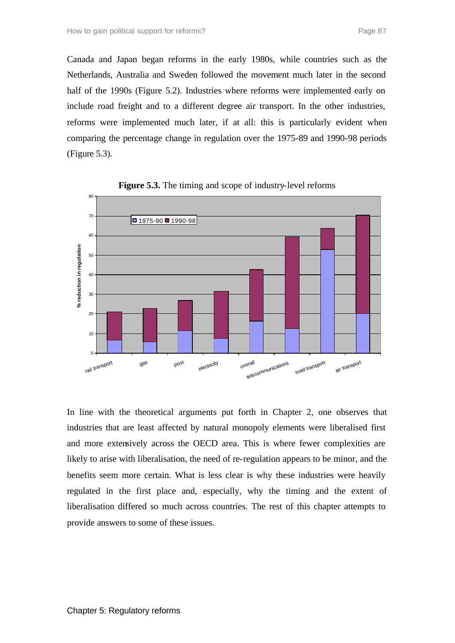Canada and Japan began reforms in the early 1980s, while countries such as the Netherlands, Australia and Sweden followed the movement much later in the second half of the 1990s (Figure 5.2). Industries where reforms were implemented early on include road freight and to a different degree air transport. In the other industries, reforms were implemented much later, if at all: this is particularly evident when comparing the percentage change in regulation over the 1975-89 and 1990-98 periods (Figure 5.3).



**Figure 5.3.** The timing and scope of industry-level reforms

In line with the theoretical arguments put forth in Chapter 2, one observes that industries that are least affected by natural monopoly elements were liberalised first and more extensively across the OECD area. This is where fewer complexities are likely to arise with liberalisation, the need of re-regulation appears to be minor, and the benefits seem more certain. What is less clear is why these industries were heavily regulated in the first place and, especially, why the timing and the extent of liberalisation differed so much across countries. The rest of this chapter attempts to provide answers to some of these issues.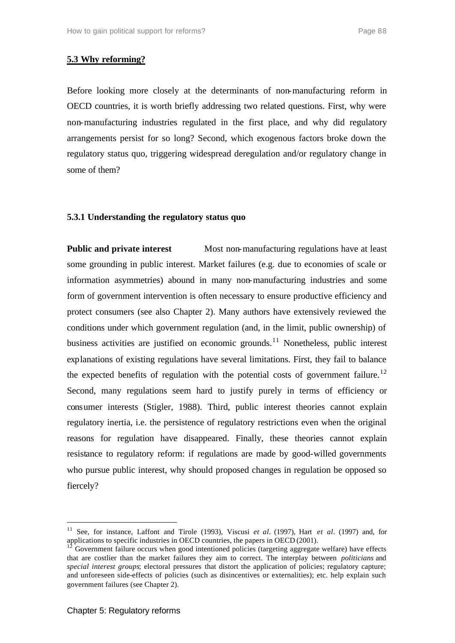# **5.3 Why reforming?**

Before looking more closely at the determinants of non-manufacturing reform in OECD countries, it is worth briefly addressing two related questions. First, why were non-manufacturing industries regulated in the first place, and why did regulatory arrangements persist for so long? Second, which exogenous factors broke down the regulatory status quo, triggering widespread deregulation and/or regulatory change in some of them?

## **5.3.1 Understanding the regulatory status quo**

**Public and private interest** Most non-manufacturing regulations have at least some grounding in public interest. Market failures (e.g. due to economies of scale or information asymmetries) abound in many non-manufacturing industries and some form of government intervention is often necessary to ensure productive efficiency and protect consumers (see also Chapter 2). Many authors have extensively reviewed the conditions under which government regulation (and, in the limit, public ownership) of business activities are justified on economic grounds.<sup>11</sup> Nonetheless, public interest explanations of existing regulations have several limitations. First, they fail to balance the expected benefits of regulation with the potential costs of government failure.<sup>12</sup> Second, many regulations seem hard to justify purely in terms of efficiency or consumer interests (Stigler, 1988). Third, public interest theories cannot explain regulatory inertia, i.e. the persistence of regulatory restrictions even when the original reasons for regulation have disappeared. Finally, these theories cannot explain resistance to regulatory reform: if regulations are made by good-willed governments who pursue public interest, why should proposed changes in regulation be opposed so fiercely?

<sup>11</sup> See, for instance, Laffont and Tirole (1993), Viscusi *et al.* (1997), Hart *et al.* (1997) and, for applications to specific industries in OECD countries, the papers in OECD (2001).

<sup>12</sup> Government failure occurs when good intentioned policies (targeting aggregate welfare) have effects that are costlier than the market failures they aim to correct. The interplay between *politicians* and *special interest groups*; electoral pressures that distort the application of policies; regulatory capture; and unforeseen side-effects of policies (such as disincentives or externalities); etc. help explain such government failures (see Chapter 2).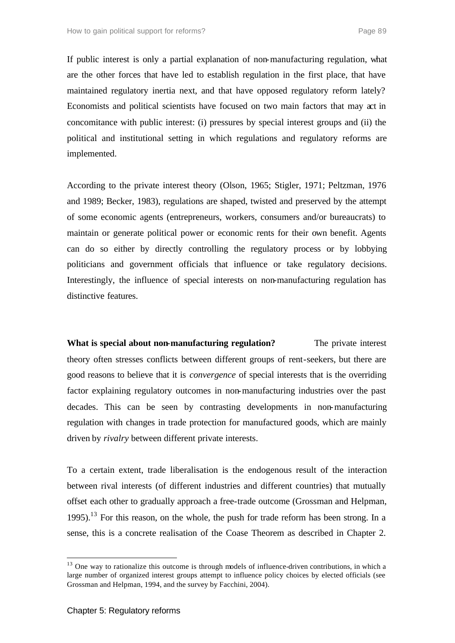If public interest is only a partial explanation of non-manufacturing regulation, what are the other forces that have led to establish regulation in the first place, that have maintained regulatory inertia next, and that have opposed regulatory reform lately? Economists and political scientists have focused on two main factors that may act in concomitance with public interest: (i) pressures by special interest groups and (ii) the political and institutional setting in which regulations and regulatory reforms are implemented.

According to the private interest theory (Olson, 1965; Stigler, 1971; Peltzman, 1976 and 1989; Becker, 1983), regulations are shaped, twisted and preserved by the attempt of some economic agents (entrepreneurs, workers, consumers and/or bureaucrats) to maintain or generate political power or economic rents for their own benefit. Agents can do so either by directly controlling the regulatory process or by lobbying politicians and government officials that influence or take regulatory decisions. Interestingly, the influence of special interests on non-manufacturing regulation has distinctive features.

**What is special about non-manufacturing regulation?** The private interest theory often stresses conflicts between different groups of rent-seekers, but there are good reasons to believe that it is *convergence* of special interests that is the overriding factor explaining regulatory outcomes in non-manufacturing industries over the past decades. This can be seen by contrasting developments in non-manufacturing regulation with changes in trade protection for manufactured goods, which are mainly driven by *rivalry* between different private interests.

To a certain extent, trade liberalisation is the endogenous result of the interaction between rival interests (of different industries and different countries) that mutually offset each other to gradually approach a free-trade outcome (Grossman and Helpman, 1995).<sup>13</sup> For this reason, on the whole, the push for trade reform has been strong. In a sense, this is a concrete realisation of the Coase Theorem as described in Chapter 2.

<sup>&</sup>lt;sup>13</sup> One way to rationalize this outcome is through models of influence-driven contributions, in which a large number of organized interest groups attempt to influence policy choices by elected officials (see Grossman and Helpman, 1994, and the survey by Facchini, 2004).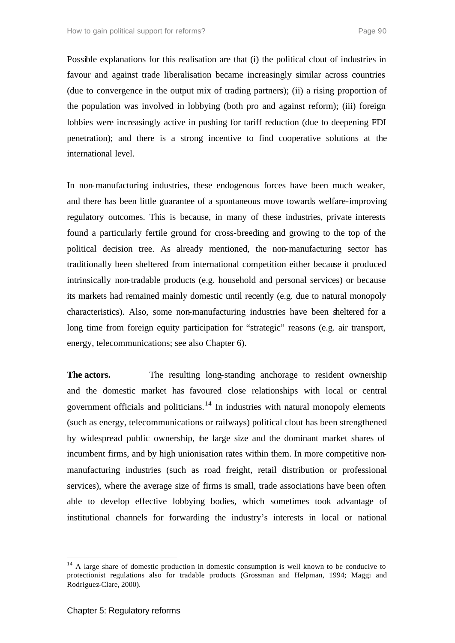Possible explanations for this realisation are that (i) the political clout of industries in favour and against trade liberalisation became increasingly similar across countries (due to convergence in the output mix of trading partners); (ii) a rising proportion of the population was involved in lobbying (both pro and against reform); (iii) foreign lobbies were increasingly active in pushing for tariff reduction (due to deepening FDI penetration); and there is a strong incentive to find cooperative solutions at the international level.

In non-manufacturing industries, these endogenous forces have been much weaker, and there has been little guarantee of a spontaneous move towards welfare-improving regulatory outcomes. This is because, in many of these industries, private interests found a particularly fertile ground for cross-breeding and growing to the top of the political decision tree. As already mentioned, the non-manufacturing sector has traditionally been sheltered from international competition either because it produced intrinsically non-tradable products (e.g. household and personal services) or because its markets had remained mainly domestic until recently (e.g. due to natural monopoly characteristics). Also, some non-manufacturing industries have been sheltered for a long time from foreign equity participation for "strategic" reasons (e.g. air transport, energy, telecommunications; see also Chapter 6).

**The actors.** The resulting long-standing anchorage to resident ownership and the domestic market has favoured close relationships with local or central government officials and politicians. $14$  In industries with natural monopoly elements (such as energy, telecommunications or railways) political clout has been strengthened by widespread public ownership, the large size and the dominant market shares of incumbent firms, and by high unionisation rates within them. In more competitive nonmanufacturing industries (such as road freight, retail distribution or professional services), where the average size of firms is small, trade associations have been often able to develop effective lobbying bodies, which sometimes took advantage of institutional channels for forwarding the industry's interests in local or national

 $14$  A large share of domestic production in domestic consumption is well known to be conducive to protectionist regulations also for tradable products (Grossman and Helpman, 1994; Maggi and Rodriguez-Clare, 2000).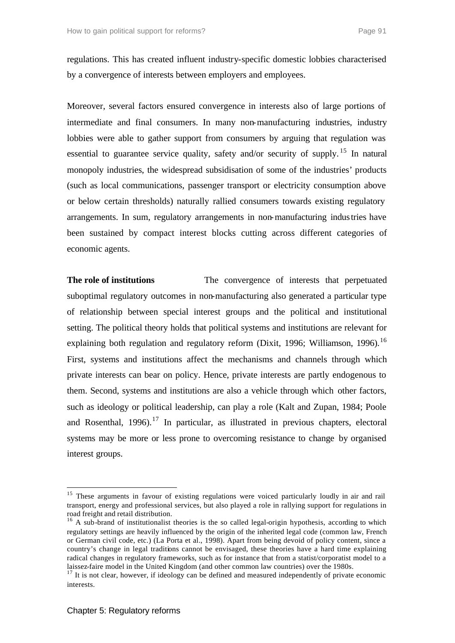regulations. This has created influent industry-specific domestic lobbies characterised by a convergence of interests between employers and employees.

Moreover, several factors ensured convergence in interests also of large portions of intermediate and final consumers. In many non-manufacturing industries, industry lobbies were able to gather support from consumers by arguing that regulation was essential to guarantee service quality, safety and/or security of supply.<sup>15</sup> In natural monopoly industries, the widespread subsidisation of some of the industries' products (such as local communications, passenger transport or electricity consumption above or below certain thresholds) naturally rallied consumers towards existing regulatory arrangements. In sum, regulatory arrangements in non-manufacturing industries have been sustained by compact interest blocks cutting across different categories of economic agents.

**The role of institutions** The convergence of interests that perpetuated suboptimal regulatory outcomes in non-manufacturing also generated a particular type of relationship between special interest groups and the political and institutional setting. The political theory holds that political systems and institutions are relevant for explaining both regulation and regulatory reform (Dixit, 1996; Williamson, 1996).<sup>16</sup> First, systems and institutions affect the mechanisms and channels through which private interests can bear on policy. Hence, private interests are partly endogenous to them. Second, systems and institutions are also a vehicle through which other factors, such as ideology or political leadership, can play a role (Kalt and Zupan, 1984; Poole and Rosenthal,  $1996$ ).<sup>17</sup> In particular, as illustrated in previous chapters, electoral systems may be more or less prone to overcoming resistance to change by organised interest groups.

<sup>&</sup>lt;sup>15</sup> These arguments in favour of existing regulations were voiced particularly loudly in air and rail transport, energy and professional services, but also played a role in rallying support for regulations in road freight and retail distribution.

<sup>&</sup>lt;sup>16</sup> A sub-brand of institutionalist theories is the so called legal-origin hypothesis, according to which regulatory settings are heavily influenced by the origin of the inherited legal code (common law, French or German civil code, etc.) (La Porta et al., 1998). Apart from being devoid of policy content, since a country's change in legal traditions cannot be envisaged, these theories have a hard time explaining radical changes in regulatory frameworks, such as for instance that from a statist/corporatist model to a laissez-faire model in the United Kingdom (and other common law countries) over the 1980s.

 $17$  It is not clear, however, if ideology can be defined and measured independently of private economic interests.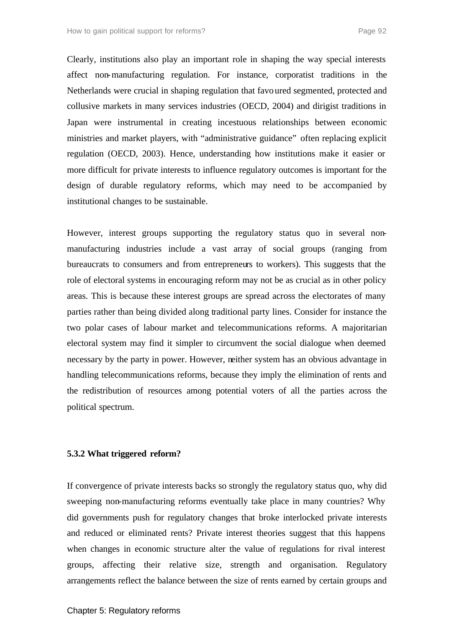Clearly, institutions also play an important role in shaping the way special interests affect non-manufacturing regulation. For instance, corporatist traditions in the Netherlands were crucial in shaping regulation that favoured segmented, protected and collusive markets in many services industries (OECD, 2004) and dirigist traditions in Japan were instrumental in creating incestuous relationships between economic ministries and market players, with "administrative guidance" often replacing explicit regulation (OECD, 2003). Hence, understanding how institutions make it easier or more difficult for private interests to influence regulatory outcomes is important for the design of durable regulatory reforms, which may need to be accompanied by institutional changes to be sustainable.

However, interest groups supporting the regulatory status quo in several nonmanufacturing industries include a vast array of social groups (ranging from bureaucrats to consumers and from entrepreneurs to workers). This suggests that the role of electoral systems in encouraging reform may not be as crucial as in other policy areas. This is because these interest groups are spread across the electorates of many parties rather than being divided along traditional party lines. Consider for instance the two polar cases of labour market and telecommunications reforms. A majoritarian electoral system may find it simpler to circumvent the social dialogue when deemed necessary by the party in power. However, neither system has an obvious advantage in handling telecommunications reforms, because they imply the elimination of rents and the redistribution of resources among potential voters of all the parties across the political spectrum.

#### **5.3.2 What triggered reform?**

If convergence of private interests backs so strongly the regulatory status quo, why did sweeping non-manufacturing reforms eventually take place in many countries? Why did governments push for regulatory changes that broke interlocked private interests and reduced or eliminated rents? Private interest theories suggest that this happens when changes in economic structure alter the value of regulations for rival interest groups, affecting their relative size, strength and organisation. Regulatory arrangements reflect the balance between the size of rents earned by certain groups and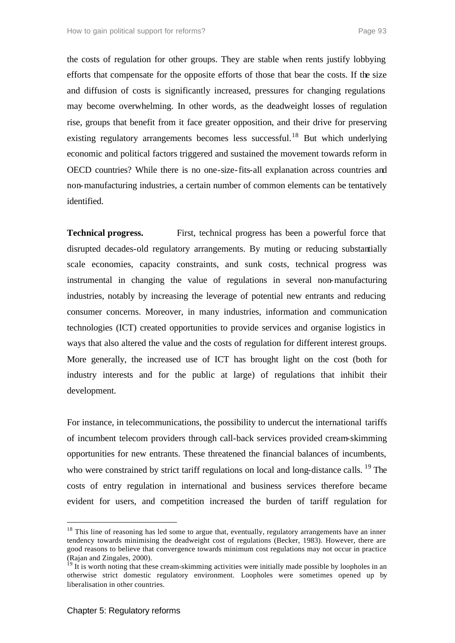the costs of regulation for other groups. They are stable when rents justify lobbying efforts that compensate for the opposite efforts of those that bear the costs. If the size and diffusion of costs is significantly increased, pressures for changing regulations may become overwhelming. In other words, as the deadweight losses of regulation rise, groups that benefit from it face greater opposition, and their drive for preserving existing regulatory arrangements becomes less successful.<sup>18</sup> But which underlying economic and political factors triggered and sustained the movement towards reform in OECD countries? While there is no one-size-fits-all explanation across countries and non-manufacturing industries, a certain number of common elements can be tentatively identified.

**Technical progress.** First, technical progress has been a powerful force that disrupted decades-old regulatory arrangements. By muting or reducing substantially scale economies, capacity constraints, and sunk costs, technical progress was instrumental in changing the value of regulations in several non-manufacturing industries, notably by increasing the leverage of potential new entrants and reducing consumer concerns. Moreover, in many industries, information and communication technologies (ICT) created opportunities to provide services and organise logistics in ways that also altered the value and the costs of regulation for different interest groups. More generally, the increased use of ICT has brought light on the cost (both for industry interests and for the public at large) of regulations that inhibit their development.

For instance, in telecommunications, the possibility to undercut the international tariffs of incumbent telecom providers through call-back services provided cream-skimming opportunities for new entrants. These threatened the financial balances of incumbents, who were constrained by strict tariff regulations on local and long-distance calls. <sup>19</sup> The costs of entry regulation in international and business services therefore became evident for users, and competition increased the burden of tariff regulation for

<sup>&</sup>lt;sup>18</sup> This line of reasoning has led some to argue that, eventually, regulatory arrangements have an inner tendency towards minimising the deadweight cost of regulations (Becker, 1983). However, there are good reasons to believe that convergence towards minimum cost regulations may not occur in practice (Rajan and Zingales, 2000).

<sup>&</sup>lt;sup>19</sup> It is worth noting that these cream-skimming activities were initially made possible by loopholes in an otherwise strict domestic regulatory environment. Loopholes were sometimes opened up by liberalisation in other countries.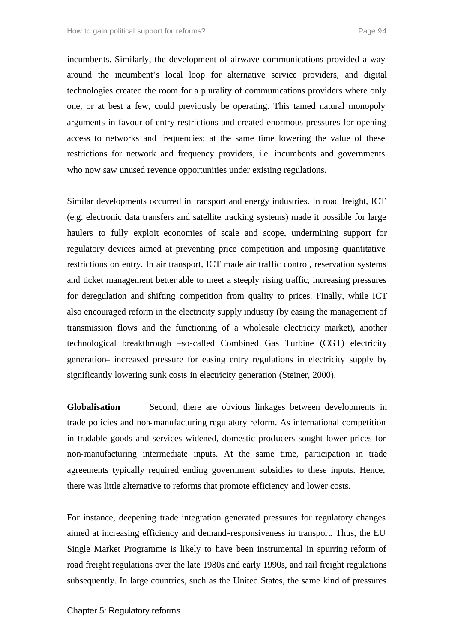incumbents. Similarly, the development of airwave communications provided a way around the incumbent's local loop for alternative service providers, and digital technologies created the room for a plurality of communications providers where only one, or at best a few, could previously be operating. This tamed natural monopoly arguments in favour of entry restrictions and created enormous pressures for opening access to networks and frequencies; at the same time lowering the value of these restrictions for network and frequency providers, i.e. incumbents and governments who now saw unused revenue opportunities under existing regulations.

Similar developments occurred in transport and energy industries. In road freight, ICT (e.g. electronic data transfers and satellite tracking systems) made it possible for large haulers to fully exploit economies of scale and scope, undermining support for regulatory devices aimed at preventing price competition and imposing quantitative restrictions on entry. In air transport, ICT made air traffic control, reservation systems and ticket management better able to meet a steeply rising traffic, increasing pressures for deregulation and shifting competition from quality to prices. Finally, while ICT also encouraged reform in the electricity supply industry (by easing the management of transmission flows and the functioning of a wholesale electricity market), another technological breakthrough –so-called Combined Gas Turbine (CGT) electricity generation– increased pressure for easing entry regulations in electricity supply by significantly lowering sunk costs in electricity generation (Steiner, 2000).

**Globalisation** Second, there are obvious linkages between developments in trade policies and non-manufacturing regulatory reform. As international competition in tradable goods and services widened, domestic producers sought lower prices for non-manufacturing intermediate inputs. At the same time, participation in trade agreements typically required ending government subsidies to these inputs. Hence, there was little alternative to reforms that promote efficiency and lower costs.

For instance, deepening trade integration generated pressures for regulatory changes aimed at increasing efficiency and demand-responsiveness in transport. Thus, the EU Single Market Programme is likely to have been instrumental in spurring reform of road freight regulations over the late 1980s and early 1990s, and rail freight regulations subsequently. In large countries, such as the United States, the same kind of pressures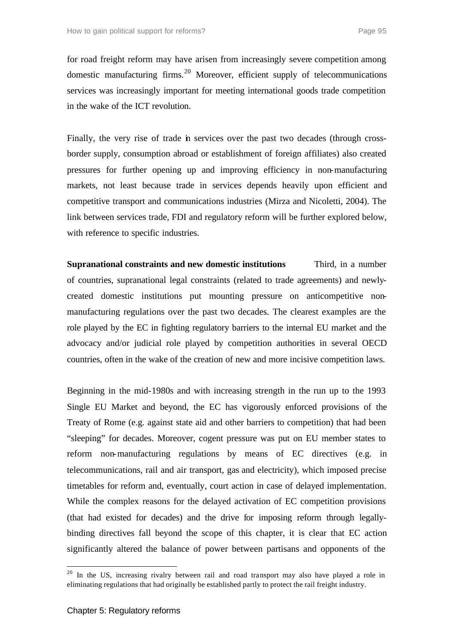for road freight reform may have arisen from increasingly severe competition among domestic manufacturing firms.<sup>20</sup> Moreover, efficient supply of telecommunications services was increasingly important for meeting international goods trade competition in the wake of the ICT revolution.

Finally, the very rise of trade in services over the past two decades (through crossborder supply, consumption abroad or establishment of foreign affiliates) also created pressures for further opening up and improving efficiency in non-manufacturing markets, not least because trade in services depends heavily upon efficient and competitive transport and communications industries (Mirza and Nicoletti, 2004). The link between services trade, FDI and regulatory reform will be further explored below, with reference to specific industries.

**Supranational constraints and new domestic institutions** Third, in a number of countries, supranational legal constraints (related to trade agreements) and newlycreated domestic institutions put mounting pressure on anticompetitive nonmanufacturing regulations over the past two decades. The clearest examples are the role played by the EC in fighting regulatory barriers to the internal EU market and the advocacy and/or judicial role played by competition authorities in several OECD countries, often in the wake of the creation of new and more incisive competition laws.

Beginning in the mid-1980s and with increasing strength in the run up to the 1993 Single EU Market and beyond, the EC has vigorously enforced provisions of the Treaty of Rome (e.g. against state aid and other barriers to competition) that had been "sleeping" for decades. Moreover, cogent pressure was put on EU member states to reform non-manufacturing regulations by means of EC directives (e.g. in telecommunications, rail and air transport, gas and electricity), which imposed precise timetables for reform and, eventually, court action in case of delayed implementation. While the complex reasons for the delayed activation of EC competition provisions (that had existed for decades) and the drive for imposing reform through legallybinding directives fall beyond the scope of this chapter, it is clear that EC action significantly altered the balance of power between partisans and opponents of the

 $20$  In the US, increasing rivalry between rail and road transport may also have played a role in eliminating regulations that had originally be established partly to protect the rail freight industry.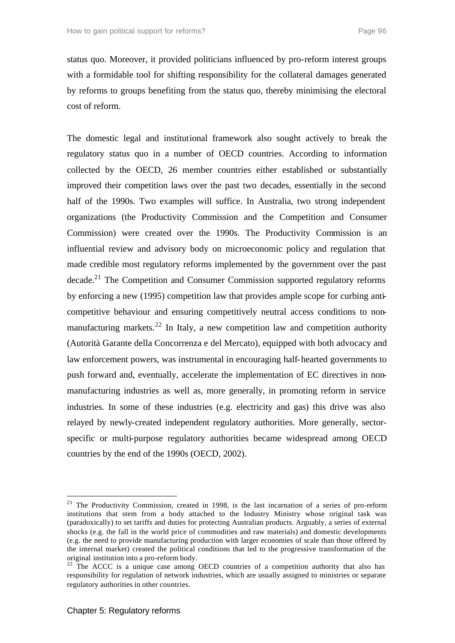status quo. Moreover, it provided politicians influenced by pro-reform interest groups with a formidable tool for shifting responsibility for the collateral damages generated by reforms to groups benefiting from the status quo, thereby minimising the electoral cost of reform.

The domestic legal and institutional framework also sought actively to break the regulatory status quo in a number of OECD countries. According to information collected by the OECD, 26 member countries either established or substantially improved their competition laws over the past two decades, essentially in the second half of the 1990s. Two examples will suffice. In Australia, two strong independent organizations (the Productivity Commission and the Competition and Consumer Commission) were created over the 1990s. The Productivity Commission is an influential review and advisory body on microeconomic policy and regulation that made credible most regulatory reforms implemented by the government over the past decade.<sup>21</sup> The Competition and Consumer Commission supported regulatory reforms by enforcing a new (1995) competition law that provides ample scope for curbing anticompetitive behaviour and ensuring competitively neutral access conditions to nonmanufacturing markets.<sup>22</sup> In Italy, a new competition law and competition authority (Autorità Garante della Concorrenza e del Mercato), equipped with both advocacy and law enforcement powers, was instrumental in encouraging half-hearted governments to push forward and, eventually, accelerate the implementation of EC directives in nonmanufacturing industries as well as, more generally, in promoting reform in service industries. In some of these industries (e.g. electricity and gas) this drive was also relayed by newly-created independent regulatory authorities. More generally, sectorspecific or multi-purpose regulatory authorities became widespread among OECD countries by the end of the 1990s (OECD, 2002).

 $21$  The Productivity Commission, created in 1998, is the last incarnation of a series of pro-reform institutions that stem from a body attached to the Industry Ministry whose original task was (paradoxically) to set tariffs and duties for protecting Australian products. Arguably, a series of external shocks (e.g. the fall in the world price of commodities and raw materials) and domestic developments (e.g. the need to provide manufacturing production with larger economies of scale than those offered by the internal market) created the political conditions that led to the progressive transformation of the original institution into a pro-reform body.

 $22$  The ACCC is a unique case among OECD countries of a competition authority that also has responsibility for regulation of network industries, which are usually assigned to ministries or separate regulatory authorities in other countries.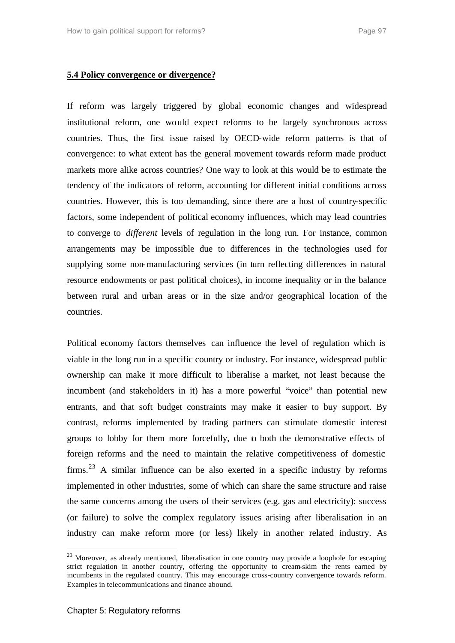### **5.4 Policy convergence or divergence?**

If reform was largely triggered by global economic changes and widespread institutional reform, one would expect reforms to be largely synchronous across countries. Thus, the first issue raised by OECD-wide reform patterns is that of convergence: to what extent has the general movement towards reform made product markets more alike across countries? One way to look at this would be to estimate the tendency of the indicators of reform, accounting for different initial conditions across countries. However, this is too demanding, since there are a host of country-specific factors, some independent of political economy influences, which may lead countries to converge to *different* levels of regulation in the long run. For instance, common arrangements may be impossible due to differences in the technologies used for supplying some non-manufacturing services (in turn reflecting differences in natural resource endowments or past political choices), in income inequality or in the balance between rural and urban areas or in the size and/or geographical location of the countries.

Political economy factors themselves can influence the level of regulation which is viable in the long run in a specific country or industry. For instance, widespread public ownership can make it more difficult to liberalise a market, not least because the incumbent (and stakeholders in it) has a more powerful "voice" than potential new entrants, and that soft budget constraints may make it easier to buy support. By contrast, reforms implemented by trading partners can stimulate domestic interest groups to lobby for them more forcefully, due to both the demonstrative effects of foreign reforms and the need to maintain the relative competitiveness of domestic firms.<sup>23</sup> A similar influence can be also exerted in a specific industry by reforms implemented in other industries, some of which can share the same structure and raise the same concerns among the users of their services (e.g. gas and electricity): success (or failure) to solve the complex regulatory issues arising after liberalisation in an industry can make reform more (or less) likely in another related industry. As

<sup>&</sup>lt;sup>23</sup> Moreover, as already mentioned, liberalisation in one country may provide a loophole for escaping strict regulation in another country, offering the opportunity to cream-skim the rents earned by incumbents in the regulated country. This may encourage cross-country convergence towards reform. Examples in telecommunications and finance abound.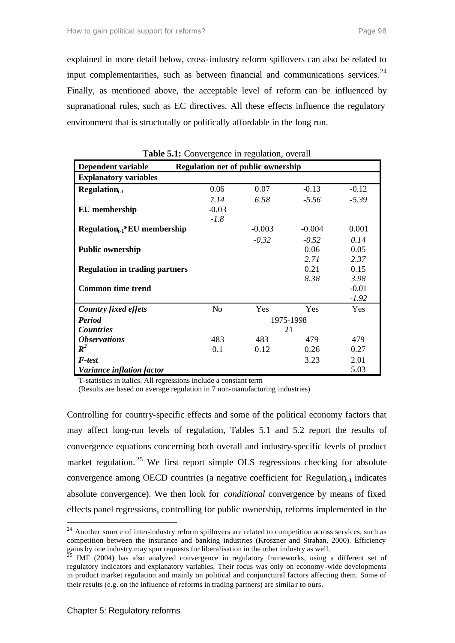explained in more detail below, cross-industry reform spillovers can also be related to input complementarities, such as between financial and communications services. $24$ Finally, as mentioned above, the acceptable level of reform can be influenced by supranational rules, such as EC directives. All these effects influence the regulatory environment that is structurally or politically affordable in the long run.

| <b>Dependent variable</b>             |                | <b>Regulation net of public ownership</b> |          |         |  |  |  |  |
|---------------------------------------|----------------|-------------------------------------------|----------|---------|--|--|--|--|
| <b>Explanatory variables</b>          |                |                                           |          |         |  |  |  |  |
| $Regulariont-1$                       | 0.06           | 0.07                                      | $-0.13$  | $-0.12$ |  |  |  |  |
|                                       | 7.14           | 6.58                                      | $-5.56$  | $-5.39$ |  |  |  |  |
| <b>EU</b> membership                  | $-0.03$        |                                           |          |         |  |  |  |  |
|                                       | $-1.8$         |                                           |          |         |  |  |  |  |
| $Regularion_{t-1} * EU$ membership    |                | $-0.003$                                  | $-0.004$ | 0.001   |  |  |  |  |
|                                       |                | $-0.32$                                   | $-0.52$  | 0.14    |  |  |  |  |
| <b>Public ownership</b>               |                |                                           | 0.06     | 0.05    |  |  |  |  |
|                                       |                |                                           | 2.71     | 2.37    |  |  |  |  |
| <b>Regulation in trading partners</b> |                |                                           | 0.21     | 0.15    |  |  |  |  |
|                                       |                |                                           | 8.38     | 3.98    |  |  |  |  |
| <b>Common time trend</b>              |                |                                           |          | $-0.01$ |  |  |  |  |
|                                       |                |                                           |          | $-1.92$ |  |  |  |  |
| <b>Country fixed effets</b>           | N <sub>o</sub> | Yes                                       | Yes      | Yes     |  |  |  |  |
| <b>Period</b>                         | 1975-1998      |                                           |          |         |  |  |  |  |
| <b>Countries</b>                      | 21             |                                           |          |         |  |  |  |  |
| <i><b>Observations</b></i>            | 483            | 483                                       | 479      | 479     |  |  |  |  |
| $\boldsymbol{R}^2$                    | 0.1            | 0.12                                      | 0.26     | 0.27    |  |  |  |  |
| <b>F</b> -test                        |                |                                           | 3.23     | 2.01    |  |  |  |  |
| Variance inflation factor             |                |                                           |          | 5.03    |  |  |  |  |

| Table 5.1: Convergence in regulation, overall |  |  |  |
|-----------------------------------------------|--|--|--|
|-----------------------------------------------|--|--|--|

T-statistics in italics. All regressions include a constant term

(Results are based on average regulation in 7 non-manufacturing industries)

Controlling for country-specific effects and some of the political economy factors that may affect long-run levels of regulation, Tables 5.1 and 5.2 report the results of convergence equations concerning both overall and industry-specific levels of product market regulation.<sup>25</sup> We first report simple OLS regressions checking for absolute convergence among OECD countries (a negative coefficient for Regulation<sub>-1</sub> indicates absolute convergence). We then look for *conditional* convergence by means of fixed effects panel regressions, controlling for public ownership, reforms implemented in the

<sup>&</sup>lt;sup>24</sup> Another source of inter-industry reform spillovers are related to competition across services, such as competition between the insurance and banking industries (Kroszner and Strahan, 2000). Efficiency gains by one industry may spur requests for liberalisation in the other industry as well.

<sup>&</sup>lt;sup>5</sup> IMF (2004) has also analyzed convergence in regulatory frameworks, using a different set of regulatory indicators and explanatory variables. Their focus was only on economy -wide developments in product market regulation and mainly on political and conjunctural factors affecting them. Some of their results (e.g. on the influence of reforms in trading partners) are simila r to ours.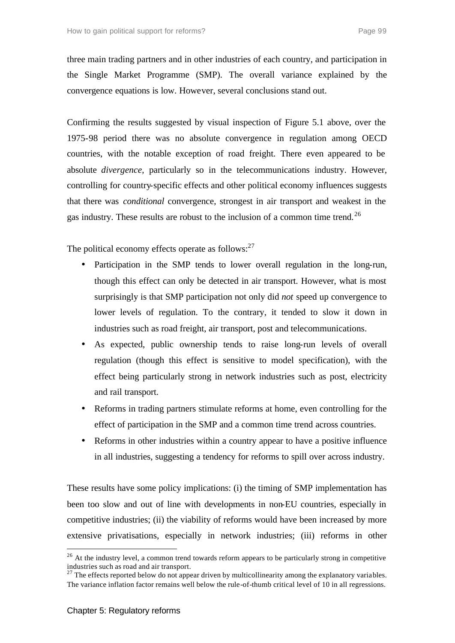three main trading partners and in other industries of each country, and participation in the Single Market Programme (SMP). The overall variance explained by the convergence equations is low. However, several conclusions stand out.

Confirming the results suggested by visual inspection of Figure 5.1 above, over the 1975-98 period there was no absolute convergence in regulation among OECD countries, with the notable exception of road freight. There even appeared to be absolute *divergence*, particularly so in the telecommunications industry. However, controlling for country-specific effects and other political economy influences suggests that there was *conditional* convergence, strongest in air transport and weakest in the gas industry. These results are robust to the inclusion of a common time trend.<sup>26</sup>

The political economy effects operate as follows: $27$ 

- Participation in the SMP tends to lower overall regulation in the long-run, though this effect can only be detected in air transport. However, what is most surprisingly is that SMP participation not only did *not* speed up convergence to lower levels of regulation. To the contrary, it tended to slow it down in industries such as road freight, air transport, post and telecommunications.
- As expected, public ownership tends to raise long-run levels of overall regulation (though this effect is sensitive to model specification), with the effect being particularly strong in network industries such as post, electricity and rail transport.
- Reforms in trading partners stimulate reforms at home, even controlling for the effect of participation in the SMP and a common time trend across countries.
- Reforms in other industries within a country appear to have a positive influence in all industries, suggesting a tendency for reforms to spill over across industry.

These results have some policy implications: (i) the timing of SMP implementation has been too slow and out of line with developments in non-EU countries, especially in competitive industries; (ii) the viability of reforms would have been increased by more extensive privatisations, especially in network industries; (iii) reforms in other

 $^{27}$  The effects reported below do not appear driven by multicollinearity among the explanatory variables. The variance inflation factor remains well below the rule-of-thumb critical level of 10 in all regressions.

<sup>&</sup>lt;sup>26</sup> At the industry level, a common trend towards reform appears to be particularly strong in competitive industries such as road and air transport.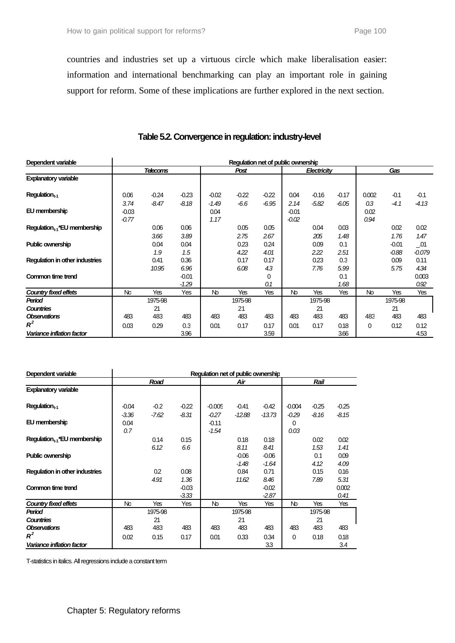countries and industries set up a virtuous circle which make liberalisation easier: information and international benchmarking can play an important role in gaining support for reform. Some of these implications are further explored in the next section.

| Dependent variable                | Regulation net of public ownership |               |                    |                         |              |              |                            |              |              |                     |                    |                                          |
|-----------------------------------|------------------------------------|---------------|--------------------|-------------------------|--------------|--------------|----------------------------|--------------|--------------|---------------------|--------------------|------------------------------------------|
|                                   | <b>Telecoms</b>                    |               |                    | Post                    |              |              | Electricity                |              |              | Gas                 |                    |                                          |
| <b>Explanatory variable</b>       |                                    |               |                    |                         |              |              |                            |              |              |                     |                    |                                          |
| $Regulationt-1$                   | 0.06                               | $-0.24$       | $-0.23$            | $-0.02$                 | $-0.22$      | $-0.22$      | 0.04                       | $-0.16$      | $-0.17$      | 0.002               | $-0.1$             | $-0.1$                                   |
| EU membership                     | 3.74<br>$-0.03$<br>$-0.77$         | $-8.47$       | $-8.18$            | $-1.49$<br>0.04<br>1.17 | $-6.6$       | $-6.95$      | 2.14<br>$-0.01$<br>$-0.02$ | $-5.82$      | $-6.05$      | 0.3<br>0.02<br>0.94 | -4.1               | $-4.13$                                  |
| $Regulation_{t-1}$ *EU membership |                                    | 0.06<br>3.66  | 0.06<br>3.89       |                         | 0.05<br>2.75 | 0.05<br>2.67 |                            | 0.04<br>205  | 0.03<br>1.48 |                     | 0.02<br>1.76       | 0.02<br>1.47                             |
| Public ownership                  |                                    | 0.04<br>1.9   | 0.04<br>1.5        |                         | 0.23<br>4.22 | 0.24<br>4.01 |                            | 0.09<br>2.22 | 0.1<br>2.51  |                     | $-0.01$<br>$-0.88$ | $\overline{\phantom{0}}$ .01<br>$-0.079$ |
| Requlation in other industries    |                                    | 0.41<br>10.95 | 0.36<br>6.96       |                         | 0.17<br>6.08 | 0.17<br>43   |                            | 0.23<br>7.76 | 0.3<br>5.99  |                     | 0.09<br>5.75       | 0.11<br>4.34                             |
| Common time trend                 |                                    |               | $-0.01$<br>$-1.29$ |                         |              | 0<br>0.1     |                            |              | 0.1<br>1.68  |                     |                    | 0.003<br>0.92                            |
| Country fixed effets              | <b>No</b>                          | Yes           | Yes                | Nb                      | Yes          | Yes          | Nb                         | Yes          | Yes          | No                  | Yes                | Yes                                      |
| Period                            |                                    | 1975-98       |                    |                         | 1975-98      |              |                            | 1975-98      |              |                     | 1975-98            |                                          |
| <b>Countries</b>                  |                                    | 21            |                    |                         | 21           |              |                            | 21           |              |                     | 21                 |                                          |
| <b>Observations</b>               | 483                                | 483           | 483                | 483                     | 483          | 483          | 483                        | 483          | 483          | 483                 | 483                | 483                                      |
| $R^2$                             | 0.03                               | 0.29          | 0.3                | 0.01                    | 0.17         | 0.17         | 0.01                       | 0.17         | 0.18         | 0                   | 0.12               | 0.12                                     |
| Variance inflation factor         |                                    |               | 3.96               |                         |              | 3.59         |                            |              | 3.66         |                     |                    | 4.53                                     |

# **Table 5.2. Convergence in regulation: industry-level**

| Dependent variable                |           | Requlation net of public ownership |         |          |          |          |          |         |         |  |  |  |
|-----------------------------------|-----------|------------------------------------|---------|----------|----------|----------|----------|---------|---------|--|--|--|
|                                   | Road      |                                    |         |          | Air      |          | Rail     |         |         |  |  |  |
| <b>Explanatory variable</b>       |           |                                    |         |          |          |          |          |         |         |  |  |  |
| $Requiredation_{t-1}$             | $-0.04$   | $-0.2$                             | $-0.22$ | $-0.005$ | $-0.41$  | $-0.42$  | $-0.004$ | $-0.25$ | $-0.25$ |  |  |  |
|                                   | -3.36     | $-7.62$                            | $-8.31$ | $-0.27$  | $-12.88$ | $-13.73$ | $-0.29$  | -8.16   | $-8.15$ |  |  |  |
| EU membership                     | 0.04      |                                    |         | $-0.11$  |          |          | 0        |         |         |  |  |  |
|                                   | 0.7       |                                    |         | -1.54    |          |          | 0.03     |         |         |  |  |  |
| $Regulation_{t-1}$ *EU membership |           | 0.14                               | 0.15    |          | 0.18     | 0.18     |          | 0.02    | 0.02    |  |  |  |
|                                   |           | 6.12                               | 6.6     |          | 8.11     | 8.41     |          | 1.53    | 1.41    |  |  |  |
| <b>Public ownership</b>           |           |                                    |         |          | $-0.06$  | $-0.06$  |          | 0.1     | 0.09    |  |  |  |
|                                   |           |                                    |         |          | $-1.48$  | $-1.64$  |          | 4.12    | 4.09    |  |  |  |
| Requlation in other industries    |           | 0.2                                | 0.08    |          | 0.84     | 0.71     |          | 0.15    | 0.16    |  |  |  |
|                                   |           | 4.91                               | 1.36    |          | 11.62    | 8.46     |          | 7.89    | 5.31    |  |  |  |
| Common time trend                 |           |                                    | $-0.03$ |          |          | $-0.02$  |          |         | 0.002   |  |  |  |
|                                   |           |                                    | $-3.33$ |          |          | $-2.87$  |          |         | 0.41    |  |  |  |
| Country fixed effets              | <b>No</b> | Yes                                | Yes     | Nb       | Yes      | Yes      | Nb       | Yes     | Yes     |  |  |  |
| Period                            | 1975-98   |                                    |         | 1975-98  |          |          | 1975-98  |         |         |  |  |  |
| <b>Countries</b>                  |           | 21                                 |         |          | 21       |          |          | 21      |         |  |  |  |
| <b>Observations</b>               | 483       | 483                                | 483     | 483      | 483      | 483      | 483      | 483     | 483     |  |  |  |
| $R^2$                             | 0.02      | 0.15                               | 0.17    | 0.01     | 0.33     | 0.34     | 0        | 0.18    | 0.18    |  |  |  |
| Variance inflation factor         |           |                                    |         |          |          | 3.3      |          |         | 3.4     |  |  |  |

T-statistics in italics. All regressions include a constant term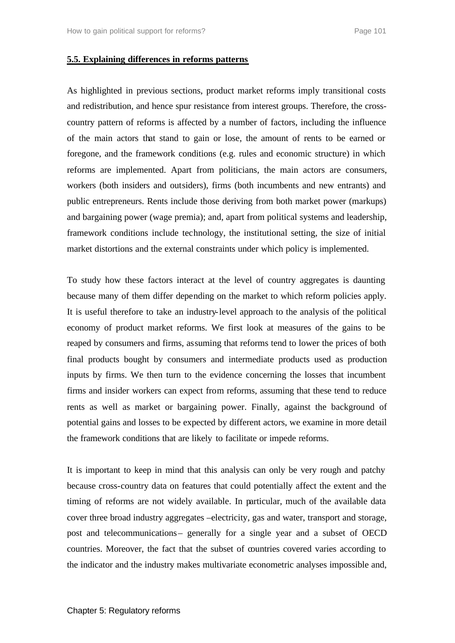#### **5.5. Explaining differences in reforms patterns**

As highlighted in previous sections, product market reforms imply transitional costs and redistribution, and hence spur resistance from interest groups. Therefore, the crosscountry pattern of reforms is affected by a number of factors, including the influence of the main actors that stand to gain or lose, the amount of rents to be earned or foregone, and the framework conditions (e.g. rules and economic structure) in which reforms are implemented. Apart from politicians, the main actors are consumers, workers (both insiders and outsiders), firms (both incumbents and new entrants) and public entrepreneurs. Rents include those deriving from both market power (markups) and bargaining power (wage premia); and, apart from political systems and leadership, framework conditions include technology, the institutional setting, the size of initial market distortions and the external constraints under which policy is implemented.

To study how these factors interact at the level of country aggregates is daunting because many of them differ depending on the market to which reform policies apply. It is useful therefore to take an industry-level approach to the analysis of the political economy of product market reforms. We first look at measures of the gains to be reaped by consumers and firms, assuming that reforms tend to lower the prices of both final products bought by consumers and intermediate products used as production inputs by firms. We then turn to the evidence concerning the losses that incumbent firms and insider workers can expect from reforms, assuming that these tend to reduce rents as well as market or bargaining power. Finally, against the background of potential gains and losses to be expected by different actors, we examine in more detail the framework conditions that are likely to facilitate or impede reforms.

It is important to keep in mind that this analysis can only be very rough and patchy because cross-country data on features that could potentially affect the extent and the timing of reforms are not widely available. In particular, much of the available data cover three broad industry aggregates –electricity, gas and water, transport and storage, post and telecommunications– generally for a single year and a subset of OECD countries. Moreover, the fact that the subset of countries covered varies according to the indicator and the industry makes multivariate econometric analyses impossible and,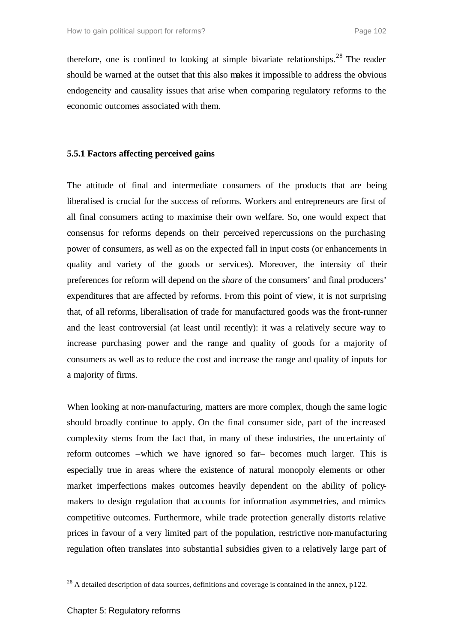therefore, one is confined to looking at simple bivariate relationships.<sup>28</sup> The reader should be warned at the outset that this also makes it impossible to address the obvious endogeneity and causality issues that arise when comparing regulatory reforms to the economic outcomes associated with them.

## **5.5.1 Factors affecting perceived gains**

The attitude of final and intermediate consumers of the products that are being liberalised is crucial for the success of reforms. Workers and entrepreneurs are first of all final consumers acting to maximise their own welfare. So, one would expect that consensus for reforms depends on their perceived repercussions on the purchasing power of consumers, as well as on the expected fall in input costs (or enhancements in quality and variety of the goods or services). Moreover, the intensity of their preferences for reform will depend on the *share* of the consumers' and final producers' expenditures that are affected by reforms. From this point of view, it is not surprising that, of all reforms, liberalisation of trade for manufactured goods was the front-runner and the least controversial (at least until recently): it was a relatively secure way to increase purchasing power and the range and quality of goods for a majority of consumers as well as to reduce the cost and increase the range and quality of inputs for a majority of firms.

When looking at non-manufacturing, matters are more complex, though the same logic should broadly continue to apply. On the final consumer side, part of the increased complexity stems from the fact that, in many of these industries, the uncertainty of reform outcomes –which we have ignored so far– becomes much larger. This is especially true in areas where the existence of natural monopoly elements or other market imperfections makes outcomes heavily dependent on the ability of policymakers to design regulation that accounts for information asymmetries, and mimics competitive outcomes. Furthermore, while trade protection generally distorts relative prices in favour of a very limited part of the population, restrictive non-manufacturing regulation often translates into substantial subsidies given to a relatively large part of

<sup>&</sup>lt;sup>28</sup> A detailed description of data sources, definitions and coverage is contained in the annex, p122.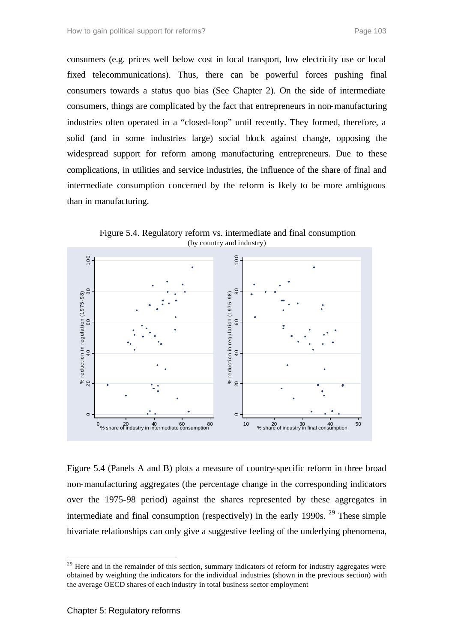consumers (e.g. prices well below cost in local transport, low electricity use or local fixed telecommunications). Thus, there can be powerful forces pushing final consumers towards a status quo bias (See Chapter 2). On the side of intermediate consumers, things are complicated by the fact that entrepreneurs in non-manufacturing industries often operated in a "closed-loop" until recently. They formed, therefore, a solid (and in some industries large) social block against change, opposing the widespread support for reform among manufacturing entrepreneurs. Due to these complications, in utilities and service industries, the influence of the share of final and intermediate consumption concerned by the reform is likely to be more ambiguous than in manufacturing.



Figure 5.4. Regulatory reform vs. intermediate and final consumption (by country and industry)

Figure 5.4 (Panels A and B) plots a measure of country-specific reform in three broad non-manufacturing aggregates (the percentage change in the corresponding indicators over the 1975-98 period) against the shares represented by these aggregates in intermediate and final consumption (respectively) in the early 1990s.  $29$  These simple bivariate relationships can only give a suggestive feeling of the underlying phenomena,

<sup>&</sup>lt;sup>29</sup> Here and in the remainder of this section, summary indicators of reform for industry aggregates were obtained by weighting the indicators for the individual industries (shown in the previous section) with the average OECD shares of each industry in total business sector employment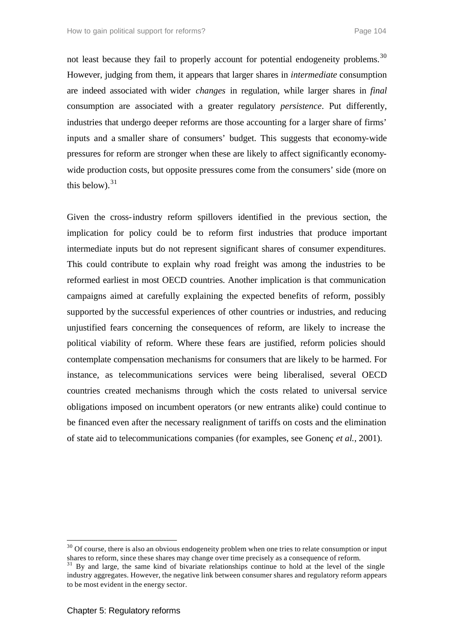not least because they fail to properly account for potential endogeneity problems.<sup>30</sup> However, judging from them, it appears that larger shares in *intermediate* consumption are indeed associated with wider *changes* in regulation, while larger shares in *final* consumption are associated with a greater regulatory *persistence*. Put differently, industries that undergo deeper reforms are those accounting for a larger share of firms' inputs and a smaller share of consumers' budget. This suggests that economy-wide pressures for reform are stronger when these are likely to affect significantly economywide production costs, but opposite pressures come from the consumers' side (more on this below).  $31$ 

Given the cross-industry reform spillovers identified in the previous section, the implication for policy could be to reform first industries that produce important intermediate inputs but do not represent significant shares of consumer expenditures. This could contribute to explain why road freight was among the industries to be reformed earliest in most OECD countries. Another implication is that communication campaigns aimed at carefully explaining the expected benefits of reform, possibly supported by the successful experiences of other countries or industries, and reducing unjustified fears concerning the consequences of reform, are likely to increase the political viability of reform. Where these fears are justified, reform policies should contemplate compensation mechanisms for consumers that are likely to be harmed. For instance, as telecommunications services were being liberalised, several OECD countries created mechanisms through which the costs related to universal service obligations imposed on incumbent operators (or new entrants alike) could continue to be financed even after the necessary realignment of tariffs on costs and the elimination of state aid to telecommunications companies (for examples, see Gonenç *et al.*, 2001).

<sup>&</sup>lt;sup>30</sup> Of course, there is also an obvious endogeneity problem when one tries to relate consumption or input shares to reform, since these shares may change over time precisely as a consequence of reform.

<sup>&</sup>lt;sup>31</sup> By and large, the same kind of bivariate relationships continue to hold at the level of the single industry aggregates. However, the negative link between consumer shares and regulatory reform appears to be most evident in the energy sector.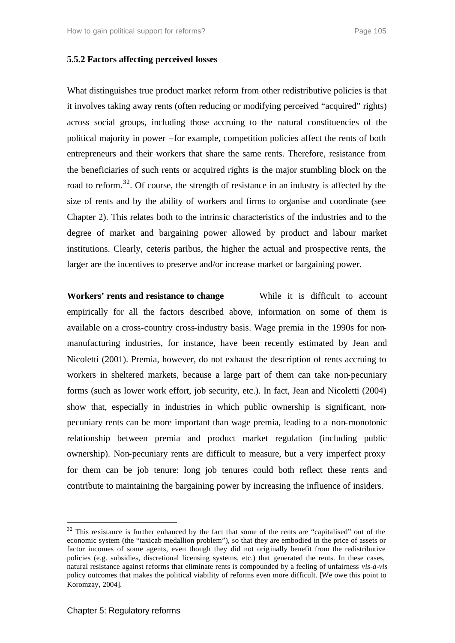## **5.5.2 Factors affecting perceived losses**

What distinguishes true product market reform from other redistributive policies is that it involves taking away rents (often reducing or modifying perceived "acquired" rights) across social groups, including those accruing to the natural constituencies of the political majority in power –for example, competition policies affect the rents of both entrepreneurs and their workers that share the same rents. Therefore, resistance from the beneficiaries of such rents or acquired rights is the major stumbling block on the road to reform.<sup>32</sup>. Of course, the strength of resistance in an industry is affected by the size of rents and by the ability of workers and firms to organise and coordinate (see Chapter 2). This relates both to the intrinsic characteristics of the industries and to the degree of market and bargaining power allowed by product and labour market institutions. Clearly, ceteris paribus, the higher the actual and prospective rents, the larger are the incentives to preserve and/or increase market or bargaining power.

**Workers' rents and resistance to change** While it is difficult to account empirically for all the factors described above, information on some of them is available on a cross-country cross-industry basis. Wage premia in the 1990s for nonmanufacturing industries, for instance, have been recently estimated by Jean and Nicoletti (2001). Premia, however, do not exhaust the description of rents accruing to workers in sheltered markets, because a large part of them can take non-pecuniary forms (such as lower work effort, job security, etc.). In fact, Jean and Nicoletti (2004) show that, especially in industries in which public ownership is significant, nonpecuniary rents can be more important than wage premia, leading to a non-monotonic relationship between premia and product market regulation (including public ownership). Non-pecuniary rents are difficult to measure, but a very imperfect proxy for them can be job tenure: long job tenures could both reflect these rents and contribute to maintaining the bargaining power by increasing the influence of insiders.

<sup>&</sup>lt;sup>32</sup> This resistance is further enhanced by the fact that some of the rents are "capitalised" out of the economic system (the "taxicab medallion problem"), so that they are embodied in the price of assets or factor incomes of some agents, even though they did not originally benefit from the redistributive policies (e.g. subsidies, discretional licensing systems, etc.) that generated the rents. In these cases, natural resistance against reforms that eliminate rents is compounded by a feeling of unfairness *vis-à-vis* policy outcomes that makes the political viability of reforms even more difficult. [We owe this point to Koromzay, 2004].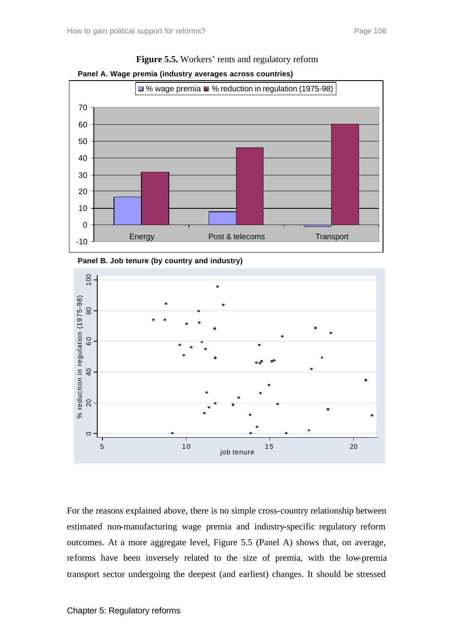



**Figure 5.5.** Workers' rents and regulatory reform





For the reasons explained above, there is no simple cross-country relationship between estimated non-manufacturing wage premia and industry-specific regulatory reform outcomes. At a more aggregate level, Figure 5.5 (Panel A) shows that, on average, reforms have been inversely related to the size of premia, with the low-premia transport sector undergoing the deepest (and earliest) changes. It should be stressed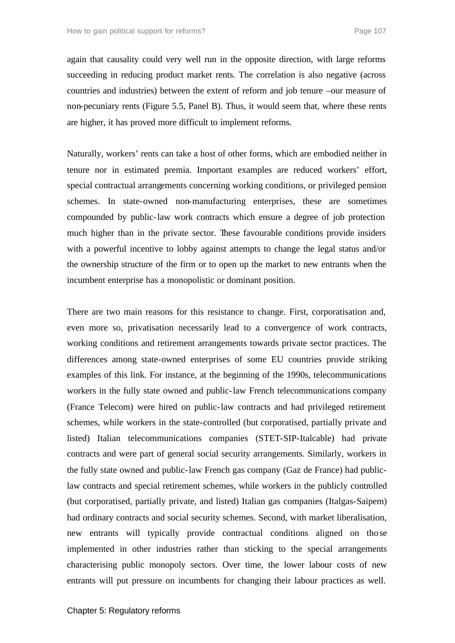again that causality could very well run in the opposite direction, with large reforms succeeding in reducing product market rents. The correlation is also negative (across countries and industries) between the extent of reform and job tenure –our measure of non-pecuniary rents (Figure 5.5, Panel B). Thus, it would seem that, where these rents are higher, it has proved more difficult to implement reforms.

Naturally, workers' rents can take a host of other forms, which are embodied neither in tenure nor in estimated premia. Important examples are reduced workers' effort, special contractual arrangements concerning working conditions, or privileged pension schemes. In state-owned non-manufacturing enterprises, these are sometimes compounded by public-law work contracts which ensure a degree of job protection much higher than in the private sector. These favourable conditions provide insiders with a powerful incentive to lobby against attempts to change the legal status and/or the ownership structure of the firm or to open up the market to new entrants when the incumbent enterprise has a monopolistic or dominant position.

There are two main reasons for this resistance to change. First, corporatisation and, even more so, privatisation necessarily lead to a convergence of work contracts, working conditions and retirement arrangements towards private sector practices. The differences among state-owned enterprises of some EU countries provide striking examples of this link. For instance, at the beginning of the 1990s, telecommunications workers in the fully state owned and public-law French telecommunications company (France Telecom) were hired on public-law contracts and had privileged retirement schemes, while workers in the state-controlled (but corporatised, partially private and listed) Italian telecommunications companies (STET-SIP-Italcable) had private contracts and were part of general social security arrangements. Similarly, workers in the fully state owned and public-law French gas company (Gaz de France) had publiclaw contracts and special retirement schemes, while workers in the publicly controlled (but corporatised, partially private, and listed) Italian gas companies (Italgas-Saipem) had ordinary contracts and social security schemes. Second, with market liberalisation, new entrants will typically provide contractual conditions aligned on those implemented in other industries rather than sticking to the special arrangements characterising public monopoly sectors. Over time, the lower labour costs of new entrants will put pressure on incumbents for changing their labour practices as well.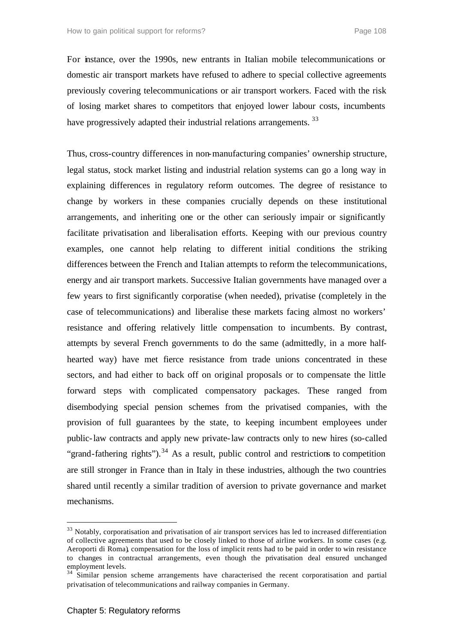For instance, over the 1990s, new entrants in Italian mobile telecommunications or domestic air transport markets have refused to adhere to special collective agreements previously covering telecommunications or air transport workers. Faced with the risk of losing market shares to competitors that enjoyed lower labour costs, incumbents have progressively adapted their industrial relations arrangements.<sup>33</sup>

Thus, cross-country differences in non-manufacturing companies' ownership structure, legal status, stock market listing and industrial relation systems can go a long way in explaining differences in regulatory reform outcomes. The degree of resistance to change by workers in these companies crucially depends on these institutional arrangements, and inheriting one or the other can seriously impair or significantly facilitate privatisation and liberalisation efforts. Keeping with our previous country examples, one cannot help relating to different initial conditions the striking differences between the French and Italian attempts to reform the telecommunications, energy and air transport markets. Successive Italian governments have managed over a few years to first significantly corporatise (when needed), privatise (completely in the case of telecommunications) and liberalise these markets facing almost no workers' resistance and offering relatively little compensation to incumbents. By contrast, attempts by several French governments to do the same (admittedly, in a more halfhearted way) have met fierce resistance from trade unions concentrated in these sectors, and had either to back off on original proposals or to compensate the little forward steps with complicated compensatory packages. These ranged from disembodying special pension schemes from the privatised companies, with the provision of full guarantees by the state, to keeping incumbent employees under public-law contracts and apply new private-law contracts only to new hires (so-called "grand-fathering rights").<sup>34</sup> As a result, public control and restrictions to competition are still stronger in France than in Italy in these industries, although the two countries shared until recently a similar tradition of aversion to private governance and market mechanisms.

<sup>&</sup>lt;sup>33</sup> Notably, corporatisation and privatisation of air transport services has led to increased differentiation of collective agreements that used to be closely linked to those of airline workers. In some cases (e.g. Aeroporti di Roma), compensation for the loss of implicit rents had to be paid in order to win resistance to changes in contractual arrangements, even though the privatisation deal ensured unchanged employment levels.

<sup>&</sup>lt;sup>34</sup> Similar pension scheme arrangements have characterised the recent corporatisation and partial privatisation of telecommunications and railway companies in Germany.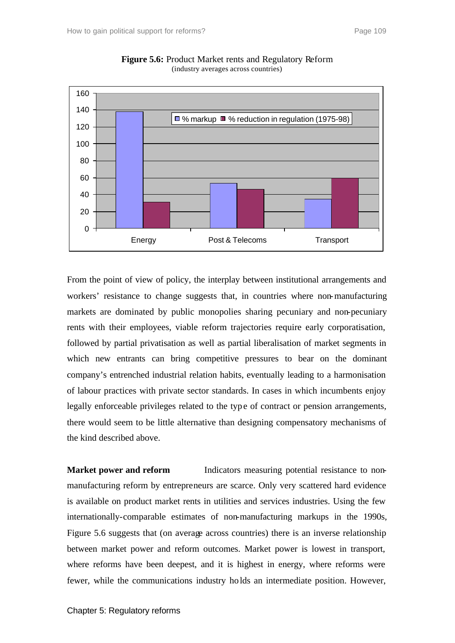

**Figure 5.6:** Product Market rents and Regulatory Reform (industry averages across countries)

From the point of view of policy, the interplay between institutional arrangements and workers' resistance to change suggests that, in countries where non-manufacturing markets are dominated by public monopolies sharing pecuniary and non-pecuniary rents with their employees, viable reform trajectories require early corporatisation, followed by partial privatisation as well as partial liberalisation of market segments in which new entrants can bring competitive pressures to bear on the dominant company's entrenched industrial relation habits, eventually leading to a harmonisation of labour practices with private sector standards. In cases in which incumbents enjoy legally enforceable privileges related to the type of contract or pension arrangements, there would seem to be little alternative than designing compensatory mechanisms of the kind described above.

**Market power and reform** Indicators measuring potential resistance to nonmanufacturing reform by entrepreneurs are scarce. Only very scattered hard evidence is available on product market rents in utilities and services industries. Using the few internationally-comparable estimates of non-manufacturing markups in the 1990s, Figure 5.6 suggests that (on average across countries) there is an inverse relationship between market power and reform outcomes. Market power is lowest in transport, where reforms have been deepest, and it is highest in energy, where reforms were fewer, while the communications industry holds an intermediate position. However,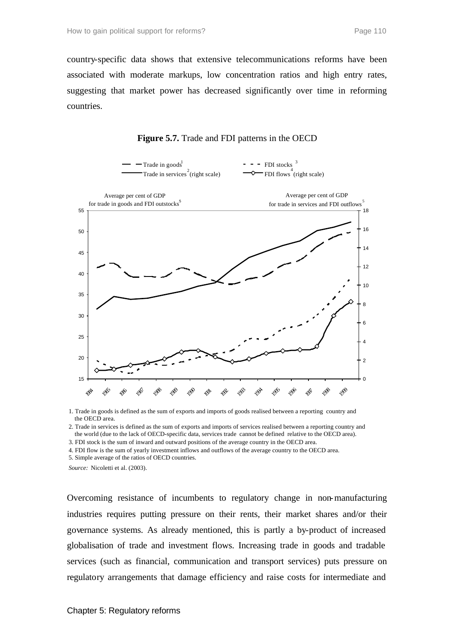country-specific data shows that extensive telecommunications reforms have been associated with moderate markups, low concentration ratios and high entry rates, suggesting that market power has decreased significantly over time in reforming countries.



**Figure 5.7.** Trade and FDI patterns in the OECD

1. Trade in goods is defined as the sum of exports and imports of goods realised between a reporting country and the OECD area.

2. Trade in services is defined as the sum of exports and imports of services realised between a reporting country and the world (due to the lack of OECD-specific data, services trade cannot be defined relative to the OECD area).

3. FDI stock is the sum of inward and outward positions of the average country in the OECD area.

4. FDI flow is the sum of yearly investment inflows and outflows of the average country to the OECD area.

5. Simple average of the ratios of OECD countries.

*Source:* Nicoletti et al. (2003).

Overcoming resistance of incumbents to regulatory change in non-manufacturing industries requires putting pressure on their rents, their market shares and/or their governance systems. As already mentioned, this is partly a by-product of increased globalisation of trade and investment flows. Increasing trade in goods and tradable services (such as financial, communication and transport services) puts pressure on regulatory arrangements that damage efficiency and raise costs for intermediate and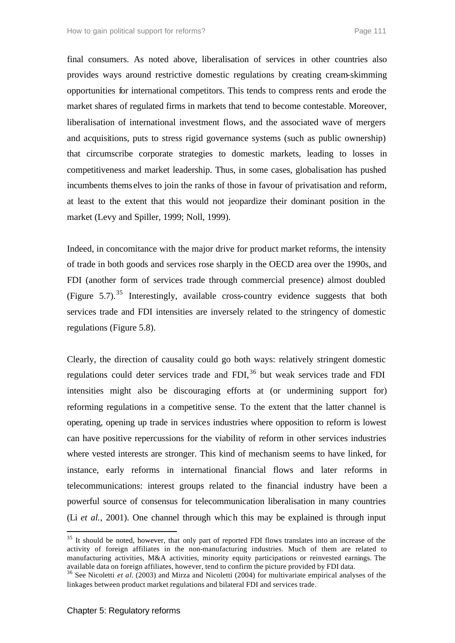final consumers. As noted above, liberalisation of services in other countries also provides ways around restrictive domestic regulations by creating cream-skimming opportunities for international competitors. This tends to compress rents and erode the market shares of regulated firms in markets that tend to become contestable. Moreover, liberalisation of international investment flows, and the associated wave of mergers and acquisitions, puts to stress rigid governance systems (such as public ownership) that circumscribe corporate strategies to domestic markets, leading to losses in competitiveness and market leadership. Thus, in some cases, globalisation has pushed incumbents thems elves to join the ranks of those in favour of privatisation and reform, at least to the extent that this would not jeopardize their dominant position in the market (Levy and Spiller, 1999; Noll, 1999).

Indeed, in concomitance with the major drive for product market reforms, the intensity of trade in both goods and services rose sharply in the OECD area over the 1990s, and FDI (another form of services trade through commercial presence) almost doubled (Figure 5.7).<sup>35</sup> Interestingly, available cross-country evidence suggests that both services trade and FDI intensities are inversely related to the stringency of domestic regulations (Figure 5.8).

Clearly, the direction of causality could go both ways: relatively stringent domestic regulations could deter services trade and FDI $<sup>36</sup>$  but weak services trade and FDI</sup> intensities might also be discouraging efforts at (or undermining support for) reforming regulations in a competitive sense. To the extent that the latter channel is operating, opening up trade in services industries where opposition to reform is lowest can have positive repercussions for the viability of reform in other services industries where vested interests are stronger. This kind of mechanism seems to have linked, for instance, early reforms in international financial flows and later reforms in telecommunications: interest groups related to the financial industry have been a powerful source of consensus for telecommunication liberalisation in many countries (Li *et al.*, 2001). One channel through which this may be explained is through input

 $35$  It should be noted, however, that only part of reported FDI flows translates into an increase of the activity of foreign affiliates in the non-manufacturing industries. Much of them are related to manufacturing activities, M&A activities, minority equity participations or reinvested earnings. The available data on foreign affiliates, however, tend to confirm the picture provided by FDI data.

<sup>&</sup>lt;sup>36</sup> See Nicoletti *et al.* (2003) and Mirza and Nicoletti (2004) for multivariate empirical analyses of the linkages between product market regulations and bilateral FDI and services trade.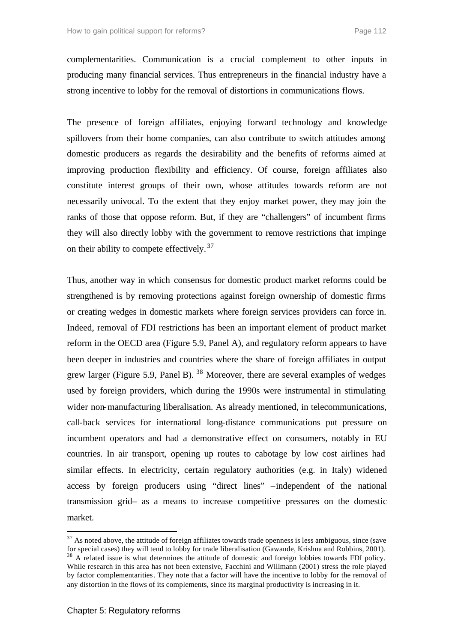complementarities. Communication is a crucial complement to other inputs in producing many financial services. Thus entrepreneurs in the financial industry have a strong incentive to lobby for the removal of distortions in communications flows.

The presence of foreign affiliates, enjoying forward technology and knowledge spillovers from their home companies, can also contribute to switch attitudes among domestic producers as regards the desirability and the benefits of reforms aimed at improving production flexibility and efficiency. Of course, foreign affiliates also constitute interest groups of their own, whose attitudes towards reform are not necessarily univocal. To the extent that they enjoy market power, they may join the ranks of those that oppose reform. But, if they are "challengers" of incumbent firms they will also directly lobby with the government to remove restrictions that impinge on their ability to compete effectively.<sup>37</sup>

Thus, another way in which consensus for domestic product market reforms could be strengthened is by removing protections against foreign ownership of domestic firms or creating wedges in domestic markets where foreign services providers can force in. Indeed, removal of FDI restrictions has been an important element of product market reform in the OECD area (Figure 5.9, Panel A), and regulatory reform appears to have been deeper in industries and countries where the share of foreign affiliates in output grew larger (Figure 5.9, Panel B).  $38$  Moreover, there are several examples of wedges used by foreign providers, which during the 1990s were instrumental in stimulating wider non-manufacturing liberalisation. As already mentioned, in telecommunications, call-back services for international long-distance communications put pressure on incumbent operators and had a demonstrative effect on consumers, notably in EU countries. In air transport, opening up routes to cabotage by low cost airlines had similar effects. In electricity, certain regulatory authorities (e.g. in Italy) widened access by foreign producers using "direct lines" –independent of the national transmission grid– as a means to increase competitive pressures on the domestic market.

 $37$  As noted above, the attitude of foreign affiliates towards trade openness is less ambiguous, since (save for special cases) they will tend to lobby for trade liberalisation (Gawande, Krishna and Robbins, 2001). <sup>38</sup> A related issue is what determines the attitude of domestic and foreign lobbies towards FDI policy. While research in this area has not been extensive, Facchini and Willmann (2001) stress the role played by factor complementarities. They note that a factor will have the incentive to lobby for the removal of any distortion in the flows of its complements, since its marginal productivity is increasing in it.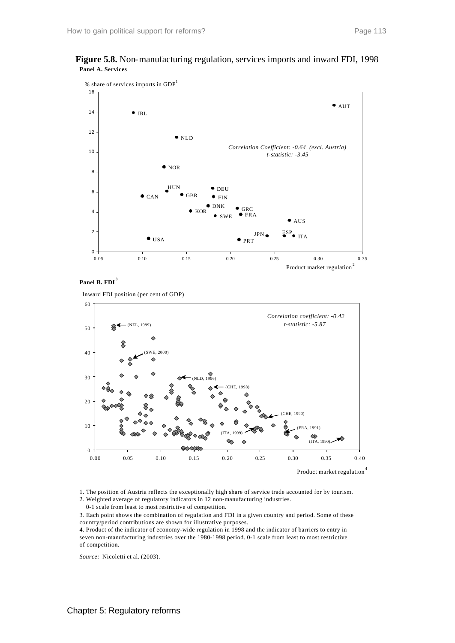





**Panel B. FDI <sup>3</sup>**

Inward FDI position (per cent of GDP)



Product market regulation<sup>4</sup>

1. The position of Austria reflects the exceptionally high share of service trade accounted for by tourism.

2. Weighted average of regulatory indicators in 12 non-manufacturing industries.

0-1 scale from least to most restrictive of competition.

3. Each point shows the combination of regulation and FDI in a given country and period. Some of these country/period contributions are shown for illustrative purposes.

4. Product of the indicator of economy-wide regulation in 1998 and the indicator of barriers to entry in seven non-manufacturing industries over the 1980-1998 period. 0-1 scale from least to most restrictive of competition.

*Source:* Nicoletti et al. (2003).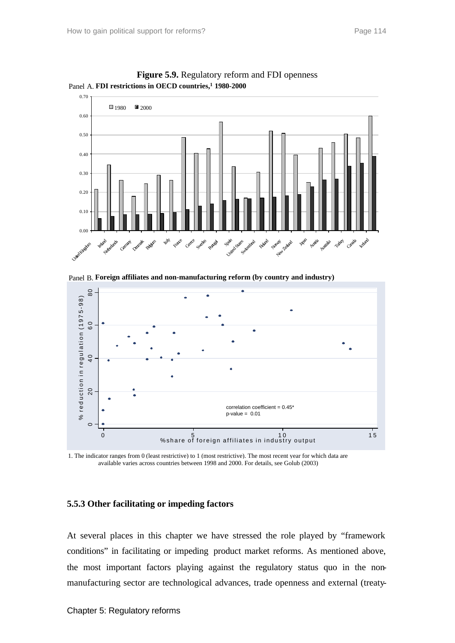



Panel B. **Foreign affiliates and non-manufacturing reform (by country and industry)**



 available varies across countries between 1998 and 2000. For details, see Golub (2003) 1. The indicator ranges from 0 (least restrictive) to 1 (most restrictive). The most recent year for which data are

#### **5.5.3 Other facilitating or impeding factors**

At several places in this chapter we have stressed the role played by "framework conditions" in facilitating or impeding product market reforms. As mentioned above, the most important factors playing against the regulatory status quo in the nonmanufacturing sector are technological advances, trade openness and external (treaty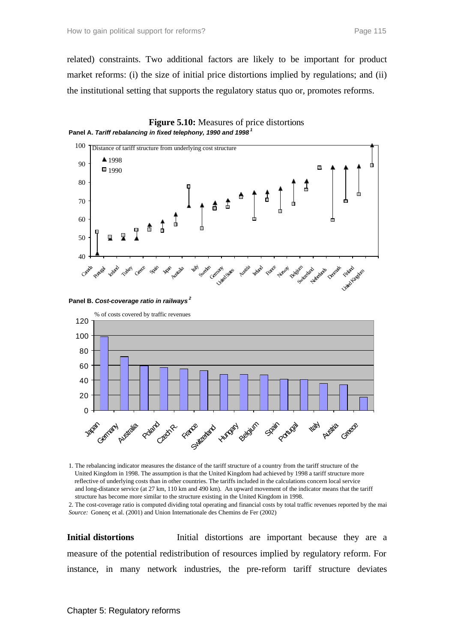related) constraints. Two additional factors are likely to be important for product market reforms: (i) the size of initial price distortions implied by regulations; and (ii) the institutional setting that supports the regulatory status quo or, promotes reforms.









1. The rebalancing indicator measures the distance of the tariff structure of a country from the tariff structure of the United Kingdom in 1998. The assumption is that the United Kingdom had achieved by 1998 a tariff structure more reflective of underlying costs than in other countries. The tariffs included in the calculations concern local service and long-distance service (at 27 km, 110 km and 490 km). An upward movement of the indicator means that the tariff structure has become more similar to the structure existing in the United Kingdom in 1998.

2. The cost-coverage ratio is computed dividing total operating and financial costs by total traffic revenues reported by the mai *Source:* Gonenç et al. (2001) and Union Internationale des Chemins de Fer (2002)

**Initial distortions** Initial distortions are important because they are a measure of the potential redistribution of resources implied by regulatory reform. For instance, in many network industries, the pre-reform tariff structure deviates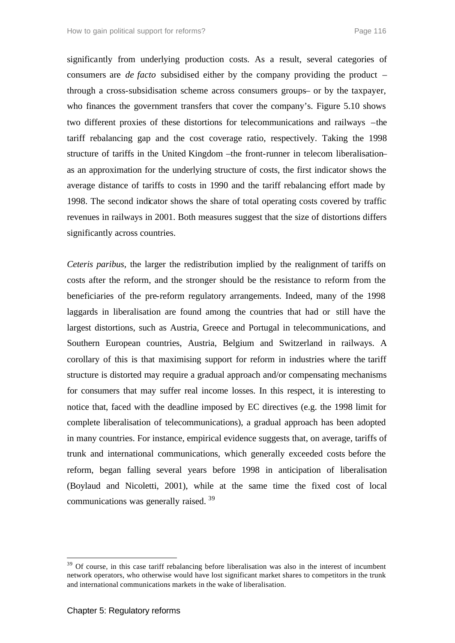significantly from underlying production costs. As a result, several categories of consumers are *de facto* subsidised either by the company providing the product – through a cross-subsidisation scheme across consumers groups– or by the taxpayer, who finances the government transfers that cover the company's. Figure 5.10 shows two different proxies of these distortions for telecommunications and railways –the tariff rebalancing gap and the cost coverage ratio, respectively. Taking the 1998 structure of tariffs in the United Kingdom –the front-runner in telecom liberalisation– as an approximation for the underlying structure of costs, the first indicator shows the average distance of tariffs to costs in 1990 and the tariff rebalancing effort made by 1998. The second indicator shows the share of total operating costs covered by traffic revenues in railways in 2001. Both measures suggest that the size of distortions differs significantly across countries.

*Ceteris paribus*, the larger the redistribution implied by the realignment of tariffs on costs after the reform, and the stronger should be the resistance to reform from the beneficiaries of the pre-reform regulatory arrangements. Indeed, many of the 1998 laggards in liberalisation are found among the countries that had or still have the largest distortions, such as Austria, Greece and Portugal in telecommunications, and Southern European countries, Austria, Belgium and Switzerland in railways. A corollary of this is that maximising support for reform in industries where the tariff structure is distorted may require a gradual approach and/or compensating mechanisms for consumers that may suffer real income losses. In this respect, it is interesting to notice that, faced with the deadline imposed by EC directives (e.g. the 1998 limit for complete liberalisation of telecommunications), a gradual approach has been adopted in many countries. For instance, empirical evidence suggests that, on average, tariffs of trunk and international communications, which generally exceeded costs before the reform, began falling several years before 1998 in anticipation of liberalisation (Boylaud and Nicoletti, 2001), while at the same time the fixed cost of local communications was generally raised. <sup>39</sup>

<sup>&</sup>lt;sup>39</sup> Of course, in this case tariff rebalancing before liberalisation was also in the interest of incumbent network operators, who otherwise would have lost significant market shares to competitors in the trunk and international communications markets in the wake of liberalisation.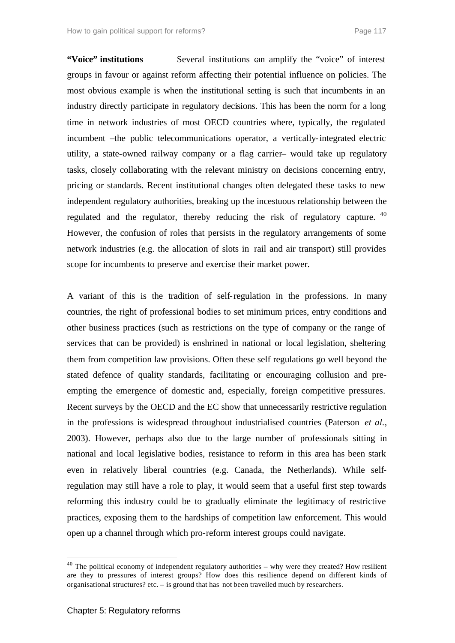**"Voice" institutions** Several institutions can amplify the "voice" of interest groups in favour or against reform affecting their potential influence on policies. The most obvious example is when the institutional setting is such that incumbents in an industry directly participate in regulatory decisions. This has been the norm for a long time in network industries of most OECD countries where, typically, the regulated incumbent –the public telecommunications operator, a vertically-integrated electric utility, a state-owned railway company or a flag carrier– would take up regulatory tasks, closely collaborating with the relevant ministry on decisions concerning entry, pricing or standards. Recent institutional changes often delegated these tasks to new independent regulatory authorities, breaking up the incestuous relationship between the regulated and the regulator, thereby reducing the risk of regulatory capture. <sup>40</sup> However, the confusion of roles that persists in the regulatory arrangements of some network industries (e.g. the allocation of slots in rail and air transport) still provides scope for incumbents to preserve and exercise their market power.

A variant of this is the tradition of self-regulation in the professions. In many countries, the right of professional bodies to set minimum prices, entry conditions and other business practices (such as restrictions on the type of company or the range of services that can be provided) is enshrined in national or local legislation, sheltering them from competition law provisions. Often these self regulations go well beyond the stated defence of quality standards, facilitating or encouraging collusion and preempting the emergence of domestic and, especially, foreign competitive pressures. Recent surveys by the OECD and the EC show that unnecessarily restrictive regulation in the professions is widespread throughout industrialised countries (Paterson *et al.*, 2003). However, perhaps also due to the large number of professionals sitting in national and local legislative bodies, resistance to reform in this area has been stark even in relatively liberal countries (e.g. Canada, the Netherlands). While selfregulation may still have a role to play, it would seem that a useful first step towards reforming this industry could be to gradually eliminate the legitimacy of restrictive practices, exposing them to the hardships of competition law enforcement. This would open up a channel through which pro-reform interest groups could navigate.

 $40$  The political economy of independent regulatory authorities – why were they created? How resilient are they to pressures of interest groups? How does this resilience depend on different kinds of organisational structures? etc. – is ground that has not been travelled much by researchers.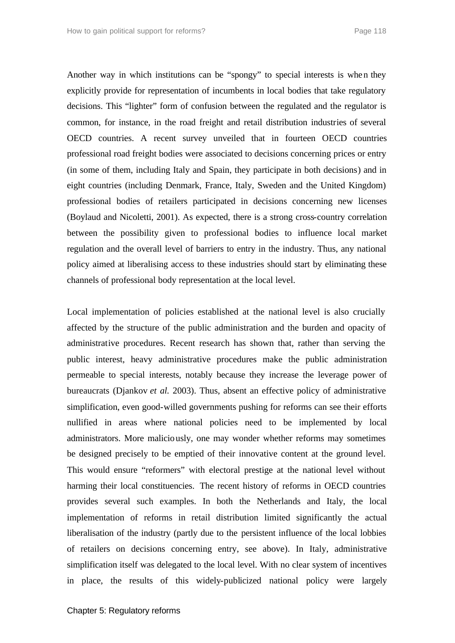Another way in which institutions can be "spongy" to special interests is when they explicitly provide for representation of incumbents in local bodies that take regulatory decisions. This "lighter" form of confusion between the regulated and the regulator is common, for instance, in the road freight and retail distribution industries of several OECD countries. A recent survey unveiled that in fourteen OECD countries professional road freight bodies were associated to decisions concerning prices or entry (in some of them, including Italy and Spain, they participate in both decisions) and in eight countries (including Denmark, France, Italy, Sweden and the United Kingdom) professional bodies of retailers participated in decisions concerning new licenses (Boylaud and Nicoletti, 2001). As expected, there is a strong cross-country correlation between the possibility given to professional bodies to influence local market regulation and the overall level of barriers to entry in the industry. Thus, any national policy aimed at liberalising access to these industries should start by eliminating these channels of professional body representation at the local level.

Local implementation of policies established at the national level is also crucially affected by the structure of the public administration and the burden and opacity of administrative procedures. Recent research has shown that, rather than serving the public interest, heavy administrative procedures make the public administration permeable to special interests, notably because they increase the leverage power of bureaucrats (Djankov *et al.* 2003). Thus, absent an effective policy of administrative simplification, even good-willed governments pushing for reforms can see their efforts nullified in areas where national policies need to be implemented by local administrators. More maliciously, one may wonder whether reforms may sometimes be designed precisely to be emptied of their innovative content at the ground level. This would ensure "reformers" with electoral prestige at the national level without harming their local constituencies. The recent history of reforms in OECD countries provides several such examples. In both the Netherlands and Italy, the local implementation of reforms in retail distribution limited significantly the actual liberalisation of the industry (partly due to the persistent influence of the local lobbies of retailers on decisions concerning entry, see above). In Italy, administrative simplification itself was delegated to the local level. With no clear system of incentives in place, the results of this widely-publicized national policy were largely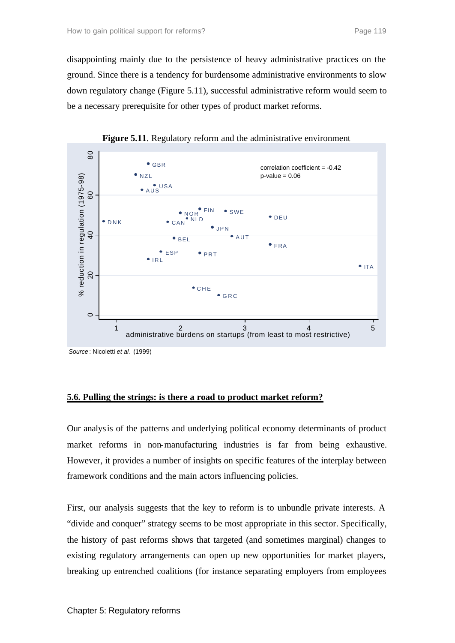disappointing mainly due to the persistence of heavy administrative practices on the ground. Since there is a tendency for burdensome administrative environments to slow down regulatory change (Figure 5.11), successful administrative reform would seem to be a necessary prerequisite for other types of product market reforms.



**Figure 5.11**. Regulatory reform and the administrative environment

*Source* : Nicoletti *et al.* (1999)

# **5.6. Pulling the strings: is there a road to product market reform?**

Our analysis of the patterns and underlying political economy determinants of product market reforms in non-manufacturing industries is far from being exhaustive. However, it provides a number of insights on specific features of the interplay between framework conditions and the main actors influencing policies.

First, our analysis suggests that the key to reform is to unbundle private interests. A "divide and conquer" strategy seems to be most appropriate in this sector. Specifically, the history of past reforms shows that targeted (and sometimes marginal) changes to existing regulatory arrangements can open up new opportunities for market players, breaking up entrenched coalitions (for instance separating employers from employees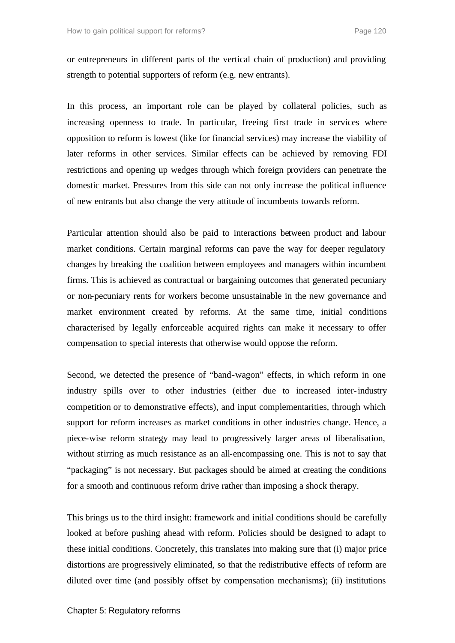or entrepreneurs in different parts of the vertical chain of production) and providing strength to potential supporters of reform (e.g. new entrants).

In this process, an important role can be played by collateral policies, such as increasing openness to trade. In particular, freeing first trade in services where opposition to reform is lowest (like for financial services) may increase the viability of later reforms in other services. Similar effects can be achieved by removing FDI restrictions and opening up wedges through which foreign providers can penetrate the domestic market. Pressures from this side can not only increase the political influence of new entrants but also change the very attitude of incumbents towards reform.

Particular attention should also be paid to interactions between product and labour market conditions. Certain marginal reforms can pave the way for deeper regulatory changes by breaking the coalition between employees and managers within incumbent firms. This is achieved as contractual or bargaining outcomes that generated pecuniary or non-pecuniary rents for workers become unsustainable in the new governance and market environment created by reforms. At the same time, initial conditions characterised by legally enforceable acquired rights can make it necessary to offer compensation to special interests that otherwise would oppose the reform.

Second, we detected the presence of "band-wagon" effects, in which reform in one industry spills over to other industries (either due to increased inter-industry competition or to demonstrative effects), and input complementarities, through which support for reform increases as market conditions in other industries change. Hence, a piece-wise reform strategy may lead to progressively larger areas of liberalisation, without stirring as much resistance as an all-encompassing one. This is not to say that "packaging" is not necessary. But packages should be aimed at creating the conditions for a smooth and continuous reform drive rather than imposing a shock therapy.

This brings us to the third insight: framework and initial conditions should be carefully looked at before pushing ahead with reform. Policies should be designed to adapt to these initial conditions. Concretely, this translates into making sure that (i) major price distortions are progressively eliminated, so that the redistributive effects of reform are diluted over time (and possibly offset by compensation mechanisms); (ii) institutions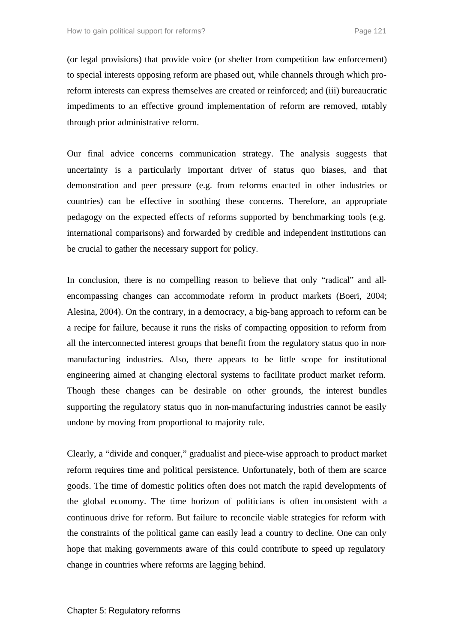(or legal provisions) that provide voice (or shelter from competition law enforcement) to special interests opposing reform are phased out, while channels through which proreform interests can express themselves are created or reinforced; and (iii) bureaucratic impediments to an effective ground implementation of reform are removed, notably through prior administrative reform.

Our final advice concerns communication strategy. The analysis suggests that uncertainty is a particularly important driver of status quo biases, and that demonstration and peer pressure (e.g. from reforms enacted in other industries or countries) can be effective in soothing these concerns. Therefore, an appropriate pedagogy on the expected effects of reforms supported by benchmarking tools (e.g. international comparisons) and forwarded by credible and independent institutions can be crucial to gather the necessary support for policy.

In conclusion, there is no compelling reason to believe that only "radical" and allencompassing changes can accommodate reform in product markets (Boeri, 2004; Alesina, 2004). On the contrary, in a democracy, a big-bang approach to reform can be a recipe for failure, because it runs the risks of compacting opposition to reform from all the interconnected interest groups that benefit from the regulatory status quo in nonmanufacturing industries. Also, there appears to be little scope for institutional engineering aimed at changing electoral systems to facilitate product market reform. Though these changes can be desirable on other grounds, the interest bundles supporting the regulatory status quo in non-manufacturing industries cannot be easily undone by moving from proportional to majority rule.

Clearly, a "divide and conquer," gradualist and piece-wise approach to product market reform requires time and political persistence. Unfortunately, both of them are scarce goods. The time of domestic politics often does not match the rapid developments of the global economy. The time horizon of politicians is often inconsistent with a continuous drive for reform. But failure to reconcile viable strategies for reform with the constraints of the political game can easily lead a country to decline. One can only hope that making governments aware of this could contribute to speed up regulatory change in countries where reforms are lagging behind.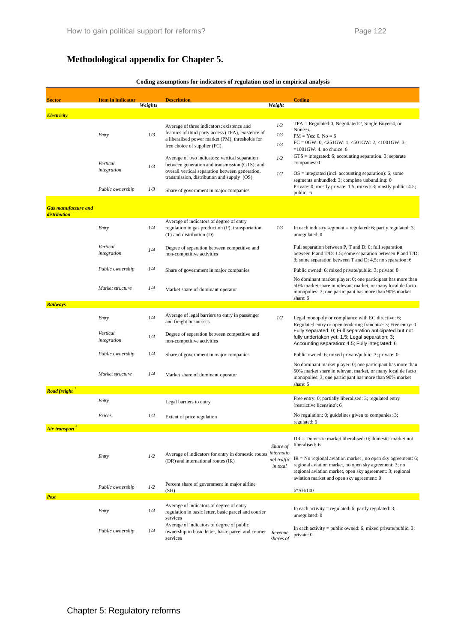# **Methodological appendix for Chapter 5.**

| Coding assumptions for indicators of regulation used in empirical analysis |  |  |  |  |  |
|----------------------------------------------------------------------------|--|--|--|--|--|
|                                                                            |  |  |  |  |  |

| <b>Sector</b>                              | <b>Item in indicator</b> |         | <b>Description</b>                                                                                       |                        | Coding                                                                                                                     |  |  |
|--------------------------------------------|--------------------------|---------|----------------------------------------------------------------------------------------------------------|------------------------|----------------------------------------------------------------------------------------------------------------------------|--|--|
|                                            |                          | Weights |                                                                                                          | Weight                 |                                                                                                                            |  |  |
| <b>Electricity</b>                         |                          |         |                                                                                                          |                        |                                                                                                                            |  |  |
|                                            |                          |         | Average of three indicators: existence and                                                               | 1/3                    | $TPA = Required:0$ , Negotiated:2, Single Buyer:4, or                                                                      |  |  |
|                                            | Entry                    | 1/3     | features of third party access (TPA), existence of                                                       | 1/3                    | None:6.<br>$PM = Yes: 0, No = 6$                                                                                           |  |  |
|                                            |                          |         | a liberalised power market (PM), thresholds for<br>free choice of supplier (FC).                         | 1/3                    | $FC = 0$ GW: 0, <251GW: 1, <501GW: 2, <1001GW: 3,                                                                          |  |  |
|                                            |                          |         |                                                                                                          |                        | $=1001$ GW: 4, no choice: 6<br>$GTS =$ integrated: 6; accounting separation: 3; separate                                   |  |  |
|                                            | Vertical                 | 1/3     | Average of two indicators: vertical separation<br>between generation and transmission (GTS); and         | 1/2                    | companies: 0                                                                                                               |  |  |
|                                            | integration              |         | overall vertical separation between generation,                                                          | 1/2                    | $OS =$ integrated (incl. accounting separation): 6; some                                                                   |  |  |
|                                            |                          |         | transmission, distribution and supply (OS)                                                               |                        | segments unbundled: 3; complete unbundling: 0                                                                              |  |  |
|                                            | Public ownership         | 1/3     | Share of government in major companies                                                                   |                        | Private: 0; mostly private: 1.5; mixed: 3; mostly public: 4.5;<br>public: 6                                                |  |  |
|                                            |                          |         |                                                                                                          |                        |                                                                                                                            |  |  |
| <b>Gas manufacture and</b><br>distribution |                          |         |                                                                                                          |                        |                                                                                                                            |  |  |
|                                            |                          |         | Average of indicators of degree of entry                                                                 |                        |                                                                                                                            |  |  |
|                                            | Entry                    | 1/4     | regulation in gas production (P), transportation<br>(T) and distribution (D)                             | 1/3                    | In each industry segment $=$ regulated: 6; partly regulated: 3;<br>unregulated: 0                                          |  |  |
|                                            |                          |         |                                                                                                          |                        |                                                                                                                            |  |  |
|                                            | Vertical<br>integration  | 1/4     | Degree of separation between competitive and<br>non-competitive activities                               |                        | Full separation between P, T and D: 0; full separation<br>between P and T/D: 1.5; some separation between P and T/D:       |  |  |
|                                            |                          |         |                                                                                                          |                        | 3; some separation between T and D: 4.5; no separation: 6                                                                  |  |  |
|                                            | Public ownership         | 1/4     | Share of government in major companies                                                                   |                        | Public owned: 6; mixed private/public: 3; private: 0                                                                       |  |  |
|                                            |                          |         |                                                                                                          |                        | No dominant market player: 0; one participant has more than                                                                |  |  |
|                                            | Market structure         | 1/4     | Market share of dominant operator                                                                        |                        | 50% market share in relevant market, or many local de facto<br>monopolies: 3; one participant has more than 90% market     |  |  |
| <b>Railways</b>                            |                          |         |                                                                                                          |                        | share: 6                                                                                                                   |  |  |
|                                            |                          |         |                                                                                                          |                        |                                                                                                                            |  |  |
|                                            | Entry                    | 1/4     | Average of legal barriers to entry in passenger<br>and freight businesses                                | 1/2                    | Legal monopoly or compliance with EC directive: 6;                                                                         |  |  |
|                                            | Vertical                 |         | Degree of separation between competitive and<br>non-competitive activities                               |                        | Regulated entry or open tendering franchise: 3; Free entry: 0<br>Fully separated: 0; Full separation anticipated but not   |  |  |
|                                            | integration              | 1/4     |                                                                                                          |                        | fully undertaken yet: 1.5; Legal separation: 3;<br>Accounting separation: 4.5; Fully integrated: 6                         |  |  |
|                                            | Public ownership         | 1/4     |                                                                                                          |                        |                                                                                                                            |  |  |
|                                            |                          |         | Share of government in major companies                                                                   |                        | Public owned: 6; mixed private/public: 3; private: 0                                                                       |  |  |
|                                            | Market structure         | 1/4     |                                                                                                          |                        | No dominant market player: 0; one participant has more than<br>50% market share in relevant market, or many local de facto |  |  |
|                                            |                          |         | Market share of dominant operator                                                                        |                        | monopolies: 3; one participant has more than 90% market<br>share: 6                                                        |  |  |
| <b>Road freight</b>                        |                          |         |                                                                                                          |                        |                                                                                                                            |  |  |
|                                            | Entry                    |         | Legal barriers to entry                                                                                  |                        | Free entry: 0; partially liberalised: 3; regulated entry                                                                   |  |  |
|                                            |                          |         |                                                                                                          |                        | (restrictive licensing): 6                                                                                                 |  |  |
|                                            | Prices                   | 1/2     | Extent of price regulation                                                                               |                        | No regulation: 0; guidelines given to companies: 3;<br>regulated: 6                                                        |  |  |
| <b>Air transport</b>                       |                          |         |                                                                                                          |                        |                                                                                                                            |  |  |
|                                            |                          |         |                                                                                                          |                        | $DR =$ Domestic market liberalised: 0; domestic market not                                                                 |  |  |
|                                            |                          |         |                                                                                                          | Share of<br>internatio | liberalised: 6                                                                                                             |  |  |
|                                            | Entry                    | 1/2     | Average of indicators for entry in domestic routes<br>(DR) and international routes (IR)                 | nal traffic            | $IR = No$ regional aviation market, no open sky agreement: 6;                                                              |  |  |
|                                            |                          |         |                                                                                                          | in total               | regional aviation market, no open sky agreement: 3; no<br>regional aviation market, open sky agreement: 3; regional        |  |  |
|                                            |                          |         | Percent share of government in major airline                                                             |                        | aviation market and open sky agreement: 0                                                                                  |  |  |
|                                            | Public ownership         | 1/2     | (SH)                                                                                                     |                        | 6*SH/100                                                                                                                   |  |  |
| <b>Post</b>                                |                          |         |                                                                                                          |                        |                                                                                                                            |  |  |
|                                            | Entry                    | 1/4     | Average of indicators of degree of entry<br>regulation in basic letter, basic parcel and courier         |                        | In each activity = regulated: 6; partly regulated: 3;                                                                      |  |  |
|                                            |                          |         | services                                                                                                 |                        | unregulated: 0                                                                                                             |  |  |
|                                            | Public ownership         | 1/4     | Average of indicators of degree of public<br>ownership in basic letter, basic parcel and courier Revenue |                        | In each activity = public owned: 6; mixed private/public: 3;                                                               |  |  |
|                                            |                          |         | services                                                                                                 | shares of              | private: 0                                                                                                                 |  |  |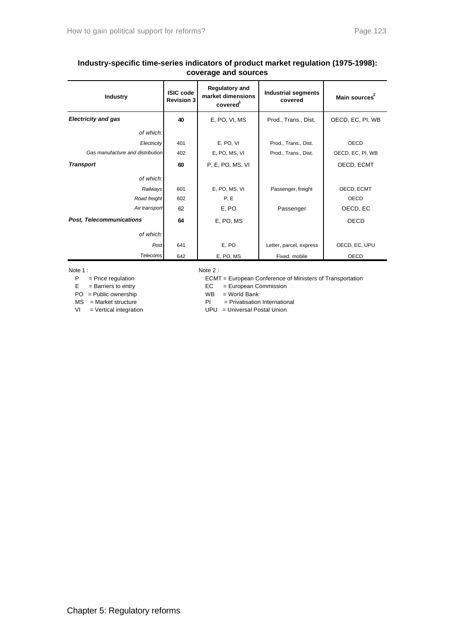# **Industry-specific time-series indicators of product market regulation (1975-1998): coverage and sources**

| <b>Industry</b>                  | <b>ISIC code</b><br><b>Revision 3</b> | <b>Regulatory and</b><br>market dimensions<br>covered <sup>1</sup> | <b>Industrial segments</b><br>covered | Main sources <sup>2</sup> |
|----------------------------------|---------------------------------------|--------------------------------------------------------------------|---------------------------------------|---------------------------|
| <b>Electricity and gas</b>       | 40                                    | E, PO, VI, MS                                                      | Prod., Trans., Dist.                  | OECD, EC, PI, WB          |
| of which:                        |                                       |                                                                    |                                       |                           |
| Electricity                      | 401                                   | E, PO, VI                                                          | Prod., Trans., Dist.                  | OECD                      |
| Gas manufacture and distribution | 402                                   | E, PO, MS, VI                                                      | Prod., Trans., Dist.                  | OECD, EC, PI, WB          |
| <b>Transport</b>                 | 60                                    | P. E. PO, MS, VI                                                   |                                       | OECD, ECMT                |
| of which:                        |                                       |                                                                    |                                       |                           |
| Railways                         | 601                                   | E, PO, MS, VI                                                      | Passenger, freight                    | OECD, ECMT                |
| Road freight                     | 602                                   | P, E                                                               |                                       | <b>OECD</b>               |
| Air transport                    | 62                                    | E, PO                                                              | Passenger                             | OECD, EC                  |
| <b>Post, Telecommunications</b>  | 64                                    | E, PO, MS                                                          |                                       | <b>OECD</b>               |
| of which:                        |                                       |                                                                    |                                       |                           |
| Post                             | 641                                   | E, PO                                                              | Letter, parcel, express               | OECD, EC, UPU             |
| Telecoms                         | 642                                   | E, PO, MS                                                          | Fixed, mobile                         | <b>OECD</b>               |

- 
- 
- PO = Public ownership WB = World Bank
- 

Note 1 : Note 2 :

- P = Price regulation ECMT = European Conference of Ministers of Transportation
	- $EC = European Commission$

- $MS = Market structure$  PI = Privatisation International
- VI = Vertical integration UPU = Universal Postal Union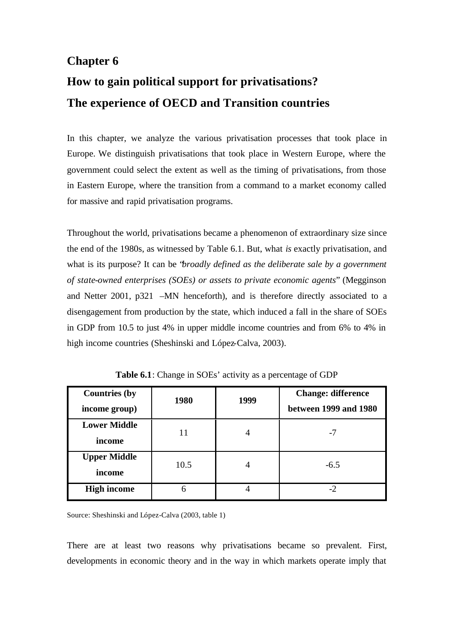# **Chapter 6 How to gain political support for privatisations? The experience of OECD and Transition countries**

In this chapter, we analyze the various privatisation processes that took place in Europe. We distinguish privatisations that took place in Western Europe, where the government could select the extent as well as the timing of privatisations, from those in Eastern Europe, where the transition from a command to a market economy called for massive and rapid privatisation programs.

Throughout the world, privatisations became a phenomenon of extraordinary size since the end of the 1980s, as witnessed by Table 6.1. But, what *is* exactly privatisation, and what is its purpose? It can be "*broadly defined as the deliberate sale by a government of state-owned enterprises (SOEs) or assets to private economic agents*" (Megginson and Netter 2001, p321 –MN henceforth), and is therefore directly associated to a disengagement from production by the state, which induced a fall in the share of SOEs in GDP from 10.5 to just 4% in upper middle income countries and from 6% to 4% in high income countries (Sheshinski and López-Calva, 2003).

| <b>Countries (by</b><br>income group) | 1980 | 1999           | <b>Change: difference</b><br>between 1999 and 1980 |
|---------------------------------------|------|----------------|----------------------------------------------------|
| <b>Lower Middle</b><br>income         |      | $\overline{4}$ | $-7$                                               |
| <b>Upper Middle</b><br>income         | 10.5 | 4              | $-6.5$                                             |
| <b>High income</b>                    | 6    |                | -2                                                 |

**Table 6.1**: Change in SOEs' activity as a percentage of GDP

Source: Sheshinski and López-Calva (2003, table 1)

There are at least two reasons why privatisations became so prevalent. First, developments in economic theory and in the way in which markets operate imply that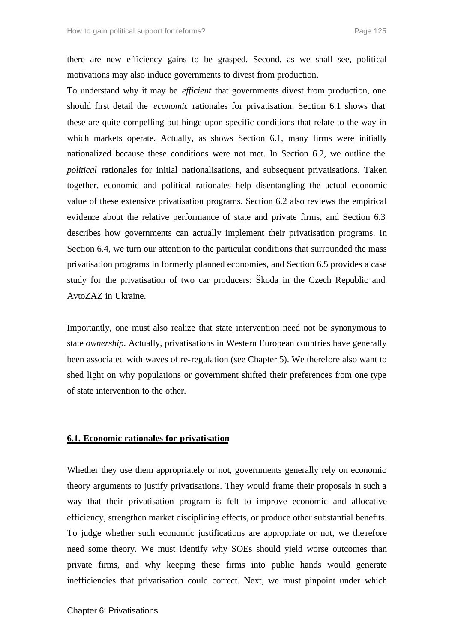there are new efficiency gains to be grasped. Second, as we shall see, political motivations may also induce governments to divest from production.

To understand why it may be *efficient* that governments divest from production, one should first detail the *economic* rationales for privatisation. Section 6.1 shows that these are quite compelling but hinge upon specific conditions that relate to the way in which markets operate. Actually, as shows Section 6.1, many firms were initially nationalized because these conditions were not met. In Section 6.2, we outline the *political* rationales for initial nationalisations, and subsequent privatisations. Taken together, economic and political rationales help disentangling the actual economic value of these extensive privatisation programs. Section 6.2 also reviews the empirical evidence about the relative performance of state and private firms, and Section 6.3 describes how governments can actually implement their privatisation programs. In Section 6.4, we turn our attention to the particular conditions that surrounded the mass privatisation programs in formerly planned economies, and Section 6.5 provides a case study for the privatisation of two car producers: Škoda in the Czech Republic and AvtoZAZ in Ukraine.

Importantly, one must also realize that state intervention need not be synonymous to state *ownership*. Actually, privatisations in Western European countries have generally been associated with waves of re-regulation (see Chapter 5). We therefore also want to shed light on why populations or government shifted their preferences from one type of state intervention to the other.

## **6.1. Economic rationales for privatisation**

Whether they use them appropriately or not, governments generally rely on economic theory arguments to justify privatisations. They would frame their proposals in such a way that their privatisation program is felt to improve economic and allocative efficiency, strengthen market disciplining effects, or produce other substantial benefits. To judge whether such economic justifications are appropriate or not, we the refore need some theory. We must identify why SOEs should yield worse outcomes than private firms, and why keeping these firms into public hands would generate inefficiencies that privatisation could correct. Next, we must pinpoint under which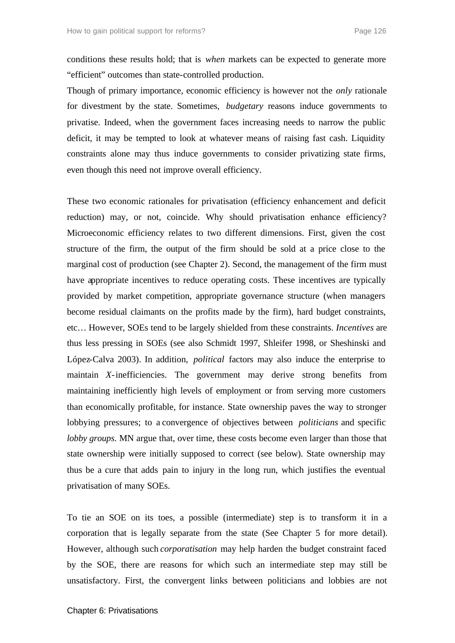conditions these results hold; that is *when* markets can be expected to generate more "efficient" outcomes than state-controlled production.

Though of primary importance, economic efficiency is however not the *only* rationale for divestment by the state. Sometimes, *budgetary* reasons induce governments to privatise. Indeed, when the government faces increasing needs to narrow the public deficit, it may be tempted to look at whatever means of raising fast cash. Liquidity constraints alone may thus induce governments to consider privatizing state firms, even though this need not improve overall efficiency.

These two economic rationales for privatisation (efficiency enhancement and deficit reduction) may, or not, coincide. Why should privatisation enhance efficiency? Microeconomic efficiency relates to two different dimensions. First, given the cost structure of the firm, the output of the firm should be sold at a price close to the marginal cost of production (see Chapter 2). Second, the management of the firm must have appropriate incentives to reduce operating costs. These incentives are typically provided by market competition, appropriate governance structure (when managers become residual claimants on the profits made by the firm), hard budget constraints, etc… However, SOEs tend to be largely shielded from these constraints. *Incentives* are thus less pressing in SOEs (see also Schmidt 1997, Shleifer 1998, or Sheshinski and López-Calva 2003). In addition, *political* factors may also induce the enterprise to maintain *X*-inefficiencies. The government may derive strong benefits from maintaining inefficiently high levels of employment or from serving more customers than economically profitable, for instance. State ownership paves the way to stronger lobbying pressures; to a convergence of objectives between *politicians* and specific *lobby groups*. MN argue that, over time, these costs become even larger than those that state ownership were initially supposed to correct (see below). State ownership may thus be a cure that adds pain to injury in the long run, which justifies the eventual privatisation of many SOEs.

To tie an SOE on its toes, a possible (intermediate) step is to transform it in a corporation that is legally separate from the state (See Chapter 5 for more detail). However, although such *corporatisation* may help harden the budget constraint faced by the SOE, there are reasons for which such an intermediate step may still be unsatisfactory. First, the convergent links between politicians and lobbies are not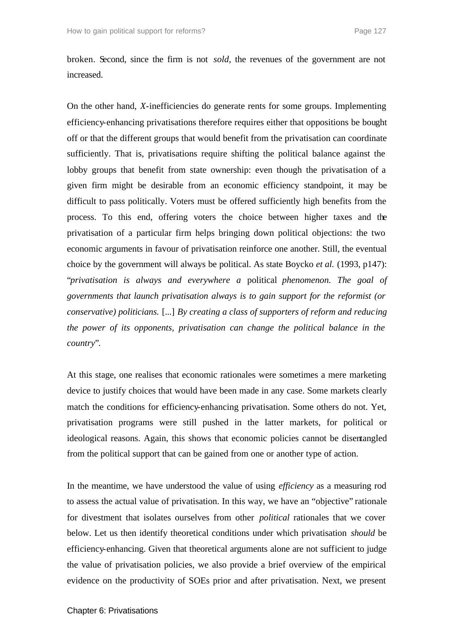broken. Second, since the firm is not *sold*, the revenues of the government are not increased.

On the other hand, *X-*inefficiencies do generate rents for some groups. Implementing efficiency-enhancing privatisations therefore requires either that oppositions be bought off or that the different groups that would benefit from the privatisation can coordinate sufficiently. That is, privatisations require shifting the political balance against the lobby groups that benefit from state ownership: even though the privatisation of a given firm might be desirable from an economic efficiency standpoint, it may be difficult to pass politically. Voters must be offered sufficiently high benefits from the process. To this end, offering voters the choice between higher taxes and the privatisation of a particular firm helps bringing down political objections: the two economic arguments in favour of privatisation reinforce one another. Still, the eventual choice by the government will always be political. As state Boycko *et al.* (1993, p147): "*privatisation is always and everywhere a* political *phenomenon. The goal of governments that launch privatisation always is to gain support for the reformist (or conservative) politicians.* [...] *By creating a class of supporters of reform and reducing the power of its opponents, privatisation can change the political balance in the country*".

At this stage, one realises that economic rationales were sometimes a mere marketing device to justify choices that would have been made in any case. Some markets clearly match the conditions for efficiency-enhancing privatisation. Some others do not. Yet, privatisation programs were still pushed in the latter markets, for political or ideological reasons. Again, this shows that economic policies cannot be disentangled from the political support that can be gained from one or another type of action.

In the meantime, we have understood the value of using *efficiency* as a measuring rod to assess the actual value of privatisation. In this way, we have an "objective" rationale for divestment that isolates ourselves from other *political* rationales that we cover below. Let us then identify theoretical conditions under which privatisation *should* be efficiency-enhancing. Given that theoretical arguments alone are not sufficient to judge the value of privatisation policies, we also provide a brief overview of the empirical evidence on the productivity of SOEs prior and after privatisation. Next, we present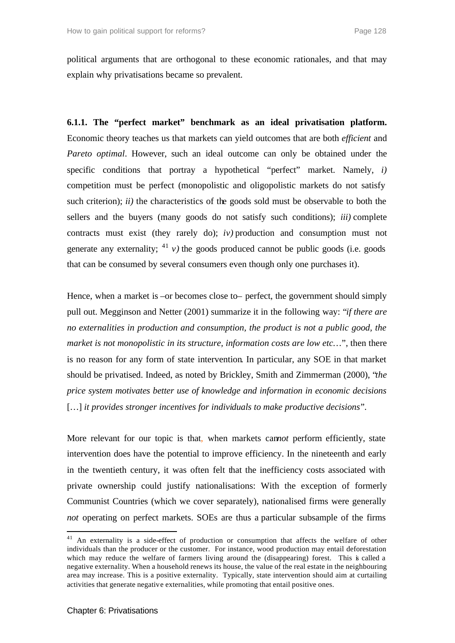political arguments that are orthogonal to these economic rationales, and that may explain why privatisations became so prevalent.

**6.1.1. The "perfect market" benchmark as an ideal privatisation platform.** Economic theory teaches us that markets can yield outcomes that are both *efficient* and *Pareto optimal*. However, such an ideal outcome can only be obtained under the specific conditions that portray a hypothetical "perfect" market. Namely, *i)*  competition must be perfect (monopolistic and oligopolistic markets do not satisfy such criterion); *ii)* the characteristics of the goods sold must be observable to both the sellers and the buyers (many goods do not satisfy such conditions); *iii)* complete contracts must exist (they rarely do); *iv)* production and consumption must not generate any externality;  $^{41}$  *v*) the goods produced cannot be public goods (i.e. goods that can be consumed by several consumers even though only one purchases it).

Hence, when a market is –or becomes close to– perfect, the government should simply pull out. Megginson and Netter (2001) summarize it in the following way: "*if there are no externalities in production and consumption, the product is not a public good, the market is not monopolistic in its structure, information costs are low etc...*", then there is no reason for any form of state intervention. In particular, any SOE in that market should be privatised. Indeed, as noted by Brickley, Smith and Zimmerman (2000), "*the price system motivates better use of knowledge and information in economic decisions*  […] *it provides stronger incentives for individuals to make productive decisions*".

More relevant for our topic is that, when markets can*not* perform efficiently, state intervention does have the potential to improve efficiency. In the nineteenth and early in the twentieth century, it was often felt that the inefficiency costs associated with private ownership could justify nationalisations: With the exception of formerly Communist Countries (which we cover separately), nationalised firms were generally *not* operating on perfect markets. SOEs are thus a particular subsample of the firms

 $41$  An externality is a side-effect of production or consumption that affects the welfare of other individuals than the producer or the customer. For instance, wood production may entail deforestation which may reduce the welfare of farmers living around the (disappearing) forest. This is called a negative externality. When a household renews its house, the value of the real estate in the neighbouring area may increase. This is a positive externality. Typically, state intervention should aim at curtailing activities that generate negative externalities, while promoting that entail positive ones.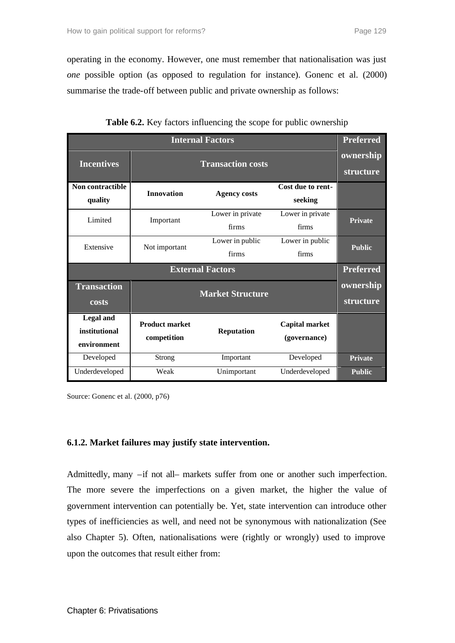operating in the economy. However, one must remember that nationalisation was just *one* possible option (as opposed to regulation for instance). Gonenc et al. (2000) summarise the trade-off between public and private ownership as follows:

| <b>Internal Factors</b>                          |                                      |                           |                                       |                |  |
|--------------------------------------------------|--------------------------------------|---------------------------|---------------------------------------|----------------|--|
| <b>Incentives</b>                                |                                      | ownership<br>structure    |                                       |                |  |
| Non contractible<br>quality                      | <b>Innovation</b>                    | <b>Agency costs</b>       | Cost due to rent-<br>seeking          |                |  |
| Limited                                          | Important                            | Lower in private<br>firms | Lower in private<br>firms             | <b>Private</b> |  |
| Extensive                                        | Not important                        | Lower in public<br>firms  | Lower in public<br>firms              | <b>Public</b>  |  |
|                                                  | <b>Preferred</b>                     |                           |                                       |                |  |
| <b>Transaction</b><br>costs                      |                                      | ownership<br>structure    |                                       |                |  |
| <b>Legal and</b><br>institutional<br>environment | <b>Product market</b><br>competition | <b>Reputation</b>         | <b>Capital market</b><br>(governance) |                |  |
| Developed                                        | <b>Strong</b>                        | Important                 | Developed                             | <b>Private</b> |  |
| Underdeveloped                                   | Weak                                 | Unimportant               | Underdeveloped                        | <b>Public</b>  |  |

**Table 6.2.** Key factors influencing the scope for public ownership

Source: Gonenc et al. (2000, p76)

# **6.1.2. Market failures may justify state intervention.**

Admittedly, many –if not all– markets suffer from one or another such imperfection. The more severe the imperfections on a given market, the higher the value of government intervention can potentially be. Yet, state intervention can introduce other types of inefficiencies as well, and need not be synonymous with nationalization (See also Chapter 5). Often, nationalisations were (rightly or wrongly) used to improve upon the outcomes that result either from: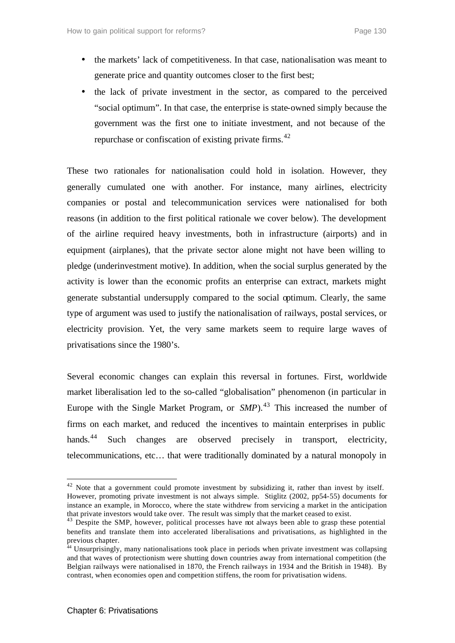- the markets' lack of competitiveness. In that case, nationalisation was meant to generate price and quantity outcomes closer to the first best;
- the lack of private investment in the sector, as compared to the perceived "social optimum". In that case, the enterprise is state-owned simply because the government was the first one to initiate investment, and not because of the repurchase or confiscation of existing private firms.<sup>42</sup>

These two rationales for nationalisation could hold in isolation. However, they generally cumulated one with another. For instance, many airlines, electricity companies or postal and telecommunication services were nationalised for both reasons (in addition to the first political rationale we cover below). The development of the airline required heavy investments, both in infrastructure (airports) and in equipment (airplanes), that the private sector alone might not have been willing to pledge (underinvestment motive). In addition, when the social surplus generated by the activity is lower than the economic profits an enterprise can extract, markets might generate substantial undersupply compared to the social optimum. Clearly, the same type of argument was used to justify the nationalisation of railways, postal services, or electricity provision. Yet, the very same markets seem to require large waves of privatisations since the 1980's.

Several economic changes can explain this reversal in fortunes. First, worldwide market liberalisation led to the so-called "globalisation" phenomenon (in particular in Europe with the Single Market Program, or *SMP*).<sup>43</sup> This increased the number of firms on each market, and reduced the incentives to maintain enterprises in public hands.<sup>44</sup> Such changes are observed precisely in transport, electricity, telecommunications, etc… that were traditionally dominated by a natural monopoly in

<sup>&</sup>lt;sup>42</sup> Note that a government could promote investment by subsidizing it, rather than invest by itself. However, promoting private investment is not always simple. Stiglitz (2002, pp54-55) documents for instance an example, in Morocco, where the state withdrew from servicing a market in the anticipation that private investors would take over. The result was simply that the market ceased to exist.

<sup>&</sup>lt;sup>43</sup> Despite the SMP, however, political processes have not always been able to grasp these potential benefits and translate them into accelerated liberalisations and privatisations, as highlighted in the previous chapter.

<sup>44</sup> Unsurprisingly, many nationalisations took place in periods when private investment was collapsing and that waves of protectionism were shutting down countries away from international competition (the Belgian railways were nationalised in 1870, the French railways in 1934 and the British in 1948). By contrast, when economies open and competition stiffens, the room for privatisation widens.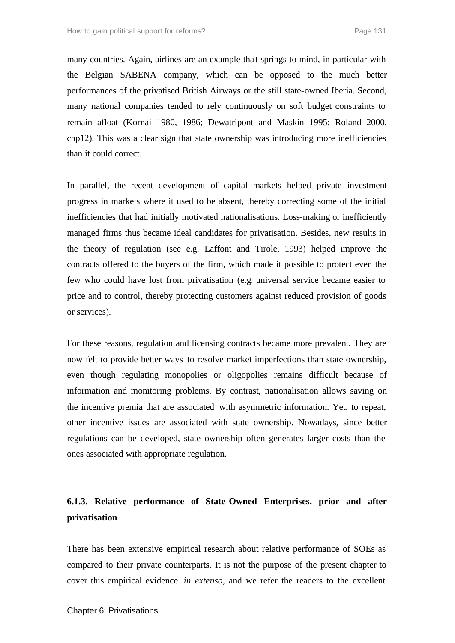many countries. Again, airlines are an example that springs to mind, in particular with the Belgian SABENA company, which can be opposed to the much better performances of the privatised British Airways or the still state-owned Iberia. Second, many national companies tended to rely continuously on soft budget constraints to remain afloat (Kornai 1980, 1986; Dewatripont and Maskin 1995; Roland 2000, chp12). This was a clear sign that state ownership was introducing more inefficiencies than it could correct.

In parallel, the recent development of capital markets helped private investment progress in markets where it used to be absent, thereby correcting some of the initial inefficiencies that had initially motivated nationalisations. Loss-making or inefficiently managed firms thus became ideal candidates for privatisation. Besides, new results in the theory of regulation (see e.g. Laffont and Tirole, 1993) helped improve the contracts offered to the buyers of the firm, which made it possible to protect even the few who could have lost from privatisation (e.g. universal service became easier to price and to control, thereby protecting customers against reduced provision of goods or services).

For these reasons, regulation and licensing contracts became more prevalent. They are now felt to provide better ways to resolve market imperfections than state ownership, even though regulating monopolies or oligopolies remains difficult because of information and monitoring problems. By contrast, nationalisation allows saving on the incentive premia that are associated with asymmetric information. Yet, to repeat, other incentive issues are associated with state ownership. Nowadays, since better regulations can be developed, state ownership often generates larger costs than the ones associated with appropriate regulation.

# **6.1.3. Relative performance of State-Owned Enterprises, prior and after privatisation**.

There has been extensive empirical research about relative performance of SOEs as compared to their private counterparts. It is not the purpose of the present chapter to cover this empirical evidence *in extenso*, and we refer the readers to the excellent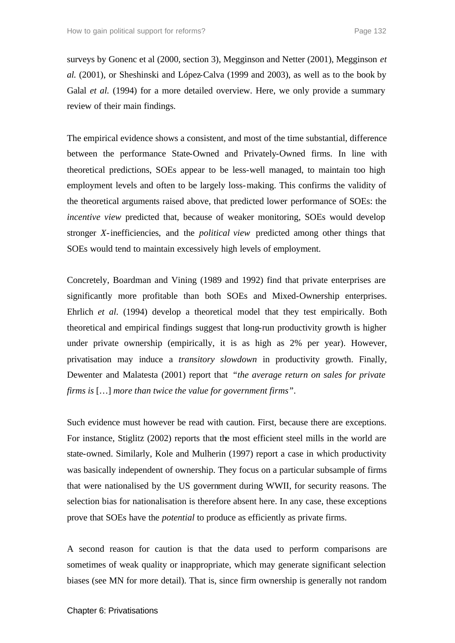surveys by Gonenc et al (2000, section 3), Megginson and Netter (2001), Megginson *et al.* (2001), or Sheshinski and López-Calva (1999 and 2003), as well as to the book by Galal *et al.* (1994) for a more detailed overview. Here, we only provide a summary review of their main findings.

The empirical evidence shows a consistent, and most of the time substantial, difference between the performance State-Owned and Privately-Owned firms. In line with theoretical predictions, SOEs appear to be less-well managed, to maintain too high employment levels and often to be largely loss-making. This confirms the validity of the theoretical arguments raised above, that predicted lower performance of SOEs: the *incentive view* predicted that, because of weaker monitoring, SOEs would develop stronger *X*-inefficiencies, and the *political view* predicted among other things that SOEs would tend to maintain excessively high levels of employment.

Concretely, Boardman and Vining (1989 and 1992) find that private enterprises are significantly more profitable than both SOEs and Mixed-Ownership enterprises. Ehrlich *et al*. (1994) develop a theoretical model that they test empirically. Both theoretical and empirical findings suggest that long-run productivity growth is higher under private ownership (empirically, it is as high as 2% per year). However, privatisation may induce a *transitory slowdown* in productivity growth. Finally, Dewenter and Malatesta (2001) report that *"the average return on sales for private firms is* […] *more than twice the value for government firms"*.

Such evidence must however be read with caution. First, because there are exceptions. For instance, Stiglitz (2002) reports that the most efficient steel mills in the world are state-owned. Similarly, Kole and Mulherin (1997) report a case in which productivity was basically independent of ownership. They focus on a particular subsample of firms that were nationalised by the US government during WWII, for security reasons. The selection bias for nationalisation is therefore absent here. In any case, these exceptions prove that SOEs have the *potential* to produce as efficiently as private firms.

A second reason for caution is that the data used to perform comparisons are sometimes of weak quality or inappropriate, which may generate significant selection biases (see MN for more detail). That is, since firm ownership is generally not random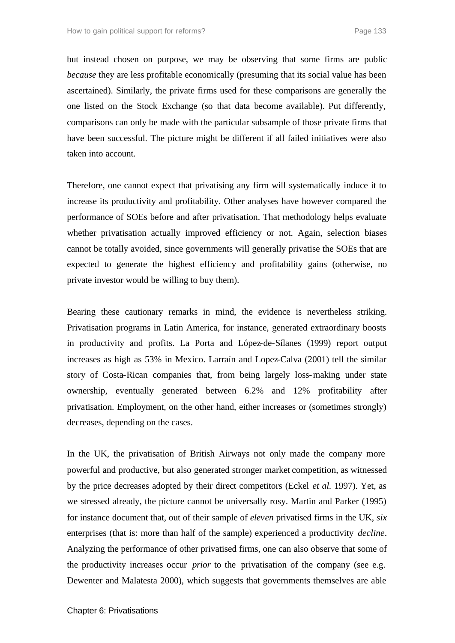but instead chosen on purpose, we may be observing that some firms are public *because* they are less profitable economically (presuming that its social value has been ascertained). Similarly, the private firms used for these comparisons are generally the one listed on the Stock Exchange (so that data become available). Put differently, comparisons can only be made with the particular subsample of those private firms that have been successful. The picture might be different if all failed initiatives were also taken into account.

Therefore, one cannot expect that privatising any firm will systematically induce it to increase its productivity and profitability. Other analyses have however compared the performance of SOEs before and after privatisation. That methodology helps evaluate whether privatisation actually improved efficiency or not. Again, selection biases cannot be totally avoided, since governments will generally privatise the SOEs that are expected to generate the highest efficiency and profitability gains (otherwise, no private investor would be willing to buy them).

Bearing these cautionary remarks in mind, the evidence is nevertheless striking. Privatisation programs in Latin America, for instance, generated extraordinary boosts in productivity and profits. La Porta and López-de-Sílanes (1999) report output increases as high as 53% in Mexico. Larraín and Lopez-Calva (2001) tell the similar story of Costa-Rican companies that, from being largely loss-making under state ownership, eventually generated between 6.2% and 12% profitability after privatisation. Employment, on the other hand, either increases or (sometimes strongly) decreases, depending on the cases.

In the UK, the privatisation of British Airways not only made the company more powerful and productive, but also generated stronger market competition, as witnessed by the price decreases adopted by their direct competitors (Eckel *et al.* 1997). Yet, as we stressed already, the picture cannot be universally rosy. Martin and Parker (1995) for instance document that, out of their sample of *eleven* privatised firms in the UK, *six*  enterprises (that is: more than half of the sample) experienced a productivity *decline*. Analyzing the performance of other privatised firms, one can also observe that some of the productivity increases occur *prior* to the privatisation of the company (see e.g. Dewenter and Malatesta 2000), which suggests that governments themselves are able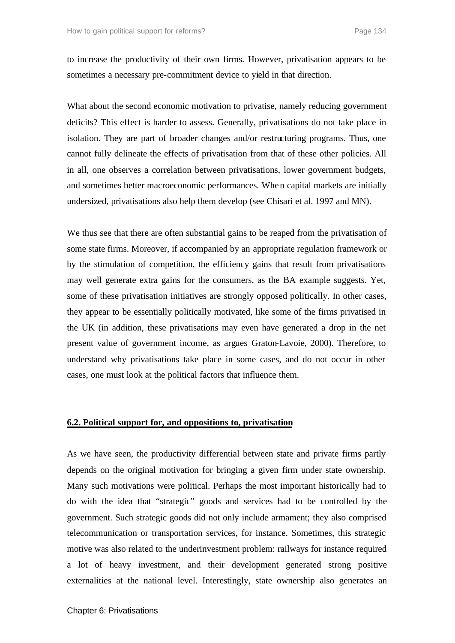to increase the productivity of their own firms. However, privatisation appears to be sometimes a necessary pre-commitment device to yield in that direction.

What about the second economic motivation to privatise, namely reducing government deficits? This effect is harder to assess. Generally, privatisations do not take place in isolation. They are part of broader changes and/or restructuring programs. Thus, one cannot fully delineate the effects of privatisation from that of these other policies. All in all, one observes a correlation between privatisations, lower government budgets, and sometimes better macroeconomic performances. When capital markets are initially undersized, privatisations also help them develop (see Chisari et al. 1997 and MN).

We thus see that there are often substantial gains to be reaped from the privatisation of some state firms. Moreover, if accompanied by an appropriate regulation framework or by the stimulation of competition, the efficiency gains that result from privatisations may well generate extra gains for the consumers, as the BA example suggests. Yet, some of these privatisation initiatives are strongly opposed politically. In other cases, they appear to be essentially politically motivated, like some of the firms privatised in the UK (in addition, these privatisations may even have generated a drop in the net present value of government income, as argues Graton-Lavoie, 2000). Therefore, to understand why privatisations take place in some cases, and do not occur in other cases, one must look at the political factors that influence them.

#### **6.2. Political support for, and oppositions to, privatisation**

As we have seen, the productivity differential between state and private firms partly depends on the original motivation for bringing a given firm under state ownership. Many such motivations were political. Perhaps the most important historically had to do with the idea that "strategic" goods and services had to be controlled by the government. Such strategic goods did not only include armament; they also comprised telecommunication or transportation services, for instance. Sometimes, this strategic motive was also related to the underinvestment problem: railways for instance required a lot of heavy investment, and their development generated strong positive externalities at the national level. Interestingly, state ownership also generates an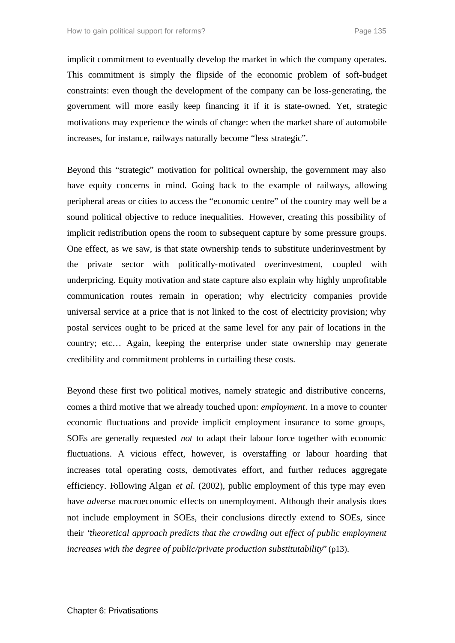implicit commitment to eventually develop the market in which the company operates. This commitment is simply the flipside of the economic problem of soft-budget constraints: even though the development of the company can be loss-generating, the government will more easily keep financing it if it is state-owned. Yet, strategic motivations may experience the winds of change: when the market share of automobile increases, for instance, railways naturally become "less strategic".

Beyond this "strategic" motivation for political ownership, the government may also have equity concerns in mind. Going back to the example of railways, allowing peripheral areas or cities to access the "economic centre" of the country may well be a sound political objective to reduce inequalities. However, creating this possibility of implicit redistribution opens the room to subsequent capture by some pressure groups. One effect, as we saw, is that state ownership tends to substitute underinvestment by the private sector with politically-motivated *over*investment, coupled with underpricing. Equity motivation and state capture also explain why highly unprofitable communication routes remain in operation; why electricity companies provide universal service at a price that is not linked to the cost of electricity provision; why postal services ought to be priced at the same level for any pair of locations in the country; etc… Again, keeping the enterprise under state ownership may generate credibility and commitment problems in curtailing these costs.

Beyond these first two political motives, namely strategic and distributive concerns, comes a third motive that we already touched upon: *employment*. In a move to counter economic fluctuations and provide implicit employment insurance to some groups, SOEs are generally requested *not* to adapt their labour force together with economic fluctuations. A vicious effect, however, is overstaffing or labour hoarding that increases total operating costs, demotivates effort, and further reduces aggregate efficiency. Following Algan *et al.* (2002), public employment of this type may even have *adverse* macroeconomic effects on unemployment. Although their analysis does not include employment in SOEs, their conclusions directly extend to SOEs, since their "*theoretical approach predicts that the crowding out effect of public employment increases with the degree of public/private production substitutability*" (p13).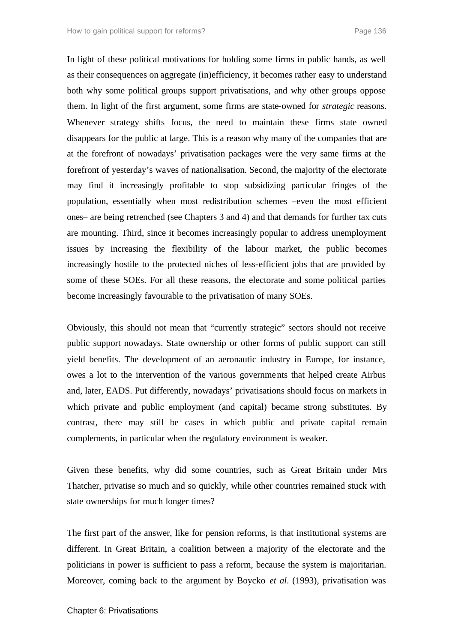In light of these political motivations for holding some firms in public hands, as well as their consequences on aggregate (in)efficiency, it becomes rather easy to understand both why some political groups support privatisations, and why other groups oppose them. In light of the first argument, some firms are state-owned for *strategic* reasons. Whenever strategy shifts focus, the need to maintain these firms state owned disappears for the public at large. This is a reason why many of the companies that are at the forefront of nowadays' privatisation packages were the very same firms at the forefront of yesterday's waves of nationalisation. Second, the majority of the electorate may find it increasingly profitable to stop subsidizing particular fringes of the population, essentially when most redistribution schemes –even the most efficient ones– are being retrenched (see Chapters 3 and 4) and that demands for further tax cuts are mounting. Third, since it becomes increasingly popular to address unemployment issues by increasing the flexibility of the labour market, the public becomes increasingly hostile to the protected niches of less-efficient jobs that are provided by some of these SOEs. For all these reasons, the electorate and some political parties become increasingly favourable to the privatisation of many SOEs.

Obviously, this should not mean that "currently strategic" sectors should not receive public support nowadays. State ownership or other forms of public support can still yield benefits. The development of an aeronautic industry in Europe, for instance, owes a lot to the intervention of the various governments that helped create Airbus and, later, EADS. Put differently, nowadays' privatisations should focus on markets in which private and public employment (and capital) became strong substitutes. By contrast, there may still be cases in which public and private capital remain complements, in particular when the regulatory environment is weaker.

Given these benefits, why did some countries, such as Great Britain under Mrs Thatcher, privatise so much and so quickly, while other countries remained stuck with state ownerships for much longer times?

The first part of the answer, like for pension reforms, is that institutional systems are different. In Great Britain, a coalition between a majority of the electorate and the politicians in power is sufficient to pass a reform, because the system is majoritarian. Moreover, coming back to the argument by Boycko *et al*. (1993), privatisation was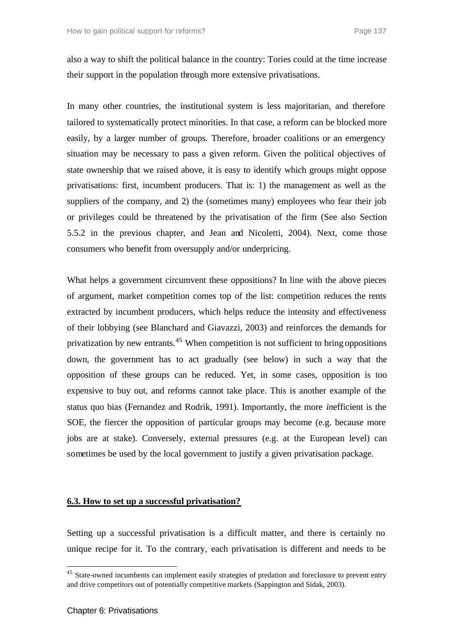also a way to shift the political balance in the country: Tories could at the time increase their support in the population through more extensive privatisations.

In many other countries, the institutional system is less majoritarian, and therefore tailored to systematically protect minorities. In that case, a reform can be blocked more easily, by a larger number of groups. Therefore, broader coalitions or an emergency situation may be necessary to pass a given reform. Given the political objectives of state ownership that we raised above, it is easy to identify which groups might oppose privatisations: first, incumbent producers. That is: 1) the management as well as the suppliers of the company, and 2) the (sometimes many) employees who fear their job or privileges could be threatened by the privatisation of the firm (See also Section 5.5.2 in the previous chapter, and Jean and Nicoletti, 2004). Next, come those consumers who benefit from oversupply and/or underpricing.

What helps a government circumvent these oppositions? In line with the above pieces of argument, market competition comes top of the list: competition reduces the rents extracted by incumbent producers, which helps reduce the intensity and effectiveness of their lobbying (see Blanchard and Giavazzi, 2003) and reinforces the demands for privatization by new entrants.<sup>45</sup> When competition is not sufficient to bring oppositions down, the government has to act gradually (see below) in such a way that the opposition of these groups can be reduced. Yet, in some cases, opposition is too expensive to buy out, and reforms cannot take place. This is another example of the status quo bias (Fernandez and Rodrik, 1991). Importantly, the more *in*efficient is the SOE, the fiercer the opposition of particular groups may become (e.g. because more jobs are at stake). Conversely, external pressures (e.g. at the European level) can sometimes be used by the local government to justify a given privatisation package.

### **6.3. How to set up a successful privatisation?**

Setting up a successful privatisation is a difficult matter, and there is certainly no unique recipe for it. To the contrary, each privatisation is different and needs to be

<sup>&</sup>lt;sup>45</sup> State-owned incumbents can implement easily strategies of predation and foreclosure to prevent entry and drive competitors out of potentially competitive markets (Sappington and Sidak, 2003).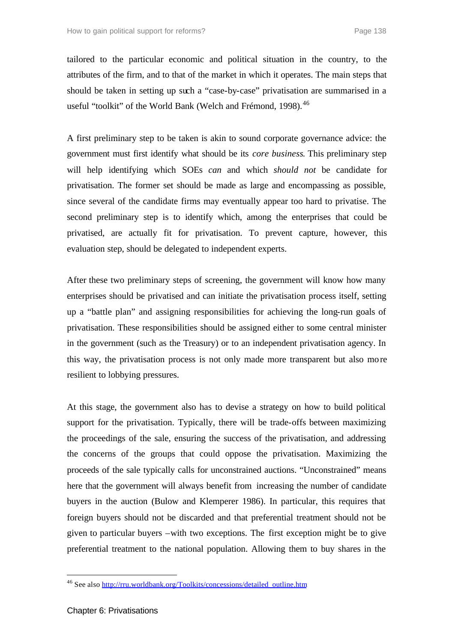tailored to the particular economic and political situation in the country, to the attributes of the firm, and to that of the market in which it operates. The main steps that should be taken in setting up such a "case-by-case" privatisation are summarised in a useful "toolkit" of the World Bank (Welch and Frémond, 1998).<sup>46</sup>

A first preliminary step to be taken is akin to sound corporate governance advice: the government must first identify what should be its *core business*. This preliminary step will help identifying which SOEs *can* and which *should not* be candidate for privatisation. The former set should be made as large and encompassing as possible, since several of the candidate firms may eventually appear too hard to privatise. The second preliminary step is to identify which, among the enterprises that could be privatised, are actually fit for privatisation. To prevent capture, however, this evaluation step, should be delegated to independent experts.

After these two preliminary steps of screening, the government will know how many enterprises should be privatised and can initiate the privatisation process itself, setting up a "battle plan" and assigning responsibilities for achieving the long-run goals of privatisation. These responsibilities should be assigned either to some central minister in the government (such as the Treasury) or to an independent privatisation agency. In this way, the privatisation process is not only made more transparent but also more resilient to lobbying pressures.

At this stage, the government also has to devise a strategy on how to build political support for the privatisation. Typically, there will be trade-offs between maximizing the proceedings of the sale, ensuring the success of the privatisation, and addressing the concerns of the groups that could oppose the privatisation. Maximizing the proceeds of the sale typically calls for unconstrained auctions. "Unconstrained" means here that the government will always benefit from increasing the number of candidate buyers in the auction (Bulow and Klemperer 1986). In particular, this requires that foreign buyers should not be discarded and that preferential treatment should not be given to particular buyers –with two exceptions. The first exception might be to give preferential treatment to the national population. Allowing them to buy shares in the

<sup>&</sup>lt;sup>46</sup> See also http://rru.worldbank.org/Toolkits/concessions/detailed\_outline.htm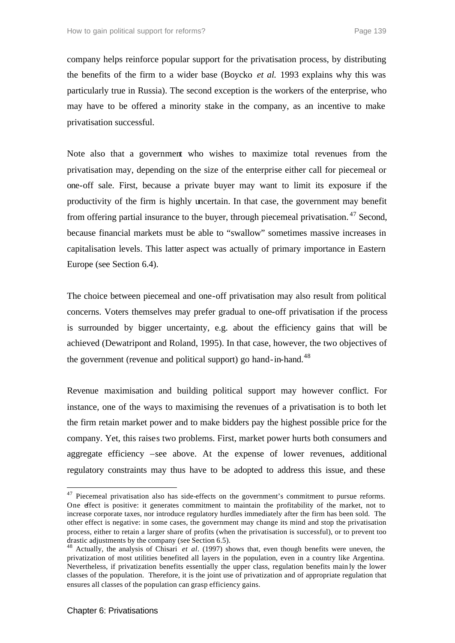company helps reinforce popular support for the privatisation process, by distributing the benefits of the firm to a wider base (Boycko *et al.* 1993 explains why this was particularly true in Russia). The second exception is the workers of the enterprise, who may have to be offered a minority stake in the company, as an incentive to make privatisation successful.

Note also that a government who wishes to maximize total revenues from the privatisation may, depending on the size of the enterprise either call for piecemeal or one-off sale. First, because a private buyer may want to limit its exposure if the productivity of the firm is highly uncertain. In that case, the government may benefit from offering partial insurance to the buyer, through piecemeal privatisation.<sup>47</sup> Second, because financial markets must be able to "swallow" sometimes massive increases in capitalisation levels. This latter aspect was actually of primary importance in Eastern Europe (see Section 6.4).

The choice between piecemeal and one-off privatisation may also result from political concerns. Voters themselves may prefer gradual to one-off privatisation if the process is surrounded by bigger uncertainty, e.g. about the efficiency gains that will be achieved (Dewatripont and Roland, 1995). In that case, however, the two objectives of the government (revenue and political support) go hand-in-hand.<sup>48</sup>

Revenue maximisation and building political support may however conflict. For instance, one of the ways to maximising the revenues of a privatisation is to both let the firm retain market power and to make bidders pay the highest possible price for the company. Yet, this raises two problems. First, market power hurts both consumers and aggregate efficiency –see above. At the expense of lower revenues, additional regulatory constraints may thus have to be adopted to address this issue, and these

<sup>&</sup>lt;sup>47</sup> Piecemeal privatisation also has side-effects on the government's commitment to pursue reforms. One effect is positive: it generates commitment to maintain the profitability of the market, not to increase corporate taxes, nor introduce regulatory hurdles immediately after the firm has been sold. The other effect is negative: in some cases, the government may change its mind and stop the privatisation process, either to retain a larger share of profits (when the privatisation is successful), or to prevent too drastic adjustments by the company (see Section 6.5).

<sup>48</sup> Actually, the analysis of Chisari *et al.* (1997) shows that, even though benefits were uneven, the privatization of most utilities benefited all layers in the population, even in a country like Argentina. Nevertheless, if privatization benefits essentially the upper class, regulation benefits main ly the lower classes of the population. Therefore, it is the joint use of privatization and of appropriate regulation that ensures all classes of the population can grasp efficiency gains.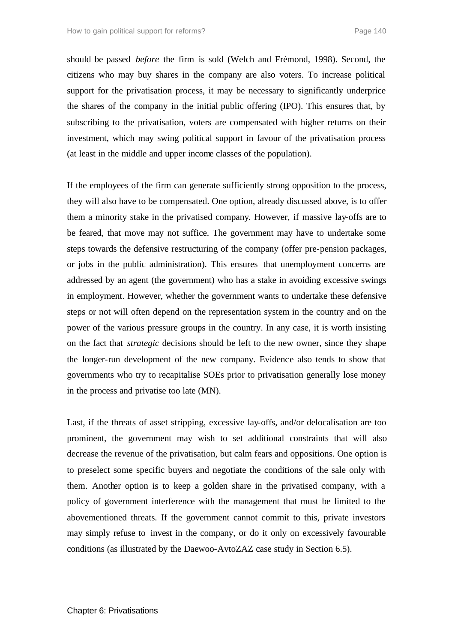should be passed *before* the firm is sold (Welch and Frémond, 1998). Second, the citizens who may buy shares in the company are also voters. To increase political support for the privatisation process, it may be necessary to significantly underprice the shares of the company in the initial public offering (IPO). This ensures that, by subscribing to the privatisation, voters are compensated with higher returns on their investment, which may swing political support in favour of the privatisation process (at least in the middle and upper income classes of the population).

If the employees of the firm can generate sufficiently strong opposition to the process, they will also have to be compensated. One option, already discussed above, is to offer them a minority stake in the privatised company. However, if massive lay-offs are to be feared, that move may not suffice. The government may have to undertake some steps towards the defensive restructuring of the company (offer pre-pension packages, or jobs in the public administration). This ensures that unemployment concerns are addressed by an agent (the government) who has a stake in avoiding excessive swings in employment. However, whether the government wants to undertake these defensive steps or not will often depend on the representation system in the country and on the power of the various pressure groups in the country. In any case, it is worth insisting on the fact that *strategic* decisions should be left to the new owner, since they shape the longer-run development of the new company. Evidence also tends to show that governments who try to recapitalise SOEs prior to privatisation generally lose money in the process and privatise too late (MN).

Last, if the threats of asset stripping, excessive lay-offs, and/or delocalisation are too prominent, the government may wish to set additional constraints that will also decrease the revenue of the privatisation, but calm fears and oppositions. One option is to preselect some specific buyers and negotiate the conditions of the sale only with them. Another option is to keep a golden share in the privatised company, with a policy of government interference with the management that must be limited to the abovementioned threats. If the government cannot commit to this, private investors may simply refuse to invest in the company, or do it only on excessively favourable conditions (as illustrated by the Daewoo-AvtoZAZ case study in Section 6.5).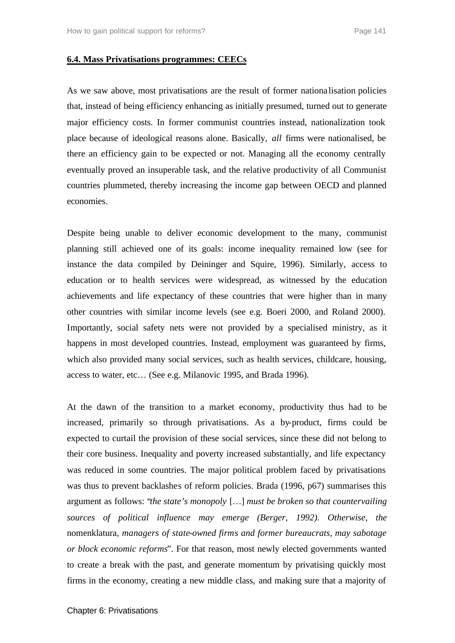### **6.4. Mass Privatisations programmes: CEECs**

As we saw above, most privatisations are the result of former nationa lisation policies that, instead of being efficiency enhancing as initially presumed, turned out to generate major efficiency costs. In former communist countries instead, nationalization took place because of ideological reasons alone. Basically, *all* firms were nationalised, be there an efficiency gain to be expected or not. Managing all the economy centrally eventually proved an insuperable task, and the relative productivity of all Communist countries plummeted, thereby increasing the income gap between OECD and planned economies.

Despite being unable to deliver economic development to the many, communist planning still achieved one of its goals: income inequality remained low (see for instance the data compiled by Deininger and Squire, 1996). Similarly, access to education or to health services were widespread, as witnessed by the education achievements and life expectancy of these countries that were higher than in many other countries with similar income levels (see e.g. Boeri 2000, and Roland 2000). Importantly, social safety nets were not provided by a specialised ministry, as it happens in most developed countries. Instead, employment was guaranteed by firms, which also provided many social services, such as health services, childcare, housing, access to water, etc… (See e.g. Milanovic 1995, and Brada 1996).

At the dawn of the transition to a market economy, productivity thus had to be increased, primarily so through privatisations. As a by-product, firms could be expected to curtail the provision of these social services, since these did not belong to their core business. Inequality and poverty increased substantially, and life expectancy was reduced in some countries. The major political problem faced by privatisations was thus to prevent backlashes of reform policies. Brada (1996, p67) summarises this argument as follows: "*the state's monopoly* […] *must be broken so that countervailing sources of political influence may emerge (Berger, 1992). Otherwise, the* nomenklatura*, managers of state-owned firms and former bureaucrats, may sabotage or block economic reforms*". For that reason, most newly elected governments wanted to create a break with the past, and generate momentum by privatising quickly most firms in the economy, creating a new middle class, and making sure that a majority of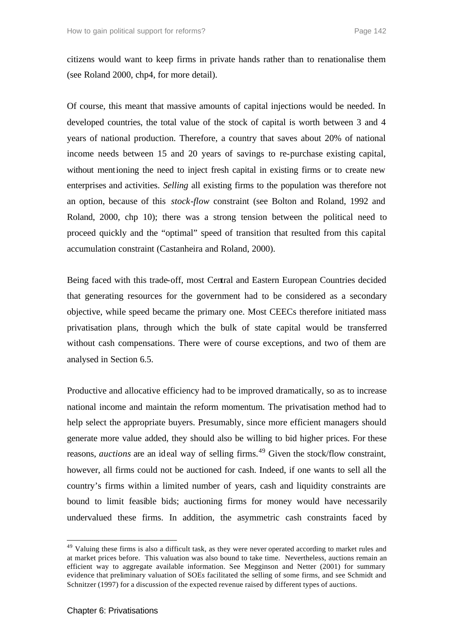citizens would want to keep firms in private hands rather than to renationalise them (see Roland 2000, chp4, for more detail).

Of course, this meant that massive amounts of capital injections would be needed. In developed countries, the total value of the stock of capital is worth between 3 and 4 years of national production. Therefore, a country that saves about 20% of national income needs between 15 and 20 years of savings to re-purchase existing capital, without mentioning the need to inject fresh capital in existing firms or to create new enterprises and activities. *Selling* all existing firms to the population was therefore not an option, because of this *stock-flow* constraint (see Bolton and Roland, 1992 and Roland, 2000, chp 10); there was a strong tension between the political need to proceed quickly and the "optimal" speed of transition that resulted from this capital accumulation constraint (Castanheira and Roland, 2000).

Being faced with this trade-off, most Central and Eastern European Countries decided that generating resources for the government had to be considered as a secondary objective, while speed became the primary one. Most CEECs therefore initiated mass privatisation plans, through which the bulk of state capital would be transferred without cash compensations. There were of course exceptions, and two of them are analysed in Section 6.5.

Productive and allocative efficiency had to be improved dramatically, so as to increase national income and maintain the reform momentum. The privatisation method had to help select the appropriate buyers. Presumably, since more efficient managers should generate more value added, they should also be willing to bid higher prices. For these reasons, *auctions* are an ideal way of selling firms.<sup>49</sup> Given the stock/flow constraint, however, all firms could not be auctioned for cash. Indeed, if one wants to sell all the country's firms within a limited number of years, cash and liquidity constraints are bound to limit feasible bids; auctioning firms for money would have necessarily undervalued these firms. In addition, the asymmetric cash constraints faced by

<sup>&</sup>lt;sup>49</sup> Valuing these firms is also a difficult task, as they were never operated according to market rules and at market prices before. This valuation was also bound to take time. Nevertheless, auctions remain an efficient way to aggregate available information. See Megginson and Netter (2001) for summary evidence that preliminary valuation of SOEs facilitated the selling of some firms, and see Schmidt and Schnitzer (1997) for a discussion of the expected revenue raised by different types of auctions.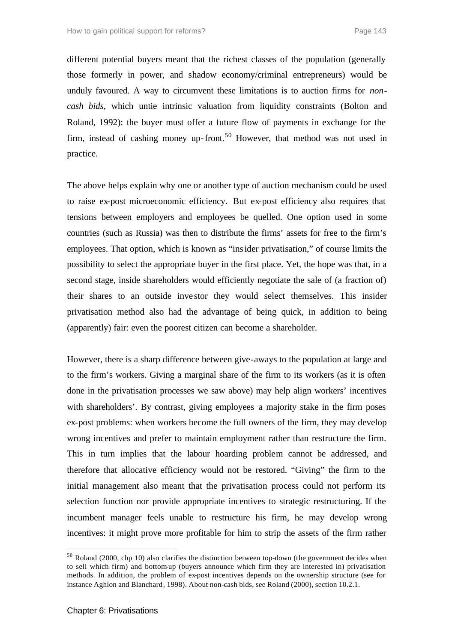different potential buyers meant that the richest classes of the population (generally those formerly in power, and shadow economy/criminal entrepreneurs) would be unduly favoured. A way to circumvent these limitations is to auction firms for *noncash bids*, which untie intrinsic valuation from liquidity constraints (Bolton and Roland, 1992): the buyer must offer a future flow of payments in exchange for the firm, instead of cashing money up-front.<sup>50</sup> However, that method was not used in practice.

The above helps explain why one or another type of auction mechanism could be used to raise ex-post microeconomic efficiency. But ex-post efficiency also requires that tensions between employers and employees be quelled. One option used in some countries (such as Russia) was then to distribute the firms' assets for free to the firm's employees. That option, which is known as "insider privatisation," of course limits the possibility to select the appropriate buyer in the first place. Yet, the hope was that, in a second stage, inside shareholders would efficiently negotiate the sale of (a fraction of) their shares to an outside inve stor they would select themselves. This insider privatisation method also had the advantage of being quick, in addition to being (apparently) fair: even the poorest citizen can become a shareholder.

However, there is a sharp difference between give-aways to the population at large and to the firm's workers. Giving a marginal share of the firm to its workers (as it is often done in the privatisation processes we saw above) may help align workers' incentives with shareholders'. By contrast, giving employees a majority stake in the firm poses ex-post problems: when workers become the full owners of the firm, they may develop wrong incentives and prefer to maintain employment rather than restructure the firm. This in turn implies that the labour hoarding problem cannot be addressed, and therefore that allocative efficiency would not be restored. "Giving" the firm to the initial management also meant that the privatisation process could not perform its selection function nor provide appropriate incentives to strategic restructuring. If the incumbent manager feels unable to restructure his firm, he may develop wrong incentives: it might prove more profitable for him to strip the assets of the firm rather

<sup>50</sup> Roland (2000, chp 10) also clarifies the distinction between top-down (the government decides when to sell which firm) and bottom-up (buyers announce which firm they are interested in) privatisation methods. In addition, the problem of ex-post incentives depends on the ownership structure (see for instance Aghion and Blanchard, 1998). About non-cash bids, see Roland (2000), section 10.2.1.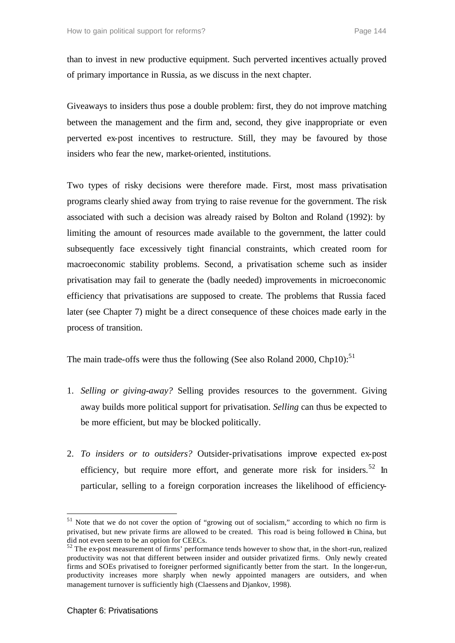than to invest in new productive equipment. Such perverted incentives actually proved of primary importance in Russia, as we discuss in the next chapter.

Giveaways to insiders thus pose a double problem: first, they do not improve matching between the management and the firm and, second, they give inappropriate or even perverted ex-post incentives to restructure. Still, they may be favoured by those insiders who fear the new, market-oriented, institutions.

Two types of risky decisions were therefore made. First, most mass privatisation programs clearly shied away from trying to raise revenue for the government. The risk associated with such a decision was already raised by Bolton and Roland (1992): by limiting the amount of resources made available to the government, the latter could subsequently face excessively tight financial constraints, which created room for macroeconomic stability problems. Second, a privatisation scheme such as insider privatisation may fail to generate the (badly needed) improvements in microeconomic efficiency that privatisations are supposed to create. The problems that Russia faced later (see Chapter 7) might be a direct consequence of these choices made early in the process of transition.

The main trade-offs were thus the following (See also Roland 2000, Chp10):<sup>51</sup>

- 1. *Selling or giving-away?* Selling provides resources to the government. Giving away builds more political support for privatisation. *Selling* can thus be expected to be more efficient, but may be blocked politically.
- 2. *To insiders or to outsiders?* Outsider-privatisations improve expected ex-post efficiency, but require more effort, and generate more risk for insiders.<sup>52</sup> In particular, selling to a foreign corporation increases the likelihood of efficiency-

<sup>&</sup>lt;sup>51</sup> Note that we do not cover the option of "growing out of socialism," according to which no firm is privatised, but new private firms are allowed to be created. This road is being followed in China, but did not even seem to be an option for CEECs.

 $52$  The ex-post measurement of firms' performance tends however to show that, in the short-run, realized productivity was not that different between insider and outsider privatized firms. Only newly created firms and SOEs privatised to foreigner performed significantly better from the start. In the longer-run, productivity increases more sharply when newly appointed managers are outsiders, and when management turnover is sufficiently high (Claessens and Djankov, 1998).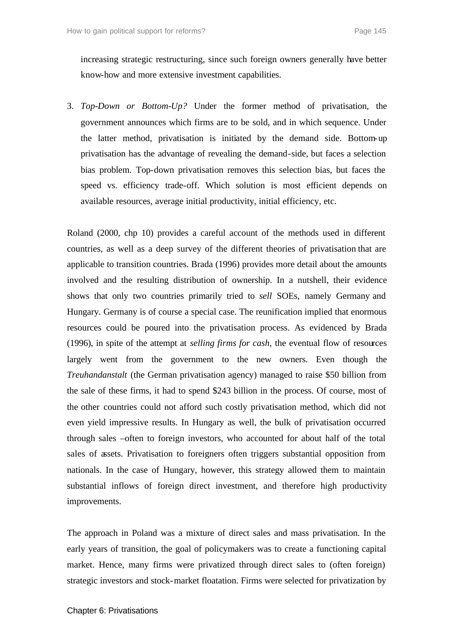increasing strategic restructuring, since such foreign owners generally have better know-how and more extensive investment capabilities.

3. *Top-Down or Bottom-Up?* Under the former method of privatisation, the government announces which firms are to be sold, and in which sequence. Under the latter method, privatisation is initiated by the demand side. Bottom-up privatisation has the advantage of revealing the demand-side, but faces a selection bias problem. Top-down privatisation removes this selection bias, but faces the speed vs. efficiency trade-off. Which solution is most efficient depends on available resources, average initial productivity, initial efficiency, etc.

Roland (2000, chp 10) provides a careful account of the methods used in different countries, as well as a deep survey of the different theories of privatisation that are applicable to transition countries. Brada (1996) provides more detail about the amounts involved and the resulting distribution of ownership. In a nutshell, their evidence shows that only two countries primarily tried to *sell* SOEs, namely Germany and Hungary. Germany is of course a special case. The reunification implied that enormous resources could be poured into the privatisation process. As evidenced by Brada (1996), in spite of the attempt at *selling firms for cash*, the eventual flow of resources largely went from the government to the new owners. Even though the *Treuhandanstalt* (the German privatisation agency) managed to raise \$50 billion from the sale of these firms, it had to spend \$243 billion in the process. Of course, most of the other countries could not afford such costly privatisation method, which did not even yield impressive results. In Hungary as well, the bulk of privatisation occurred through sales –often to foreign investors, who accounted for about half of the total sales of assets. Privatisation to foreigners often triggers substantial opposition from nationals. In the case of Hungary, however, this strategy allowed them to maintain substantial inflows of foreign direct investment, and therefore high productivity improvements.

The approach in Poland was a mixture of direct sales and mass privatisation. In the early years of transition, the goal of policymakers was to create a functioning capital market. Hence, many firms were privatized through direct sales to (often foreign) strategic investors and stock-market floatation. Firms were selected for privatization by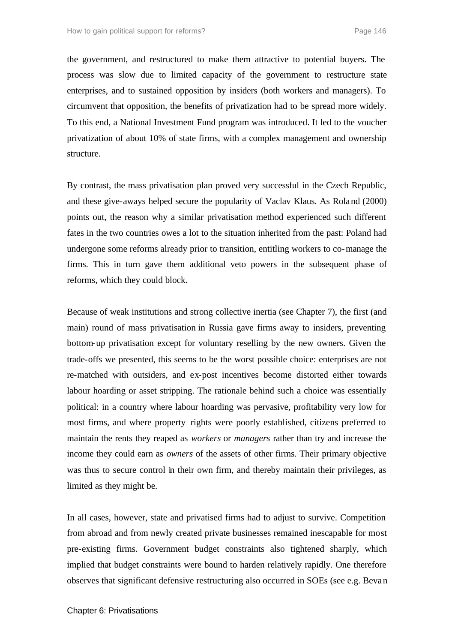the government, and restructured to make them attractive to potential buyers. The process was slow due to limited capacity of the government to restructure state enterprises, and to sustained opposition by insiders (both workers and managers). To circumvent that opposition, the benefits of privatization had to be spread more widely. To this end, a National Investment Fund program was introduced. It led to the voucher privatization of about 10% of state firms, with a complex management and ownership structure.

By contrast, the mass privatisation plan proved very successful in the Czech Republic, and these give-aways helped secure the popularity of Vaclav Klaus. As Roland (2000) points out, the reason why a similar privatisation method experienced such different fates in the two countries owes a lot to the situation inherited from the past: Poland had undergone some reforms already prior to transition, entitling workers to co-manage the firms. This in turn gave them additional veto powers in the subsequent phase of reforms, which they could block.

Because of weak institutions and strong collective inertia (see Chapter 7), the first (and main) round of mass privatisation in Russia gave firms away to insiders, preventing bottom-up privatisation except for voluntary reselling by the new owners. Given the trade-offs we presented, this seems to be the worst possible choice: enterprises are not re-matched with outsiders, and ex-post incentives become distorted either towards labour hoarding or asset stripping. The rationale behind such a choice was essentially political: in a country where labour hoarding was pervasive, profitability very low for most firms, and where property rights were poorly established, citizens preferred to maintain the rents they reaped as *workers* or *managers* rather than try and increase the income they could earn as *owners* of the assets of other firms. Their primary objective was thus to secure control in their own firm, and thereby maintain their privileges, as limited as they might be.

In all cases, however, state and privatised firms had to adjust to survive. Competition from abroad and from newly created private businesses remained inescapable for most pre-existing firms. Government budget constraints also tightened sharply, which implied that budget constraints were bound to harden relatively rapidly. One therefore observes that significant defensive restructuring also occurred in SOEs (see e.g. Beva n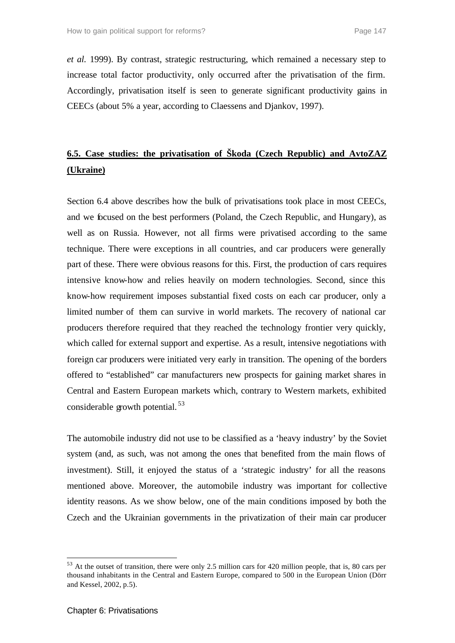*et al.* 1999). By contrast, strategic restructuring, which remained a necessary step to increase total factor productivity, only occurred after the privatisation of the firm. Accordingly, privatisation itself is seen to generate significant productivity gains in CEECs (about 5% a year, according to Claessens and Djankov, 1997).

# **6.5. Case studies: the privatisation of Škoda (Czech Republic) and AvtoZAZ (Ukraine)**

Section 6.4 above describes how the bulk of privatisations took place in most CEECs, and we focused on the best performers (Poland, the Czech Republic, and Hungary), as well as on Russia. However, not all firms were privatised according to the same technique. There were exceptions in all countries, and car producers were generally part of these. There were obvious reasons for this. First, the production of cars requires intensive know-how and relies heavily on modern technologies. Second, since this know-how requirement imposes substantial fixed costs on each car producer, only a limited number of them can survive in world markets. The recovery of national car producers therefore required that they reached the technology frontier very quickly, which called for external support and expertise. As a result, intensive negotiations with foreign car producers were initiated very early in transition. The opening of the borders offered to "established" car manufacturers new prospects for gaining market shares in Central and Eastern European markets which, contrary to Western markets, exhibited considerable growth potential. <sup>53</sup>

The automobile industry did not use to be classified as a 'heavy industry' by the Soviet system (and, as such, was not among the ones that benefited from the main flows of investment). Still, it enjoyed the status of a 'strategic industry' for all the reasons mentioned above. Moreover, the automobile industry was important for collective identity reasons. As we show below, one of the main conditions imposed by both the Czech and the Ukrainian governments in the privatization of their main car producer

<sup>53</sup> At the outset of transition, there were only 2.5 million cars for 420 million people, that is, 80 cars per thousand inhabitants in the Central and Eastern Europe, compared to 500 in the European Union (Dörr and Kessel, 2002, p.5).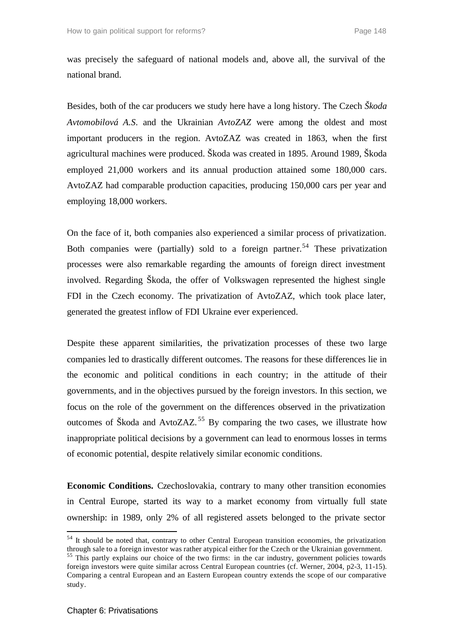was precisely the safeguard of national models and, above all, the survival of the national brand.

Besides, both of the car producers we study here have a long history. The Czech *Škoda Avtomobilová A.S*. and the Ukrainian *AvtoZAZ* were among the oldest and most important producers in the region. AvtoZAZ was created in 1863, when the first agricultural machines were produced. Škoda was created in 1895. Around 1989, Škoda employed 21,000 workers and its annual production attained some 180,000 cars. AvtoZAZ had comparable production capacities, producing 150,000 cars per year and employing 18,000 workers.

On the face of it, both companies also experienced a similar process of privatization. Both companies were (partially) sold to a foreign partner.<sup>54</sup> These privatization processes were also remarkable regarding the amounts of foreign direct investment involved. Regarding Škoda, the offer of Volkswagen represented the highest single FDI in the Czech economy. The privatization of AvtoZAZ, which took place later, generated the greatest inflow of FDI Ukraine ever experienced.

Despite these apparent similarities, the privatization processes of these two large companies led to drastically different outcomes. The reasons for these differences lie in the economic and political conditions in each country; in the attitude of their governments, and in the objectives pursued by the foreign investors. In this section, we focus on the role of the government on the differences observed in the privatization outcomes of Škoda and AvtoZAZ.<sup>55</sup> By comparing the two cases, we illustrate how inappropriate political decisions by a government can lead to enormous losses in terms of economic potential, despite relatively similar economic conditions.

**Economic Conditions.** Czechoslovakia, contrary to many other transition economies in Central Europe, started its way to a market economy from virtually full state ownership: in 1989, only 2% of all registered assets belonged to the private sector

 $54$  It should be noted that, contrary to other Central European transition economies, the privatization through sale to a foreign investor was rather atypical either for the Czech or the Ukrainian government.

<sup>&</sup>lt;sup>55</sup> This partly explains our choice of the two firms: in the car industry, government policies towards foreign investors were quite similar across Central European countries (cf. Werner, 2004, p2-3, 11-15). Comparing a central European and an Eastern European country extends the scope of our comparative study.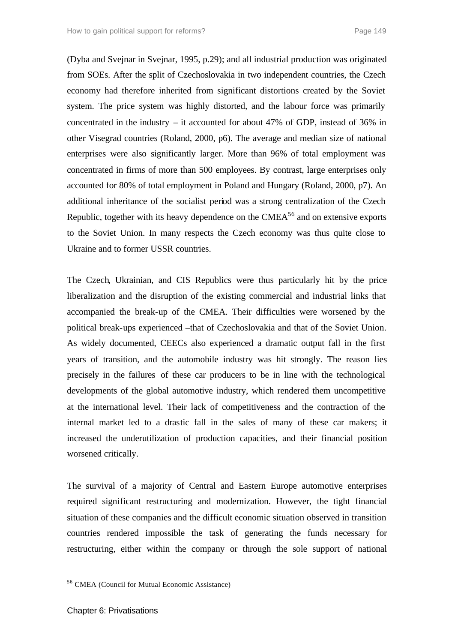(Dyba and Svejnar in Svejnar, 1995, p.29); and all industrial production was originated from SOEs. After the split of Czechoslovakia in two independent countries, the Czech economy had therefore inherited from significant distortions created by the Soviet system. The price system was highly distorted, and the labour force was primarily concentrated in the industry – it accounted for about 47% of GDP, instead of 36% in other Visegrad countries (Roland, 2000, p6). The average and median size of national enterprises were also significantly larger. More than 96% of total employment was concentrated in firms of more than 500 employees. By contrast, large enterprises only accounted for 80% of total employment in Poland and Hungary (Roland, 2000, p7). An additional inheritance of the socialist period was a strong centralization of the Czech Republic, together with its heavy dependence on the  $CMEA<sup>56</sup>$  and on extensive exports to the Soviet Union. In many respects the Czech economy was thus quite close to Ukraine and to former USSR countries.

The Czech, Ukrainian, and CIS Republics were thus particularly hit by the price liberalization and the disruption of the existing commercial and industrial links that accompanied the break-up of the CMEA. Their difficulties were worsened by the political break-ups experienced –that of Czechoslovakia and that of the Soviet Union. As widely documented, CEECs also experienced a dramatic output fall in the first years of transition, and the automobile industry was hit strongly. The reason lies precisely in the failures of these car producers to be in line with the technological developments of the global automotive industry, which rendered them uncompetitive at the international level. Their lack of competitiveness and the contraction of the internal market led to a drastic fall in the sales of many of these car makers; it increased the underutilization of production capacities, and their financial position worsened critically.

The survival of a majority of Central and Eastern Europe automotive enterprises required significant restructuring and modernization. However, the tight financial situation of these companies and the difficult economic situation observed in transition countries rendered impossible the task of generating the funds necessary for restructuring, either within the company or through the sole support of national

<sup>56</sup> CMEA (Council for Mutual Economic Assistance)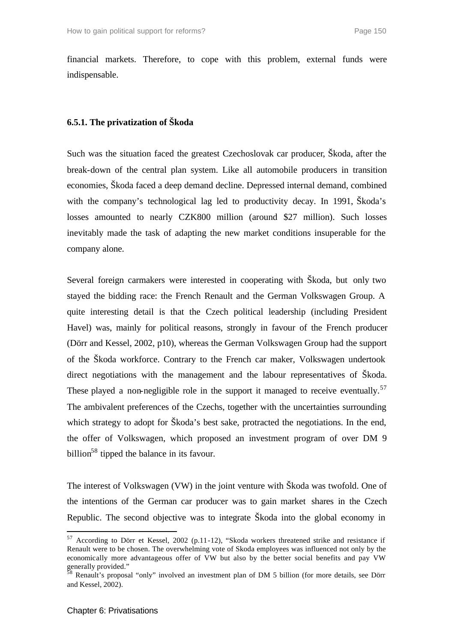financial markets. Therefore, to cope with this problem, external funds were indispensable.

### **6.5.1. The privatization of Škoda**

Such was the situation faced the greatest Czechoslovak car producer, Škoda, after the break-down of the central plan system. Like all automobile producers in transition economies, Škoda faced a deep demand decline. Depressed internal demand, combined with the company's technological lag led to productivity decay. In 1991, Skoda's losses amounted to nearly CZK800 million (around \$27 million). Such losses inevitably made the task of adapting the new market conditions insuperable for the company alone.

Several foreign carmakers were interested in cooperating with Škoda, but only two stayed the bidding race: the French Renault and the German Volkswagen Group. A quite interesting detail is that the Czech political leadership (including President Havel) was, mainly for political reasons, strongly in favour of the French producer (Dörr and Kessel, 2002, p10), whereas the German Volkswagen Group had the support of the Škoda workforce. Contrary to the French car maker, Volkswagen undertook direct negotiations with the management and the labour representatives of Škoda. These played a non-negligible role in the support it managed to receive eventually.<sup>57</sup> The ambivalent preferences of the Czechs, together with the uncertainties surrounding which strategy to adopt for Škoda's best sake, protracted the negotiations. In the end, the offer of Volkswagen, which proposed an investment program of over DM 9 billion<sup>58</sup> tipped the balance in its favour.

The interest of Volkswagen (VW) in the joint venture with Škoda was twofold. One of the intentions of the German car producer was to gain market shares in the Czech Republic. The second objective was to integrate Škoda into the global economy in

<sup>&</sup>lt;sup>57</sup> According to Dörr et Kessel, 2002 (p.11-12), "Skoda workers threatened strike and resistance if Renault were to be chosen. The overwhelming vote of Skoda employees was influenced not only by the economically more advantageous offer of VW but also by the better social benefits and pay VW generally provided."

 $58$  Renault's proposal "only" involved an investment plan of DM 5 billion (for more details, see Dörr and Kessel, 2002).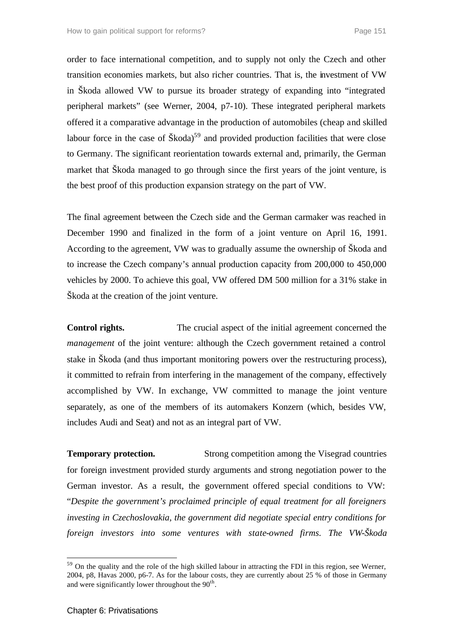order to face international competition, and to supply not only the Czech and other transition economies markets, but also richer countries. That is, the investment of VW in Škoda allowed VW to pursue its broader strategy of expanding into "integrated peripheral markets" (see Werner, 2004, p7-10). These integrated peripheral markets offered it a comparative advantage in the production of automobiles (cheap and skilled labour force in the case of  $\text{Škoda}^{59}$  and provided production facilities that were close to Germany. The significant reorientation towards external and, primarily, the German market that Škoda managed to go through since the first years of the joint venture, is the best proof of this production expansion strategy on the part of VW.

The final agreement between the Czech side and the German carmaker was reached in December 1990 and finalized in the form of a joint venture on April 16, 1991. According to the agreement, VW was to gradually assume the ownership of Škoda and to increase the Czech company's annual production capacity from 200,000 to 450,000 vehicles by 2000. To achieve this goal, VW offered DM 500 million for a 31% stake in Škoda at the creation of the joint venture.

**Control rights.** The crucial aspect of the initial agreement concerned the *management* of the joint venture: although the Czech government retained a control stake in Škoda (and thus important monitoring powers over the restructuring process), it committed to refrain from interfering in the management of the company, effectively accomplished by VW. In exchange, VW committed to manage the joint venture separately, as one of the members of its automakers Konzern (which, besides VW, includes Audi and Seat) and not as an integral part of VW.

**Temporary protection.** Strong competition among the Visegrad countries for foreign investment provided sturdy arguments and strong negotiation power to the German investor. As a result, the government offered special conditions to VW: "*Despite the government's proclaimed principle of equal treatment for all foreigners investing in Czechoslovakia, the government did negotiate special entry conditions for foreign investors into some ventures with state-owned firms. The VW-Škoda* 

<sup>&</sup>lt;sup>59</sup> On the quality and the role of the high skilled labour in attracting the FDI in this region, see Werner, 2004, p8, Havas 2000, p6-7. As for the labour costs, they are currently about 25 % of those in Germany and were significantly lower throughout the  $90<sup>th</sup>$ .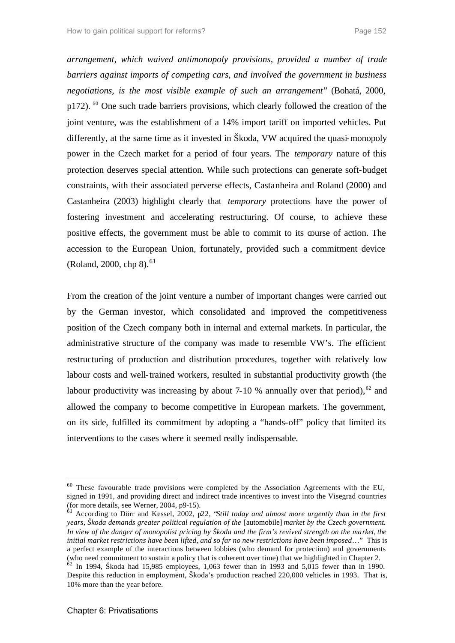*arrangement, which waived antimonopoly provisions, provided a number of trade barriers against imports of competing cars, and involved the government in business negotiations, is the most visible example of such an arrangement*" (Bohatá, 2000, p172). <sup>60</sup> One such trade barriers provisions, which clearly followed the creation of the joint venture, was the establishment of a 14% import tariff on imported vehicles. Put differently, at the same time as it invested in Škoda, VW acquired the quasi-monopoly power in the Czech market for a period of four years. The *temporary* nature of this protection deserves special attention. While such protections can generate soft-budget constraints, with their associated perverse effects, Castanheira and Roland (2000) and Castanheira (2003) highlight clearly that *temporary* protections have the power of fostering investment and accelerating restructuring. Of course, to achieve these positive effects, the government must be able to commit to its course of action. The accession to the European Union, fortunately, provided such a commitment device (Roland, 2000, chp 8).<sup>61</sup>

From the creation of the joint venture a number of important changes were carried out by the German investor, which consolidated and improved the competitiveness position of the Czech company both in internal and external markets. In particular, the administrative structure of the company was made to resemble VW's. The efficient restructuring of production and distribution procedures, together with relatively low labour costs and well-trained workers, resulted in substantial productivity growth (the labour productivity was increasing by about 7-10 % annually over that period),  $62$  and allowed the company to become competitive in European markets. The government, on its side, fulfilled its commitment by adopting a "hands-off" policy that limited its interventions to the cases where it seemed really indispensable*.*

 $60$  These favourable trade provisions were completed by the Association Agreements with the EU, signed in 1991, and providing direct and indirect trade incentives to invest into the Visegrad countries (for more details, see Werner, 2004, p9-15).

<sup>61</sup> According to Dörr and Kessel, 2002, p22, "*Still today and almost more urgently than in the first years, Škoda demands greater political regulation of the* [automobile] *market by the Czech government. In view of the danger of monopolist pricing by Škoda and the firm's revived strength on the market, the initial market restrictions have been lifted, and so far no new restrictions have been imposed*…" This is a perfect example of the interactions between lobbies (who demand for protection) and governments (who need commitment to sustain a policy that is coherent over time) that we highlighted in Chapter 2.<br>
<sup>62</sup> In 1004, Škoda had 15.005

<sup>62</sup> In 1994, Škoda had 15,985 employees, 1,063 fewer than in 1993 and 5,015 fewer than in 1990. Despite this reduction in employment, Škoda's production reached 220,000 vehicles in 1993. That is, 10% more than the year before.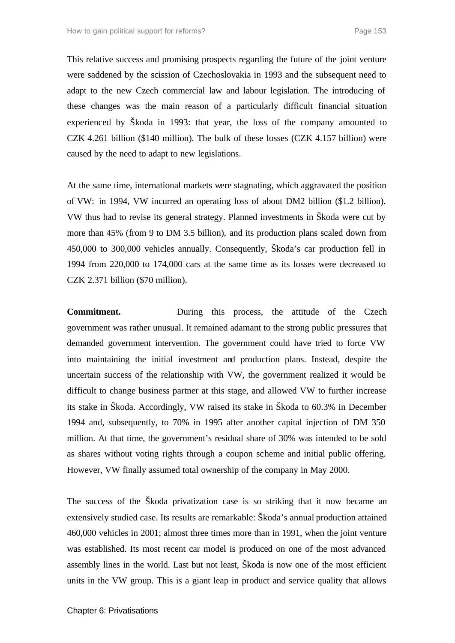This relative success and promising prospects regarding the future of the joint venture were saddened by the scission of Czechoslovakia in 1993 and the subsequent need to adapt to the new Czech commercial law and labour legislation. The introducing of these changes was the main reason of a particularly difficult financial situation experienced by Škoda in 1993: that year, the loss of the company amounted to CZK 4.261 billion (\$140 million). The bulk of these losses (CZK 4.157 billion) were caused by the need to adapt to new legislations.

At the same time, international markets were stagnating, which aggravated the position of VW: in 1994, VW incurred an operating loss of about DM2 billion (\$1.2 billion). VW thus had to revise its general strategy. Planned investments in Škoda were cut by more than 45% (from 9 to DM 3.5 billion), and its production plans scaled down from 450,000 to 300,000 vehicles annually. Consequently, Škoda's car production fell in 1994 from 220,000 to 174,000 cars at the same time as its losses were decreased to CZK 2.371 billion (\$70 million).

**Commitment.** During this process, the attitude of the Czech government was rather unusual. It remained adamant to the strong public pressures that demanded government intervention. The government could have tried to force VW into maintaining the initial investment and production plans. Instead, despite the uncertain success of the relationship with VW, the government realized it would be difficult to change business partner at this stage, and allowed VW to further increase its stake in Škoda. Accordingly, VW raised its stake in Škoda to 60.3% in December 1994 and, subsequently, to 70% in 1995 after another capital injection of DM 350 million. At that time, the government's residual share of 30% was intended to be sold as shares without voting rights through a coupon scheme and initial public offering. However, VW finally assumed total ownership of the company in May 2000.

The success of the Škoda privatization case is so striking that it now became an extensively studied case. Its results are remarkable: Škoda's annual production attained 460,000 vehicles in 2001; almost three times more than in 1991, when the joint venture was established. Its most recent car model is produced on one of the most advanced assembly lines in the world. Last but not least, Škoda is now one of the most efficient units in the VW group. This is a giant leap in product and service quality that allows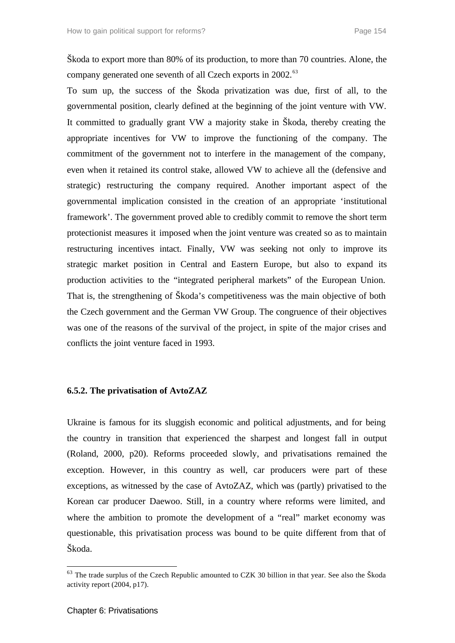Škoda to export more than 80% of its production, to more than 70 countries. Alone, the company generated one seventh of all Czech exports in 2002.<sup>63</sup>

To sum up, the success of the Škoda privatization was due, first of all, to the governmental position, clearly defined at the beginning of the joint venture with VW. It committed to gradually grant VW a majority stake in Škoda, thereby creating the appropriate incentives for VW to improve the functioning of the company. The commitment of the government not to interfere in the management of the company, even when it retained its control stake, allowed VW to achieve all the (defensive and strategic) restructuring the company required. Another important aspect of the governmental implication consisted in the creation of an appropriate 'institutional framework'. The government proved able to credibly commit to remove the short term protectionist measures it imposed when the joint venture was created so as to maintain restructuring incentives intact. Finally, VW was seeking not only to improve its strategic market position in Central and Eastern Europe, but also to expand its production activities to the "integrated peripheral markets" of the European Union. That is, the strengthening of Škoda's competitiveness was the main objective of both the Czech government and the German VW Group. The congruence of their objectives was one of the reasons of the survival of the project, in spite of the major crises and conflicts the joint venture faced in 1993.

#### **6.5.2. The privatisation of AvtoZAZ**

Ukraine is famous for its sluggish economic and political adjustments, and for being the country in transition that experienced the sharpest and longest fall in output (Roland, 2000, p20). Reforms proceeded slowly, and privatisations remained the exception. However, in this country as well, car producers were part of these exceptions, as witnessed by the case of AvtoZAZ, which was (partly) privatised to the Korean car producer Daewoo. Still, in a country where reforms were limited, and where the ambition to promote the development of a "real" market economy was questionable, this privatisation process was bound to be quite different from that of Škoda.

 $63$  The trade surplus of the Czech Republic amounted to CZK 30 billion in that year. See also the Škoda activity report (2004, p17).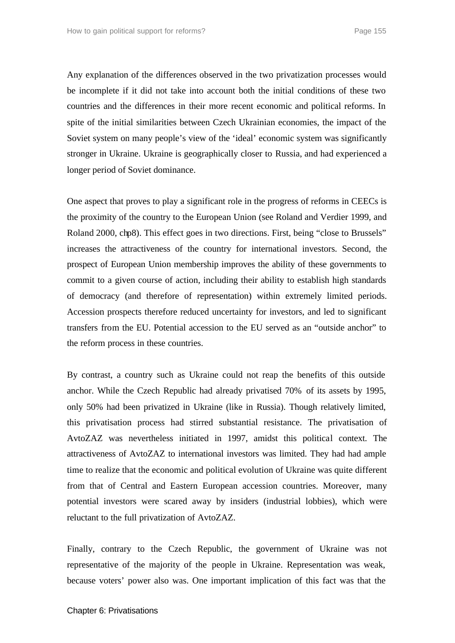Any explanation of the differences observed in the two privatization processes would be incomplete if it did not take into account both the initial conditions of these two countries and the differences in their more recent economic and political reforms. In spite of the initial similarities between Czech Ukrainian economies, the impact of the Soviet system on many people's view of the 'ideal' economic system was significantly stronger in Ukraine. Ukraine is geographically closer to Russia, and had experienced a longer period of Soviet dominance.

One aspect that proves to play a significant role in the progress of reforms in CEECs is the proximity of the country to the European Union (see Roland and Verdier 1999, and Roland 2000, chp8). This effect goes in two directions. First, being "close to Brussels" increases the attractiveness of the country for international investors. Second, the prospect of European Union membership improves the ability of these governments to commit to a given course of action, including their ability to establish high standards of democracy (and therefore of representation) within extremely limited periods. Accession prospects therefore reduced uncertainty for investors, and led to significant transfers from the EU. Potential accession to the EU served as an "outside anchor" to the reform process in these countries.

By contrast, a country such as Ukraine could not reap the benefits of this outside anchor. While the Czech Republic had already privatised 70% of its assets by 1995, only 50% had been privatized in Ukraine (like in Russia). Though relatively limited, this privatisation process had stirred substantial resistance. The privatisation of AvtoZAZ was nevertheless initiated in 1997, amidst this political context. The attractiveness of AvtoZAZ to international investors was limited. They had had ample time to realize that the economic and political evolution of Ukraine was quite different from that of Central and Eastern European accession countries. Moreover, many potential investors were scared away by insiders (industrial lobbies), which were reluctant to the full privatization of AvtoZAZ.

Finally, contrary to the Czech Republic, the government of Ukraine was not representative of the majority of the people in Ukraine. Representation was weak, because voters' power also was. One important implication of this fact was that the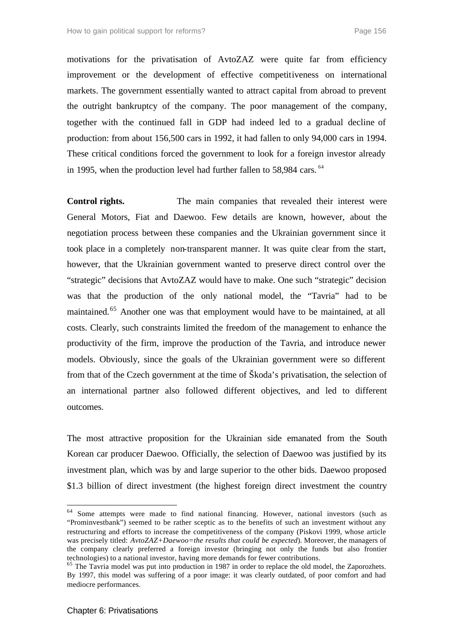motivations for the privatisation of AvtoZAZ were quite far from efficiency improvement or the development of effective competitiveness on international markets. The government essentially wanted to attract capital from abroad to prevent the outright bankruptcy of the company. The poor management of the company, together with the continued fall in GDP had indeed led to a gradual decline of production: from about 156,500 cars in 1992, it had fallen to only 94,000 cars in 1994. These critical conditions forced the government to look for a foreign investor already in 1995, when the production level had further fallen to 58,984 cars.  $64$ 

**Control rights.** The main companies that revealed their interest were General Motors, Fiat and Daewoo. Few details are known, however, about the negotiation process between these companies and the Ukrainian government since it took place in a completely non-transparent manner. It was quite clear from the start, however, that the Ukrainian government wanted to preserve direct control over the "strategic" decisions that AvtoZAZ would have to make. One such "strategic" decision was that the production of the only national model, the "Tavria" had to be maintained.<sup>65</sup> Another one was that employment would have to be maintained, at all costs. Clearly, such constraints limited the freedom of the management to enhance the productivity of the firm, improve the production of the Tavria, and introduce newer models. Obviously, since the goals of the Ukrainian government were so different from that of the Czech government at the time of Škoda's privatisation, the selection of an international partner also followed different objectives, and led to different outcomes.

The most attractive proposition for the Ukrainian side emanated from the South Korean car producer Daewoo. Officially, the selection of Daewoo was justified by its investment plan, which was by and large superior to the other bids. Daewoo proposed \$1.3 billion of direct investment (the highest foreign direct investment the country

<sup>&</sup>lt;sup>64</sup> Some attempts were made to find national financing. However, national investors (such as "Prominvestbank") seemed to be rather sceptic as to the benefits of such an investment without any restructuring and efforts to increase the competitiveness of the company (Piskovi 1999, whose article was precisely titled: *AvtoZAZ+Daewoo=the results that could be expected*). Moreover, the managers of the company clearly preferred a foreign investor (bringing not only the funds but also frontier technologies) to a national investor, having more demands for fewer contributions.

<sup>&</sup>lt;sup>65</sup> The Tavria model was put into production in 1987 in order to replace the old model, the Zaporozhets. By 1997, this model was suffering of a poor image: it was clearly outdated, of poor comfort and had mediocre performances.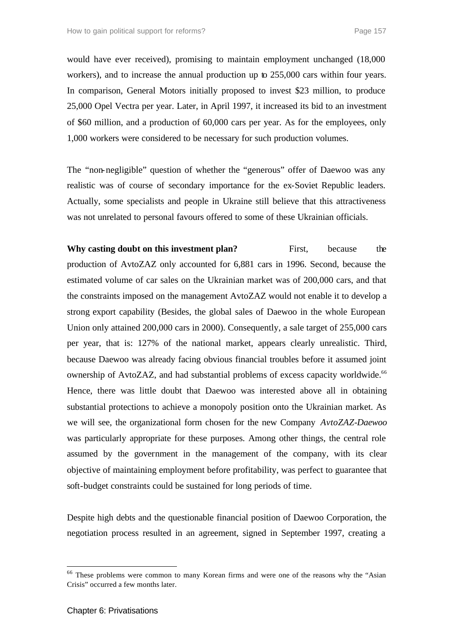would have ever received), promising to maintain employment unchanged (18,000 workers), and to increase the annual production up to 255,000 cars within four years. In comparison, General Motors initially proposed to invest \$23 million, to produce 25,000 Opel Vectra per year. Later, in April 1997, it increased its bid to an investment of \$60 million, and a production of 60,000 cars per year. As for the employees, only 1,000 workers were considered to be necessary for such production volumes.

The "non-negligible" question of whether the "generous" offer of Daewoo was any realistic was of course of secondary importance for the ex-Soviet Republic leaders. Actually, some specialists and people in Ukraine still believe that this attractiveness was not unrelated to personal favours offered to some of these Ukrainian officials.

**Why casting doubt on this investment plan?** First, because the production of AvtoZAZ only accounted for 6,881 cars in 1996. Second, because the estimated volume of car sales on the Ukrainian market was of 200,000 cars, and that the constraints imposed on the management AvtoZAZ would not enable it to develop a strong export capability (Besides, the global sales of Daewoo in the whole European Union only attained 200,000 cars in 2000). Consequently, a sale target of 255,000 cars per year, that is: 127% of the national market, appears clearly unrealistic. Third, because Daewoo was already facing obvious financial troubles before it assumed joint ownership of AvtoZAZ, and had substantial problems of excess capacity worldwide.<sup>66</sup> Hence, there was little doubt that Daewoo was interested above all in obtaining substantial protections to achieve a monopoly position onto the Ukrainian market. As we will see, the organizational form chosen for the new Company *AvtoZAZ-Daewoo*  was particularly appropriate for these purposes. Among other things, the central role assumed by the government in the management of the company, with its clear objective of maintaining employment before profitability, was perfect to guarantee that soft-budget constraints could be sustained for long periods of time.

Despite high debts and the questionable financial position of Daewoo Corporation, the negotiation process resulted in an agreement, signed in September 1997, creating a

<sup>&</sup>lt;sup>66</sup> These problems were common to many Korean firms and were one of the reasons why the "Asian Crisis" occurred a few months later.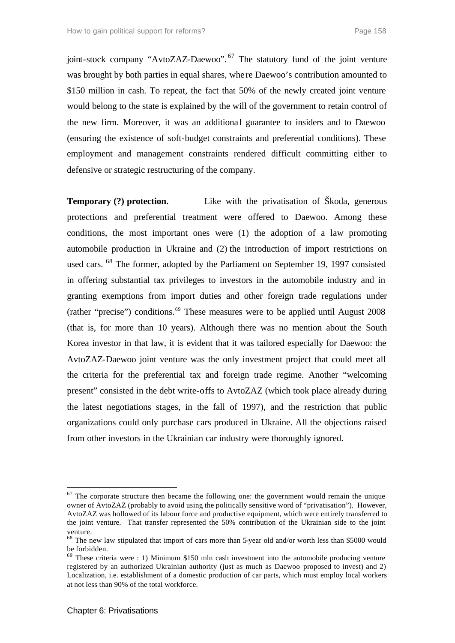joint-stock company "AvtoZAZ-Daewoo".<sup>67</sup> The statutory fund of the joint venture was brought by both parties in equal shares, whe re Daewoo's contribution amounted to \$150 million in cash. To repeat, the fact that 50% of the newly created joint venture would belong to the state is explained by the will of the government to retain control of the new firm. Moreover, it was an additional guarantee to insiders and to Daewoo (ensuring the existence of soft-budget constraints and preferential conditions). These employment and management constraints rendered difficult committing either to defensive or strategic restructuring of the company.

**Temporary (?) protection.** Like with the privatisation of Škoda, generous protections and preferential treatment were offered to Daewoo. Among these conditions, the most important ones were (1) the adoption of a law promoting automobile production in Ukraine and (2) the introduction of import restrictions on used cars. <sup>68</sup> The former, adopted by the Parliament on September 19, 1997 consisted in offering substantial tax privileges to investors in the automobile industry and in granting exemptions from import duties and other foreign trade regulations under (rather "precise") conditions.<sup>69</sup> These measures were to be applied until August 2008 (that is, for more than 10 years). Although there was no mention about the South Korea investor in that law, it is evident that it was tailored especially for Daewoo: the AvtoZAZ-Daewoo joint venture was the only investment project that could meet all the criteria for the preferential tax and foreign trade regime. Another "welcoming present" consisted in the debt write-offs to AvtoZAZ (which took place already during the latest negotiations stages, in the fall of 1997), and the restriction that public organizations could only purchase cars produced in Ukraine. All the objections raised from other investors in the Ukrainian car industry were thoroughly ignored.

 $67$  The corporate structure then became the following one: the government would remain the unique owner of AvtoZAZ (probably to avoid using the politically sensitive word of "privatisation"). However, AvtoZAZ was hollowed of its labour force and productive equipment, which were entirely transferred to the joint venture. That transfer represented the 50% contribution of the Ukrainian side to the joint venture.

<sup>&</sup>lt;sup>68</sup> The new law stipulated that import of cars more than 5-year old and/or worth less than \$5000 would be forbidden.

 $69$  These criteria were : 1) Minimum \$150 mln cash investment into the automobile producing venture registered by an authorized Ukrainian authority (just as much as Daewoo proposed to invest) and 2) Localization, i.e. establishment of a domestic production of car parts, which must employ local workers at not less than 90% of the total workforce.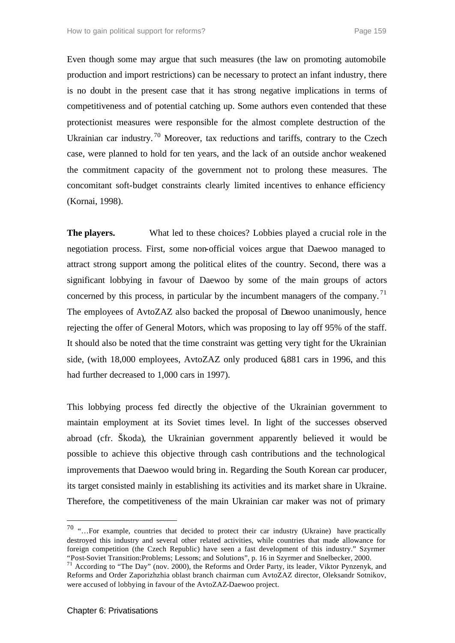Even though some may argue that such measures (the law on promoting automobile production and import restrictions) can be necessary to protect an infant industry, there is no doubt in the present case that it has strong negative implications in terms of competitiveness and of potential catching up. Some authors even contended that these protectionist measures were responsible for the almost complete destruction of the Ukrainian car industry.<sup>70</sup> Moreover, tax reductions and tariffs, contrary to the Czech case, were planned to hold for ten years, and the lack of an outside anchor weakened the commitment capacity of the government not to prolong these measures. The concomitant soft-budget constraints clearly limited incentives to enhance efficiency (Kornai, 1998).

**The players.** What led to these choices? Lobbies played a crucial role in the negotiation process. First, some non-official voices argue that Daewoo managed to attract strong support among the political elites of the country. Second, there was a significant lobbying in favour of Daewoo by some of the main groups of actors concerned by this process, in particular by the incumbent managers of the company.<sup>71</sup> The employees of AvtoZAZ also backed the proposal of Daewoo unanimously, hence rejecting the offer of General Motors, which was proposing to lay off 95% of the staff. It should also be noted that the time constraint was getting very tight for the Ukrainian side, (with 18,000 employees, AvtoZAZ only produced 6,881 cars in 1996, and this had further decreased to 1,000 cars in 1997).

This lobbying process fed directly the objective of the Ukrainian government to maintain employment at its Soviet times level. In light of the successes observed abroad (cfr. Škoda), the Ukrainian government apparently believed it would be possible to achieve this objective through cash contributions and the technological improvements that Daewoo would bring in. Regarding the South Korean car producer, its target consisted mainly in establishing its activities and its market share in Ukraine. Therefore, the competitiveness of the main Ukrainian car maker was not of primary

 $70$  "...For example, countries that decided to protect their car industry (Ukraine) have practically destroyed this industry and several other related activities, while countries that made allowance for foreign competition (the Czech Republic) have seen a fast development of this industry." Szyrmer "Post-Soviet Transition:Problems; Lessons; and Solutions", p. 16 in Szyrmer and Snelbecker, 2000.

<sup>&</sup>lt;sup>71</sup> According to "The Day" (nov. 2000), the Reforms and Order Party, its leader, Viktor Pynzenyk, and Reforms and Order Zaporizhzhia oblast branch chairman cum AvtoZAZ director, Oleksandr Sotnikov, were accused of lobbying in favour of the AvtoZAZ-Daewoo project.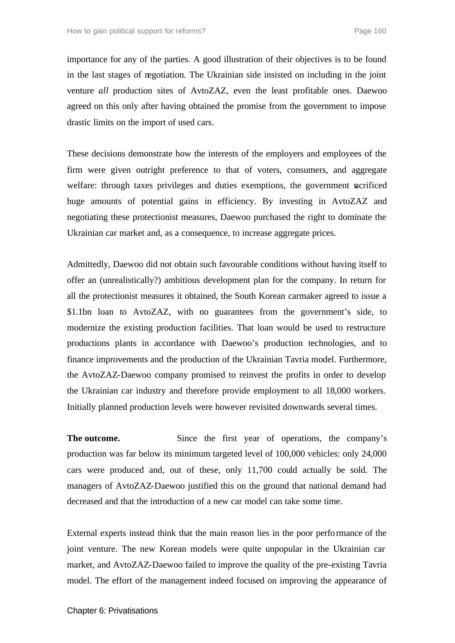importance for any of the parties. A good illustration of their objectives is to be found in the last stages of negotiation. The Ukrainian side insisted on including in the joint venture *all* production sites of AvtoZAZ, even the least profitable ones. Daewoo agreed on this only after having obtained the promise from the government to impose drastic limits on the import of used cars.

These decisions demonstrate how the interests of the employers and employees of the firm were given outright preference to that of voters, consumers, and aggregate welfare: through taxes privileges and duties exemptions, the government sacrificed huge amounts of potential gains in efficiency. By investing in AvtoZAZ and negotiating these protectionist measures, Daewoo purchased the right to dominate the Ukrainian car market and, as a consequence, to increase aggregate prices.

Admittedly, Daewoo did not obtain such favourable conditions without having itself to offer an (unrealistically?) ambitious development plan for the company. In return for all the protectionist measures it obtained, the South Korean carmaker agreed to issue a \$1.1bn loan to AvtoZAZ, with no guarantees from the government's side, to modernize the existing production facilities. That loan would be used to restructure productions plants in accordance with Daewoo's production technologies, and to finance improvements and the production of the Ukrainian Tavria model. Furthermore, the AvtoZAZ-Daewoo company promised to reinvest the profits in order to develop the Ukrainian car industry and therefore provide employment to all 18,000 workers. Initially planned production levels were however revisited downwards several times.

**The outcome.** Since the first year of operations, the company's production was far below its minimum targeted level of 100,000 vehicles: only 24,000 cars were produced and, out of these, only 11,700 could actually be sold. The managers of AvtoZAZ-Daewoo justified this on the ground that national demand had decreased and that the introduction of a new car model can take some time.

External experts instead think that the main reason lies in the poor performance of the joint venture. The new Korean models were quite unpopular in the Ukrainian car market, and AvtoZAZ-Daewoo failed to improve the quality of the pre-existing Tavria model. The effort of the management indeed focused on improving the appearance of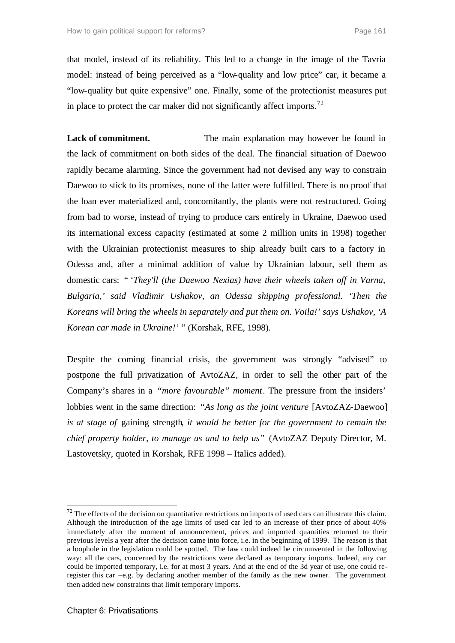that model, instead of its reliability. This led to a change in the image of the Tavria model: instead of being perceived as a "low-quality and low price" car, it became a "low-quality but quite expensive" one. Finally, some of the protectionist measures put in place to protect the car maker did not significantly affect imports.<sup>72</sup>

**Lack of commitment.** The main explanation may however be found in the lack of commitment on both sides of the deal. The financial situation of Daewoo rapidly became alarming. Since the government had not devised any way to constrain Daewoo to stick to its promises, none of the latter were fulfilled. There is no proof that the loan ever materialized and, concomitantly, the plants were not restructured. Going from bad to worse, instead of trying to produce cars entirely in Ukraine, Daewoo used its international excess capacity (estimated at some 2 million units in 1998) together with the Ukrainian protectionist measures to ship already built cars to a factory in Odessa and, after a minimal addition of value by Ukrainian labour, sell them as domestic cars: " '*They'll (the Daewoo Nexias) have their wheels taken off in Varna, Bulgaria,' said Vladimir Ushakov, an Odessa shipping professional. 'Then the Koreans will bring the wheels in separately and put them on. Voila!' says Ushakov, 'A Korean car made in Ukraine!'* " (Korshak, RFE, 1998).

Despite the coming financial crisis, the government was strongly "advised" to postpone the full privatization of AvtoZAZ, in order to sell the other part of the Company's shares in a *"more favourable" moment*. The pressure from the insiders' lobbies went in the same direction: *"As long as the joint venture* [AvtoZAZ-Daewoo] *is at stage of* gaining strength*, it would be better for the government to remain the chief property holder, to manage us and to help us"* (AvtoZAZ Deputy Director, M. Lastovetsky, quoted in Korshak, RFE 1998 – Italics added).

 $72$  The effects of the decision on quantitative restrictions on imports of used cars can illustrate this claim. Although the introduction of the age limits of used car led to an increase of their price of about 40% immediately after the moment of announcement, prices and imported quantities returned to their previous levels a year after the decision came into force, i.e. in the beginning of 1999. The reason is that a loophole in the legislation could be spotted. The law could indeed be circumvented in the following way: all the cars, concerned by the restrictions were declared as temporary imports. Indeed, any car could be imported temporary, i.e. for at most 3 years. And at the end of the 3d year of use, one could reregister this car –e.g. by declaring another member of the family as the new owner. The government then added new constraints that limit temporary imports.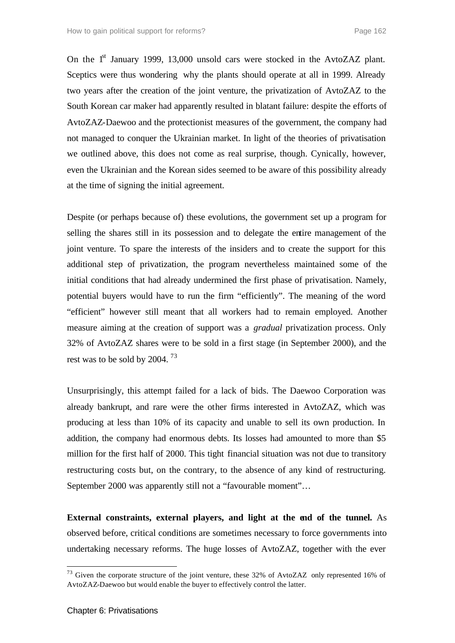On the 1<sup>st</sup> January 1999, 13,000 unsold cars were stocked in the AvtoZAZ plant. Sceptics were thus wondering why the plants should operate at all in 1999. Already two years after the creation of the joint venture, the privatization of AvtoZAZ to the South Korean car maker had apparently resulted in blatant failure: despite the efforts of AvtoZAZ-Daewoo and the protectionist measures of the government, the company had not managed to conquer the Ukrainian market. In light of the theories of privatisation we outlined above, this does not come as real surprise, though. Cynically, however, even the Ukrainian and the Korean sides seemed to be aware of this possibility already at the time of signing the initial agreement.

Despite (or perhaps because of) these evolutions, the government set up a program for selling the shares still in its possession and to delegate the entire management of the joint venture. To spare the interests of the insiders and to create the support for this additional step of privatization, the program nevertheless maintained some of the initial conditions that had already undermined the first phase of privatisation. Namely, potential buyers would have to run the firm "efficiently". The meaning of the word "efficient" however still meant that all workers had to remain employed. Another measure aiming at the creation of support was a *gradual* privatization process. Only 32% of AvtoZAZ shares were to be sold in a first stage (in September 2000), and the rest was to be sold by 2004.<sup>73</sup>

Unsurprisingly, this attempt failed for a lack of bids. The Daewoo Corporation was already bankrupt, and rare were the other firms interested in AvtoZAZ, which was producing at less than 10% of its capacity and unable to sell its own production. In addition, the company had enormous debts. Its losses had amounted to more than \$5 million for the first half of 2000. This tight financial situation was not due to transitory restructuring costs but, on the contrary, to the absence of any kind of restructuring. September 2000 was apparently still not a "favourable moment"…

**External constraints, external players, and light at the end of the tunnel.** As observed before, critical conditions are sometimes necessary to force governments into undertaking necessary reforms. The huge losses of AvtoZAZ, together with the ever

 $73$  Given the corporate structure of the joint venture, these 32% of AvtoZAZ only represented 16% of AvtoZAZ-Daewoo but would enable the buyer to effectively control the latter.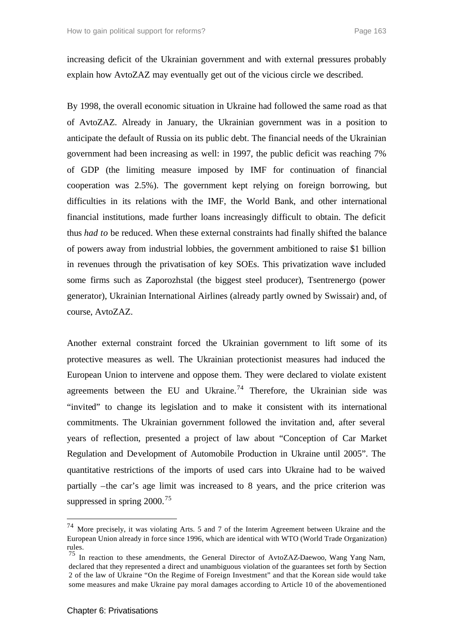increasing deficit of the Ukrainian government and with external pressures probably explain how AvtoZAZ may eventually get out of the vicious circle we described.

By 1998, the overall economic situation in Ukraine had followed the same road as that of AvtoZAZ. Already in January, the Ukrainian government was in a position to anticipate the default of Russia on its public debt. The financial needs of the Ukrainian government had been increasing as well: in 1997, the public deficit was reaching 7% of GDP (the limiting measure imposed by IMF for continuation of financial cooperation was 2.5%). The government kept relying on foreign borrowing, but difficulties in its relations with the IMF, the World Bank, and other international financial institutions, made further loans increasingly difficult to obtain. The deficit thus *had to* be reduced. When these external constraints had finally shifted the balance of powers away from industrial lobbies, the government ambitioned to raise \$1 billion in revenues through the privatisation of key SOEs. This privatization wave included some firms such as Zaporozhstal (the biggest steel producer), Tsentrenergo (power generator), Ukrainian International Airlines (already partly owned by Swissair) and, of course, AvtoZAZ.

Another external constraint forced the Ukrainian government to lift some of its protective measures as well. The Ukrainian protectionist measures had induced the European Union to intervene and oppose them. They were declared to violate existent agreements between the EU and Ukraine.<sup>74</sup> Therefore, the Ukrainian side was "invited" to change its legislation and to make it consistent with its international commitments. The Ukrainian government followed the invitation and, after several years of reflection, presented a project of law about "Conception of Car Market Regulation and Development of Automobile Production in Ukraine until 2005". The quantitative restrictions of the imports of used cars into Ukraine had to be waived partially –the car's age limit was increased to 8 years, and the price criterion was suppressed in spring  $2000^{75}$ 

<sup>&</sup>lt;sup>74</sup> More precisely, it was violating Arts. 5 and 7 of the Interim Agreement between Ukraine and the European Union already in force since 1996, which are identical with WTO (World Trade Organization) rules.

<sup>75</sup> In reaction to these amendments, the General Director of AvtoZAZ-Daewoo, Wang Yang Nam, declared that they represented a direct and unambiguous violation of the guarantees set forth by Section 2 of the law of Ukraine "On the Regime of Foreign Investment" and that the Korean side would take some measures and make Ukraine pay moral damages according to Article 10 of the abovementioned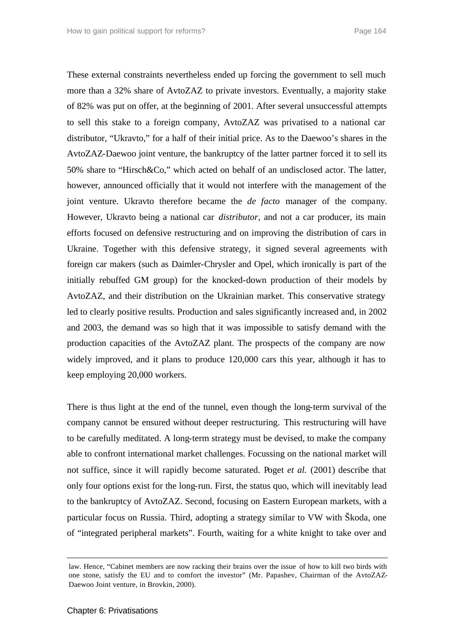These external constraints nevertheless ended up forcing the government to sell much more than a 32% share of AvtoZAZ to private investors. Eventually, a majority stake of 82% was put on offer, at the beginning of 2001. After several unsuccessful attempts to sell this stake to a foreign company, AvtoZAZ was privatised to a national car distributor, "Ukravto," for a half of their initial price. As to the Daewoo's shares in the AvtoZAZ-Daewoo joint venture, the bankruptcy of the latter partner forced it to sell its 50% share to "Hirsch&Co," which acted on behalf of an undisclosed actor. The latter, however, announced officially that it would not interfere with the management of the joint venture. Ukravto therefore became the *de facto* manager of the company. However, Ukravto being a national car *distributor*, and not a car producer, its main efforts focused on defensive restructuring and on improving the distribution of cars in Ukraine. Together with this defensive strategy, it signed several agreements with foreign car makers (such as Daimler-Chrysler and Opel, which ironically is part of the initially rebuffed GM group) for the knocked-down production of their models by AvtoZAZ, and their distribution on the Ukrainian market. This conservative strategy led to clearly positive results. Production and sales significantly increased and, in 2002 and 2003, the demand was so high that it was impossible to satisfy demand with the production capacities of the AvtoZAZ plant. The prospects of the company are now widely improved, and it plans to produce 120,000 cars this year, although it has to keep employing 20,000 workers.

There is thus light at the end of the tunnel, even though the long-term survival of the company cannot be ensured without deeper restructuring. This restructuring will have to be carefully meditated. A long-term strategy must be devised, to make the company able to confront international market challenges. Focussing on the national market will not suffice, since it will rapidly become saturated. Poget *et al.* (2001) describe that only four options exist for the long-run. First, the status quo, which will inevitably lead to the bankruptcy of AvtoZAZ. Second, focusing on Eastern European markets, with a particular focus on Russia. Third, adopting a strategy similar to VW with Škoda, one of "integrated peripheral markets". Fourth, waiting for a white knight to take over and

law. Hence, "Cabinet members are now racking their brains over the issue of how to kill two birds with one stone, satisfy the EU and to comfort the investor" (Mr. Papashev, Chairman of the AvtoZAZ-Daewoo Joint venture, in Brovkin, 2000).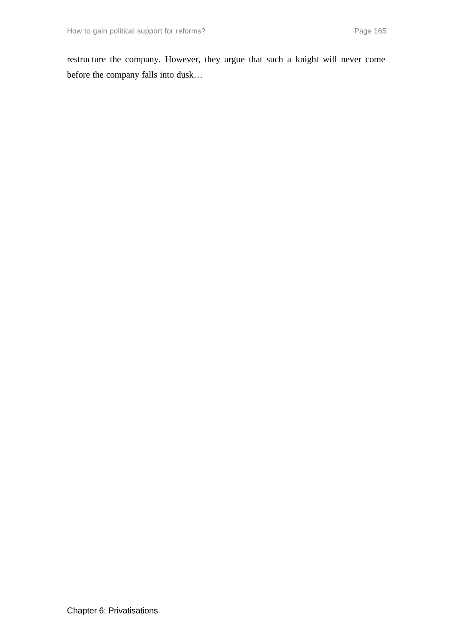restructure the company. However, they argue that such a knight will never come before the company falls into dusk…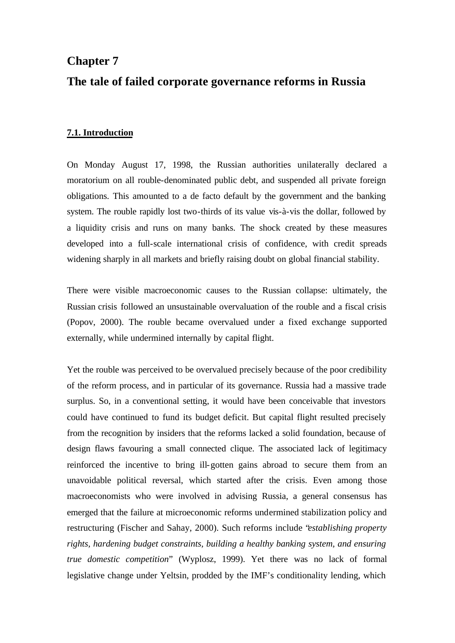# **Chapter 7**

## **The tale of failed corporate governance reforms in Russia**

#### **7.1. Introduction**

On Monday August 17, 1998, the Russian authorities unilaterally declared a moratorium on all rouble-denominated public debt, and suspended all private foreign obligations. This amounted to a de facto default by the government and the banking system. The rouble rapidly lost two-thirds of its value vis-à-vis the dollar, followed by a liquidity crisis and runs on many banks. The shock created by these measures developed into a full-scale international crisis of confidence, with credit spreads widening sharply in all markets and briefly raising doubt on global financial stability.

There were visible macroeconomic causes to the Russian collapse: ultimately, the Russian crisis followed an unsustainable overvaluation of the rouble and a fiscal crisis (Popov, 2000). The rouble became overvalued under a fixed exchange supported externally, while undermined internally by capital flight.

Yet the rouble was perceived to be overvalued precisely because of the poor credibility of the reform process, and in particular of its governance. Russia had a massive trade surplus. So, in a conventional setting, it would have been conceivable that investors could have continued to fund its budget deficit. But capital flight resulted precisely from the recognition by insiders that the reforms lacked a solid foundation, because of design flaws favouring a small connected clique. The associated lack of legitimacy reinforced the incentive to bring ill-gotten gains abroad to secure them from an unavoidable political reversal, which started after the crisis. Even among those macroeconomists who were involved in advising Russia, a general consensus has emerged that the failure at microeconomic reforms undermined stabilization policy and restructuring (Fischer and Sahay, 2000). Such reforms include "*establishing property rights, hardening budget constraints, building a healthy banking system, and ensuring true domestic competition*" (Wyplosz, 1999). Yet there was no lack of formal legislative change under Yeltsin, prodded by the IMF's conditionality lending, which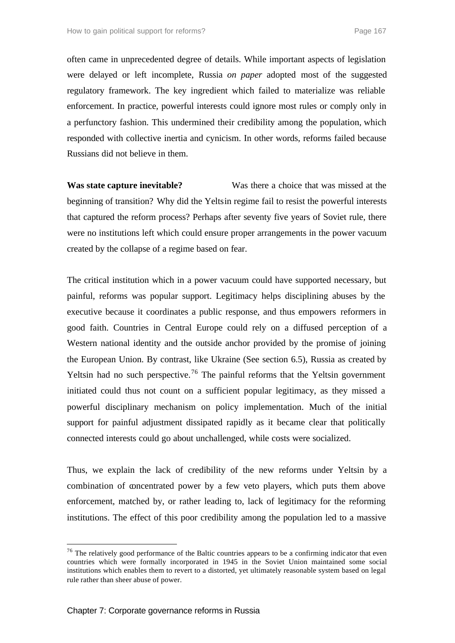often came in unprecedented degree of details. While important aspects of legislation were delayed or left incomplete, Russia *on paper* adopted most of the suggested regulatory framework. The key ingredient which failed to materialize was reliable enforcement. In practice, powerful interests could ignore most rules or comply only in a perfunctory fashion. This undermined their credibility among the population, which responded with collective inertia and cynicism. In other words, reforms failed because Russians did not believe in them.

**Was state capture inevitable?** Was there a choice that was missed at the beginning of transition? Why did the Yeltsin regime fail to resist the powerful interests that captured the reform process? Perhaps after seventy five years of Soviet rule, there were no institutions left which could ensure proper arrangements in the power vacuum created by the collapse of a regime based on fear.

The critical institution which in a power vacuum could have supported necessary, but painful, reforms was popular support. Legitimacy helps disciplining abuses by the executive because it coordinates a public response, and thus empowers reformers in good faith. Countries in Central Europe could rely on a diffused perception of a Western national identity and the outside anchor provided by the promise of joining the European Union. By contrast, like Ukraine (See section 6.5), Russia as created by Yeltsin had no such perspective.<sup>76</sup> The painful reforms that the Yeltsin government initiated could thus not count on a sufficient popular legitimacy, as they missed a powerful disciplinary mechanism on policy implementation. Much of the initial support for painful adjustment dissipated rapidly as it became clear that politically connected interests could go about unchallenged, while costs were socialized.

Thus, we explain the lack of credibility of the new reforms under Yeltsin by a combination of concentrated power by a few veto players, which puts them above enforcement, matched by, or rather leading to, lack of legitimacy for the reforming institutions. The effect of this poor credibility among the population led to a massive

<sup>&</sup>lt;sup>76</sup> The relatively good performance of the Baltic countries appears to be a confirming indicator that even countries which were formally incorporated in 1945 in the Soviet Union maintained some social institutions which enables them to revert to a distorted, yet ultimately reasonable system based on legal rule rather than sheer abuse of power.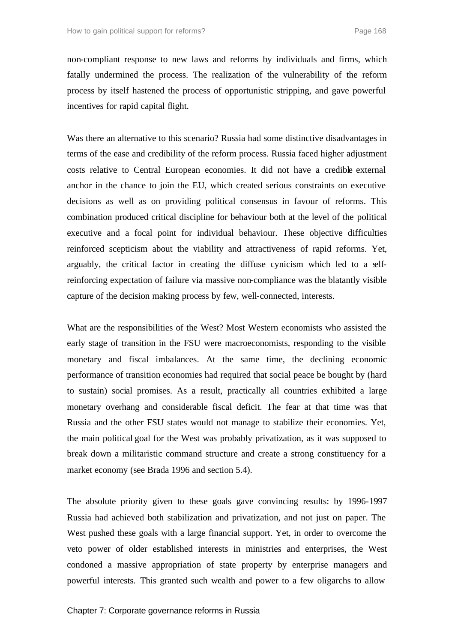non-compliant response to new laws and reforms by individuals and firms, which fatally undermined the process. The realization of the vulnerability of the reform process by itself hastened the process of opportunistic stripping, and gave powerful incentives for rapid capital flight.

Was there an alternative to this scenario? Russia had some distinctive disadvantages in terms of the ease and credibility of the reform process. Russia faced higher adjustment costs relative to Central European economies. It did not have a credible external anchor in the chance to join the EU, which created serious constraints on executive decisions as well as on providing political consensus in favour of reforms. This combination produced critical discipline for behaviour both at the level of the political executive and a focal point for individual behaviour. These objective difficulties reinforced scepticism about the viability and attractiveness of rapid reforms. Yet, arguably, the critical factor in creating the diffuse cynicism which led to a selfreinforcing expectation of failure via massive non-compliance was the blatantly visible capture of the decision making process by few, well-connected, interests.

What are the responsibilities of the West? Most Western economists who assisted the early stage of transition in the FSU were macroeconomists, responding to the visible monetary and fiscal imbalances. At the same time, the declining economic performance of transition economies had required that social peace be bought by (hard to sustain) social promises. As a result, practically all countries exhibited a large monetary overhang and considerable fiscal deficit. The fear at that time was that Russia and the other FSU states would not manage to stabilize their economies. Yet, the main political goal for the West was probably privatization, as it was supposed to break down a militaristic command structure and create a strong constituency for a market economy (see Brada 1996 and section 5.4).

The absolute priority given to these goals gave convincing results: by 1996-1997 Russia had achieved both stabilization and privatization, and not just on paper. The West pushed these goals with a large financial support. Yet, in order to overcome the veto power of older established interests in ministries and enterprises, the West condoned a massive appropriation of state property by enterprise managers and powerful interests. This granted such wealth and power to a few oligarchs to allow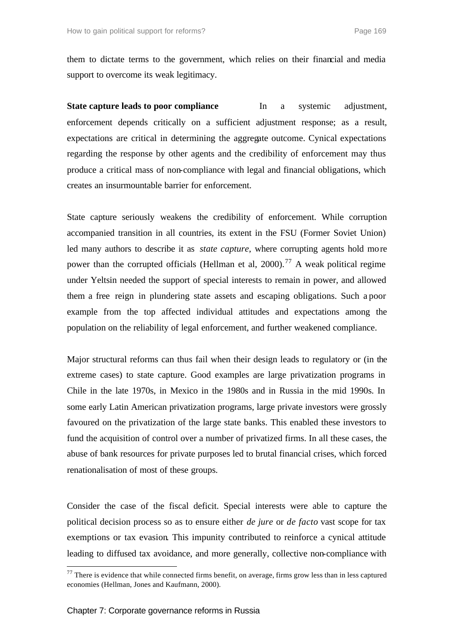them to dictate terms to the government, which relies on their financial and media support to overcome its weak legitimacy.

**State capture leads to poor compliance** In a systemic adjustment, enforcement depends critically on a sufficient adjustment response; as a result, expectations are critical in determining the aggregate outcome. Cynical expectations regarding the response by other agents and the credibility of enforcement may thus produce a critical mass of non-compliance with legal and financial obligations, which creates an insurmountable barrier for enforcement.

State capture seriously weakens the credibility of enforcement. While corruption accompanied transition in all countries, its extent in the FSU (Former Soviet Union) led many authors to describe it as *state capture*, where corrupting agents hold more power than the corrupted officials (Hellman et al,  $2000$ ).<sup>77</sup> A weak political regime under Yeltsin needed the support of special interests to remain in power, and allowed them a free reign in plundering state assets and escaping obligations. Such a poor example from the top affected individual attitudes and expectations among the population on the reliability of legal enforcement, and further weakened compliance.

Major structural reforms can thus fail when their design leads to regulatory or (in the extreme cases) to state capture. Good examples are large privatization programs in Chile in the late 1970s, in Mexico in the 1980s and in Russia in the mid 1990s. In some early Latin American privatization programs, large private investors were grossly favoured on the privatization of the large state banks. This enabled these investors to fund the acquisition of control over a number of privatized firms. In all these cases, the abuse of bank resources for private purposes led to brutal financial crises, which forced renationalisation of most of these groups.

Consider the case of the fiscal deficit. Special interests were able to capture the political decision process so as to ensure either *de jure* or *de facto* vast scope for tax exemptions or tax evasion. This impunity contributed to reinforce a cynical attitude leading to diffused tax avoidance, and more generally, collective non-compliance with

 $77$  There is evidence that while connected firms benefit, on average, firms grow less than in less captured economies (Hellman, Jones and Kaufmann, 2000).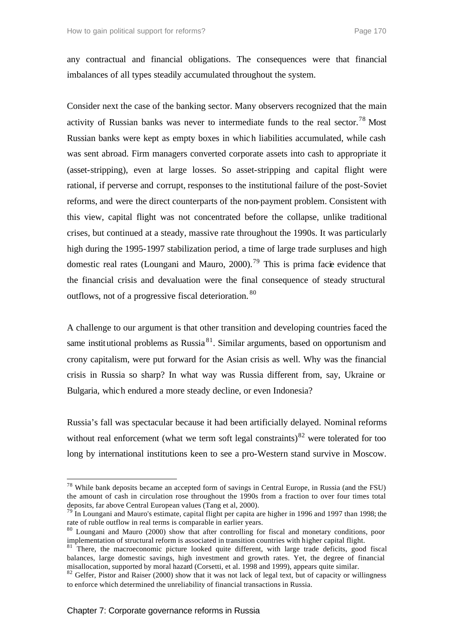any contractual and financial obligations. The consequences were that financial imbalances of all types steadily accumulated throughout the system.

Consider next the case of the banking sector. Many observers recognized that the main activity of Russian banks was never to intermediate funds to the real sector.<sup>78</sup> Most Russian banks were kept as empty boxes in which liabilities accumulated, while cash was sent abroad. Firm managers converted corporate assets into cash to appropriate it (asset-stripping), even at large losses. So asset-stripping and capital flight were rational, if perverse and corrupt, responses to the institutional failure of the post-Soviet reforms, and were the direct counterparts of the non-payment problem. Consistent with this view, capital flight was not concentrated before the collapse, unlike traditional crises, but continued at a steady, massive rate throughout the 1990s. It was particularly high during the 1995-1997 stabilization period, a time of large trade surpluses and high domestic real rates (Loungani and Mauro, 2000).<sup>79</sup> This is prima facie evidence that the financial crisis and devaluation were the final consequence of steady structural outflows, not of a progressive fiscal deterioration. <sup>80</sup>

A challenge to our argument is that other transition and developing countries faced the same institutional problems as Russia<sup>81</sup>. Similar arguments, based on opportunism and crony capitalism, were put forward for the Asian crisis as well. Why was the financial crisis in Russia so sharp? In what way was Russia different from, say, Ukraine or Bulgaria, which endured a more steady decline, or even Indonesia?

Russia's fall was spectacular because it had been artificially delayed. Nominal reforms without real enforcement (what we term soft legal constraints) $82$  were tolerated for too long by international institutions keen to see a pro-Western stand survive in Moscow.

<sup>78</sup> While bank deposits became an accepted form of savings in Central Europe, in Russia (and the FSU) the amount of cash in circulation rose throughout the 1990s from a fraction to over four times total deposits, far above Central European values (Tang et al, 2000).

 $79$  In Loungani and Mauro's estimate, capital flight per capita are higher in 1996 and 1997 than 1998; the rate of ruble outflow in real terms is comparable in earlier years.

<sup>80</sup> Loungani and Mauro (2000) show that after controlling for fiscal and monetary conditions, poor implementation of structural reform is associated in transition countries with higher capital flight.

<sup>&</sup>lt;sup>81</sup> There, the macroeconomic picture looked quite different, with large trade deficits, good fiscal balances, large domestic savings, high investment and growth rates. Yet, the degree of financial misallocation, supported by moral hazard (Corsetti, et al. 1998 and 1999), appears quite similar.

<sup>&</sup>lt;sup>82</sup> Gelfer, Pistor and Raiser (2000) show that it was not lack of legal text, but of capacity or willingness to enforce which determined the unreliability of financial transactions in Russia.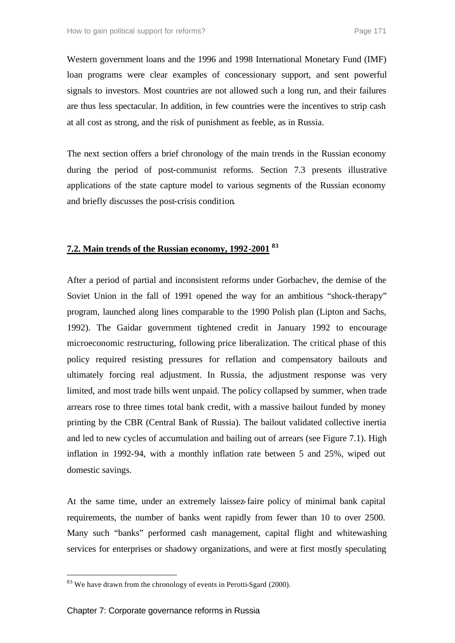Western government loans and the 1996 and 1998 International Monetary Fund (IMF) loan programs were clear examples of concessionary support, and sent powerful signals to investors. Most countries are not allowed such a long run, and their failures are thus less spectacular. In addition, in few countries were the incentives to strip cash at all cost as strong, and the risk of punishment as feeble, as in Russia.

The next section offers a brief chronology of the main trends in the Russian economy during the period of post-communist reforms. Section 7.3 presents illustrative applications of the state capture model to various segments of the Russian economy and briefly discusses the post-crisis condition.

### **7.2. Main trends of the Russian economy, 1992-2001 <sup>83</sup>**

After a period of partial and inconsistent reforms under Gorbachev, the demise of the Soviet Union in the fall of 1991 opened the way for an ambitious "shock-therapy" program, launched along lines comparable to the 1990 Polish plan (Lipton and Sachs, 1992). The Gaidar government tightened credit in January 1992 to encourage microeconomic restructuring, following price liberalization. The critical phase of this policy required resisting pressures for reflation and compensatory bailouts and ultimately forcing real adjustment. In Russia, the adjustment response was very limited, and most trade bills went unpaid. The policy collapsed by summer, when trade arrears rose to three times total bank credit, with a massive bailout funded by money printing by the CBR (Central Bank of Russia). The bailout validated collective inertia and led to new cycles of accumulation and bailing out of arrears (see Figure 7.1). High inflation in 1992-94, with a monthly inflation rate between 5 and 25%, wiped out domestic savings.

At the same time, under an extremely laissez-faire policy of minimal bank capital requirements, the number of banks went rapidly from fewer than 10 to over 2500. Many such "banks" performed cash management, capital flight and whitewashing services for enterprises or shadowy organizations, and were at first mostly speculating

<sup>&</sup>lt;sup>83</sup> We have drawn from the chronology of events in Perotti-Sgard (2000).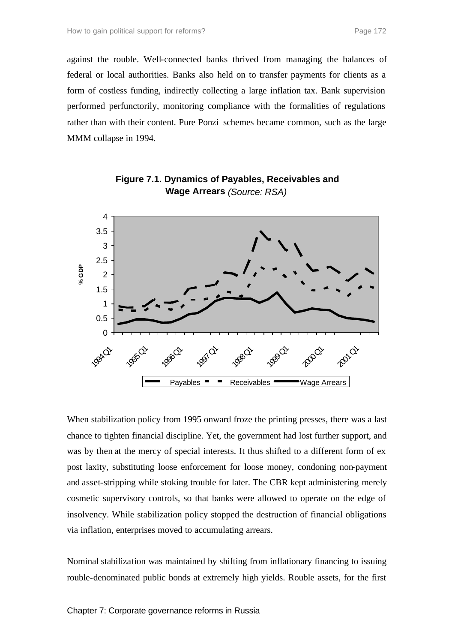against the rouble. Well-connected banks thrived from managing the balances of federal or local authorities. Banks also held on to transfer payments for clients as a form of costless funding, indirectly collecting a large inflation tax. Bank supervision performed perfunctorily, monitoring compliance with the formalities of regulations rather than with their content. Pure Ponzi schemes became common, such as the large MMM collapse in 1994.



**Figure 7.1. Dynamics of Payables, Receivables and Wage Arrears** *(Source: RSA)*

When stabilization policy from 1995 onward froze the printing presses, there was a last chance to tighten financial discipline. Yet, the government had lost further support, and was by then at the mercy of special interests. It thus shifted to a different form of ex post laxity, substituting loose enforcement for loose money, condoning non-payment and asset-stripping while stoking trouble for later. The CBR kept administering merely cosmetic supervisory controls, so that banks were allowed to operate on the edge of insolvency. While stabilization policy stopped the destruction of financial obligations via inflation, enterprises moved to accumulating arrears.

Nominal stabilization was maintained by shifting from inflationary financing to issuing rouble-denominated public bonds at extremely high yields. Rouble assets, for the first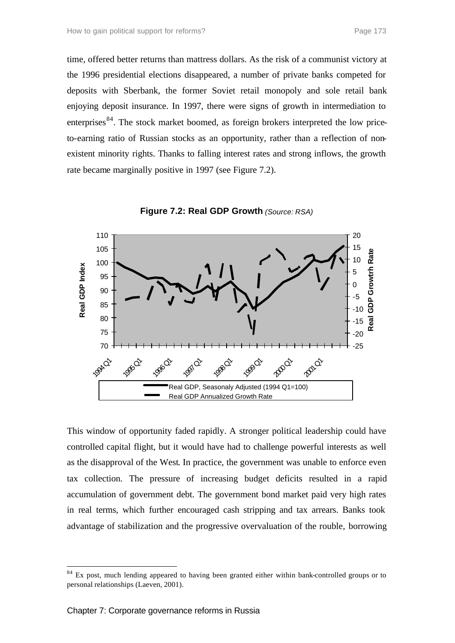time, offered better returns than mattress dollars. As the risk of a communist victory at the 1996 presidential elections disappeared, a number of private banks competed for deposits with Sberbank, the former Soviet retail monopoly and sole retail bank enjoying deposit insurance. In 1997, there were signs of growth in intermediation to enterprises<sup>84</sup>. The stock market boomed, as foreign brokers interpreted the low priceto-earning ratio of Russian stocks as an opportunity, rather than a reflection of nonexistent minority rights. Thanks to falling interest rates and strong inflows, the growth rate became marginally positive in 1997 (see Figure 7.2).



**Figure 7.2: Real GDP Growth** *(Source: RSA)*

This window of opportunity faded rapidly. A stronger political leadership could have controlled capital flight, but it would have had to challenge powerful interests as well as the disapproval of the West. In practice, the government was unable to enforce even tax collection. The pressure of increasing budget deficits resulted in a rapid accumulation of government debt. The government bond market paid very high rates in real terms, which further encouraged cash stripping and tax arrears. Banks took advantage of stabilization and the progressive overvaluation of the rouble, borrowing

 $84$  Ex post, much lending appeared to having been granted either within bank-controlled groups or to personal relationships (Laeven, 2001).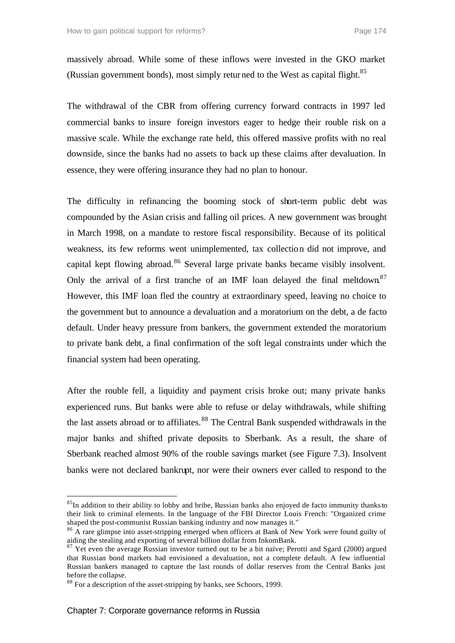massively abroad. While some of these inflows were invested in the GKO market (Russian government bonds), most simply returned to the West as capital flight.<sup>85</sup>

The withdrawal of the CBR from offering currency forward contracts in 1997 led commercial banks to insure foreign investors eager to hedge their rouble risk on a massive scale. While the exchange rate held, this offered massive profits with no real downside, since the banks had no assets to back up these claims after devaluation. In essence, they were offering insurance they had no plan to honour.

The difficulty in refinancing the booming stock of short-term public debt was compounded by the Asian crisis and falling oil prices. A new government was brought in March 1998, on a mandate to restore fiscal responsibility. Because of its political weakness, its few reforms went unimplemented, tax collection did not improve, and capital kept flowing abroad.<sup>86</sup> Several large private banks became visibly insolvent. Only the arrival of a first tranche of an IMF loan delayed the final meltdown<sup>87</sup> However, this IMF loan fled the country at extraordinary speed, leaving no choice to the government but to announce a devaluation and a moratorium on the debt, a de facto default. Under heavy pressure from bankers, the government extended the moratorium to private bank debt, a final confirmation of the soft legal constraints under which the financial system had been operating.

After the rouble fell, a liquidity and payment crisis broke out; many private banks experienced runs. But banks were able to refuse or delay withdrawals, while shifting the last assets abroad or to affiliates.<sup>88</sup> The Central Bank suspended withdrawals in the major banks and shifted private deposits to Sberbank. As a result, the share of Sberbank reached almost 90% of the rouble savings market (see Figure 7.3). Insolvent banks were not declared bankrupt, nor were their owners ever called to respond to the

<sup>&</sup>lt;sup>85</sup>In addition to their ability to lobby and bribe, Russian banks also enjoyed de facto immunity thanks to their link to criminal elements. In the language of the FBI Director Louis French: "Organized crime shaped the post-communist Russian banking industry and now manages it."

<sup>&</sup>lt;sup>86</sup> A rare glimpse into asset-stripping emerged when officers at Bank of New York were found guilty of aiding the stealing and exporting of several billion dollar from InkomBank.

 $\frac{87}{7}$  Yet even the average Russian investor turned out to be a bit naïve; Perotti and Sgard (2000) argued that Russian bond markets had envisioned a devaluation, not a complete default. A few influential Russian bankers managed to capture the last rounds of dollar reserves from the Central Banks just before the collapse.

<sup>&</sup>lt;sup>88</sup> For a description of the asset-stripping by banks, see Schoors, 1999.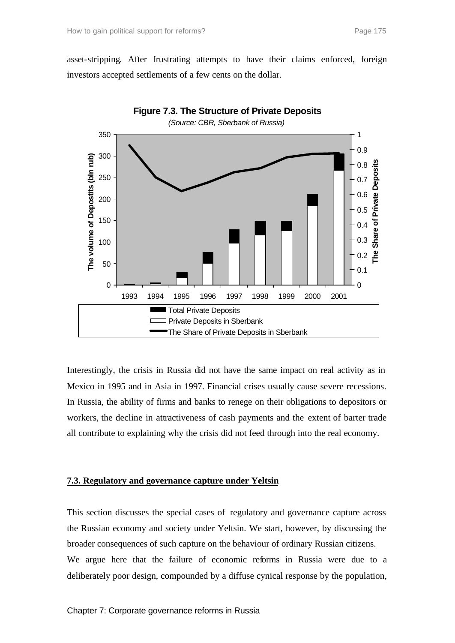asset-stripping. After frustrating attempts to have their claims enforced, foreign investors accepted settlements of a few cents on the dollar.



Interestingly, the crisis in Russia did not have the same impact on real activity as in Mexico in 1995 and in Asia in 1997. Financial crises usually cause severe recessions. In Russia, the ability of firms and banks to renege on their obligations to depositors or workers, the decline in attractiveness of cash payments and the extent of barter trade all contribute to explaining why the crisis did not feed through into the real economy.

#### **7.3. Regulatory and governance capture under Yeltsin**

This section discusses the special cases of regulatory and governance capture across the Russian economy and society under Yeltsin. We start, however, by discussing the broader consequences of such capture on the behaviour of ordinary Russian citizens. We argue here that the failure of economic reforms in Russia were due to a deliberately poor design, compounded by a diffuse cynical response by the population,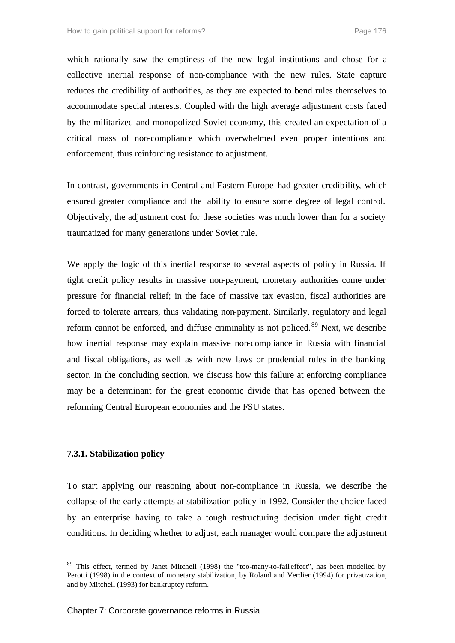which rationally saw the emptiness of the new legal institutions and chose for a collective inertial response of non-compliance with the new rules. State capture reduces the credibility of authorities, as they are expected to bend rules themselves to accommodate special interests. Coupled with the high average adjustment costs faced by the militarized and monopolized Soviet economy, this created an expectation of a critical mass of non-compliance which overwhelmed even proper intentions and enforcement, thus reinforcing resistance to adjustment.

In contrast, governments in Central and Eastern Europe had greater credibility, which ensured greater compliance and the ability to ensure some degree of legal control. Objectively, the adjustment cost for these societies was much lower than for a society traumatized for many generations under Soviet rule.

We apply the logic of this inertial response to several aspects of policy in Russia. If tight credit policy results in massive non-payment, monetary authorities come under pressure for financial relief; in the face of massive tax evasion, fiscal authorities are forced to tolerate arrears, thus validating non-payment. Similarly, regulatory and legal reform cannot be enforced, and diffuse criminality is not policed.<sup>89</sup> Next, we describe how inertial response may explain massive non-compliance in Russia with financial and fiscal obligations, as well as with new laws or prudential rules in the banking sector. In the concluding section, we discuss how this failure at enforcing compliance may be a determinant for the great economic divide that has opened between the reforming Central European economies and the FSU states.

#### **7.3.1. Stabilization policy**

l

To start applying our reasoning about non-compliance in Russia, we describe the collapse of the early attempts at stabilization policy in 1992. Consider the choice faced by an enterprise having to take a tough restructuring decision under tight credit conditions. In deciding whether to adjust, each manager would compare the adjustment

<sup>&</sup>lt;sup>89</sup> This effect, termed by Janet Mitchell (1998) the "too-many-to-fail effect", has been modelled by Perotti (1998) in the context of monetary stabilization, by Roland and Verdier (1994) for privatization, and by Mitchell (1993) for bankruptcy reform.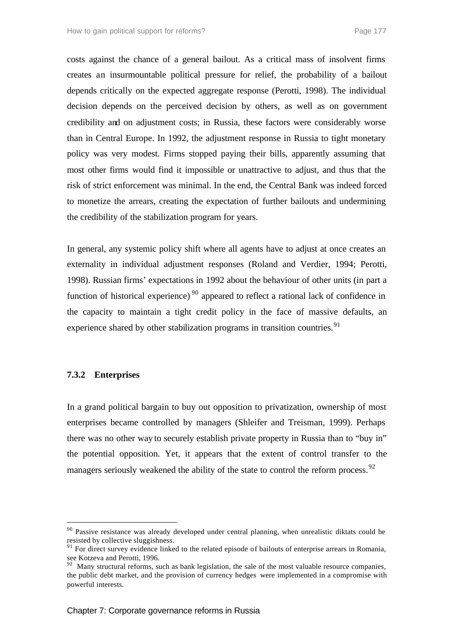costs against the chance of a general bailout. As a critical mass of insolvent firms creates an insurmountable political pressure for relief, the probability of a bailout depends critically on the expected aggregate response (Perotti, 1998). The individual decision depends on the perceived decision by others, as well as on government credibility and on adjustment costs; in Russia, these factors were considerably worse than in Central Europe. In 1992, the adjustment response in Russia to tight monetary policy was very modest. Firms stopped paying their bills, apparently assuming that most other firms would find it impossible or unattractive to adjust, and thus that the risk of strict enforcement was minimal. In the end, the Central Bank was indeed forced to monetize the arrears, creating the expectation of further bailouts and undermining the credibility of the stabilization program for years.

In general, any systemic policy shift where all agents have to adjust at once creates an externality in individual adjustment responses (Roland and Verdier, 1994; Perotti, 1998). Russian firms' expectations in 1992 about the behaviour of other units (in part a function of historical experience)<sup>90</sup> appeared to reflect a rational lack of confidence in the capacity to maintain a tight credit policy in the face of massive defaults, an experience shared by other stabilization programs in transition countries.<sup>91</sup>

#### **7.3.2 Enterprises**

l

In a grand political bargain to buy out opposition to privatization, ownership of most enterprises became controlled by managers (Shleifer and Treisman, 1999). Perhaps there was no other way to securely establish private property in Russia than to "buy in" the potential opposition. Yet, it appears that the extent of control transfer to the managers seriously weakened the ability of the state to control the reform process.<sup>92</sup>

<sup>&</sup>lt;sup>90</sup> Passive resistance was already developed under central planning, when unrealistic diktats could be resisted by collective sluggishness.

<sup>&</sup>lt;sup>91</sup> For direct survey evidence linked to the related episode of bailouts of enterprise arrears in Romania, see Kotzeva and Perotti, 1996.

 $92$  Many structural reforms, such as bank legislation, the sale of the most valuable resource companies, the public debt market, and the provision of currency hedges were implemented in a compromise with powerful interests.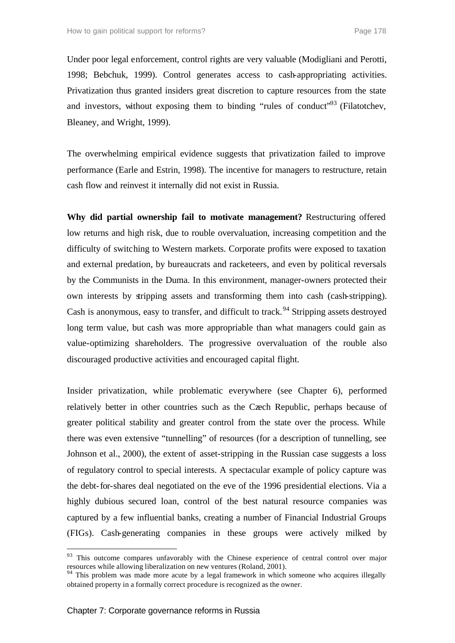Under poor legal enforcement, control rights are very valuable (Modigliani and Perotti, 1998; Bebchuk, 1999). Control generates access to cash-appropriating activities. Privatization thus granted insiders great discretion to capture resources from the state and investors, without exposing them to binding "rules of conduct"<sup>93</sup> (Filatotchev, Bleaney, and Wright, 1999).

The overwhelming empirical evidence suggests that privatization failed to improve performance (Earle and Estrin, 1998). The incentive for managers to restructure, retain cash flow and reinvest it internally did not exist in Russia.

**Why did partial ownership fail to motivate management?** Restructuring offered low returns and high risk, due to rouble overvaluation, increasing competition and the difficulty of switching to Western markets. Corporate profits were exposed to taxation and external predation, by bureaucrats and racketeers, and even by political reversals by the Communists in the Duma. In this environment, manager-owners protected their own interests by stripping assets and transforming them into cash (cash-stripping). Cash is anonymous, easy to transfer, and difficult to track.<sup>94</sup> Stripping assets destroyed long term value, but cash was more appropriable than what managers could gain as value-optimizing shareholders. The progressive overvaluation of the rouble also discouraged productive activities and encouraged capital flight.

Insider privatization, while problematic everywhere (see Chapter 6), performed relatively better in other countries such as the Czech Republic, perhaps because of greater political stability and greater control from the state over the process. While there was even extensive "tunnelling" of resources (for a description of tunnelling, see Johnson et al., 2000), the extent of asset-stripping in the Russian case suggests a loss of regulatory control to special interests. A spectacular example of policy capture was the debt-for-shares deal negotiated on the eve of the 1996 presidential elections. Via a highly dubious secured loan, control of the best natural resource companies was captured by a few influential banks, creating a number of Financial Industrial Groups (FIGs). Cash-generating companies in these groups were actively milked by

<sup>&</sup>lt;sup>93</sup> This outcome compares unfavorably with the Chinese experience of central control over major resources while allowing liberalization on new ventures (Roland, 2001).

<sup>&</sup>lt;sup>94</sup> This problem was made more acute by a legal framework in which someone who acquires illegally obtained property in a formally correct procedure is recognized as the owner.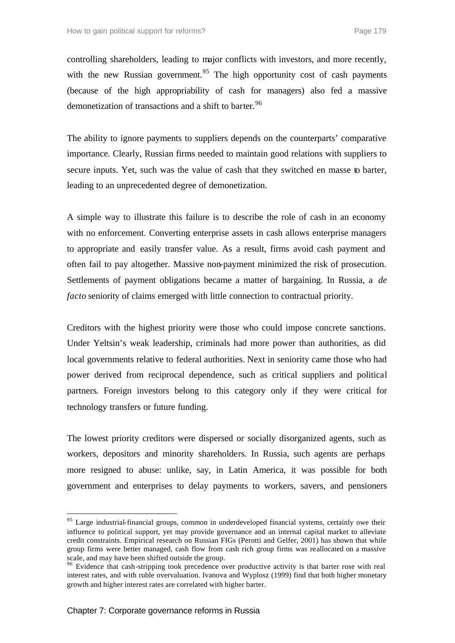controlling shareholders, leading to major conflicts with investors, and more recently, with the new Russian government.<sup>95</sup> The high opportunity cost of cash payments (because of the high appropriability of cash for managers) also fed a massive demonetization of transactions and a shift to barter.<sup>96</sup>

The ability to ignore payments to suppliers depends on the counterparts' comparative importance. Clearly, Russian firms needed to maintain good relations with suppliers to secure inputs. Yet, such was the value of cash that they switched en masse to barter, leading to an unprecedented degree of demonetization.

A simple way to illustrate this failure is to describe the role of cash in an economy with no enforcement. Converting enterprise assets in cash allows enterprise managers to appropriate and easily transfer value. As a result, firms avoid cash payment and often fail to pay altogether. Massive non-payment minimized the risk of prosecution. Settlements of payment obligations became a matter of bargaining. In Russia, a *de facto* seniority of claims emerged with little connection to contractual priority.

Creditors with the highest priority were those who could impose concrete sanctions. Under Yeltsin's weak leadership, criminals had more power than authorities, as did local governments relative to federal authorities. Next in seniority came those who had power derived from reciprocal dependence, such as critical suppliers and political partners. Foreign investors belong to this category only if they were critical for technology transfers or future funding.

The lowest priority creditors were dispersed or socially disorganized agents, such as workers, depositors and minority shareholders. In Russia, such agents are perhaps more resigned to abuse: unlike, say, in Latin America, it was possible for both government and enterprises to delay payments to workers, savers, and pensioners

<sup>&</sup>lt;sup>95</sup> Large industrial-financial groups, common in underdeveloped financial systems, certainly owe their influence to political support, yet may provide governance and an internal capital market to alleviate credit constraints. Empirical research on Russian FIGs (Perotti and Gelfer, 2001) has shown that while group firms were better managed, cash flow from cash rich group firms was reallocated on a massive scale, and may have been shifted outside the group.

<sup>&</sup>lt;sup>96</sup> Evidence that cash-stripping took precedence over productive activity is that barter rose with real interest rates, and with ruble overvaluation. Ivanova and Wyplosz (1999) find that both higher monetary growth and higher interest rates are correlated with higher barter.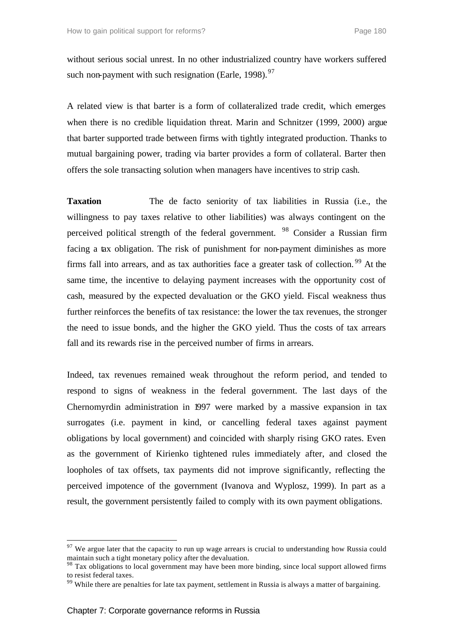without serious social unrest. In no other industrialized country have workers suffered such non-payment with such resignation (Earle, 1998).  $97$ 

A related view is that barter is a form of collateralized trade credit, which emerges when there is no credible liquidation threat. Marin and Schnitzer (1999, 2000) argue that barter supported trade between firms with tightly integrated production. Thanks to mutual bargaining power, trading via barter provides a form of collateral. Barter then offers the sole transacting solution when managers have incentives to strip cash.

**Taxation** The de facto seniority of tax liabilities in Russia (i.e., the willingness to pay taxes relative to other liabilities) was always contingent on the perceived political strength of the federal government. <sup>98</sup> Consider a Russian firm facing a tax obligation. The risk of punishment for non-payment diminishes as more firms fall into arrears, and as tax authorities face a greater task of collection.<sup>99</sup> At the same time, the incentive to delaying payment increases with the opportunity cost of cash, measured by the expected devaluation or the GKO yield. Fiscal weakness thus further reinforces the benefits of tax resistance: the lower the tax revenues, the stronger the need to issue bonds, and the higher the GKO yield. Thus the costs of tax arrears fall and its rewards rise in the perceived number of firms in arrears.

Indeed, tax revenues remained weak throughout the reform period, and tended to respond to signs of weakness in the federal government. The last days of the Chernomyrdin administration in 1997 were marked by a massive expansion in tax surrogates (i.e. payment in kind, or cancelling federal taxes against payment obligations by local government) and coincided with sharply rising GKO rates. Even as the government of Kirienko tightened rules immediately after, and closed the loopholes of tax offsets, tax payments did not improve significantly, reflecting the perceived impotence of the government (Ivanova and Wyplosz, 1999). In part as a result, the government persistently failed to comply with its own payment obligations.

 $97$  We argue later that the capacity to run up wage arrears is crucial to understanding how Russia could maintain such a tight monetary policy after the devaluation.

<sup>&</sup>lt;sup>98</sup> Tax obligations to local government may have been more binding, since local support allowed firms to resist federal taxes.

<sup>&</sup>lt;sup>99</sup> While there are penalties for late tax payment, settlement in Russia is always a matter of bargaining.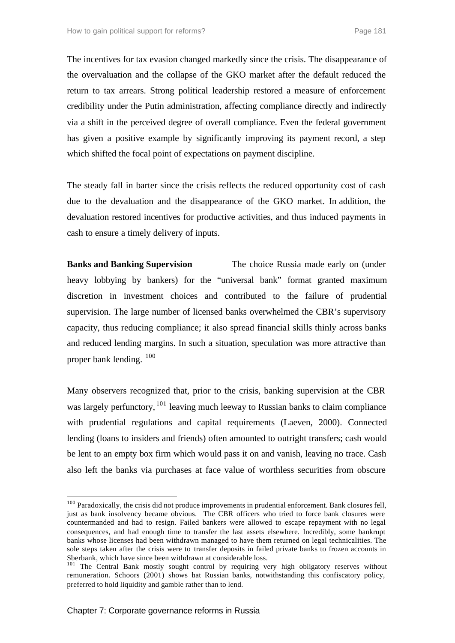The incentives for tax evasion changed markedly since the crisis. The disappearance of the overvaluation and the collapse of the GKO market after the default reduced the return to tax arrears. Strong political leadership restored a measure of enforcement credibility under the Putin administration, affecting compliance directly and indirectly via a shift in the perceived degree of overall compliance. Even the federal government has given a positive example by significantly improving its payment record, a step which shifted the focal point of expectations on payment discipline.

The steady fall in barter since the crisis reflects the reduced opportunity cost of cash due to the devaluation and the disappearance of the GKO market. In addition, the devaluation restored incentives for productive activities, and thus induced payments in cash to ensure a timely delivery of inputs.

**Banks and Banking Supervision** The choice Russia made early on (under heavy lobbying by bankers) for the "universal bank" format granted maximum discretion in investment choices and contributed to the failure of prudential supervision. The large number of licensed banks overwhelmed the CBR's supervisory capacity, thus reducing compliance; it also spread financial skills thinly across banks and reduced lending margins. In such a situation, speculation was more attractive than proper bank lending. <sup>100</sup>

Many observers recognized that, prior to the crisis, banking supervision at the CBR was largely perfunctory,  $^{101}$  leaving much leeway to Russian banks to claim compliance with prudential regulations and capital requirements (Laeven, 2000). Connected lending (loans to insiders and friends) often amounted to outright transfers; cash would be lent to an empty box firm which would pass it on and vanish, leaving no trace. Cash also left the banks via purchases at face value of worthless securities from obscure

 $100$  Paradoxically, the crisis did not produce improvements in prudential enforcement. Bank closures fell, just as bank insolvency became obvious. The CBR officers who tried to force bank closures were countermanded and had to resign. Failed bankers were allowed to escape repayment with no legal consequences, and had enough time to transfer the last assets elsewhere. Incredibly, some bankrupt banks whose licenses had been withdrawn managed to have them returned on legal technicalities. The sole steps taken after the crisis were to transfer deposits in failed private banks to frozen accounts in Sberbank, which have since been withdrawn at considerable loss.

<sup>&</sup>lt;sup>101</sup> The Central Bank mostly sought control by requiring very high obligatory reserves without remuneration. Schoors (2001) shows that Russian banks, notwithstanding this confiscatory policy, preferred to hold liquidity and gamble rather than to lend.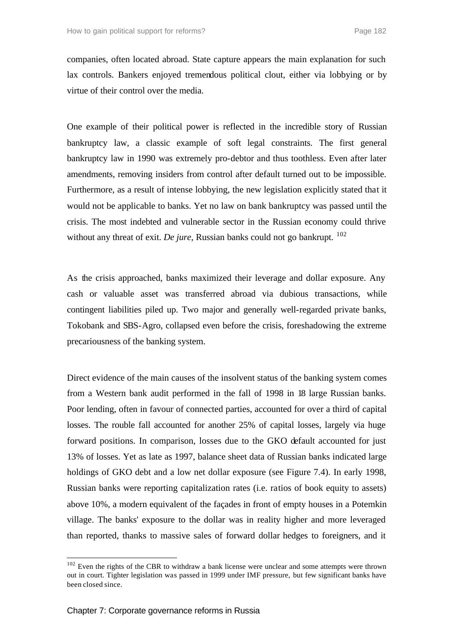companies, often located abroad. State capture appears the main explanation for such lax controls. Bankers enjoyed tremendous political clout, either via lobbying or by virtue of their control over the media.

One example of their political power is reflected in the incredible story of Russian bankruptcy law, a classic example of soft legal constraints. The first general bankruptcy law in 1990 was extremely pro-debtor and thus toothless. Even after later amendments, removing insiders from control after default turned out to be impossible. Furthermore, as a result of intense lobbying, the new legislation explicitly stated that it would not be applicable to banks. Yet no law on bank bankruptcy was passed until the crisis. The most indebted and vulnerable sector in the Russian economy could thrive without any threat of exit. *De jure*, Russian banks could not go bankrupt. <sup>102</sup>

As the crisis approached, banks maximized their leverage and dollar exposure. Any cash or valuable asset was transferred abroad via dubious transactions, while contingent liabilities piled up. Two major and generally well-regarded private banks, Tokobank and SBS-Agro, collapsed even before the crisis, foreshadowing the extreme precariousness of the banking system.

Direct evidence of the main causes of the insolvent status of the banking system comes from a Western bank audit performed in the fall of 1998 in 18 large Russian banks. Poor lending, often in favour of connected parties, accounted for over a third of capital losses. The rouble fall accounted for another 25% of capital losses, largely via huge forward positions. In comparison, losses due to the GKO default accounted for just 13% of losses. Yet as late as 1997, balance sheet data of Russian banks indicated large holdings of GKO debt and a low net dollar exposure (see Figure 7.4). In early 1998, Russian banks were reporting capitalization rates (i.e. ratios of book equity to assets) above 10%, a modern equivalent of the façades in front of empty houses in a Potemkin village. The banks' exposure to the dollar was in reality higher and more leveraged than reported, thanks to massive sales of forward dollar hedges to foreigners, and it

 $102$  Even the rights of the CBR to withdraw a bank license were unclear and some attempts were thrown out in court. Tighter legislation was passed in 1999 under IMF pressure, but few significant banks have been closed since.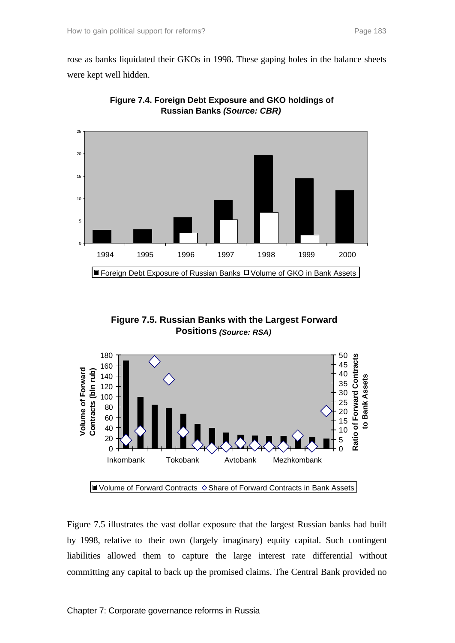rose as banks liquidated their GKOs in 1998. These gaping holes in the balance sheets were kept well hidden.



**Figure 7.4. Foreign Debt Exposure and GKO holdings of Russian Banks** *(Source: CBR)*

**Figure 7.5. Russian Banks with the Largest Forward Positions** *(Source: RSA)*



Figure 7.5 illustrates the vast dollar exposure that the largest Russian banks had built by 1998, relative to their own (largely imaginary) equity capital. Such contingent liabilities allowed them to capture the large interest rate differential without committing any capital to back up the promised claims. The Central Bank provided no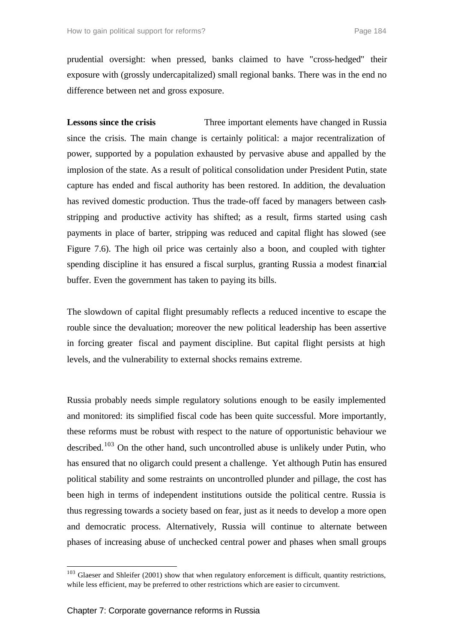prudential oversight: when pressed, banks claimed to have "cross-hedged" their exposure with (grossly undercapitalized) small regional banks. There was in the end no difference between net and gross exposure.

**Lessons since the crisis** Three important elements have changed in Russia since the crisis. The main change is certainly political: a major recentralization of power, supported by a population exhausted by pervasive abuse and appalled by the implosion of the state. As a result of political consolidation under President Putin, state capture has ended and fiscal authority has been restored. In addition, the devaluation has revived domestic production. Thus the trade-off faced by managers between cashstripping and productive activity has shifted; as a result, firms started using cash payments in place of barter, stripping was reduced and capital flight has slowed (see Figure 7.6). The high oil price was certainly also a boon, and coupled with tighter spending discipline it has ensured a fiscal surplus, granting Russia a modest financial buffer. Even the government has taken to paying its bills.

The slowdown of capital flight presumably reflects a reduced incentive to escape the rouble since the devaluation; moreover the new political leadership has been assertive in forcing greater fiscal and payment discipline. But capital flight persists at high levels, and the vulnerability to external shocks remains extreme.

Russia probably needs simple regulatory solutions enough to be easily implemented and monitored: its simplified fiscal code has been quite successful. More importantly, these reforms must be robust with respect to the nature of opportunistic behaviour we described.<sup>103</sup> On the other hand, such uncontrolled abuse is unlikely under Putin, who has ensured that no oligarch could present a challenge. Yet although Putin has ensured political stability and some restraints on uncontrolled plunder and pillage, the cost has been high in terms of independent institutions outside the political centre. Russia is thus regressing towards a society based on fear, just as it needs to develop a more open and democratic process. Alternatively, Russia will continue to alternate between phases of increasing abuse of unchecked central power and phases when small groups

 $103$  Glaeser and Shleifer (2001) show that when regulatory enforcement is difficult, quantity restrictions, while less efficient, may be preferred to other restrictions which are easier to circumvent.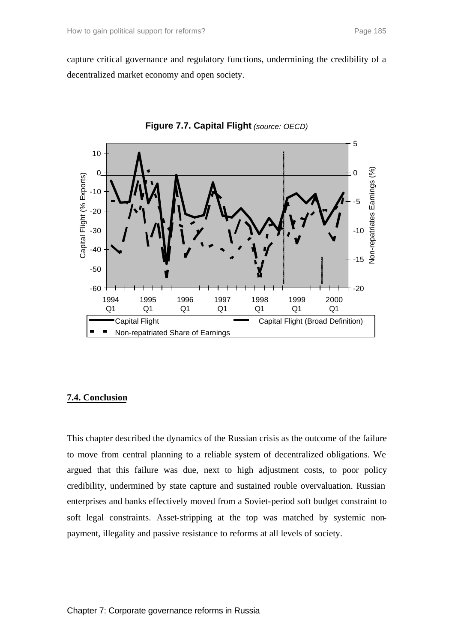capture critical governance and regulatory functions, undermining the credibility of a decentralized market economy and open society.





## **7.4. Conclusion**

This chapter described the dynamics of the Russian crisis as the outcome of the failure to move from central planning to a reliable system of decentralized obligations. We argued that this failure was due, next to high adjustment costs, to poor policy credibility, undermined by state capture and sustained rouble overvaluation. Russian enterprises and banks effectively moved from a Soviet-period soft budget constraint to soft legal constraints. Asset-stripping at the top was matched by systemic nonpayment, illegality and passive resistance to reforms at all levels of society.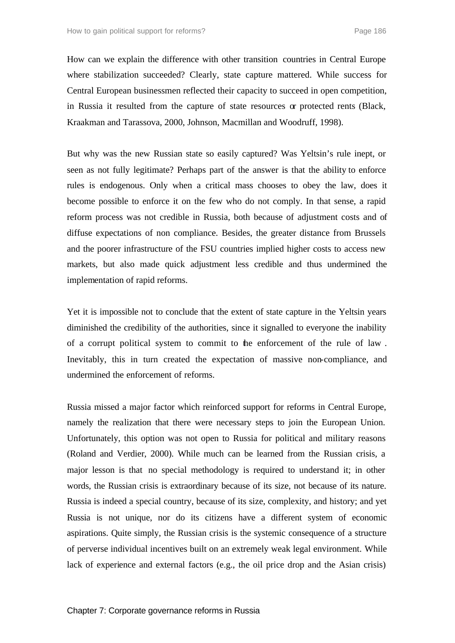How can we explain the difference with other transition countries in Central Europe where stabilization succeeded? Clearly, state capture mattered. While success for Central European businessmen reflected their capacity to succeed in open competition, in Russia it resulted from the capture of state resources or protected rents (Black, Kraakman and Tarassova, 2000, Johnson, Macmillan and Woodruff, 1998).

But why was the new Russian state so easily captured? Was Yeltsin's rule inept, or seen as not fully legitimate? Perhaps part of the answer is that the ability to enforce rules is endogenous. Only when a critical mass chooses to obey the law, does it become possible to enforce it on the few who do not comply. In that sense, a rapid reform process was not credible in Russia, both because of adjustment costs and of diffuse expectations of non compliance. Besides, the greater distance from Brussels and the poorer infrastructure of the FSU countries implied higher costs to access new markets, but also made quick adjustment less credible and thus undermined the implementation of rapid reforms.

Yet it is impossible not to conclude that the extent of state capture in the Yeltsin years diminished the credibility of the authorities, since it signalled to everyone the inability of a corrupt political system to commit to the enforcement of the rule of law . Inevitably, this in turn created the expectation of massive non-compliance, and undermined the enforcement of reforms.

Russia missed a major factor which reinforced support for reforms in Central Europe, namely the realization that there were necessary steps to join the European Union. Unfortunately, this option was not open to Russia for political and military reasons (Roland and Verdier, 2000). While much can be learned from the Russian crisis, a major lesson is that no special methodology is required to understand it; in other words, the Russian crisis is extraordinary because of its size, not because of its nature. Russia is indeed a special country, because of its size, complexity, and history; and yet Russia is not unique, nor do its citizens have a different system of economic aspirations. Quite simply, the Russian crisis is the systemic consequence of a structure of perverse individual incentives built on an extremely weak legal environment. While lack of experience and external factors (e.g., the oil price drop and the Asian crisis)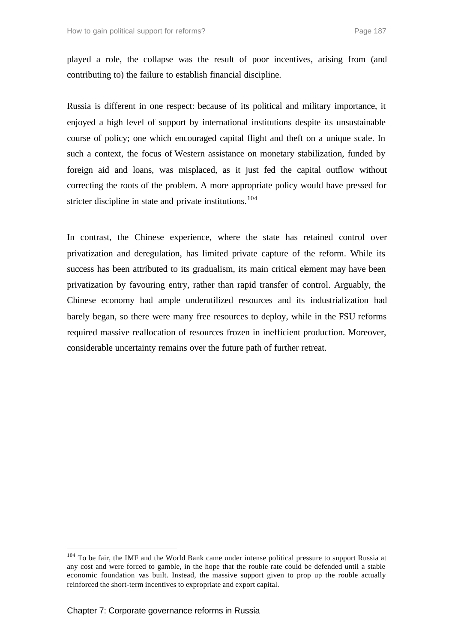played a role, the collapse was the result of poor incentives, arising from (and contributing to) the failure to establish financial discipline.

Russia is different in one respect: because of its political and military importance, it enjoyed a high level of support by international institutions despite its unsustainable course of policy; one which encouraged capital flight and theft on a unique scale. In such a context, the focus of Western assistance on monetary stabilization, funded by foreign aid and loans, was misplaced, as it just fed the capital outflow without correcting the roots of the problem. A more appropriate policy would have pressed for stricter discipline in state and private institutions.<sup>104</sup>

In contrast, the Chinese experience, where the state has retained control over privatization and deregulation, has limited private capture of the reform. While its success has been attributed to its gradualism, its main critical element may have been privatization by favouring entry, rather than rapid transfer of control. Arguably, the Chinese economy had ample underutilized resources and its industrialization had barely began, so there were many free resources to deploy, while in the FSU reforms required massive reallocation of resources frozen in inefficient production. Moreover, considerable uncertainty remains over the future path of further retreat.

<sup>&</sup>lt;sup>104</sup> To be fair, the IMF and the World Bank came under intense political pressure to support Russia at any cost and were forced to gamble, in the hope that the rouble rate could be defended until a stable economic foundation was built. Instead, the massive support given to prop up the rouble actually reinforced the short-term incentives to expropriate and export capital.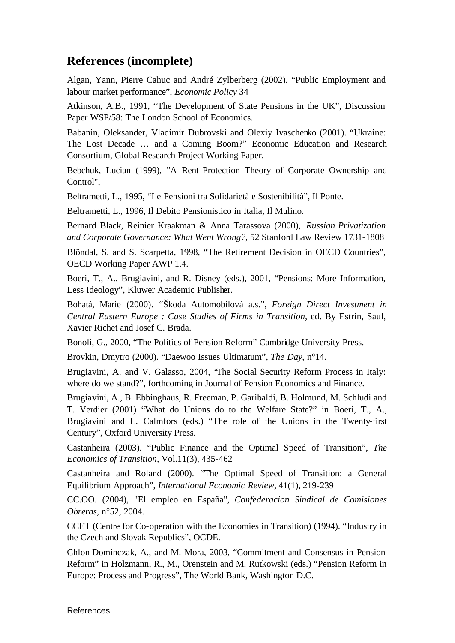## **References (incomplete)**

Algan, Yann, Pierre Cahuc and André Zylberberg (2002). "Public Employment and labour market performance", *Economic Policy* 34

Atkinson, A.B., 1991, "The Development of State Pensions in the UK", Discussion Paper WSP/58: The London School of Economics.

Babanin, Oleksander, Vladimir Dubrovski and Olexiy Ivaschenko (2001). "Ukraine: The Lost Decade … and a Coming Boom?" Economic Education and Research Consortium, Global Research Project Working Paper.

Bebchuk, Lucian (1999), "A Rent-Protection Theory of Corporate Ownership and Control",

Beltrametti, L., 1995, "Le Pensioni tra Solidarietà e Sostenibilità", Il Ponte.

Beltrametti, L., 1996, Il Debito Pensionistico in Italia, Il Mulino.

Bernard Black, Reinier Kraakman & Anna Tarassova (2000), *Russian Privatization and Corporate Governance: What Went Wrong?*, 52 Stanford Law Review 1731-1808

Blöndal, S. and S. Scarpetta, 1998, "The Retirement Decision in OECD Countries", OECD Working Paper AWP 1.4.

Boeri, T., A., Brugiavini, and R. Disney (eds.), 2001, "Pensions: More Information, Less Ideology", Kluwer Academic Publisher.

Bohatá, Marie (2000). "Škoda Automobilová a.s.", *Foreign Direct Investment in Central Eastern Europe : Case Studies of Firms in Transition*, ed. By Estrin, Saul, Xavier Richet and Josef C. Brada.

Bonoli, G., 2000, "The Politics of Pension Reform" Cambridge University Press.

Brovkin, Dmytro (2000). "Daewoo Issues Ultimatum", *The Day*, n°14.

Brugiavini, A. and V. Galasso, 2004, "The Social Security Reform Process in Italy: where do we stand?", forthcoming in Journal of Pension Economics and Finance.

Brugiavini, A., B. Ebbinghaus, R. Freeman, P. Garibaldi, B. Holmund, M. Schludi and T. Verdier (2001) "What do Unions do to the Welfare State?" in Boeri, T., A., Brugiavini and L. Calmfors (eds.) "The role of the Unions in the Twenty-first Century", Oxford University Press.

Castanheira (2003). "Public Finance and the Optimal Speed of Transition", *The Economics of Transition,* Vol.11(3), 435-462

Castanheira and Roland (2000). "The Optimal Speed of Transition: a General Equilibrium Approach", *International Economic Review,* 41(1), 219-239

CC.OO. (2004), "El empleo en España", *Confederacion Sindical de Comisiones Obreras*, n°52, 2004.

CCET (Centre for Co-operation with the Economies in Transition) (1994). "Industry in the Czech and Slovak Republics", OCDE.

Chlon-Dominczak, A., and M. Mora, 2003, "Commitment and Consensus in Pension Reform" in Holzmann, R., M., Orenstein and M. Rutkowski (eds.) "Pension Reform in Europe: Process and Progress", The World Bank, Washington D.C.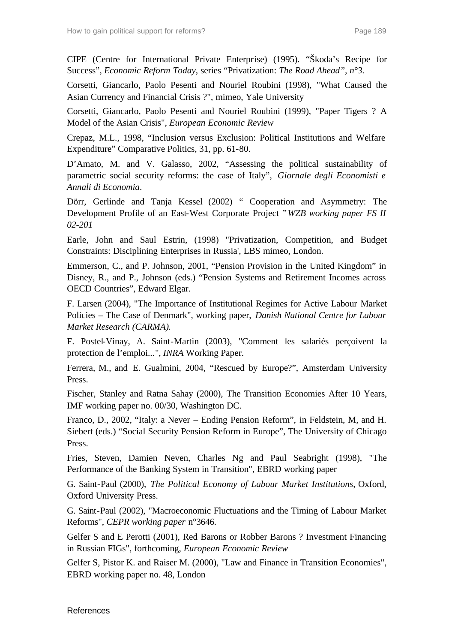CIPE (Centre for International Private Enterprise) (1995). "Škoda's Recipe for Success", *Economic Reform Today*, series "Privatization: *The Road Ahead", n°3.*

Corsetti, Giancarlo, Paolo Pesenti and Nouriel Roubini (1998), "What Caused the Asian Currency and Financial Crisis ?", mimeo, Yale University

Corsetti, Giancarlo, Paolo Pesenti and Nouriel Roubini (1999), "Paper Tigers ? A Model of the Asian Crisis", *European Economic Review*

Crepaz, M.L., 1998, "Inclusion versus Exclusion: Political Institutions and Welfare Expenditure" Comparative Politics, 31, pp. 61-80.

D'Amato, M. and V. Galasso, 2002, "Assessing the political sustainability of parametric social security reforms: the case of Italy", *Giornale degli Economisti e Annali di Economia*.

Dörr, Gerlinde and Tanja Kessel (2002) " Cooperation and Asymmetry: The Development Profile of an East-West Corporate Project " *WZB working paper FS II 02-201*

Earle, John and Saul Estrin, (1998) ''Privatization, Competition, and Budget Constraints: Disciplining Enterprises in Russia', LBS mimeo, London.

Emmerson, C., and P. Johnson, 2001, "Pension Provision in the United Kingdom" in Disney, R., and P., Johnson (eds.) "Pension Systems and Retirement Incomes across OECD Countries", Edward Elgar.

F. Larsen (2004), "The Importance of Institutional Regimes for Active Labour Market Policies – The Case of Denmark", working paper, *Danish National Centre for Labour Market Research (CARMA)*.

F. Postel-Vinay, A. Saint-Martin (2003), "Comment les salariés perçoivent la protection de l'emploi...", *INRA* Working Paper.

Ferrera, M., and E. Gualmini, 2004, "Rescued by Europe?", Amsterdam University Press.

Fischer, Stanley and Ratna Sahay (2000), The Transition Economies After 10 Years, IMF working paper no. 00/30, Washington DC.

Franco, D., 2002, "Italy: a Never – Ending Pension Reform", in Feldstein, M, and H. Siebert (eds.) "Social Security Pension Reform in Europe", The University of Chicago Press.

Fries, Steven, Damien Neven, Charles Ng and Paul Seabright (1998), "The Performance of the Banking System in Transition", EBRD working paper

G. Saint-Paul (2000), *The Political Economy of Labour Market Institutions*, Oxford, Oxford University Press.

G. Saint-Paul (2002), "Macroeconomic Fluctuations and the Timing of Labour Market Reforms", *CEPR working paper* n°3646.

Gelfer S and E Perotti (2001), Red Barons or Robber Barons ? Investment Financing in Russian FIGs", forthcoming, *European Economic Review*

Gelfer S, Pistor K. and Raiser M. (2000), "Law and Finance in Transition Economies", EBRD working paper no. 48, London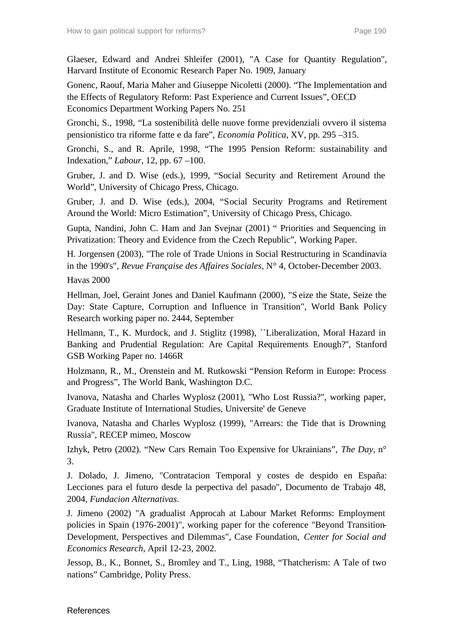Glaeser, Edward and Andrei Shleifer (2001), "A Case for Quantity Regulation", Harvard Institute of Economic Research Paper No. 1909, January

Gonenc, Raouf, Maria Maher and Giuseppe Nicoletti (2000). "The Implementation and the Effects of Regulatory Reform: Past Experience and Current Issues", OECD Economics Department Working Papers No. 251

Gronchi, S., 1998, "La sostenibilità delle nuove forme previdenziali ovvero il sistema pensionistico tra riforme fatte e da fare", *Economia Politica*, XV, pp. 295 –315.

Gronchi, S., and R. Aprile, 1998, "The 1995 Pension Reform: sustainability and Indexation," *Labour*, 12, pp. 67 –100.

Gruber, J. and D. Wise (eds.), 1999, "Social Security and Retirement Around the World", University of Chicago Press, Chicago.

Gruber, J. and D. Wise (eds.), 2004, "Social Security Programs and Retirement Around the World: Micro Estimation", University of Chicago Press, Chicago.

Gupta, Nandini, John C. Ham and Jan Svejnar (2001) " Priorities and Sequencing in Privatization: Theory and Evidence from the Czech Republic", Working Paper.

H. Jorgensen (2003), "The role of Trade Unions in Social Restructuring in Scandinavia in the 1990's", *Revue Française des Affaires Sociales*, N° 4, October-December 2003.

Havas 2000

Hellman, Joel, Geraint Jones and Daniel Kaufmann (2000), "S eize the State, Seize the Day: State Capture, Corruption and Influence in Transition", World Bank Policy Research working paper no. 2444, September

Hellmann, T., K. Murdock, and J. Stiglitz (1998), ``Liberalization, Moral Hazard in Banking and Prudential Regulation: Are Capital Requirements Enough?'', Stanford GSB Working Paper no. 1466R

Holzmann, R., M., Orenstein and M. Rutkowski "Pension Reform in Europe: Process and Progress", The World Bank, Washington D.C.

Ivanova, Natasha and Charles Wyplosz (2001), "Who Lost Russia?", working paper, Graduate Institute of International Studies, Universite' de Geneve

Ivanova, Natasha and Charles Wyplosz (1999), "Arrears: the Tide that is Drowning Russia", RECEP mimeo, Moscow

Izhyk, Petro (2002). "New Cars Remain Too Expensive for Ukrainians", *The Day*, n° 3.

J. Dolado, J. Jimeno, "Contratacion Temporal y costes de despido en España: Lecciones para el futuro desde la perpectiva del pasado", Documento de Trabajo 48, 2004, *Fundacion Alternativas*.

J. Jimeno (2002) "A gradualist Approcah at Labour Market Reforms: Employment policies in Spain (1976-2001)", working paper for the coference "Beyond Transition-Development, Perspectives and Dilemmas", Case Foundation, *Center for Social and Economics Research*, April 12-23, 2002.

Jessop, B., K., Bonnet, S., Bromley and T., Ling, 1988, "Thatcherism: A Tale of two nations" Cambridge, Polity Press.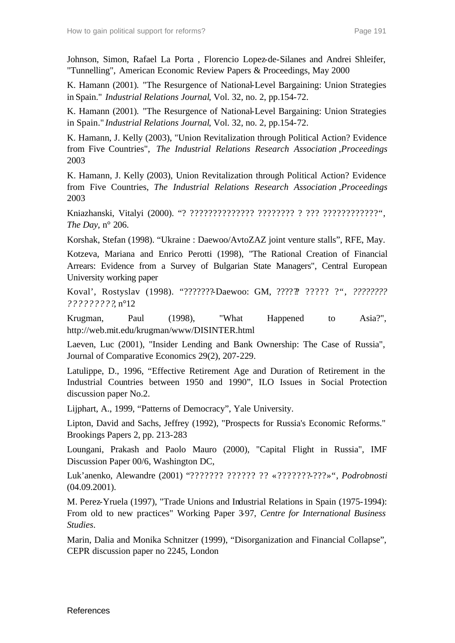Johnson, Simon, Rafael La Porta , Florencio Lopez-de-Silanes and Andrei Shleifer, "Tunnelling", American Economic Review Papers & Proceedings, May 2000

K. Hamann (2001)*.* "The Resurgence of National-Level Bargaining: Union Strategies in Spain." *Industrial Relations Journal*, Vol. 32, no. 2, pp.154-72.

K. Hamann (2001)*.* "The Resurgence of National-Level Bargaining: Union Strategies in Spain." *Industrial Relations Journal*, Vol. 32, no. 2, pp.154-72.

K. Hamann, J. Kelly (2003), "Union Revitalization through Political Action? Evidence from Five Countries", *The Industrial Relations Research Association ,Proceedings* 2003

K. Hamann, J. Kelly (2003), Union Revitalization through Political Action? Evidence from Five Countries, *The Industrial Relations Research Association ,Proceedings* 2003

Kniazhanski, Vitalyi (2000). "? ?????????????? ???????? ? ??? ????????????", *The Day*, n° 206.

Korshak, Stefan (1998). "Ukraine : Daewoo/AvtoZAZ joint venture stalls", RFE, May.

Kotzeva, Mariana and Enrico Perotti (1998), "The Rational Creation of Financial Arrears: Evidence from a Survey of Bulgarian State Managers", Central European University working paper

Koval', Rostyslav (1998). "???????-Daewoo: GM, ?????? ????? ?", *???????? ?????????*, n°12

Krugman, Paul (1998), "What Happened to Asia?", http://web.mit.edu/krugman/www/DISINTER.html

Laeven, Luc (2001), "Insider Lending and Bank Ownership: The Case of Russia", Journal of Comparative Economics 29(2), 207-229.

Latulippe, D., 1996, "Effective Retirement Age and Duration of Retirement in the Industrial Countries between 1950 and 1990", ILO Issues in Social Protection discussion paper No.2.

Lijphart, A., 1999, "Patterns of Democracy", Yale University.

Lipton, David and Sachs, Jeffrey (1992), "Prospects for Russia's Economic Reforms." Brookings Papers 2, pp. 213-283

Loungani, Prakash and Paolo Mauro (2000), "Capital Flight in Russia", IMF Discussion Paper 00/6, Washington DC,

Luk'anenko, Alewandre (2001) "??????? ?????? ?? «???????-???»", *Podrobnosti* (04.09.2001).

M. Perez-Yruela (1997), "Trade Unions and Industrial Relations in Spain (1975-1994): From old to new practices" Working Paper 3-97, *Centre for International Business Studies*.

Marin, Dalia and Monika Schnitzer (1999), "Disorganization and Financial Collapse", CEPR discussion paper no 2245, London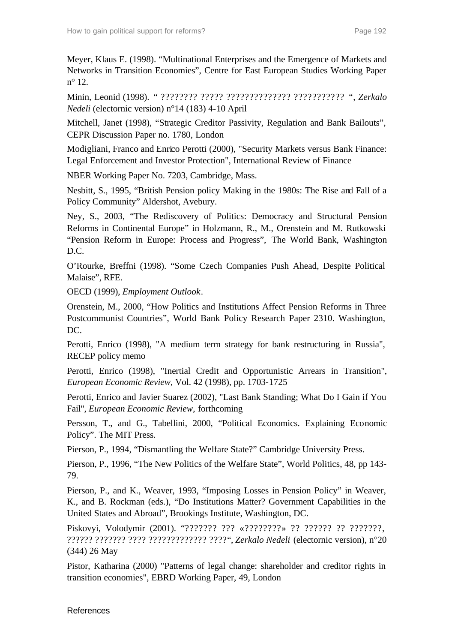Meyer, Klaus E. (1998). "Multinational Enterprises and the Emergence of Markets and Networks in Transition Economies", Centre for East European Studies Working Paper n° 12.

Minin, Leonid (1998). *"* ???????? ????? ?????????????? ??????????? *"*, *Zerkalo Nedeli* (electornic version) n°14 (183) 4-10 April

Mitchell, Janet (1998), "Strategic Creditor Passivity, Regulation and Bank Bailouts", CEPR Discussion Paper no. 1780, London

Modigliani, Franco and Enrico Perotti (2000), "Security Markets versus Bank Finance: Legal Enforcement and Investor Protection", International Review of Finance

NBER Working Paper No. 7203, Cambridge, Mass.

Nesbitt, S., 1995, "British Pension policy Making in the 1980s: The Rise and Fall of a Policy Community" Aldershot, Avebury.

Ney, S., 2003, "The Rediscovery of Politics: Democracy and Structural Pension Reforms in Continental Europe" in Holzmann, R., M., Orenstein and M. Rutkowski "Pension Reform in Europe: Process and Progress", The World Bank, Washington D.C.

O'Rourke, Breffni (1998). "Some Czech Companies Push Ahead, Despite Political Malaise", RFE.

OECD (1999), *Employment Outlook*.

Orenstein, M., 2000, "How Politics and Institutions Affect Pension Reforms in Three Postcommunist Countries", World Bank Policy Research Paper 2310. Washington, DC.

Perotti, Enrico (1998), "A medium term strategy for bank restructuring in Russia", RECEP policy memo

Perotti, Enrico (1998), "Inertial Credit and Opportunistic Arrears in Transition", *European Economic Review,* Vol. 42 (1998), pp. 1703-1725

Perotti, Enrico and Javier Suarez (2002), "Last Bank Standing; What Do I Gain if You Fail", *European Economic Review*, forthcoming

Persson, T., and G., Tabellini, 2000, "Political Economics. Explaining Economic Policy". The MIT Press.

Pierson, P., 1994, "Dismantling the Welfare State?" Cambridge University Press.

Pierson, P., 1996, "The New Politics of the Welfare State", World Politics, 48, pp 143- 79.

Pierson, P., and K., Weaver, 1993, "Imposing Losses in Pension Policy" in Weaver, K., and B. Rockman (eds.), "Do Institutions Matter? Government Capabilities in the United States and Abroad", Brookings Institute, Washington, DC.

Piskovyi, Volodymir (2001). "??????? ??? «????????» ?? ?????? ?? ???????, ?????? ??????? ???? ????????????? ???? ", *Zerkalo Nedeli* (electornic version), n°20 (344) 26 May

Pistor, Katharina (2000) "Patterns of legal change: shareholder and creditor rights in transition economies", EBRD Working Paper, 49, London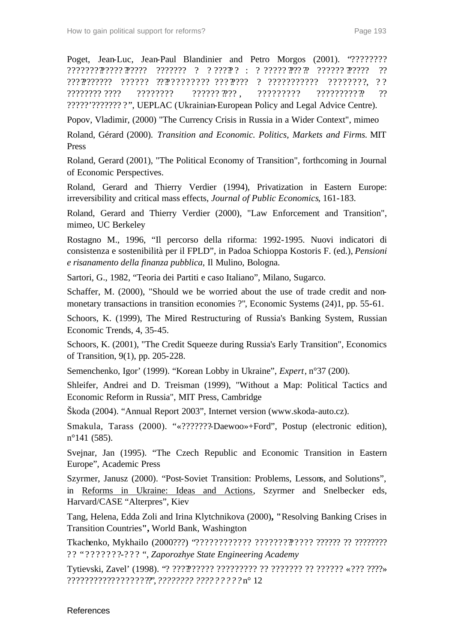Poget, Jean-Luc, Jean-Paul Blandinier and Petro Morgos (2001). "???????? ????????????? ?????? ??????? ? ? ????? ? : ? ????? ???? ?? ?????? ?????? ?? ??????????? ?????? ???????????? ??? ????? ? ??????????? ????????, ? ? ???????? ???? ???????? ?????? ???? , ????????? ????????? ?? ?? ?????'??????? ? ", UEPLAC (Ukrainian-European Policy and Legal Advice Centre).

Popov, Vladimir, (2000) "The Currency Crisis in Russia in a Wider Context", mimeo

Roland, Gérard (2000). *Transition and Economic. Politics, Markets and Firms.* MIT Press

Roland, Gerard (2001), "The Political Economy of Transition", forthcoming in Journal of Economic Perspectives.

Roland, Gerard and Thierry Verdier (1994), Privatization in Eastern Europe: irreversibility and critical mass effects, *Journal of Public Economics*, 161-183.

Roland, Gerard and Thierry Verdier (2000), "Law Enforcement and Transition", mimeo, UC Berkeley

Rostagno M., 1996, "Il percorso della riforma: 1992-1995. Nuovi indicatori di consistenza e sostenibilità per il FPLD", in Padoa Schioppa Kostoris F. (ed.), *Pensioni e risanamento della finanza pubblica*, Il Mulino, Bologna.

Sartori, G., 1982, "Teoria dei Partiti e caso Italiano", Milano, Sugarco.

Schaffer, M. (2000), "Should we be worried about the use of trade credit and nonmonetary transactions in transition economies ?", Economic Systems (24)1, pp. 55-61.

Schoors, K. (1999), The Mired Restructuring of Russia's Banking System, Russian Economic Trends, 4, 35-45.

Schoors, K. (2001), "The Credit Squeeze during Russia's Early Transition", Economics of Transition, 9(1), pp. 205-228.

Semenchenko, Igor' (1999). "Korean Lobby in Ukraine", *Expert*, n°37 (200).

Shleifer, Andrei and D. Treisman (1999), "Without a Map: Political Tactics and Economic Reform in Russia", MIT Press, Cambridge

Škoda (2004). "Annual Report 2003", Internet version (www.skoda-auto.cz).

Smakula, Tarass (2000). "«???????-Daewoo»+Ford", Postup (electronic edition), n°141 (585).

Svejnar, Jan (1995). "The Czech Republic and Economic Transition in Eastern Europe", Academic Press

Szyrmer, Janusz (2000). "Post-Soviet Transition: Problems, Lessons, and Solutions", in Reforms in Ukraine: Ideas and Actions, Szyrmer and Snelbecker eds, Harvard/CASE "Alterpres", Kiev

Tang, Helena, Edda Zoli and Irina Klytchnikova (2000)**, "**Resolving Banking Crises in Transition Countries**",** World Bank, Washington

Tkachenko, Mykhailo (2000???) "???????????? ????????????? ?????? ?? ???????? ?? "???????-??? ", *Zaporozhye State Engineering Academy*

Tytievski, Zavel' (1998). "? ?????????? ????????? ?? ??????? ?? ?????? «??? ????» ?????????? ?????????", *???????? ?????????* n° 12